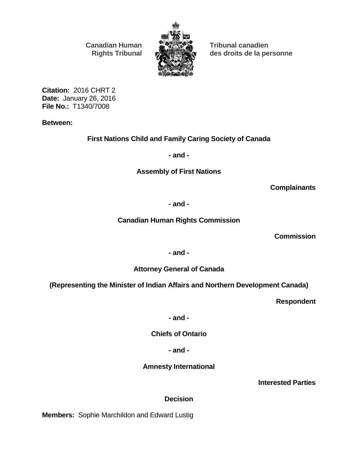**Canadian Human Rights Tribunal**



**Tribunal canadien des droits de la personne**

**Citation:** 2016 CHRT 2 **Date:** January 26, 2016 **File No.:** T1340/7008

**Between:**

**First Nations Child and Family Caring Society of Canada**

**- and -**

# **Assembly of First Nations**

**Complainants**

**- and -**

## **Canadian Human Rights Commission**

**Commission**

**- and -**

**Attorney General of Canada**

**(Representing the Minister of Indian Affairs and Northern Development Canada)**

**Respondent**

**- and -**

**Chiefs of Ontario**

**- and -**

# **Amnesty International**

**Interested Parties**

**Decision**

**Members:** Sophie Marchildon and Edward Lustig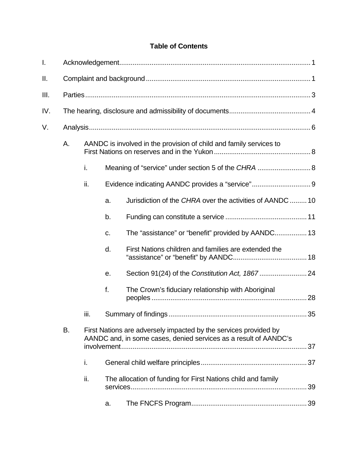## **Table of Contents**

| I.  |    |                                                                                                                                      |    |                                                                    |  |  |  |
|-----|----|--------------------------------------------------------------------------------------------------------------------------------------|----|--------------------------------------------------------------------|--|--|--|
| Ⅱ.  |    |                                                                                                                                      |    |                                                                    |  |  |  |
| Ш.  |    |                                                                                                                                      |    |                                                                    |  |  |  |
| IV. |    |                                                                                                                                      |    |                                                                    |  |  |  |
| V.  |    |                                                                                                                                      |    |                                                                    |  |  |  |
|     | Α. |                                                                                                                                      |    | AANDC is involved in the provision of child and family services to |  |  |  |
|     |    | i.                                                                                                                                   |    |                                                                    |  |  |  |
|     |    | ii.                                                                                                                                  |    |                                                                    |  |  |  |
|     |    |                                                                                                                                      | a. | Jurisdiction of the CHRA over the activities of AANDC 10           |  |  |  |
|     |    |                                                                                                                                      | b. |                                                                    |  |  |  |
|     |    |                                                                                                                                      | C. | The "assistance" or "benefit" provided by AANDC 13                 |  |  |  |
|     |    |                                                                                                                                      | d. | First Nations children and families are extended the               |  |  |  |
|     |    |                                                                                                                                      | е. |                                                                    |  |  |  |
|     |    |                                                                                                                                      | f. | The Crown's fiduciary relationship with Aboriginal                 |  |  |  |
|     |    | iii.                                                                                                                                 |    |                                                                    |  |  |  |
|     | В. | First Nations are adversely impacted by the services provided by<br>AANDC and, in some cases, denied services as a result of AANDC's |    |                                                                    |  |  |  |
|     |    | i.                                                                                                                                   |    |                                                                    |  |  |  |
|     |    | ii.                                                                                                                                  |    | The allocation of funding for First Nations child and family       |  |  |  |
|     |    |                                                                                                                                      | a. |                                                                    |  |  |  |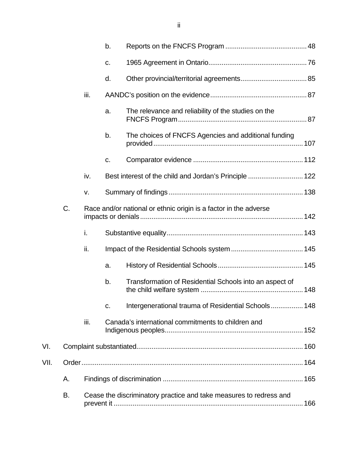|      |    |                                                                    | b. |                                                         |  |  |
|------|----|--------------------------------------------------------------------|----|---------------------------------------------------------|--|--|
|      |    |                                                                    | C. |                                                         |  |  |
|      |    |                                                                    | d. |                                                         |  |  |
|      |    | iii.                                                               |    |                                                         |  |  |
|      |    |                                                                    | a. | The relevance and reliability of the studies on the     |  |  |
|      |    |                                                                    | b. | The choices of FNCFS Agencies and additional funding    |  |  |
|      |    |                                                                    | C. |                                                         |  |  |
|      |    | iv.                                                                |    | Best interest of the child and Jordan's Principle  122  |  |  |
|      |    | v.                                                                 |    |                                                         |  |  |
|      | C. | Race and/or national or ethnic origin is a factor in the adverse   |    |                                                         |  |  |
|      |    | i.                                                                 |    |                                                         |  |  |
|      |    | ii.                                                                |    |                                                         |  |  |
|      |    |                                                                    | a. |                                                         |  |  |
|      |    |                                                                    | b. | Transformation of Residential Schools into an aspect of |  |  |
|      |    |                                                                    | c. | Intergenerational trauma of Residential Schools 148     |  |  |
|      |    | iii.                                                               |    | Canada's international commitments to children and      |  |  |
| VI.  |    |                                                                    |    |                                                         |  |  |
| VII. |    |                                                                    |    |                                                         |  |  |
|      | А. |                                                                    |    |                                                         |  |  |
|      | В. | Cease the discriminatory practice and take measures to redress and |    |                                                         |  |  |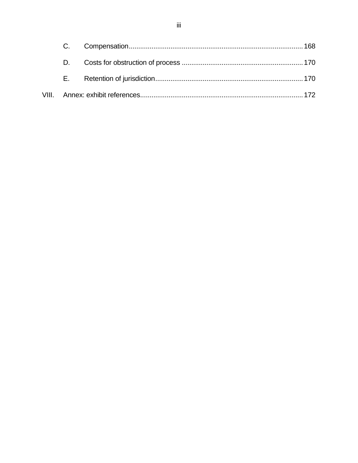| D. |  |  |  |
|----|--|--|--|
|    |  |  |  |
|    |  |  |  |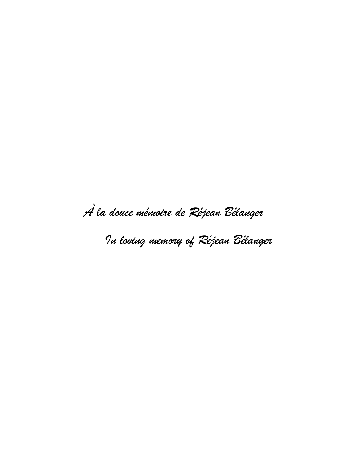*À la douce mémoire de Réjean Bélanger*

*In loving memory of Réjean Bélanger*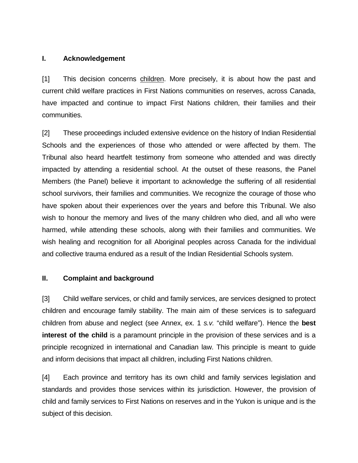### <span id="page-5-0"></span>**I. Acknowledgement**

[1] This decision concerns children. More precisely, it is about how the past and current child welfare practices in First Nations communities on reserves, across Canada, have impacted and continue to impact First Nations children, their families and their communities.

[2] These proceedings included extensive evidence on the history of Indian Residential Schools and the experiences of those who attended or were affected by them. The Tribunal also heard heartfelt testimony from someone who attended and was directly impacted by attending a residential school. At the outset of these reasons, the Panel Members (the Panel) believe it important to acknowledge the suffering of all residential school survivors, their families and communities. We recognize the courage of those who have spoken about their experiences over the years and before this Tribunal. We also wish to honour the memory and lives of the many children who died, and all who were harmed, while attending these schools, along with their families and communities. We wish healing and recognition for all Aboriginal peoples across Canada for the individual and collective trauma endured as a result of the Indian Residential Schools system.

## <span id="page-5-1"></span>**II. Complaint and background**

[3] Child welfare services, or child and family services, are services designed to protect children and encourage family stability. The main aim of these services is to safeguard children from abuse and neglect (see Annex, ex. 1 *s.v.* "child welfare"). Hence the **best interest of the child** is a paramount principle in the provision of these services and is a principle recognized in international and Canadian law. This principle is meant to guide and inform decisions that impact all children, including First Nations children.

[4] Each province and territory has its own child and family services legislation and standards and provides those services within its jurisdiction. However, the provision of child and family services to First Nations on reserves and in the Yukon is unique and is the subject of this decision.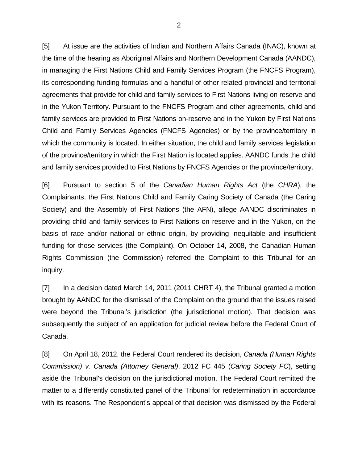[5] At issue are the activities of Indian and Northern Affairs Canada (INAC), known at the time of the hearing as Aboriginal Affairs and Northern Development Canada (AANDC), in managing the First Nations Child and Family Services Program (the FNCFS Program), its corresponding funding formulas and a handful of other related provincial and territorial agreements that provide for child and family services to First Nations living on reserve and in the Yukon Territory. Pursuant to the FNCFS Program and other agreements, child and family services are provided to First Nations on-reserve and in the Yukon by First Nations Child and Family Services Agencies (FNCFS Agencies) or by the province/territory in which the community is located. In either situation, the child and family services legislation of the province/territory in which the First Nation is located applies. AANDC funds the child and family services provided to First Nations by FNCFS Agencies or the province/territory.

[6] Pursuant to section 5 of the *Canadian Human Rights Act* (the *CHRA*), the Complainants, the First Nations Child and Family Caring Society of Canada (the Caring Society) and the Assembly of First Nations (the AFN), allege AANDC discriminates in providing child and family services to First Nations on reserve and in the Yukon, on the basis of race and/or national or ethnic origin, by providing inequitable and insufficient funding for those services (the Complaint). On October 14, 2008, the Canadian Human Rights Commission (the Commission) referred the Complaint to this Tribunal for an inquiry.

[7] In a decision dated March 14, 2011 (2011 CHRT 4), the Tribunal granted a motion brought by AANDC for the dismissal of the Complaint on the ground that the issues raised were beyond the Tribunal's jurisdiction (the jurisdictional motion). That decision was subsequently the subject of an application for judicial review before the Federal Court of Canada.

[8] On April 18, 2012, the Federal Court rendered its decision, *Canada (Human Rights Commission) v. Canada (Attorney General)*, 2012 FC 445 (*Caring Society FC*), setting aside the Tribunal's decision on the jurisdictional motion. The Federal Court remitted the matter to a differently constituted panel of the Tribunal for redetermination in accordance with its reasons. The Respondent's appeal of that decision was dismissed by the Federal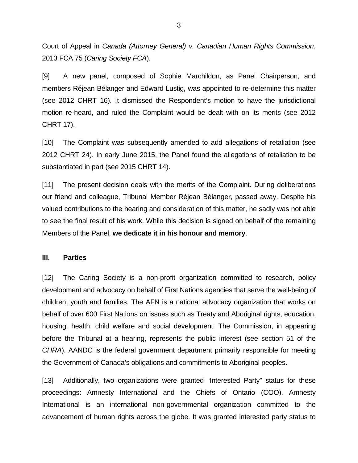Court of Appeal in *Canada (Attorney General) v. Canadian Human Rights Commission*, 2013 FCA 75 (*Caring Society FCA*).

[9] A new panel, composed of Sophie Marchildon, as Panel Chairperson, and members Réjean Bélanger and Edward Lustig, was appointed to re-determine this matter (see 2012 CHRT 16). It dismissed the Respondent's motion to have the jurisdictional motion re-heard, and ruled the Complaint would be dealt with on its merits (see 2012 CHRT 17).

[10] The Complaint was subsequently amended to add allegations of retaliation (see 2012 CHRT 24). In early June 2015, the Panel found the allegations of retaliation to be substantiated in part (see 2015 CHRT 14).

[11] The present decision deals with the merits of the Complaint. During deliberations our friend and colleague, Tribunal Member Réjean Bélanger, passed away. Despite his valued contributions to the hearing and consideration of this matter, he sadly was not able to see the final result of his work. While this decision is signed on behalf of the remaining Members of the Panel, **we dedicate it in his honour and memory**.

#### <span id="page-7-0"></span>**III. Parties**

[12] The Caring Society is a non-profit organization committed to research, policy development and advocacy on behalf of First Nations agencies that serve the well-being of children, youth and families. The AFN is a national advocacy organization that works on behalf of over 600 First Nations on issues such as Treaty and Aboriginal rights, education, housing, health, child welfare and social development. The Commission, in appearing before the Tribunal at a hearing, represents the public interest (see section 51 of the *CHRA*). AANDC is the federal government department primarily responsible for meeting the Government of Canada's obligations and commitments to Aboriginal peoples.

[13] Additionally, two organizations were granted "Interested Party" status for these proceedings: Amnesty International and the Chiefs of Ontario (COO). Amnesty International is an international non-governmental organization committed to the advancement of human rights across the globe. It was granted interested party status to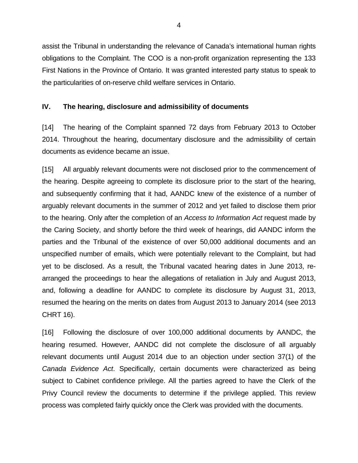assist the Tribunal in understanding the relevance of Canada's international human rights obligations to the Complaint. The COO is a non-profit organization representing the 133 First Nations in the Province of Ontario. It was granted interested party status to speak to the particularities of on-reserve child welfare services in Ontario.

### <span id="page-8-0"></span>**IV. The hearing, disclosure and admissibility of documents**

[14] The hearing of the Complaint spanned 72 days from February 2013 to October 2014. Throughout the hearing, documentary disclosure and the admissibility of certain documents as evidence became an issue.

[15] All arguably relevant documents were not disclosed prior to the commencement of the hearing. Despite agreeing to complete its disclosure prior to the start of the hearing, and subsequently confirming that it had, AANDC knew of the existence of a number of arguably relevant documents in the summer of 2012 and yet failed to disclose them prior to the hearing. Only after the completion of an *Access to Information Act* request made by the Caring Society, and shortly before the third week of hearings, did AANDC inform the parties and the Tribunal of the existence of over 50,000 additional documents and an unspecified number of emails, which were potentially relevant to the Complaint, but had yet to be disclosed. As a result, the Tribunal vacated hearing dates in June 2013, rearranged the proceedings to hear the allegations of retaliation in July and August 2013, and, following a deadline for AANDC to complete its disclosure by August 31, 2013, resumed the hearing on the merits on dates from August 2013 to January 2014 (see 2013 CHRT 16).

[16] Following the disclosure of over 100,000 additional documents by AANDC, the hearing resumed. However, AANDC did not complete the disclosure of all arguably relevant documents until August 2014 due to an objection under section 37(1) of the *Canada Evidence Act*. Specifically, certain documents were characterized as being subject to Cabinet confidence privilege. All the parties agreed to have the Clerk of the Privy Council review the documents to determine if the privilege applied. This review process was completed fairly quickly once the Clerk was provided with the documents.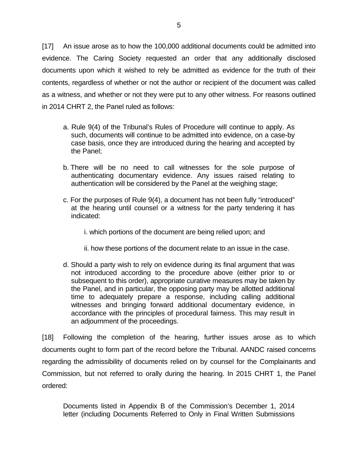[17] An issue arose as to how the 100,000 additional documents could be admitted into evidence. The Caring Society requested an order that any additionally disclosed documents upon which it wished to rely be admitted as evidence for the truth of their contents, regardless of whether or not the author or recipient of the document was called as a witness, and whether or not they were put to any other witness. For reasons outlined in 2014 CHRT 2, the Panel ruled as follows:

- a. Rule 9(4) of the Tribunal's Rules of Procedure will continue to apply. As such, documents will continue to be admitted into evidence, on a case-by case basis, once they are introduced during the hearing and accepted by the Panel;
- b. There will be no need to call witnesses for the sole purpose of authenticating documentary evidence. Any issues raised relating to authentication will be considered by the Panel at the weighing stage;
- c. For the purposes of Rule 9(4), a document has not been fully "introduced" at the hearing until counsel or a witness for the party tendering it has indicated:
	- i. which portions of the document are being relied upon; and
	- ii. how these portions of the document relate to an issue in the case.
- d. Should a party wish to rely on evidence during its final argument that was not introduced according to the procedure above (either prior to or subsequent to this order), appropriate curative measures may be taken by the Panel, and in particular, the opposing party may be allotted additional time to adequately prepare a response, including calling additional witnesses and bringing forward additional documentary evidence, in accordance with the principles of procedural fairness. This may result in an adjournment of the proceedings.

[18] Following the completion of the hearing, further issues arose as to which documents ought to form part of the record before the Tribunal. AANDC raised concerns regarding the admissibility of documents relied on by counsel for the Complainants and Commission, but not referred to orally during the hearing. In 2015 CHRT 1, the Panel ordered:

Documents listed in Appendix B of the Commission's December 1, 2014 letter (including Documents Referred to Only in Final Written Submissions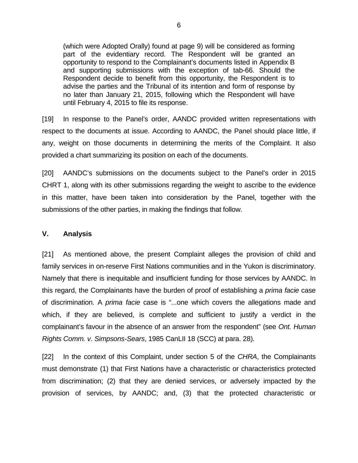(which were Adopted Orally) found at page 9) will be considered as forming part of the evidentiary record. The Respondent will be granted an opportunity to respond to the Complainant's documents listed in Appendix B and supporting submissions with the exception of tab-66. Should the Respondent decide to benefit from this opportunity, the Respondent is to advise the parties and the Tribunal of its intention and form of response by no later than January 21, 2015, following which the Respondent will have until February 4, 2015 to file its response.

[19] In response to the Panel's order, AANDC provided written representations with respect to the documents at issue. According to AANDC, the Panel should place little, if any, weight on those documents in determining the merits of the Complaint. It also provided a chart summarizing its position on each of the documents.

[20] AANDC's submissions on the documents subject to the Panel's order in 2015 CHRT 1, along with its other submissions regarding the weight to ascribe to the evidence in this matter, have been taken into consideration by the Panel, together with the submissions of the other parties, in making the findings that follow.

### <span id="page-10-0"></span>**V. Analysis**

[21] As mentioned above, the present Complaint alleges the provision of child and family services in on-reserve First Nations communities and in the Yukon is discriminatory. Namely that there is inequitable and insufficient funding for those services by AANDC. In this regard, the Complainants have the burden of proof of establishing a *prima facie* case of discrimination. A *prima facie* case is "...one which covers the allegations made and which, if they are believed, is complete and sufficient to justify a verdict in the complainant's favour in the absence of an answer from the respondent" (see *Ont. Human Rights Comm. v. Simpsons-Sears*, 1985 CanLII 18 (SCC) at para. 28).

[22] In the context of this Complaint, under section 5 of the *CHRA*, the Complainants must demonstrate (1) that First Nations have a characteristic or characteristics protected from discrimination; (2) that they are denied services, or adversely impacted by the provision of services, by AANDC; and, (3) that the protected characteristic or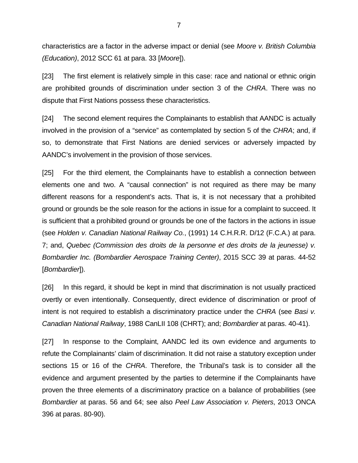characteristics are a factor in the adverse impact or denial (see *Moore v. British Columbia (Education)*, 2012 SCC 61 at para. 33 [*Moore*]).

[23] The first element is relatively simple in this case: race and national or ethnic origin are prohibited grounds of discrimination under section 3 of the *CHRA*. There was no dispute that First Nations possess these characteristics.

[24] The second element requires the Complainants to establish that AANDC is actually involved in the provision of a "service" as contemplated by section 5 of the *CHRA*; and, if so, to demonstrate that First Nations are denied services or adversely impacted by AANDC's involvement in the provision of those services.

[25] For the third element, the Complainants have to establish a connection between elements one and two. A "causal connection" is not required as there may be many different reasons for a respondent's acts. That is, it is not necessary that a prohibited ground or grounds be the sole reason for the actions in issue for a complaint to succeed. It is sufficient that a prohibited ground or grounds be one of the factors in the actions in issue (see *Holden v. Canadian National Railway Co.*, (1991) 14 C.H.R.R. D/12 (F.C.A.) at para. 7; and, *Quebec (Commission des droits de la personne et des droits de la jeunesse) v. Bombardier Inc. (Bombardier Aerospace Training Center)*, 2015 SCC 39 at paras. 44-52 [*Bombardier*]).

[26] In this regard, it should be kept in mind that discrimination is not usually practiced overtly or even intentionally. Consequently, direct evidence of discrimination or proof of intent is not required to establish a discriminatory practice under the *CHRA* (see *Basi v. Canadian National Railway*, 1988 CanLII 108 (CHRT); and; *Bombardier* at paras. 40-41).

[27] In response to the Complaint, AANDC led its own evidence and arguments to refute the Complainants' claim of discrimination. It did not raise a statutory exception under sections 15 or 16 of the *CHRA*. Therefore, the Tribunal's task is to consider all the evidence and argument presented by the parties to determine if the Complainants have proven the three elements of a discriminatory practice on a balance of probabilities (see *Bombardier* at paras. 56 and 64; see also *Peel Law Association v. Pieters*, 2013 ONCA 396 at paras. 80-90).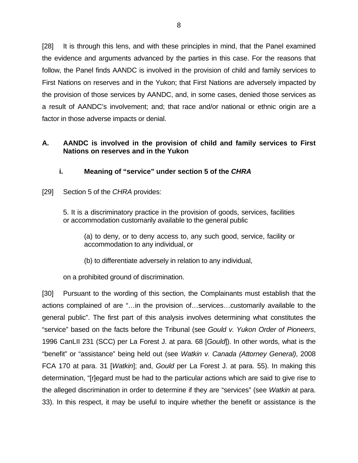[28] It is through this lens, and with these principles in mind, that the Panel examined the evidence and arguments advanced by the parties in this case. For the reasons that follow, the Panel finds AANDC is involved in the provision of child and family services to First Nations on reserves and in the Yukon; that First Nations are adversely impacted by the provision of those services by AANDC, and, in some cases, denied those services as a result of AANDC's involvement; and; that race and/or national or ethnic origin are a factor in those adverse impacts or denial.

## <span id="page-12-0"></span>**A. AANDC is involved in the provision of child and family services to First Nations on reserves and in the Yukon**

## <span id="page-12-1"></span>**i. Meaning of "service" under section 5 of the** *CHRA*

[29] Section 5 of the *CHRA* provides:

5. It is a discriminatory practice in the provision of goods, services, facilities or accommodation customarily available to the general public

(a) to deny, or to deny access to, any such good, service, facility or accommodation to any individual, or

(b) to differentiate adversely in relation to any individual,

on a prohibited ground of discrimination.

[30] Pursuant to the wording of this section, the Complainants must establish that the actions complained of are "…in the provision of…services…customarily available to the general public". The first part of this analysis involves determining what constitutes the "service" based on the facts before the Tribunal (see *Gould v. Yukon Order of Pioneers*, 1996 CanLII 231 (SCC) per La Forest J. at para. 68 [*Gould*]). In other words, what is the "benefit" or "assistance" being held out (see *Watkin v. Canada (Attorney General)*, 2008 FCA 170 at para. 31 [*Watkin*]; and, *Gould* per La Forest J. at para. 55). In making this determination, "[r]egard must be had to the particular actions which are said to give rise to the alleged discrimination in order to determine if they are "services" (see *Watkin* at para. 33). In this respect, it may be useful to inquire whether the benefit or assistance is the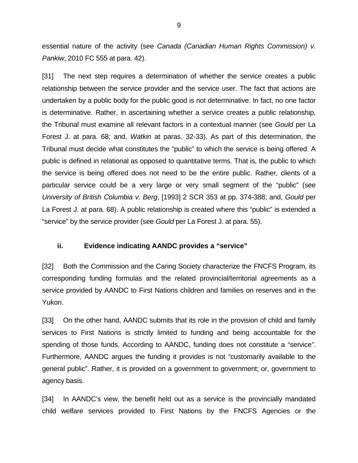essential nature of the activity (see *Canada (Canadian Human Rights Commission) v. Pankiw*, 2010 FC 555 at para. 42).

[31] The next step requires a determination of whether the service creates a public relationship between the service provider and the service user. The fact that actions are undertaken by a public body for the public good is not determinative. In fact, no one factor is determinative. Rather, in ascertaining whether a service creates a public relationship, the Tribunal must examine all relevant factors in a contextual manner (see *Gould* per La Forest J. at para. 68; and, *Watkin* at paras. 32-33). As part of this determination, the Tribunal must decide what constitutes the "public" to which the service is being offered. A public is defined in relational as opposed to quantitative terms. That is, the public to which the service is being offered does not need to be the entire public. Rather, clients of a particular service could be a very large or very small segment of the "public" (see *University of British Columbia v. Berg*, [1993] 2 SCR 353 at pp. 374-388; and, *Gould* per La Forest J. at para. 68). A public relationship is created where this "public" is extended a "service" by the service provider (see *Gould* per La Forest J. at para. 55).

#### <span id="page-13-0"></span>**ii. Evidence indicating AANDC provides a "service"**

[32] Both the Commission and the Caring Society characterize the FNCFS Program, its corresponding funding formulas and the related provincial/territorial agreements as a service provided by AANDC to First Nations children and families on reserves and in the Yukon.

[33] On the other hand, AANDC submits that its role in the provision of child and family services to First Nations is strictly limited to funding and being accountable for the spending of those funds. According to AANDC, funding does not constitute a "service". Furthermore, AANDC argues the funding it provides is not "customarily available to the general public". Rather, it is provided on a government to government; or, government to agency basis.

[34] In AANDC's view, the benefit held out as a service is the provincially mandated child welfare services provided to First Nations by the FNCFS Agencies or the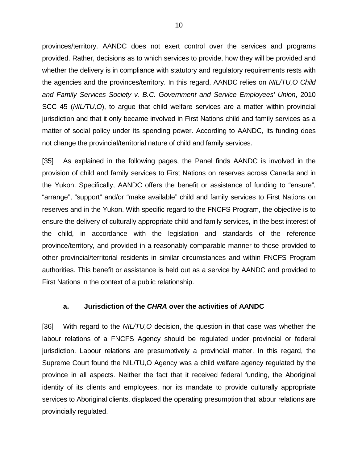provinces/territory. AANDC does not exert control over the services and programs provided. Rather, decisions as to which services to provide, how they will be provided and whether the delivery is in compliance with statutory and regulatory requirements rests with the agencies and the provinces/territory. In this regard, AANDC relies on *NIL/TU,O Child and Family Services Society v. B.C. Government and Service Employees' Union*, 2010 SCC 45 (*NIL/TU,O*), to argue that child welfare services are a matter within provincial jurisdiction and that it only became involved in First Nations child and family services as a matter of social policy under its spending power. According to AANDC, its funding does not change the provincial/territorial nature of child and family services.

[35] As explained in the following pages, the Panel finds AANDC is involved in the provision of child and family services to First Nations on reserves across Canada and in the Yukon. Specifically, AANDC offers the benefit or assistance of funding to "ensure", "arrange", "support" and/or "make available" child and family services to First Nations on reserves and in the Yukon. With specific regard to the FNCFS Program, the objective is to ensure the delivery of culturally appropriate child and family services, in the best interest of the child, in accordance with the legislation and standards of the reference province/territory, and provided in a reasonably comparable manner to those provided to other provincial/territorial residents in similar circumstances and within FNCFS Program authorities. This benefit or assistance is held out as a service by AANDC and provided to First Nations in the context of a public relationship.

#### <span id="page-14-0"></span>**a. Jurisdiction of the** *CHRA* **over the activities of AANDC**

[36] With regard to the *NIL/TU,O* decision, the question in that case was whether the labour relations of a FNCFS Agency should be regulated under provincial or federal jurisdiction. Labour relations are presumptively a provincial matter. In this regard, the Supreme Court found the NIL/TU,O Agency was a child welfare agency regulated by the province in all aspects. Neither the fact that it received federal funding, the Aboriginal identity of its clients and employees, nor its mandate to provide culturally appropriate services to Aboriginal clients, displaced the operating presumption that labour relations are provincially regulated.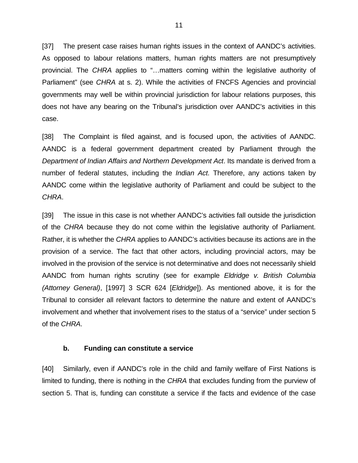[37] The present case raises human rights issues in the context of AANDC's activities. As opposed to labour relations matters, human rights matters are not presumptively provincial. The *CHRA* applies to "…matters coming within the legislative authority of Parliament" (see *CHRA* at s. 2). While the activities of FNCFS Agencies and provincial governments may well be within provincial jurisdiction for labour relations purposes, this does not have any bearing on the Tribunal's jurisdiction over AANDC's activities in this case.

[38] The Complaint is filed against, and is focused upon, the activities of AANDC. AANDC is a federal government department created by Parliament through the *Department of Indian Affairs and Northern Development Act*. Its mandate is derived from a number of federal statutes, including the *Indian Act*. Therefore, any actions taken by AANDC come within the legislative authority of Parliament and could be subject to the *CHRA*.

[39] The issue in this case is not whether AANDC's activities fall outside the jurisdiction of the *CHRA* because they do not come within the legislative authority of Parliament. Rather, it is whether the *CHRA* applies to AANDC's activities because its actions are in the provision of a service. The fact that other actors, including provincial actors, may be involved in the provision of the service is not determinative and does not necessarily shield AANDC from human rights scrutiny (see for example *Eldridge v. British Columbia (Attorney General)*, [1997] 3 SCR 624 [*Eldridge*]). As mentioned above, it is for the Tribunal to consider all relevant factors to determine the nature and extent of AANDC's involvement and whether that involvement rises to the status of a "service" under section 5 of the *CHRA*.

## <span id="page-15-0"></span>**b. Funding can constitute a service**

[40] Similarly, even if AANDC's role in the child and family welfare of First Nations is limited to funding, there is nothing in the *CHRA* that excludes funding from the purview of section 5. That is, funding can constitute a service if the facts and evidence of the case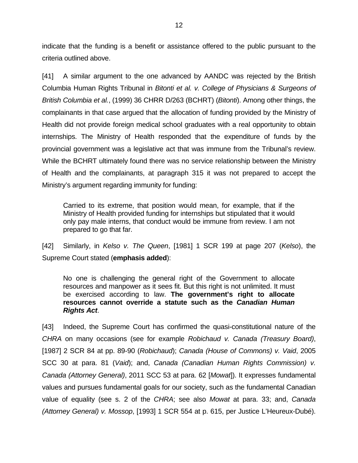indicate that the funding is a benefit or assistance offered to the public pursuant to the criteria outlined above.

[41] A similar argument to the one advanced by AANDC was rejected by the British Columbia Human Rights Tribunal in *Bitonti et al. v. College of Physicians & Surgeons of British Columbia et al.*, (1999) 36 CHRR D/263 (BCHRT) (*Bitonti*). Among other things, the complainants in that case argued that the allocation of funding provided by the Ministry of Health did not provide foreign medical school graduates with a real opportunity to obtain internships. The Ministry of Health responded that the expenditure of funds by the provincial government was a legislative act that was immune from the Tribunal's review. While the BCHRT ultimately found there was no service relationship between the Ministry of Health and the complainants, at paragraph 315 it was not prepared to accept the Ministry's argument regarding immunity for funding:

Carried to its extreme, that position would mean, for example, that if the Ministry of Health provided funding for internships but stipulated that it would only pay male interns, that conduct would be immune from review. I am not prepared to go that far.

[42] Similarly, in *Kelso v. The Queen*, [1981] 1 SCR 199 at page 207 (*Kelso*), the Supreme Court stated (**emphasis added**):

No one is challenging the general right of the Government to allocate resources and manpower as it sees fit. But this right is not unlimited. It must be exercised according to law. **The government's right to allocate resources cannot override a statute such as the** *Canadian Human Rights Act*.

[43] Indeed, the Supreme Court has confirmed the quasi-constitutional nature of the *CHRA* on many occasions (see for example *Robichaud v. Canada (Treasury Board)*, [1987] 2 SCR 84 at pp. 89-90 (*Robichaud*); *Canada (House of Commons) v. Vaid*, 2005 SCC 30 at para. 81 (*Vaid*); and, *Canada (Canadian Human Rights Commission) v. Canada (Attorney General)*, 2011 SCC 53 at para. 62 [*Mowat*]). It expresses fundamental values and pursues fundamental goals for our society, such as the fundamental Canadian value of equality (see s. 2 of the *CHRA*; see also *Mowat* at para. 33; and, *Canada (Attorney General) v. Mossop*, [1993] 1 SCR 554 at p. 615, per Justice L'Heureux-Dubé).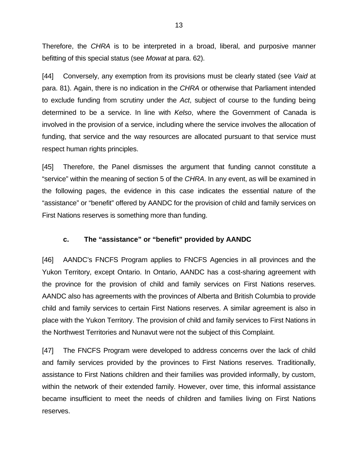Therefore, the *CHRA* is to be interpreted in a broad, liberal, and purposive manner befitting of this special status (see *Mowat* at para. 62).

[44] Conversely, any exemption from its provisions must be clearly stated (see *Vaid* at para. 81). Again, there is no indication in the *CHRA* or otherwise that Parliament intended to exclude funding from scrutiny under the *Act*, subject of course to the funding being determined to be a service. In line with *Kelso*, where the Government of Canada is involved in the provision of a service, including where the service involves the allocation of funding, that service and the way resources are allocated pursuant to that service must respect human rights principles.

[45] Therefore, the Panel dismisses the argument that funding cannot constitute a "service" within the meaning of section 5 of the *CHRA*. In any event, as will be examined in the following pages, the evidence in this case indicates the essential nature of the "assistance" or "benefit" offered by AANDC for the provision of child and family services on First Nations reserves is something more than funding.

## <span id="page-17-0"></span>**c. The "assistance" or "benefit" provided by AANDC**

[46] AANDC's FNCFS Program applies to FNCFS Agencies in all provinces and the Yukon Territory, except Ontario. In Ontario, AANDC has a cost-sharing agreement with the province for the provision of child and family services on First Nations reserves. AANDC also has agreements with the provinces of Alberta and British Columbia to provide child and family services to certain First Nations reserves. A similar agreement is also in place with the Yukon Territory. The provision of child and family services to First Nations in the Northwest Territories and Nunavut were not the subject of this Complaint.

[47] The FNCFS Program were developed to address concerns over the lack of child and family services provided by the provinces to First Nations reserves. Traditionally, assistance to First Nations children and their families was provided informally, by custom, within the network of their extended family. However, over time, this informal assistance became insufficient to meet the needs of children and families living on First Nations reserves.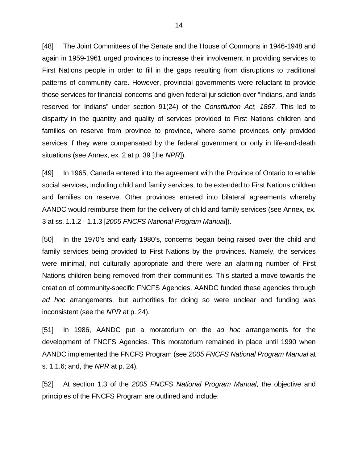[48] The Joint Committees of the Senate and the House of Commons in 1946-1948 and again in 1959-1961 urged provinces to increase their involvement in providing services to First Nations people in order to fill in the gaps resulting from disruptions to traditional patterns of community care. However, provincial governments were reluctant to provide those services for financial concerns and given federal jurisdiction over "Indians, and lands reserved for Indians" under section 91(24) of the *Constitution Act, 1867*. This led to disparity in the quantity and quality of services provided to First Nations children and families on reserve from province to province, where some provinces only provided services if they were compensated by the federal government or only in life-and-death situations (see Annex, ex. 2 at p. 39 [the *NPR*]).

[49] In 1965, Canada entered into the agreement with the Province of Ontario to enable social services, including child and family services, to be extended to First Nations children and families on reserve. Other provinces entered into bilateral agreements whereby AANDC would reimburse them for the delivery of child and family services (see Annex, ex. 3 at ss. 1.1.2 - 1.1.3 [*2005 FNCFS National Program Manual*]).

[50] In the 1970's and early 1980's, concerns began being raised over the child and family services being provided to First Nations by the provinces. Namely, the services were minimal, not culturally appropriate and there were an alarming number of First Nations children being removed from their communities. This started a move towards the creation of community-specific FNCFS Agencies. AANDC funded these agencies through *ad hoc* arrangements, but authorities for doing so were unclear and funding was inconsistent (see the *NPR* at p. 24).

[51] In 1986, AANDC put a moratorium on the *ad hoc* arrangements for the development of FNCFS Agencies. This moratorium remained in place until 1990 when AANDC implemented the FNCFS Program (see *2005 FNCFS National Program Manual* at s. 1.1.6; and, the *NPR* at p. 24).

[52] At section 1.3 of the *2005 FNCFS National Program Manual*, the objective and principles of the FNCFS Program are outlined and include: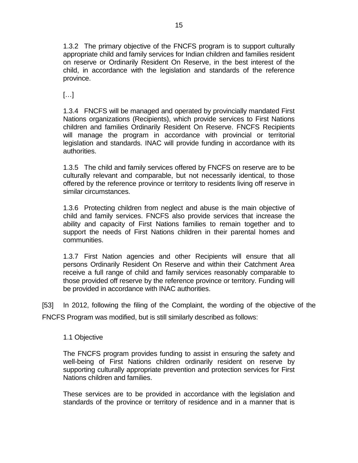1.3.2 The primary objective of the FNCFS program is to support culturally appropriate child and family services for Indian children and families resident on reserve or Ordinarily Resident On Reserve, in the best interest of the child, in accordance with the legislation and standards of the reference province.

 $[...]$ 

1.3.4 FNCFS will be managed and operated by provincially mandated First Nations organizations (Recipients), which provide services to First Nations children and families Ordinarily Resident On Reserve. FNCFS Recipients will manage the program in accordance with provincial or territorial legislation and standards. INAC will provide funding in accordance with its authorities.

1.3.5 The child and family services offered by FNCFS on reserve are to be culturally relevant and comparable, but not necessarily identical, to those offered by the reference province or territory to residents living off reserve in similar circumstances.

1.3.6 Protecting children from neglect and abuse is the main objective of child and family services. FNCFS also provide services that increase the ability and capacity of First Nations families to remain together and to support the needs of First Nations children in their parental homes and communities.

1.3.7 First Nation agencies and other Recipients will ensure that all persons Ordinarily Resident On Reserve and within their Catchment Area receive a full range of child and family services reasonably comparable to those provided off reserve by the reference province or territory. Funding will be provided in accordance with INAC authorities.

[53] In 2012, following the filing of the Complaint, the wording of the objective of the FNCFS Program was modified, but is still similarly described as follows:

1.1 Objective

The FNCFS program provides funding to assist in ensuring the safety and well-being of First Nations children ordinarily resident on reserve by supporting culturally appropriate prevention and protection services for First Nations children and families.

These services are to be provided in accordance with the legislation and standards of the province or territory of residence and in a manner that is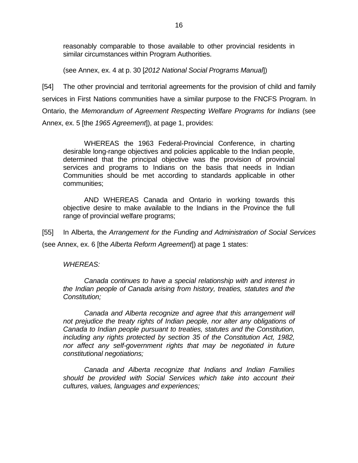reasonably comparable to those available to other provincial residents in similar circumstances within Program Authorities.

(see Annex, ex. 4 at p. 30 [*2012 National Social Programs Manual*])

[54] The other provincial and territorial agreements for the provision of child and family services in First Nations communities have a similar purpose to the FNCFS Program. In Ontario, the *Memorandum of Agreement Respecting Welfare Programs for Indians* (see Annex, ex. 5 [the *1965 Agreement*]), at page 1, provides:

WHEREAS the 1963 Federal-Provincial Conference, in charting desirable long-range objectives and policies applicable to the Indian people, determined that the principal objective was the provision of provincial services and programs to Indians on the basis that needs in Indian Communities should be met according to standards applicable in other communities;

AND WHEREAS Canada and Ontario in working towards this objective desire to make available to the Indians in the Province the full range of provincial welfare programs;

[55] In Alberta, the *Arrangement for the Funding and Administration of Social Services* (see Annex, ex. 6 [the *Alberta Reform Agreement*]) at page 1 states:

#### *WHEREAS:*

*Canada continues to have a special relationship with and interest in the Indian people of Canada arising from history, treaties, statutes and the Constitution;*

*Canada and Alberta recognize and agree that this arrangement will not prejudice the treaty rights of Indian people, nor alter any obligations of Canada to Indian people pursuant to treaties, statutes and the Constitution, including any rights protected by section 35 of the Constitution Act, 1982, nor affect any self-government rights that may be negotiated in future constitutional negotiations;*

*Canada and Alberta recognize that Indians and Indian Families should be provided with Social Services which take into account their cultures, values, languages and experiences;*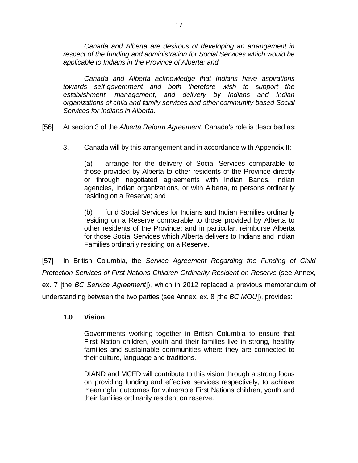*Canada and Alberta are desirous of developing an arrangement in respect of the funding and administration for Social Services which would be applicable to Indians in the Province of Alberta; and*

*Canada and Alberta acknowledge that Indians have aspirations towards self-government and both therefore wish to support the establishment, management, and delivery by Indians and Indian organizations of child and family services and other community-based Social Services for Indians in Alberta.*

[56] At section 3 of the *Alberta Reform Agreement*, Canada's role is described as:

3. Canada will by this arrangement and in accordance with Appendix II:

(a) arrange for the delivery of Social Services comparable to those provided by Alberta to other residents of the Province directly or through negotiated agreements with Indian Bands, Indian agencies, Indian organizations, or with Alberta, to persons ordinarily residing on a Reserve; and

(b) fund Social Services for Indians and Indian Families ordinarily residing on a Reserve comparable to those provided by Alberta to other residents of the Province; and in particular, reimburse Alberta for those Social Services which Alberta delivers to Indians and Indian Families ordinarily residing on a Reserve.

[57] In British Columbia, the *Service Agreement Regarding the Funding of Child Protection Services of First Nations Children Ordinarily Resident on Reserve* (see Annex, ex. 7 [the *BC Service Agreement*]), which in 2012 replaced a previous memorandum of understanding between the two parties (see Annex, ex. 8 [the *BC MOU*]), provides:

## **1.0 Vision**

Governments working together in British Columbia to ensure that First Nation children, youth and their families live in strong, healthy families and sustainable communities where they are connected to their culture, language and traditions.

DIAND and MCFD will contribute to this vision through a strong focus on providing funding and effective services respectively, to achieve meaningful outcomes for vulnerable First Nations children, youth and their families ordinarily resident on reserve.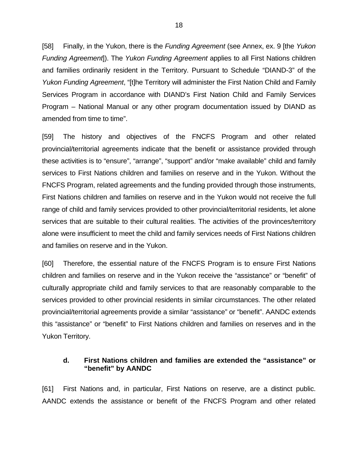[58] Finally, in the Yukon, there is the *Funding Agreement* (see Annex, ex. 9 [the *Yukon Funding Agreement*]). The *Yukon Funding Agreement* applies to all First Nations children and families ordinarily resident in the Territory. Pursuant to Schedule "DIAND-3" of the *Yukon Funding Agreement*, "[t]he Territory will administer the First Nation Child and Family Services Program in accordance with DIAND's First Nation Child and Family Services Program – National Manual or any other program documentation issued by DIAND as amended from time to time".

[59] The history and objectives of the FNCFS Program and other related provincial/territorial agreements indicate that the benefit or assistance provided through these activities is to "ensure", "arrange", "support" and/or "make available" child and family services to First Nations children and families on reserve and in the Yukon. Without the FNCFS Program, related agreements and the funding provided through those instruments, First Nations children and families on reserve and in the Yukon would not receive the full range of child and family services provided to other provincial/territorial residents, let alone services that are suitable to their cultural realities. The activities of the provinces/territory alone were insufficient to meet the child and family services needs of First Nations children and families on reserve and in the Yukon.

[60] Therefore, the essential nature of the FNCFS Program is to ensure First Nations children and families on reserve and in the Yukon receive the "assistance" or "benefit" of culturally appropriate child and family services to that are reasonably comparable to the services provided to other provincial residents in similar circumstances. The other related provincial/territorial agreements provide a similar "assistance" or "benefit". AANDC extends this "assistance" or "benefit" to First Nations children and families on reserves and in the Yukon Territory.

## <span id="page-22-0"></span>**d. First Nations children and families are extended the "assistance" or "benefit" by AANDC**

[61] First Nations and, in particular, First Nations on reserve, are a distinct public. AANDC extends the assistance or benefit of the FNCFS Program and other related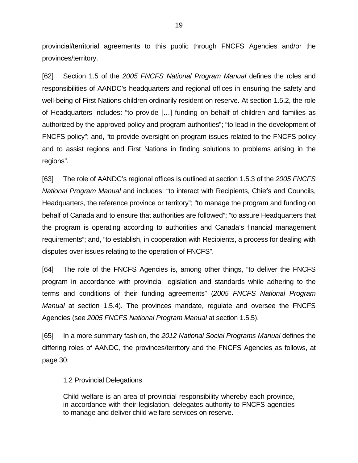provincial/territorial agreements to this public through FNCFS Agencies and/or the provinces/territory.

[62] Section 1.5 of the *2005 FNCFS National Program Manual* defines the roles and responsibilities of AANDC's headquarters and regional offices in ensuring the safety and well-being of First Nations children ordinarily resident on reserve. At section 1.5.2, the role of Headquarters includes: "to provide […] funding on behalf of children and families as authorized by the approved policy and program authorities"; "to lead in the development of FNCFS policy"; and, "to provide oversight on program issues related to the FNCFS policy and to assist regions and First Nations in finding solutions to problems arising in the regions".

[63] The role of AANDC's regional offices is outlined at section 1.5.3 of the *2005 FNCFS National Program Manual* and includes: "to interact with Recipients, Chiefs and Councils, Headquarters, the reference province or territory"; "to manage the program and funding on behalf of Canada and to ensure that authorities are followed"; "to assure Headquarters that the program is operating according to authorities and Canada's financial management requirements"; and, "to establish, in cooperation with Recipients, a process for dealing with disputes over issues relating to the operation of FNCFS".

[64] The role of the FNCFS Agencies is, among other things, "to deliver the FNCFS program in accordance with provincial legislation and standards while adhering to the terms and conditions of their funding agreements" (*2005 FNCFS National Program Manual* at section 1.5.4). The provinces mandate, regulate and oversee the FNCFS Agencies (see *2005 FNCFS National Program Manual* at section 1.5.5).

[65] In a more summary fashion, the *2012 National Social Programs Manual* defines the differing roles of AANDC, the provinces/territory and the FNCFS Agencies as follows, at page 30:

#### 1.2 Provincial Delegations

Child welfare is an area of provincial responsibility whereby each province, in accordance with their legislation, delegates authority to FNCFS agencies to manage and deliver child welfare services on reserve.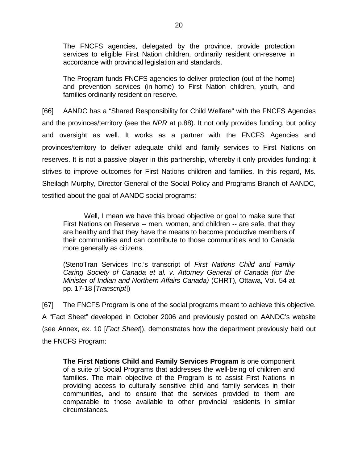The FNCFS agencies, delegated by the province, provide protection services to eligible First Nation children, ordinarily resident on-reserve in accordance with provincial legislation and standards.

The Program funds FNCFS agencies to deliver protection (out of the home) and prevention services (in-home) to First Nation children, youth, and families ordinarily resident on reserve.

[66] AANDC has a "Shared Responsibility for Child Welfare" with the FNCFS Agencies and the provinces/territory (see the *NPR* at p.88). It not only provides funding, but policy and oversight as well. It works as a partner with the FNCFS Agencies and provinces/territory to deliver adequate child and family services to First Nations on reserves. It is not a passive player in this partnership, whereby it only provides funding: it strives to improve outcomes for First Nations children and families. In this regard, Ms. Sheilagh Murphy, Director General of the Social Policy and Programs Branch of AANDC, testified about the goal of AANDC social programs:

Well, I mean we have this broad objective or goal to make sure that First Nations on Reserve -- men, women, and children -- are safe, that they are healthy and that they have the means to become productive members of their communities and can contribute to those communities and to Canada more generally as citizens.

(StenoTran Services Inc.'s transcript of *First Nations Child and Family Caring Society of Canada et al. v. Attorney General of Canada (for the Minister of Indian and Northern Affairs Canada)* (CHRT), Ottawa, Vol. 54 at pp. 17-18 [*Transcript*])

[67] The FNCFS Program is one of the social programs meant to achieve this objective. A "Fact Sheet" developed in October 2006 and previously posted on AANDC's website (see Annex, ex. 10 [*Fact Sheet*]), demonstrates how the department previously held out the FNCFS Program:

**The First Nations Child and Family Services Program** is one component of a suite of Social Programs that addresses the well-being of children and families. The main objective of the Program is to assist First Nations in providing access to culturally sensitive child and family services in their communities, and to ensure that the services provided to them are comparable to those available to other provincial residents in similar circumstances.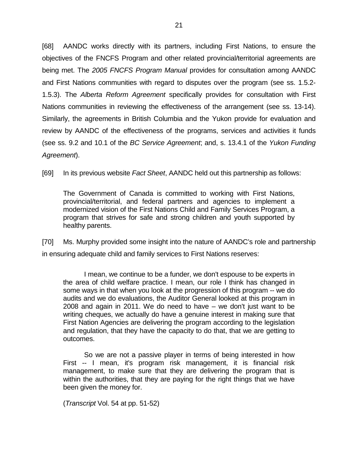[68] AANDC works directly with its partners, including First Nations, to ensure the objectives of the FNCFS Program and other related provincial/territorial agreements are being met. The *2005 FNCFS Program Manual* provides for consultation among AANDC and First Nations communities with regard to disputes over the program (see ss. 1.5.2- 1.5.3). The *Alberta Reform Agreement* specifically provides for consultation with First Nations communities in reviewing the effectiveness of the arrangement (see ss. 13-14). Similarly, the agreements in British Columbia and the Yukon provide for evaluation and review by AANDC of the effectiveness of the programs, services and activities it funds (see ss. 9.2 and 10.1 of the *BC Service Agreement*; and, s. 13.4.1 of the *Yukon Funding Agreement*).

[69] In its previous website *Fact Sheet*, AANDC held out this partnership as follows:

The Government of Canada is committed to working with First Nations, provincial/territorial, and federal partners and agencies to implement a modernized vision of the First Nations Child and Family Services Program, a program that strives for safe and strong children and youth supported by healthy parents.

[70] Ms. Murphy provided some insight into the nature of AANDC's role and partnership in ensuring adequate child and family services to First Nations reserves:

I mean, we continue to be a funder, we don't espouse to be experts in the area of child welfare practice. I mean, our role I think has changed in some ways in that when you look at the progression of this program -- we do audits and we do evaluations, the Auditor General looked at this program in 2008 and again in 2011. We do need to have – we don't just want to be writing cheques, we actually do have a genuine interest in making sure that First Nation Agencies are delivering the program according to the legislation and regulation, that they have the capacity to do that, that we are getting to outcomes.

So we are not a passive player in terms of being interested in how First -- I mean, it's program risk management, it is financial risk management, to make sure that they are delivering the program that is within the authorities, that they are paying for the right things that we have been given the money for.

(*Transcript* Vol. 54 at pp. 51-52)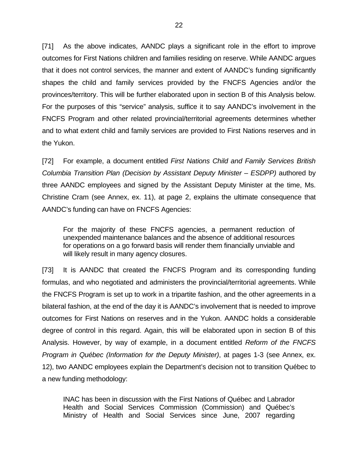[71] As the above indicates, AANDC plays a significant role in the effort to improve outcomes for First Nations children and families residing on reserve. While AANDC argues that it does not control services, the manner and extent of AANDC's funding significantly shapes the child and family services provided by the FNCFS Agencies and/or the provinces/territory. This will be further elaborated upon in section B of this Analysis below. For the purposes of this "service" analysis, suffice it to say AANDC's involvement in the FNCFS Program and other related provincial/territorial agreements determines whether and to what extent child and family services are provided to First Nations reserves and in the Yukon.

[72] For example, a document entitled *First Nations Child and Family Services British Columbia Transition Plan (Decision by Assistant Deputy Minister – ESDPP)* authored by three AANDC employees and signed by the Assistant Deputy Minister at the time, Ms. Christine Cram (see Annex, ex. 11), at page 2, explains the ultimate consequence that AANDC's funding can have on FNCFS Agencies:

For the majority of these FNCFS agencies, a permanent reduction of unexpended maintenance balances and the absence of additional resources for operations on a go forward basis will render them financially unviable and will likely result in many agency closures.

[73] It is AANDC that created the FNCFS Program and its corresponding funding formulas, and who negotiated and administers the provincial/territorial agreements. While the FNCFS Program is set up to work in a tripartite fashion, and the other agreements in a bilateral fashion, at the end of the day it is AANDC's involvement that is needed to improve outcomes for First Nations on reserves and in the Yukon. AANDC holds a considerable degree of control in this regard. Again, this will be elaborated upon in section B of this Analysis. However, by way of example, in a document entitled *Reform of the FNCFS Program in Québec (Information for the Deputy Minister)*, at pages 1-3 (see Annex, ex. 12), two AANDC employees explain the Department's decision not to transition Québec to a new funding methodology:

INAC has been in discussion with the First Nations of Québec and Labrador Health and Social Services Commission (Commission) and Québec's Ministry of Health and Social Services since June, 2007 regarding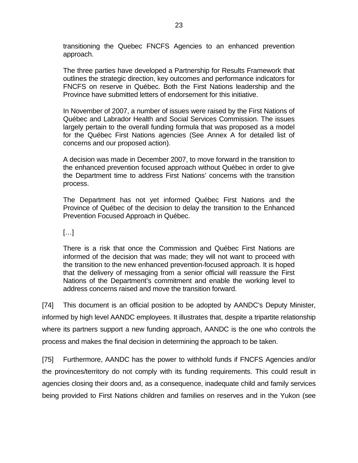transitioning the Quebec FNCFS Agencies to an enhanced prevention approach.

The three parties have developed a Partnership for Results Framework that outlines the strategic direction, key outcomes and performance indicators for FNCFS on reserve in Québec. Both the First Nations leadership and the Province have submitted letters of endorsement for this initiative.

In November of 2007, a number of issues were raised by the First Nations of Québec and Labrador Health and Social Services Commission. The issues largely pertain to the overall funding formula that was proposed as a model for the Québec First Nations agencies (See Annex A for detailed list of concerns and our proposed action).

A decision was made in December 2007, to move forward in the transition to the enhanced prevention focused approach without Québec in order to give the Department time to address First Nations' concerns with the transition process.

The Department has not yet informed Québec First Nations and the Province of Québec of the decision to delay the transition to the Enhanced Prevention Focused Approach in Québec.

 $[\ldots]$ 

There is a risk that once the Commission and Québec First Nations are informed of the decision that was made; they will not want to proceed with the transition to the new enhanced prevention-focused approach. It is hoped that the delivery of messaging from a senior official will reassure the First Nations of the Department's commitment and enable the working level to address concerns raised and move the transition forward.

[74] This document is an official position to be adopted by AANDC's Deputy Minister, informed by high level AANDC employees. It illustrates that, despite a tripartite relationship where its partners support a new funding approach, AANDC is the one who controls the process and makes the final decision in determining the approach to be taken.

[75] Furthermore, AANDC has the power to withhold funds if FNCFS Agencies and/or the provinces/territory do not comply with its funding requirements. This could result in agencies closing their doors and, as a consequence, inadequate child and family services being provided to First Nations children and families on reserves and in the Yukon (see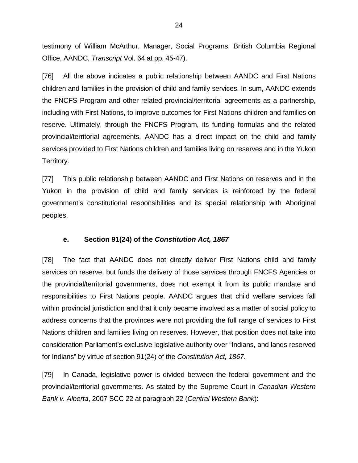testimony of William McArthur, Manager, Social Programs, British Columbia Regional Office, AANDC, *Transcript* Vol. 64 at pp. 45-47).

[76] All the above indicates a public relationship between AANDC and First Nations children and families in the provision of child and family services. In sum, AANDC extends the FNCFS Program and other related provincial/territorial agreements as a partnership, including with First Nations, to improve outcomes for First Nations children and families on reserve. Ultimately, through the FNCFS Program, its funding formulas and the related provincial/territorial agreements, AANDC has a direct impact on the child and family services provided to First Nations children and families living on reserves and in the Yukon Territory.

[77] This public relationship between AANDC and First Nations on reserves and in the Yukon in the provision of child and family services is reinforced by the federal government's constitutional responsibilities and its special relationship with Aboriginal peoples.

#### <span id="page-28-0"></span>**e. Section 91(24) of the** *Constitution Act, 1867*

[78] The fact that AANDC does not directly deliver First Nations child and family services on reserve, but funds the delivery of those services through FNCFS Agencies or the provincial/territorial governments, does not exempt it from its public mandate and responsibilities to First Nations people. AANDC argues that child welfare services fall within provincial jurisdiction and that it only became involved as a matter of social policy to address concerns that the provinces were not providing the full range of services to First Nations children and families living on reserves. However, that position does not take into consideration Parliament's exclusive legislative authority over "Indians, and lands reserved for Indians" by virtue of section 91(24) of the *Constitution Act, 1867*.

[79] In Canada, legislative power is divided between the federal government and the provincial/territorial governments. As stated by the Supreme Court in *Canadian Western Bank v. Alberta*, 2007 SCC 22 at paragraph 22 (*Central Western Bank*):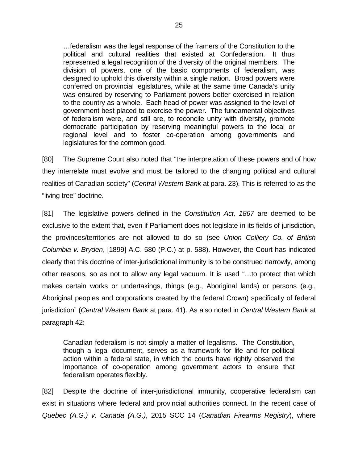…federalism was the legal response of the framers of the Constitution to the political and cultural realities that existed at Confederation. It thus represented a legal recognition of the diversity of the original members. The division of powers, one of the basic components of federalism, was designed to uphold this diversity within a single nation. Broad powers were conferred on provincial legislatures, while at the same time Canada's unity was ensured by reserving to Parliament powers better exercised in relation to the country as a whole. Each head of power was assigned to the level of government best placed to exercise the power. The fundamental objectives of federalism were, and still are, to reconcile unity with diversity, promote democratic participation by reserving meaningful powers to the local or regional level and to foster co-operation among governments and legislatures for the common good.

[80] The Supreme Court also noted that "the interpretation of these powers and of how they interrelate must evolve and must be tailored to the changing political and cultural realities of Canadian society" (*Central Western Bank* at para. 23). This is referred to as the "living tree" doctrine.

[81] The legislative powers defined in the *Constitution Act, 1867* are deemed to be exclusive to the extent that, even if Parliament does not legislate in its fields of jurisdiction, the provinces/territories are not allowed to do so (see *Union Colliery Co. of British Columbia v. Bryden*, [1899] A.C. 580 (P.C.) at p. 588). However, the Court has indicated clearly that this doctrine of inter-jurisdictional immunity is to be construed narrowly, among other reasons, so as not to allow any legal vacuum. It is used "…to protect that which makes certain works or undertakings, things (e.g., Aboriginal lands) or persons (e.g., Aboriginal peoples and corporations created by the federal Crown) specifically of federal jurisdiction" (*Central Western Bank* at para. 41). As also noted in *Central Western Bank* at paragraph 42:

Canadian federalism is not simply a matter of legalisms. The Constitution, though a legal document, serves as a framework for life and for political action within a federal state, in which the courts have rightly observed the importance of co-operation among government actors to ensure that federalism operates flexibly.

[82] Despite the doctrine of inter-jurisdictional immunity, cooperative federalism can exist in situations where federal and provincial authorities connect. In the recent case of *Quebec (A.G.) v. Canada (A.G.)*, 2015 SCC 14 (*Canadian Firearms Registry*), where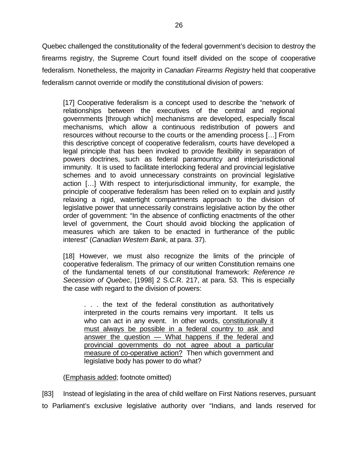Quebec challenged the constitutionality of the federal government's decision to destroy the firearms registry, the Supreme Court found itself divided on the scope of cooperative federalism. Nonetheless, the majority in *Canadian Firearms Registry* held that cooperative federalism cannot override or modify the constitutional division of powers:

[17] Cooperative federalism is a concept used to describe the "network of relationships between the executives of the central and regional governments [through which] mechanisms are developed, especially fiscal mechanisms, which allow a continuous redistribution of powers and resources without recourse to the courts or the amending process […] From this descriptive concept of cooperative federalism, courts have developed a legal principle that has been invoked to provide flexibility in separation of powers doctrines, such as federal paramountcy and interjurisdictional immunity. It is used to facilitate interlocking federal and provincial legislative schemes and to avoid unnecessary constraints on provincial legislative action […] With respect to interjurisdictional immunity, for example, the principle of cooperative federalism has been relied on to explain and justify relaxing a rigid, watertight compartments approach to the division of legislative power that unnecessarily constrains legislative action by the other order of government: "In the absence of conflicting enactments of the other level of government, the Court should avoid blocking the application of measures which are taken to be enacted in furtherance of the public interest" (*Canadian Western Bank*, at para. 37).

[18] However, we must also recognize the limits of the principle of cooperative federalism. The primacy of our written Constitution remains one of the fundamental tenets of our constitutional framework: *Reference re Secession of Quebec*, [1998] 2 S.C.R. 217, at para. 53. This is especially the case with regard to the division of powers:

. . . the text of the federal constitution as authoritatively interpreted in the courts remains very important. It tells us who can act in any event. In other words, constitutionally it must always be possible in a federal country to ask and answer the question — What happens if the federal and provincial governments do not agree about a particular measure of co-operative action? Then which government and legislative body has power to do what?

(Emphasis added; footnote omitted)

[83] Instead of legislating in the area of child welfare on First Nations reserves, pursuant to Parliament's exclusive legislative authority over "Indians, and lands reserved for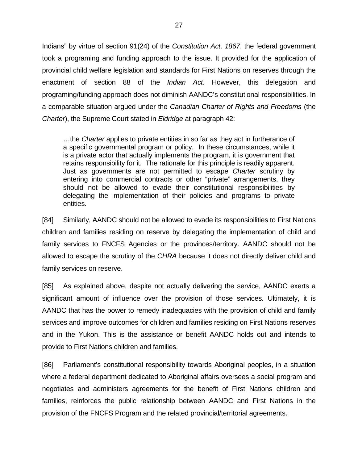Indians" by virtue of section 91(24) of the *Constitution Act, 1867*, the federal government took a programing and funding approach to the issue. It provided for the application of provincial child welfare legislation and standards for First Nations on reserves through the enactment of section 88 of the *Indian Act*. However, this delegation and programing/funding approach does not diminish AANDC's constitutional responsibilities. In a comparable situation argued under the *Canadian Charter of Rights and Freedoms* (the *Charter*), the Supreme Court stated in *Eldridge* at paragraph 42:

…the *Charter* applies to private entities in so far as they act in furtherance of a specific governmental program or policy. In these circumstances, while it is a private actor that actually implements the program, it is government that retains responsibility for it. The rationale for this principle is readily apparent. Just as governments are not permitted to escape *Charter* scrutiny by entering into commercial contracts or other "private" arrangements, they should not be allowed to evade their constitutional responsibilities by delegating the implementation of their policies and programs to private entities.

[84] Similarly, AANDC should not be allowed to evade its responsibilities to First Nations children and families residing on reserve by delegating the implementation of child and family services to FNCFS Agencies or the provinces/territory. AANDC should not be allowed to escape the scrutiny of the *CHRA* because it does not directly deliver child and family services on reserve.

[85] As explained above, despite not actually delivering the service, AANDC exerts a significant amount of influence over the provision of those services. Ultimately, it is AANDC that has the power to remedy inadequacies with the provision of child and family services and improve outcomes for children and families residing on First Nations reserves and in the Yukon. This is the assistance or benefit AANDC holds out and intends to provide to First Nations children and families.

[86] Parliament's constitutional responsibility towards Aboriginal peoples, in a situation where a federal department dedicated to Aboriginal affairs oversees a social program and negotiates and administers agreements for the benefit of First Nations children and families, reinforces the public relationship between AANDC and First Nations in the provision of the FNCFS Program and the related provincial/territorial agreements.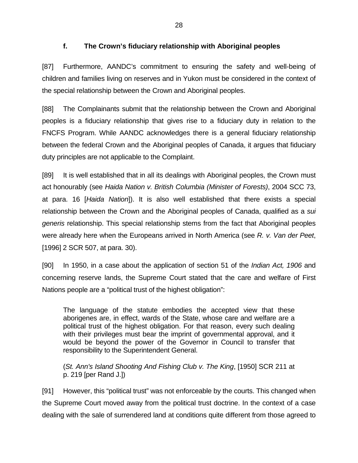## **f. The Crown's fiduciary relationship with Aboriginal peoples**

<span id="page-32-0"></span>[87] Furthermore, AANDC's commitment to ensuring the safety and well-being of children and families living on reserves and in Yukon must be considered in the context of the special relationship between the Crown and Aboriginal peoples.

[88] The Complainants submit that the relationship between the Crown and Aboriginal peoples is a fiduciary relationship that gives rise to a fiduciary duty in relation to the FNCFS Program. While AANDC acknowledges there is a general fiduciary relationship between the federal Crown and the Aboriginal peoples of Canada, it argues that fiduciary duty principles are not applicable to the Complaint.

[89] It is well established that in all its dealings with Aboriginal peoples, the Crown must act honourably (see *Haida Nation v. British Columbia (Minister of Forests)*, 2004 SCC 73, at para. 16 [*Haida Nation*]). It is also well established that there exists a special relationship between the Crown and the Aboriginal peoples of Canada, qualified as a *sui generis* relationship. This special relationship stems from the fact that Aboriginal peoples were already here when the Europeans arrived in North America (see *R. v. Van der Peet*, [1996] 2 SCR 507, at para. 30).

[90] In 1950, in a case about the application of section 51 of the *Indian Act, 1906* and concerning reserve lands, the Supreme Court stated that the care and welfare of First Nations people are a "political trust of the highest obligation":

The language of the statute embodies the accepted view that these aborigenes are, in effect, wards of the State, whose care and welfare are a political trust of the highest obligation. For that reason, every such dealing with their privileges must bear the imprint of governmental approval, and it would be beyond the power of the Governor in Council to transfer that responsibility to the Superintendent General.

(*St. Ann's Island Shooting And Fishing Club v. The King*, [1950] SCR 211 at p. 219 [per Rand J.])

[91] However, this "political trust" was not enforceable by the courts. This changed when the Supreme Court moved away from the political trust doctrine. In the context of a case dealing with the sale of surrendered land at conditions quite different from those agreed to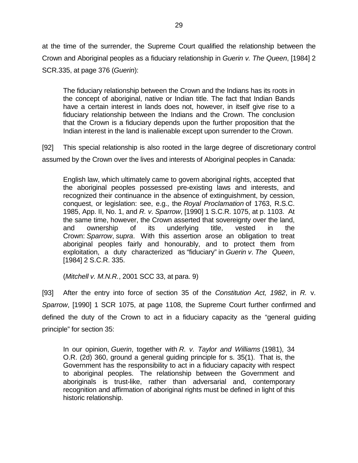at the time of the surrender, the Supreme Court qualified the relationship between the Crown and Aboriginal peoples as a fiduciary relationship in *Guerin v. The Queen*, [1984] 2 SCR.335, at page 376 (*Guerin*):

The fiduciary relationship between the Crown and the Indians has its roots in the concept of aboriginal, native or Indian title. The fact that Indian Bands have a certain interest in lands does not, however, in itself give rise to a fiduciary relationship between the Indians and the Crown. The conclusion that the Crown is a fiduciary depends upon the further proposition that the Indian interest in the land is inalienable except upon surrender to the Crown.

[92] This special relationship is also rooted in the large degree of discretionary control assumed by the Crown over the lives and interests of Aboriginal peoples in Canada:

English law, which ultimately came to govern aboriginal rights, accepted that the aboriginal peoples possessed pre-existing laws and interests, and recognized their continuance in the absence of extinguishment, by cession, conquest, or legislation: see, e.g., the *Royal Proclamation* of 1763, R.S.C. 1985, App. II, No. 1, and *R. v*. *Sparrow*, [1990] 1 S.C.R. 1075, at p. 1103. At the same time, however, the Crown asserted that sovereignty over the land, and ownership of its underlying title, vested in the Crown: *Sparrow*, *supra*. With this assertion arose an obligation to treat aboriginal peoples fairly and honourably, and to protect them from exploitation, a duty characterized as "fiduciary" in *Guerin v*. *The Queen*, [1984] 2 S.C.R. 335.

(*Mitchell v. M.N.R.*, 2001 SCC 33, at para. 9)

[93] After the entry into force of section 35 of the *Constitution Act, 1982*, in *R.* v. *Sparrow*, [1990] 1 SCR 1075, at page 1108, the Supreme Court further confirmed and defined the duty of the Crown to act in a fiduciary capacity as the "general guiding principle" for section 35:

In our opinion, *Guerin*, together with *R. v. Taylor and Williams* (1981), 34 O.R. (2d) 360, ground a general guiding principle for s. 35(1). That is, the Government has the responsibility to act in a fiduciary capacity with respect to aboriginal peoples. The relationship between the Government and aboriginals is trust-like, rather than adversarial and, contemporary recognition and affirmation of aboriginal rights must be defined in light of this historic relationship.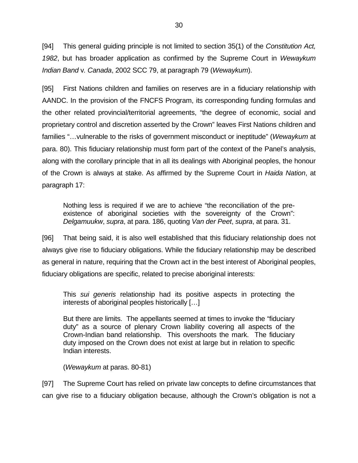[94] This general guiding principle is not limited to section 35(1) of the *Constitution Act, 1982*, but has broader application as confirmed by the Supreme Court in *Wewaykum Indian Band* v*. Canada*, 2002 SCC 79, at paragraph 79 (*Wewaykum*).

[95] First Nations children and families on reserves are in a fiduciary relationship with AANDC. In the provision of the FNCFS Program, its corresponding funding formulas and the other related provincial/territorial agreements, "the degree of economic, social and proprietary control and discretion asserted by the Crown" leaves First Nations children and families "…vulnerable to the risks of government misconduct or ineptitude" (*Wewaykum* at para. 80). This fiduciary relationship must form part of the context of the Panel's analysis, along with the corollary principle that in all its dealings with Aboriginal peoples, the honour of the Crown is always at stake. As affirmed by the Supreme Court in *Haida Nation*, at paragraph 17:

Nothing less is required if we are to achieve "the reconciliation of the preexistence of aboriginal societies with the sovereignty of the Crown": *Delgamuukw*, *supra*, at para. 186, quoting *Van der Peet*, *supra*, at para. 31.

[96] That being said, it is also well established that this fiduciary relationship does not always give rise to fiduciary obligations. While the fiduciary relationship may be described as general in nature, requiring that the Crown act in the best interest of Aboriginal peoples, fiduciary obligations are specific, related to precise aboriginal interests:

This *sui generis* relationship had its positive aspects in protecting the interests of aboriginal peoples historically […]

But there are limits. The appellants seemed at times to invoke the "fiduciary duty" as a source of plenary Crown liability covering all aspects of the Crown-Indian band relationship. This overshoots the mark. The fiduciary duty imposed on the Crown does not exist at large but in relation to specific Indian interests.

(*Wewaykum* at paras. 80-81)

[97] The Supreme Court has relied on private law concepts to define circumstances that can give rise to a fiduciary obligation because, although the Crown's obligation is not a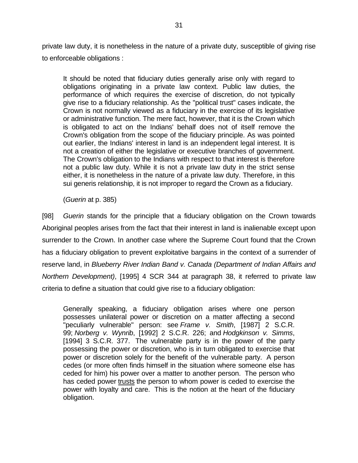private law duty, it is nonetheless in the nature of a private duty, susceptible of giving rise to enforceable obligations :

It should be noted that fiduciary duties generally arise only with regard to obligations originating in a private law context. Public law duties, the performance of which requires the exercise of discretion, do not typically give rise to a fiduciary relationship. As the "political trust" cases indicate, the Crown is not normally viewed as a fiduciary in the exercise of its legislative or administrative function. The mere fact, however, that it is the Crown which is obligated to act on the Indians' behalf does not of itself remove the Crown's obligation from the scope of the fiduciary principle. As was pointed out earlier, the Indians' interest in land is an independent legal interest. It is not a creation of either the legislative or executive branches of government. The Crown's obligation to the Indians with respect to that interest is therefore not a public law duty. While it is not a private law duty in the strict sense either, it is nonetheless in the nature of a private law duty. Therefore, in this sui generis relationship, it is not improper to regard the Crown as a fiduciary.

(*Guerin* at p. 385)

[98] *Guerin* stands for the principle that a fiduciary obligation on the Crown towards Aboriginal peoples arises from the fact that their interest in land is inalienable except upon surrender to the Crown. In another case where the Supreme Court found that the Crown has a fiduciary obligation to prevent exploitative bargains in the context of a surrender of reserve land, in *Blueberry River Indian Band v. Canada (Department of Indian Affairs and Northern Development)*, [1995] 4 SCR 344 at paragraph 38, it referred to private law criteria to define a situation that could give rise to a fiduciary obligation:

Generally speaking, a fiduciary obligation arises where one person possesses unilateral power or discretion on a matter affecting a second "peculiarly vulnerable" person: see *Frame v. Smith*, [1987] 2 S.C.R. 99; *Norberg v. Wynrib*, [1992] 2 S.C.R. 226; and *Hodgkinson v. Simms*, [1994] 3 S.C.R. 377. The vulnerable party is in the power of the party possessing the power or discretion, who is in turn obligated to exercise that power or discretion solely for the benefit of the vulnerable party. A person cedes (or more often finds himself in the situation where someone else has ceded for him) his power over a matter to another person. The person who has ceded power trusts the person to whom power is ceded to exercise the power with loyalty and care. This is the notion at the heart of the fiduciary obligation.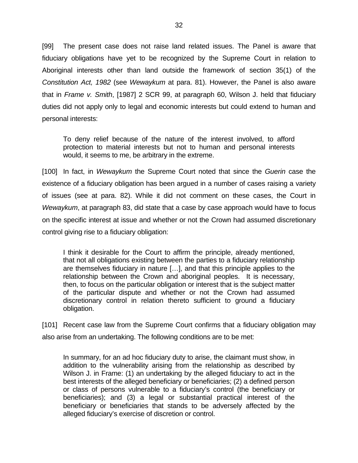[99] The present case does not raise land related issues. The Panel is aware that fiduciary obligations have yet to be recognized by the Supreme Court in relation to Aboriginal interests other than land outside the framework of section 35(1) of the *Constitution Act, 1982* (see *Wewaykum* at para. 81). However, the Panel is also aware that in *Frame v. Smith*, [1987] 2 SCR 99, at paragraph 60, Wilson J. held that fiduciary duties did not apply only to legal and economic interests but could extend to human and personal interests:

To deny relief because of the nature of the interest involved, to afford protection to material interests but not to human and personal interests would, it seems to me, be arbitrary in the extreme.

[100] In fact, in *Wewaykum* the Supreme Court noted that since the *Guerin* case the existence of a fiduciary obligation has been argued in a number of cases raising a variety of issues (see at para. 82). While it did not comment on these cases, the Court in *Wewaykum*, at paragraph 83, did state that a case by case approach would have to focus on the specific interest at issue and whether or not the Crown had assumed discretionary control giving rise to a fiduciary obligation:

I think it desirable for the Court to affirm the principle, already mentioned, that not all obligations existing between the parties to a fiduciary relationship are themselves fiduciary in nature […], and that this principle applies to the relationship between the Crown and aboriginal peoples. It is necessary, then, to focus on the particular obligation or interest that is the subject matter of the particular dispute and whether or not the Crown had assumed discretionary control in relation thereto sufficient to ground a fiduciary obligation.

[101] Recent case law from the Supreme Court confirms that a fiduciary obligation may also arise from an undertaking. The following conditions are to be met:

In summary, for an ad hoc fiduciary duty to arise, the claimant must show, in addition to the vulnerability arising from the relationship as described by Wilson J. in Frame: (1) an undertaking by the alleged fiduciary to act in the best interests of the alleged beneficiary or beneficiaries; (2) a defined person or class of persons vulnerable to a fiduciary's control (the beneficiary or beneficiaries); and (3) a legal or substantial practical interest of the beneficiary or beneficiaries that stands to be adversely affected by the alleged fiduciary's exercise of discretion or control.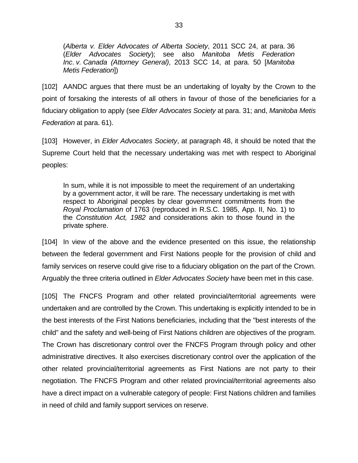(*Alberta v. Elder Advocates of Alberta Society*, 2011 SCC 24, at para. 36 (*Elder Advocates Society*); see also *Manitoba Metis Federation Inc*. *v. Canada (Attorney General)*, 2013 SCC 14, at para. 50 [*Manitoba Metis Federation*])

[102] AANDC argues that there must be an undertaking of loyalty by the Crown to the point of forsaking the interests of all others in favour of those of the beneficiaries for a fiduciary obligation to apply (see *Elder Advocates Society* at para. 31; and, *Manitoba Metis Federation* at para. 61).

[103] However, in *Elder Advocates Society*, at paragraph 48, it should be noted that the Supreme Court held that the necessary undertaking was met with respect to Aboriginal peoples:

In sum, while it is not impossible to meet the requirement of an undertaking by a government actor, it will be rare. The necessary undertaking is met with respect to Aboriginal peoples by clear government commitments from the *Royal Proclamation* of 1763 (reproduced in R.S.C. 1985, App. II, No. 1) to the *Constitution Act, 1982* and considerations akin to those found in the private sphere.

[104] In view of the above and the evidence presented on this issue, the relationship between the federal government and First Nations people for the provision of child and family services on reserve could give rise to a fiduciary obligation on the part of the Crown. Arguably the three criteria outlined in *Elder Advocates Society* have been met in this case.

[105] The FNCFS Program and other related provincial/territorial agreements were undertaken and are controlled by the Crown. This undertaking is explicitly intended to be in the best interests of the First Nations beneficiaries, including that the "best interests of the child" and the safety and well-being of First Nations children are objectives of the program. The Crown has discretionary control over the FNCFS Program through policy and other administrative directives. It also exercises discretionary control over the application of the other related provincial/territorial agreements as First Nations are not party to their negotiation. The FNCFS Program and other related provincial/territorial agreements also have a direct impact on a vulnerable category of people: First Nations children and families in need of child and family support services on reserve.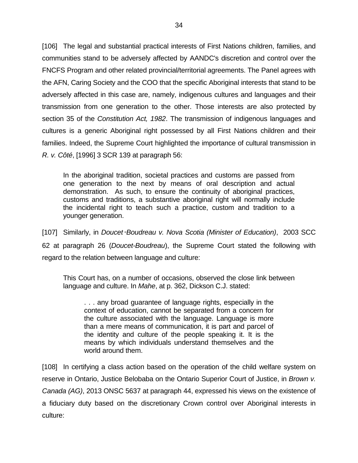[106] The legal and substantial practical interests of First Nations children, families, and communities stand to be adversely affected by AANDC's discretion and control over the FNCFS Program and other related provincial/territorial agreements. The Panel agrees with the AFN, Caring Society and the COO that the specific Aboriginal interests that stand to be adversely affected in this case are, namely, indigenous cultures and languages and their transmission from one generation to the other. Those interests are also protected by section 35 of the *Constitution Act, 1982*. The transmission of indigenous languages and cultures is a generic Aboriginal right possessed by all First Nations children and their families. Indeed, the Supreme Court highlighted the importance of cultural transmission in *R. v. Côté*, [1996] 3 SCR 139 at paragraph 56:

In the aboriginal tradition, societal practices and customs are passed from one generation to the next by means of oral description and actual demonstration. As such, to ensure the continuity of aboriginal practices, customs and traditions, a substantive aboriginal right will normally include the incidental right to teach such a practice, custom and tradition to a younger generation.

[107] Similarly, in *Doucet*‑*Boudreau v. Nova Scotia (Minister of Education)*, 2003 SCC 62 at paragraph 26 (*Doucet-Boudreau*), the Supreme Court stated the following with regard to the relation between language and culture:

This Court has, on a number of occasions, observed the close link between language and culture. In *Mahe*, at p. 362, Dickson C.J. stated:

. . . any broad guarantee of language rights, especially in the context of education, cannot be separated from a concern for the culture associated with the language. Language is more than a mere means of communication, it is part and parcel of the identity and culture of the people speaking it. It is the means by which individuals understand themselves and the world around them.

[108] In certifying a class action based on the operation of the child welfare system on reserve in Ontario, Justice Belobaba on the Ontario Superior Court of Justice, in *Brown v. Canada (AG)*, 2013 ONSC 5637 at paragraph 44, expressed his views on the existence of a fiduciary duty based on the discretionary Crown control over Aboriginal interests in culture: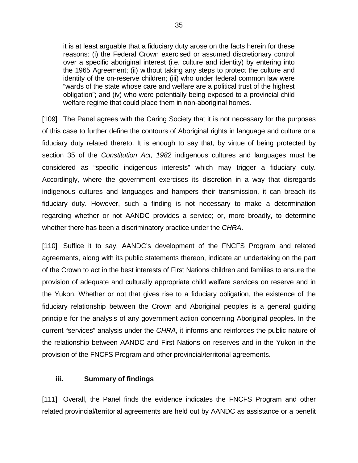it is at least arguable that a fiduciary duty arose on the facts herein for these reasons: (i) the Federal Crown exercised or assumed discretionary control over a specific aboriginal interest (i.e. culture and identity) by entering into the 1965 Agreement; (ii) without taking any steps to protect the culture and identity of the on-reserve children; (iii) who under federal common law were "wards of the state whose care and welfare are a political trust of the highest obligation"; and (iv) who were potentially being exposed to a provincial child welfare regime that could place them in non-aboriginal homes.

[109] The Panel agrees with the Caring Society that it is not necessary for the purposes of this case to further define the contours of Aboriginal rights in language and culture or a fiduciary duty related thereto. It is enough to say that, by virtue of being protected by section 35 of the *Constitution Act, 1982* indigenous cultures and languages must be considered as "specific indigenous interests" which may trigger a fiduciary duty. Accordingly, where the government exercises its discretion in a way that disregards indigenous cultures and languages and hampers their transmission, it can breach its fiduciary duty. However, such a finding is not necessary to make a determination regarding whether or not AANDC provides a service; or, more broadly, to determine whether there has been a discriminatory practice under the *CHRA*.

[110] Suffice it to say, AANDC's development of the FNCFS Program and related agreements, along with its public statements thereon, indicate an undertaking on the part of the Crown to act in the best interests of First Nations children and families to ensure the provision of adequate and culturally appropriate child welfare services on reserve and in the Yukon. Whether or not that gives rise to a fiduciary obligation, the existence of the fiduciary relationship between the Crown and Aboriginal peoples is a general guiding principle for the analysis of any government action concerning Aboriginal peoples. In the current "services" analysis under the *CHRA*, it informs and reinforces the public nature of the relationship between AANDC and First Nations on reserves and in the Yukon in the provision of the FNCFS Program and other provincial/territorial agreements.

#### **iii. Summary of findings**

[111] Overall, the Panel finds the evidence indicates the FNCFS Program and other related provincial/territorial agreements are held out by AANDC as assistance or a benefit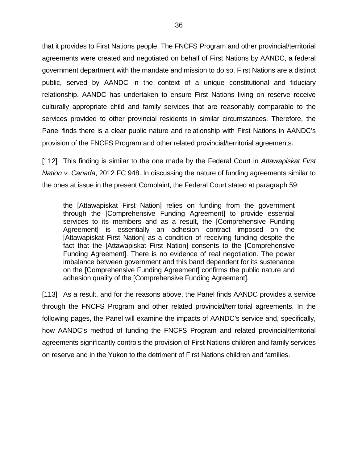that it provides to First Nations people. The FNCFS Program and other provincial/territorial agreements were created and negotiated on behalf of First Nations by AANDC, a federal government department with the mandate and mission to do so. First Nations are a distinct public, served by AANDC in the context of a unique constitutional and fiduciary relationship. AANDC has undertaken to ensure First Nations living on reserve receive culturally appropriate child and family services that are reasonably comparable to the services provided to other provincial residents in similar circumstances. Therefore, the Panel finds there is a clear public nature and relationship with First Nations in AANDC's provision of the FNCFS Program and other related provincial/territorial agreements.

[112] This finding is similar to the one made by the Federal Court in *Attawapiskat First Nation v. Canada*, 2012 FC 948. In discussing the nature of funding agreements similar to the ones at issue in the present Complaint, the Federal Court stated at paragraph 59:

the [Attawapiskat First Nation] relies on funding from the government through the [Comprehensive Funding Agreement] to provide essential services to its members and as a result, the [Comprehensive Funding Agreement] is essentially an adhesion contract imposed on the [Attawapiskat First Nation] as a condition of receiving funding despite the fact that the [Attawapiskat First Nation] consents to the [Comprehensive Funding Agreement]. There is no evidence of real negotiation. The power imbalance between government and this band dependent for its sustenance on the [Comprehensive Funding Agreement] confirms the public nature and adhesion quality of the [Comprehensive Funding Agreement].

[113] As a result, and for the reasons above, the Panel finds AANDC provides a service through the FNCFS Program and other related provincial/territorial agreements. In the following pages, the Panel will examine the impacts of AANDC's service and, specifically, how AANDC's method of funding the FNCFS Program and related provincial/territorial agreements significantly controls the provision of First Nations children and family services on reserve and in the Yukon to the detriment of First Nations children and families.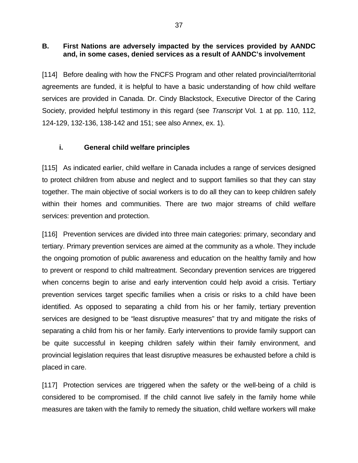#### **B. First Nations are adversely impacted by the services provided by AANDC and, in some cases, denied services as a result of AANDC's involvement**

[114] Before dealing with how the FNCFS Program and other related provincial/territorial agreements are funded, it is helpful to have a basic understanding of how child welfare services are provided in Canada. Dr. Cindy Blackstock, Executive Director of the Caring Society, provided helpful testimony in this regard (see *Transcript* Vol. 1 at pp. 110, 112, 124-129, 132-136, 138-142 and 151; see also Annex, ex. 1).

#### **i. General child welfare principles**

[115] As indicated earlier, child welfare in Canada includes a range of services designed to protect children from abuse and neglect and to support families so that they can stay together. The main objective of social workers is to do all they can to keep children safely within their homes and communities. There are two major streams of child welfare services: prevention and protection.

[116] Prevention services are divided into three main categories: primary, secondary and tertiary. Primary prevention services are aimed at the community as a whole. They include the ongoing promotion of public awareness and education on the healthy family and how to prevent or respond to child maltreatment. Secondary prevention services are triggered when concerns begin to arise and early intervention could help avoid a crisis. Tertiary prevention services target specific families when a crisis or risks to a child have been identified. As opposed to separating a child from his or her family, tertiary prevention services are designed to be "least disruptive measures" that try and mitigate the risks of separating a child from his or her family. Early interventions to provide family support can be quite successful in keeping children safely within their family environment, and provincial legislation requires that least disruptive measures be exhausted before a child is placed in care.

[117] Protection services are triggered when the safety or the well-being of a child is considered to be compromised. If the child cannot live safely in the family home while measures are taken with the family to remedy the situation, child welfare workers will make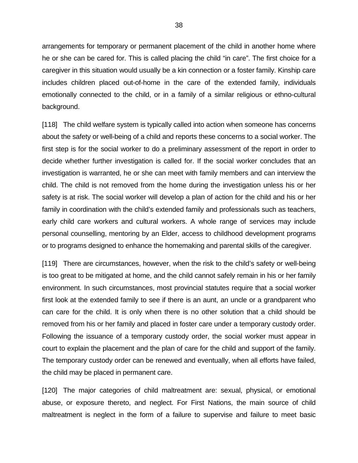arrangements for temporary or permanent placement of the child in another home where he or she can be cared for. This is called placing the child "in care". The first choice for a caregiver in this situation would usually be a kin connection or a foster family. Kinship care includes children placed out-of-home in the care of the extended family, individuals emotionally connected to the child, or in a family of a similar religious or ethno-cultural background.

[118] The child welfare system is typically called into action when someone has concerns about the safety or well-being of a child and reports these concerns to a social worker. The first step is for the social worker to do a preliminary assessment of the report in order to decide whether further investigation is called for. If the social worker concludes that an investigation is warranted, he or she can meet with family members and can interview the child. The child is not removed from the home during the investigation unless his or her safety is at risk. The social worker will develop a plan of action for the child and his or her family in coordination with the child's extended family and professionals such as teachers, early child care workers and cultural workers. A whole range of services may include personal counselling, mentoring by an Elder, access to childhood development programs or to programs designed to enhance the homemaking and parental skills of the caregiver.

[119] There are circumstances, however, when the risk to the child's safety or well-being is too great to be mitigated at home, and the child cannot safely remain in his or her family environment. In such circumstances, most provincial statutes require that a social worker first look at the extended family to see if there is an aunt, an uncle or a grandparent who can care for the child. It is only when there is no other solution that a child should be removed from his or her family and placed in foster care under a temporary custody order. Following the issuance of a temporary custody order, the social worker must appear in court to explain the placement and the plan of care for the child and support of the family. The temporary custody order can be renewed and eventually, when all efforts have failed, the child may be placed in permanent care.

[120] The major categories of child maltreatment are: sexual, physical, or emotional abuse, or exposure thereto, and neglect. For First Nations, the main source of child maltreatment is neglect in the form of a failure to supervise and failure to meet basic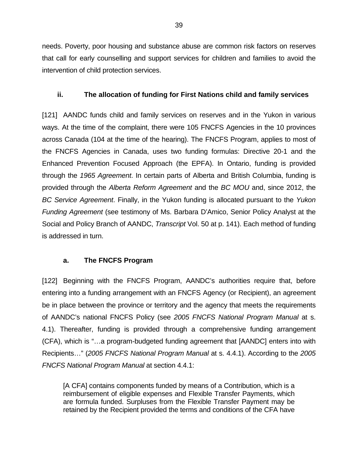needs. Poverty, poor housing and substance abuse are common risk factors on reserves that call for early counselling and support services for children and families to avoid the intervention of child protection services.

# **ii. The allocation of funding for First Nations child and family services**

[121] AANDC funds child and family services on reserves and in the Yukon in various ways. At the time of the complaint, there were 105 FNCFS Agencies in the 10 provinces across Canada (104 at the time of the hearing). The FNCFS Program, applies to most of the FNCFS Agencies in Canada, uses two funding formulas: Directive 20-1 and the Enhanced Prevention Focused Approach (the EPFA). In Ontario, funding is provided through the *1965 Agreement*. In certain parts of Alberta and British Columbia, funding is provided through the *Alberta Reform Agreement* and the *BC MOU* and, since 2012, the *BC Service Agreement*. Finally, in the Yukon funding is allocated pursuant to the *Yukon Funding Agreement* (see testimony of Ms. Barbara D'Amico, Senior Policy Analyst at the Social and Policy Branch of AANDC, *Transcript* Vol. 50 at p. 141). Each method of funding is addressed in turn.

# **a. The FNCFS Program**

[122] Beginning with the FNCFS Program, AANDC's authorities require that, before entering into a funding arrangement with an FNCFS Agency (or Recipient), an agreement be in place between the province or territory and the agency that meets the requirements of AANDC's national FNCFS Policy (see *2005 FNCFS National Program Manual* at s. 4.1). Thereafter, funding is provided through a comprehensive funding arrangement (CFA), which is "…a program-budgeted funding agreement that [AANDC] enters into with Recipients…" (*2005 FNCFS National Program Manual* at s. 4.4.1). According to the *2005 FNCFS National Program Manual* at section 4.4.1:

[A CFA] contains components funded by means of a Contribution, which is a reimbursement of eligible expenses and Flexible Transfer Payments, which are formula funded. Surpluses from the Flexible Transfer Payment may be retained by the Recipient provided the terms and conditions of the CFA have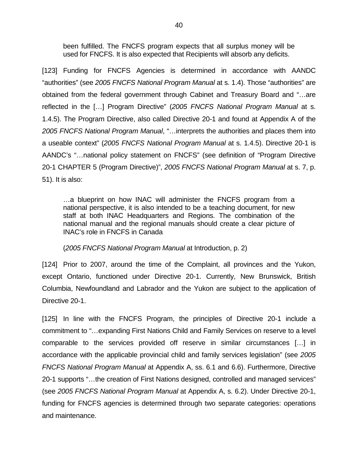been fulfilled. The FNCFS program expects that all surplus money will be used for FNCFS. It is also expected that Recipients will absorb any deficits.

[123] Funding for FNCFS Agencies is determined in accordance with AANDC "authorities" (see *2005 FNCFS National Program Manual* at s. 1.4). Those "authorities" are obtained from the federal government through Cabinet and Treasury Board and "…are reflected in the […] Program Directive" (*2005 FNCFS National Program Manual* at s. 1.4.5). The Program Directive, also called Directive 20-1 and found at Appendix A of the *2005 FNCFS National Program Manual*, "…interprets the authorities and places them into a useable context" (*2005 FNCFS National Program Manual* at s. 1.4.5). Directive 20-1 is AANDC's "…national policy statement on FNCFS" (see definition of "Program Directive 20-1 CHAPTER 5 (Program Directive)", *2005 FNCFS National Program Manual* at s. 7, p. 51). It is also:

…a blueprint on how INAC will administer the FNCFS program from a national perspective, it is also intended to be a teaching document, for new staff at both INAC Headquarters and Regions. The combination of the national manual and the regional manuals should create a clear picture of INAC's role in FNCFS in Canada

(*2005 FNCFS National Program Manual* at Introduction, p. 2)

[124] Prior to 2007, around the time of the Complaint, all provinces and the Yukon, except Ontario, functioned under Directive 20-1. Currently, New Brunswick, British Columbia, Newfoundland and Labrador and the Yukon are subject to the application of Directive 20-1.

[125] In line with the FNCFS Program, the principles of Directive 20-1 include a commitment to "…expanding First Nations Child and Family Services on reserve to a level comparable to the services provided off reserve in similar circumstances […] in accordance with the applicable provincial child and family services legislation" (see *2005 FNCFS National Program Manual* at Appendix A, ss. 6.1 and 6.6). Furthermore, Directive 20-1 supports "…the creation of First Nations designed, controlled and managed services" (see *2005 FNCFS National Program Manual* at Appendix A, s. 6.2). Under Directive 20-1, funding for FNCFS agencies is determined through two separate categories: operations and maintenance.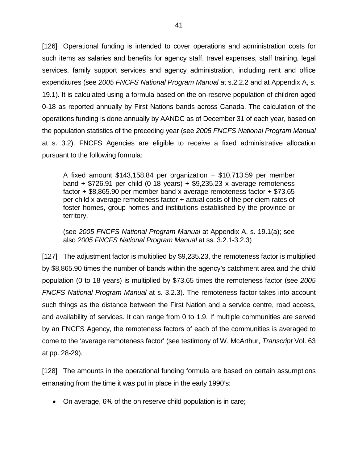[126] Operational funding is intended to cover operations and administration costs for such items as salaries and benefits for agency staff, travel expenses, staff training, legal services, family support services and agency administration, including rent and office expenditures (see *2005 FNCFS National Program Manual* at s.2.2.2 and at Appendix A, s. 19.1). It is calculated using a formula based on the on-reserve population of children aged 0-18 as reported annually by First Nations bands across Canada. The calculation of the operations funding is done annually by AANDC as of December 31 of each year, based on the population statistics of the preceding year (see *2005 FNCFS National Program Manual* at s. 3.2). FNCFS Agencies are eligible to receive a fixed administrative allocation pursuant to the following formula:

A fixed amount  $$143,158.84$  per organization  $+$  \$10,713.59 per member band  $+$  \$726.91 per child (0-18 years)  $+$  \$9,235.23 x average remoteness factor + \$8,865.90 per member band x average remoteness factor + \$73.65 per child x average remoteness factor + actual costs of the per diem rates of foster homes, group homes and institutions established by the province or territory.

(see *2005 FNCFS National Program Manual* at Appendix A, s. 19.1(a); see also *2005 FNCFS National Program Manual* at ss. 3.2.1-3.2.3)

[127] The adjustment factor is multiplied by \$9,235.23, the remoteness factor is multiplied by \$8,865.90 times the number of bands within the agency's catchment area and the child population (0 to 18 years) is multiplied by \$73.65 times the remoteness factor (see *2005 FNCFS National Program Manual* at s. 3.2.3). The remoteness factor takes into account such things as the distance between the First Nation and a service centre, road access, and availability of services. It can range from 0 to 1.9. If multiple communities are served by an FNCFS Agency, the remoteness factors of each of the communities is averaged to come to the 'average remoteness factor' (see testimony of W. McArthur, *Transcript* Vol. 63 at pp. 28-29).

[128] The amounts in the operational funding formula are based on certain assumptions emanating from the time it was put in place in the early 1990's:

• On average, 6% of the on reserve child population is in care;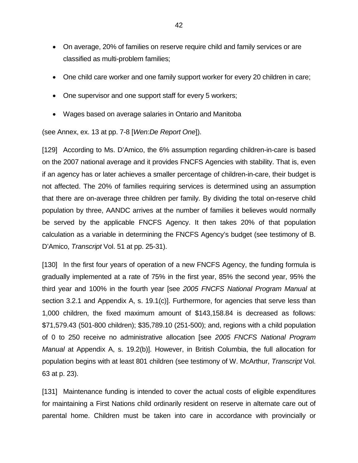- On average, 20% of families on reserve require child and family services or are classified as multi-problem families;
- One child care worker and one family support worker for every 20 children in care;
- One supervisor and one support staff for every 5 workers;
- Wages based on average salaries in Ontario and Manitoba

(see Annex, ex. 13 at pp. 7-8 [*Wen:De Report One*]).

[129] According to Ms. D'Amico, the 6% assumption regarding children-in-care is based on the 2007 national average and it provides FNCFS Agencies with stability. That is, even if an agency has or later achieves a smaller percentage of children-in-care, their budget is not affected. The 20% of families requiring services is determined using an assumption that there are on-average three children per family. By dividing the total on-reserve child population by three, AANDC arrives at the number of families it believes would normally be served by the applicable FNCFS Agency. It then takes 20% of that population calculation as a variable in determining the FNCFS Agency's budget (see testimony of B. D'Amico, *Transcript* Vol. 51 at pp. 25-31).

[130] In the first four years of operation of a new FNCFS Agency, the funding formula is gradually implemented at a rate of 75% in the first year, 85% the second year, 95% the third year and 100% in the fourth year [see *2005 FNCFS National Program Manual* at section 3.2.1 and Appendix A, s. 19.1(c)]. Furthermore, for agencies that serve less than 1,000 children, the fixed maximum amount of \$143,158.84 is decreased as follows: \$71,579.43 (501-800 children); \$35,789.10 (251-500); and, regions with a child population of 0 to 250 receive no administrative allocation [see *2005 FNCFS National Program Manual* at Appendix A, s. 19.2(b)]. However, in British Columbia, the full allocation for population begins with at least 801 children (see testimony of W. McArthur, *Transcript* Vol. 63 at p. 23).

[131] Maintenance funding is intended to cover the actual costs of eligible expenditures for maintaining a First Nations child ordinarily resident on reserve in alternate care out of parental home. Children must be taken into care in accordance with provincially or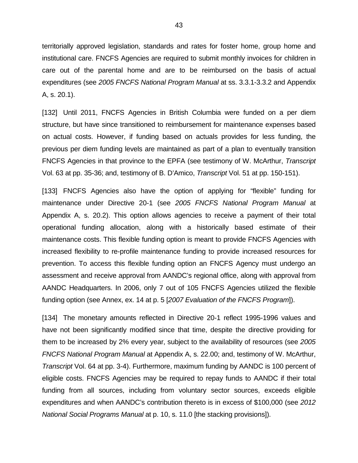territorially approved legislation, standards and rates for foster home, group home and institutional care. FNCFS Agencies are required to submit monthly invoices for children in care out of the parental home and are to be reimbursed on the basis of actual expenditures (see *2005 FNCFS National Program Manual* at ss. 3.3.1-3.3.2 and Appendix A, s. 20.1).

[132] Until 2011, FNCFS Agencies in British Columbia were funded on a per diem structure, but have since transitioned to reimbursement for maintenance expenses based on actual costs. However, if funding based on actuals provides for less funding, the previous per diem funding levels are maintained as part of a plan to eventually transition FNCFS Agencies in that province to the EPFA (see testimony of W. McArthur, *Transcript* Vol. 63 at pp. 35-36; and, testimony of B. D'Amico, *Transcript* Vol. 51 at pp. 150-151).

[133] FNCFS Agencies also have the option of applying for "flexible" funding for maintenance under Directive 20-1 (see *2005 FNCFS National Program Manual* at Appendix A, s. 20.2). This option allows agencies to receive a payment of their total operational funding allocation, along with a historically based estimate of their maintenance costs. This flexible funding option is meant to provide FNCFS Agencies with increased flexibility to re-profile maintenance funding to provide increased resources for prevention. To access this flexible funding option an FNCFS Agency must undergo an assessment and receive approval from AANDC's regional office, along with approval from AANDC Headquarters. In 2006, only 7 out of 105 FNCFS Agencies utilized the flexible funding option (see Annex, ex. 14 at p. 5 [*2007 Evaluation of the FNCFS Program*]).

[134] The monetary amounts reflected in Directive 20-1 reflect 1995-1996 values and have not been significantly modified since that time, despite the directive providing for them to be increased by 2% every year, subject to the availability of resources (see *2005 FNCFS National Program Manual* at Appendix A, s. 22.00; and, testimony of W. McArthur, *Transcript* Vol. 64 at pp. 3-4). Furthermore, maximum funding by AANDC is 100 percent of eligible costs. FNCFS Agencies may be required to repay funds to AANDC if their total funding from all sources, including from voluntary sector sources, exceeds eligible expenditures and when AANDC's contribution thereto is in excess of \$100,000 (see *2012 National Social Programs Manual* at p. 10, s. 11.0 [the stacking provisions]).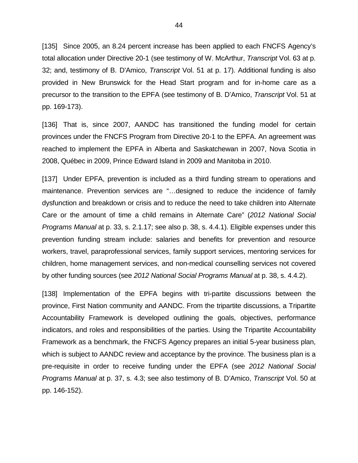[135] Since 2005, an 8.24 percent increase has been applied to each FNCFS Agency's total allocation under Directive 20-1 (see testimony of W. McArthur, *Transcript* Vol. 63 at p. 32; and, testimony of B. D'Amico, *Transcript* Vol. 51 at p. 17). Additional funding is also provided in New Brunswick for the Head Start program and for in-home care as a precursor to the transition to the EPFA (see testimony of B. D'Amico, *Transcript* Vol. 51 at pp. 169-173).

[136] That is, since 2007, AANDC has transitioned the funding model for certain provinces under the FNCFS Program from Directive 20-1 to the EPFA. An agreement was reached to implement the EPFA in Alberta and Saskatchewan in 2007, Nova Scotia in 2008, Québec in 2009, Prince Edward Island in 2009 and Manitoba in 2010.

[137] Under EPFA, prevention is included as a third funding stream to operations and maintenance. Prevention services are "…designed to reduce the incidence of family dysfunction and breakdown or crisis and to reduce the need to take children into Alternate Care or the amount of time a child remains in Alternate Care" (*2012 National Social Programs Manual* at p. 33, s. 2.1.17; see also p. 38, s. 4.4.1). Eligible expenses under this prevention funding stream include: salaries and benefits for prevention and resource workers, travel, paraprofessional services, family support services, mentoring services for children, home management services, and non-medical counselling services not covered by other funding sources (see *2012 National Social Programs Manual* at p. 38, s. 4.4.2).

[138] Implementation of the EPFA begins with tri-partite discussions between the province, First Nation community and AANDC. From the tripartite discussions, a Tripartite Accountability Framework is developed outlining the goals, objectives, performance indicators, and roles and responsibilities of the parties. Using the Tripartite Accountability Framework as a benchmark, the FNCFS Agency prepares an initial 5-year business plan, which is subject to AANDC review and acceptance by the province. The business plan is a pre-requisite in order to receive funding under the EPFA (see *2012 National Social Programs Manual* at p. 37, s. 4.3; see also testimony of B. D'Amico, *Transcript* Vol. 50 at pp. 146-152).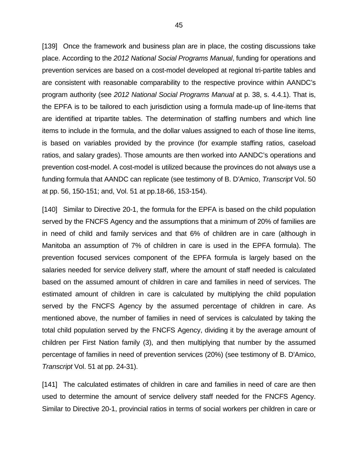[139] Once the framework and business plan are in place, the costing discussions take place. According to the *2012 National Social Programs Manual*, funding for operations and prevention services are based on a cost-model developed at regional tri-partite tables and are consistent with reasonable comparability to the respective province within AANDC's program authority (see *2012 National Social Programs Manual* at p. 38, s. 4.4.1). That is, the EPFA is to be tailored to each jurisdiction using a formula made-up of line-items that are identified at tripartite tables. The determination of staffing numbers and which line items to include in the formula, and the dollar values assigned to each of those line items, is based on variables provided by the province (for example staffing ratios, caseload ratios, and salary grades). Those amounts are then worked into AANDC's operations and prevention cost-model. A cost-model is utilized because the provinces do not always use a funding formula that AANDC can replicate (see testimony of B. D'Amico, *Transcript* Vol. 50 at pp. 56, 150-151; and, Vol. 51 at pp.18-66, 153-154).

[140] Similar to Directive 20-1, the formula for the EPFA is based on the child population served by the FNCFS Agency and the assumptions that a minimum of 20% of families are in need of child and family services and that 6% of children are in care (although in Manitoba an assumption of 7% of children in care is used in the EPFA formula). The prevention focused services component of the EPFA formula is largely based on the salaries needed for service delivery staff, where the amount of staff needed is calculated based on the assumed amount of children in care and families in need of services. The estimated amount of children in care is calculated by multiplying the child population served by the FNCFS Agency by the assumed percentage of children in care. As mentioned above, the number of families in need of services is calculated by taking the total child population served by the FNCFS Agency, dividing it by the average amount of children per First Nation family (3), and then multiplying that number by the assumed percentage of families in need of prevention services (20%) (see testimony of B. D'Amico, *Transcript* Vol. 51 at pp. 24-31).

[141] The calculated estimates of children in care and families in need of care are then used to determine the amount of service delivery staff needed for the FNCFS Agency. Similar to Directive 20-1, provincial ratios in terms of social workers per children in care or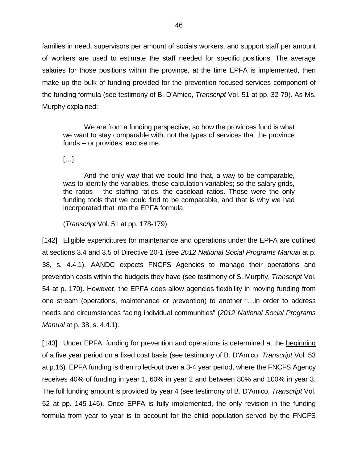families in need, supervisors per amount of socials workers, and support staff per amount of workers are used to estimate the staff needed for specific positions. The average salaries for those positions within the province, at the time EPFA is implemented, then make up the bulk of funding provided for the prevention focused services component of the funding formula (see testimony of B. D'Amico, *Transcript* Vol. 51 at pp. 32-79). As Ms. Murphy explained:

We are from a funding perspective, so how the provinces fund is what we want to stay comparable with, not the types of services that the province funds -- or provides, excuse me.

 $[\ldots]$ 

And the only way that we could find that, a way to be comparable, was to identify the variables, those calculation variables; so the salary grids, the ratios – the staffing ratios, the caseload ratios. Those were the only funding tools that we could find to be comparable, and that is why we had incorporated that into the EPFA formula.

(*Transcript* Vol. 51 at pp. 178-179)

[142] Eligible expenditures for maintenance and operations under the EPFA are outlined at sections 3.4 and 3.5 of Directive 20-1 (see *2012 National Social Programs Manual* at p. 38, s. 4.4.1). AANDC expects FNCFS Agencies to manage their operations and prevention costs within the budgets they have (see testimony of S. Murphy, *Transcript* Vol. 54 at p. 170). However, the EPFA does allow agencies flexibility in moving funding from one stream (operations, maintenance or prevention) to another "…in order to address needs and circumstances facing individual communities" (*2012 National Social Programs Manual* at p. 38, s. 4.4.1).

[143] Under EPFA, funding for prevention and operations is determined at the beginning of a five year period on a fixed cost basis (see testimony of B. D'Amico, *Transcript* Vol. 53 at p.16). EPFA funding is then rolled-out over a 3-4 year period, where the FNCFS Agency receives 40% of funding in year 1, 60% in year 2 and between 80% and 100% in year 3. The full funding amount is provided by year 4 (see testimony of B. D'Amico, *Transcript* Vol. 52 at pp. 145-146). Once EPFA is fully implemented, the only revision in the funding formula from year to year is to account for the child population served by the FNCFS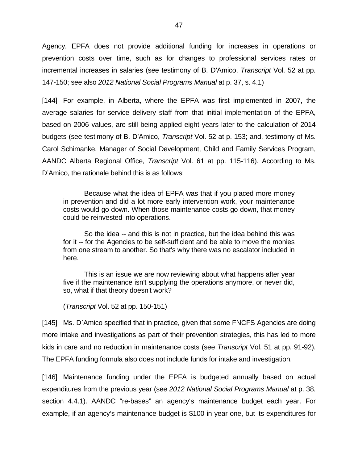Agency. EPFA does not provide additional funding for increases in operations or prevention costs over time, such as for changes to professional services rates or incremental increases in salaries (see testimony of B. D'Amico, *Transcript* Vol. 52 at pp. 147-150; see also *2012 National Social Programs Manual* at p. 37, s. 4.1)

[144] For example, in Alberta, where the EPFA was first implemented in 2007, the average salaries for service delivery staff from that initial implementation of the EPFA, based on 2006 values, are still being applied eight years later to the calculation of 2014 budgets (see testimony of B. D'Amico, *Transcript* Vol. 52 at p. 153; and, testimony of Ms. Carol Schimanke, Manager of Social Development, Child and Family Services Program, AANDC Alberta Regional Office, *Transcript* Vol. 61 at pp. 115-116). According to Ms. D'Amico, the rationale behind this is as follows:

Because what the idea of EPFA was that if you placed more money in prevention and did a lot more early intervention work, your maintenance costs would go down. When those maintenance costs go down, that money could be reinvested into operations.

So the idea -- and this is not in practice, but the idea behind this was for it -- for the Agencies to be self-sufficient and be able to move the monies from one stream to another. So that's why there was no escalator included in here.

This is an issue we are now reviewing about what happens after year five if the maintenance isn't supplying the operations anymore, or never did, so, what if that theory doesn't work?

(*Transcript* Vol. 52 at pp. 150-151)

[145] Ms. D`Amico specified that in practice, given that some FNCFS Agencies are doing more intake and investigations as part of their prevention strategies, this has led to more kids in care and no reduction in maintenance costs (see *Transcript* Vol. 51 at pp. 91-92). The EPFA funding formula also does not include funds for intake and investigation.

[146] Maintenance funding under the EPFA is budgeted annually based on actual expenditures from the previous year (see *2012 National Social Programs Manual* at p. 38, section 4.4.1). AANDC "re-bases" an agency's maintenance budget each year. For example, if an agency's maintenance budget is \$100 in year one, but its expenditures for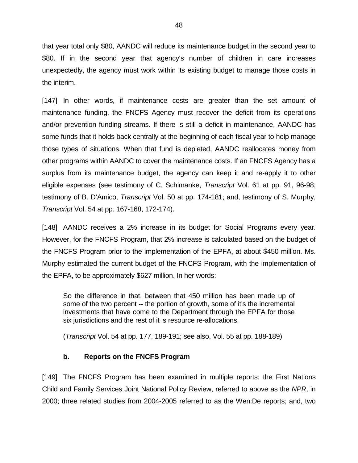that year total only \$80, AANDC will reduce its maintenance budget in the second year to \$80. If in the second year that agency's number of children in care increases unexpectedly, the agency must work within its existing budget to manage those costs in the interim.

[147] In other words, if maintenance costs are greater than the set amount of maintenance funding, the FNCFS Agency must recover the deficit from its operations and/or prevention funding streams. If there is still a deficit in maintenance, AANDC has some funds that it holds back centrally at the beginning of each fiscal year to help manage those types of situations. When that fund is depleted, AANDC reallocates money from other programs within AANDC to cover the maintenance costs. If an FNCFS Agency has a surplus from its maintenance budget, the agency can keep it and re-apply it to other eligible expenses (see testimony of C. Schimanke, *Transcript* Vol. 61 at pp. 91, 96-98; testimony of B. D'Amico, *Transcript* Vol. 50 at pp. 174-181; and, testimony of S. Murphy, *Transcript* Vol. 54 at pp. 167-168, 172-174).

[148] AANDC receives a 2% increase in its budget for Social Programs every year. However, for the FNCFS Program, that 2% increase is calculated based on the budget of the FNCFS Program prior to the implementation of the EPFA, at about \$450 million. Ms. Murphy estimated the current budget of the FNCFS Program, with the implementation of the EPFA, to be approximately \$627 million. In her words:

So the difference in that, between that 450 million has been made up of some of the two percent -- the portion of growth, some of it's the incremental investments that have come to the Department through the EPFA for those six jurisdictions and the rest of it is resource re-allocations.

(*Transcript* Vol. 54 at pp. 177, 189-191; see also, Vol. 55 at pp. 188-189)

# **b. Reports on the FNCFS Program**

[149] The FNCFS Program has been examined in multiple reports: the First Nations Child and Family Services Joint National Policy Review, referred to above as the *NPR*, in 2000; three related studies from 2004-2005 referred to as the Wen:De reports; and, two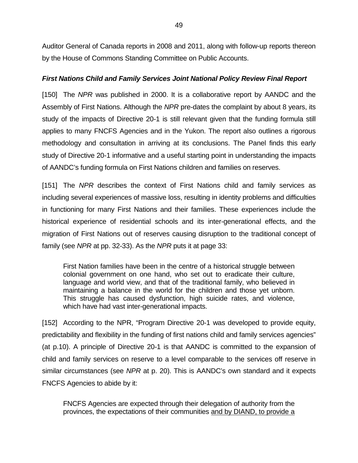Auditor General of Canada reports in 2008 and 2011, along with follow-up reports thereon by the House of Commons Standing Committee on Public Accounts.

## *First Nations Child and Family Services Joint National Policy Review Final Report*

[150] The *NPR* was published in 2000. It is a collaborative report by AANDC and the Assembly of First Nations. Although the *NPR* pre-dates the complaint by about 8 years, its study of the impacts of Directive 20-1 is still relevant given that the funding formula still applies to many FNCFS Agencies and in the Yukon. The report also outlines a rigorous methodology and consultation in arriving at its conclusions. The Panel finds this early study of Directive 20-1 informative and a useful starting point in understanding the impacts of AANDC's funding formula on First Nations children and families on reserves.

[151] The *NPR* describes the context of First Nations child and family services as including several experiences of massive loss, resulting in identity problems and difficulties in functioning for many First Nations and their families. These experiences include the historical experience of residential schools and its inter-generational effects, and the migration of First Nations out of reserves causing disruption to the traditional concept of family (see *NPR* at pp. 32-33). As the *NPR* puts it at page 33:

First Nation families have been in the centre of a historical struggle between colonial government on one hand, who set out to eradicate their culture, language and world view, and that of the traditional family, who believed in maintaining a balance in the world for the children and those yet unborn. This struggle has caused dysfunction, high suicide rates, and violence, which have had vast inter-generational impacts.

[152] According to the NPR, "Program Directive 20-1 was developed to provide equity, predictability and flexibility in the funding of first nations child and family services agencies" (at p.10). A principle of Directive 20-1 is that AANDC is committed to the expansion of child and family services on reserve to a level comparable to the services off reserve in similar circumstances (see *NPR* at p. 20). This is AANDC's own standard and it expects FNCFS Agencies to abide by it:

FNCFS Agencies are expected through their delegation of authority from the provinces, the expectations of their communities and by DIAND, to provide a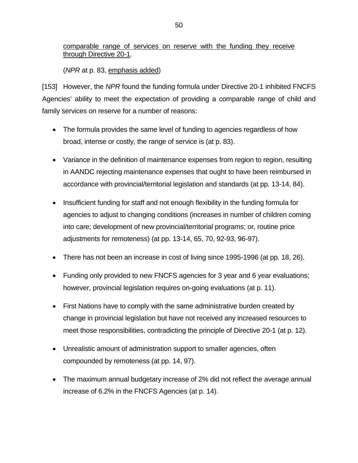## comparable range of services on reserve with the funding they receive through Directive 20-1.

### (*NPR* at p. 83, emphasis added)

[153] However, the *NPR* found the funding formula under Directive 20-1 inhibited FNCFS Agencies' ability to meet the expectation of providing a comparable range of child and family services on reserve for a number of reasons:

- The formula provides the same level of funding to agencies regardless of how broad, intense or costly, the range of service is (at p. 83).
- Variance in the definition of maintenance expenses from region to region, resulting in AANDC rejecting maintenance expenses that ought to have been reimbursed in accordance with provincial/territorial legislation and standards (at pp. 13-14, 84).
- Insufficient funding for staff and not enough flexibility in the funding formula for agencies to adjust to changing conditions (increases in number of children coming into care; development of new provincial/territorial programs; or, routine price adjustments for remoteness) (at pp. 13-14, 65, 70, 92-93, 96-97).
- There has not been an increase in cost of living since 1995-1996 (at pp. 18, 26).
- Funding only provided to new FNCFS agencies for 3 year and 6 year evaluations; however, provincial legislation requires on-going evaluations (at p. 11).
- First Nations have to comply with the same administrative burden created by change in provincial legislation but have not received any increased resources to meet those responsibilities, contradicting the principle of Directive 20-1 (at p. 12).
- Unrealistic amount of administration support to smaller agencies, often compounded by remoteness (at pp. 14, 97).
- The maximum annual budgetary increase of 2% did not reflect the average annual increase of 6.2% in the FNCFS Agencies (at p. 14).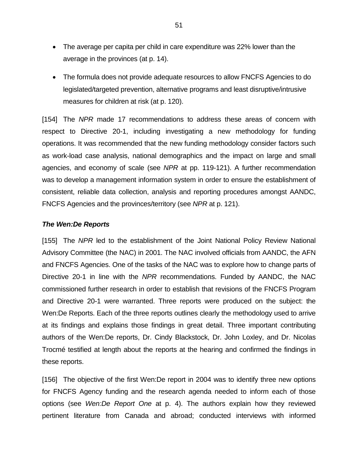- The average per capita per child in care expenditure was 22% lower than the average in the provinces (at p. 14).
- The formula does not provide adequate resources to allow FNCFS Agencies to do legislated/targeted prevention, alternative programs and least disruptive/intrusive measures for children at risk (at p. 120).

[154] The *NPR* made 17 recommendations to address these areas of concern with respect to Directive 20-1, including investigating a new methodology for funding operations. It was recommended that the new funding methodology consider factors such as work-load case analysis, national demographics and the impact on large and small agencies, and economy of scale (see *NPR* at pp. 119-121). A further recommendation was to develop a management information system in order to ensure the establishment of consistent, reliable data collection, analysis and reporting procedures amongst AANDC, FNCFS Agencies and the provinces/territory (see *NPR* at p. 121).

#### *The Wen:De Reports*

[155] The *NPR* led to the establishment of the Joint National Policy Review National Advisory Committee (the NAC) in 2001. The NAC involved officials from AANDC, the AFN and FNCFS Agencies. One of the tasks of the NAC was to explore how to change parts of Directive 20-1 in line with the *NPR* recommendations. Funded by AANDC, the NAC commissioned further research in order to establish that revisions of the FNCFS Program and Directive 20-1 were warranted. Three reports were produced on the subject: the Wen:De Reports. Each of the three reports outlines clearly the methodology used to arrive at its findings and explains those findings in great detail. Three important contributing authors of the Wen:De reports, Dr. Cindy Blackstock, Dr. John Loxley, and Dr. Nicolas Trocmé testified at length about the reports at the hearing and confirmed the findings in these reports.

[156] The objective of the first Wen:De report in 2004 was to identify three new options for FNCFS Agency funding and the research agenda needed to inform each of those options (see *Wen:De Report One* at p. 4). The authors explain how they reviewed pertinent literature from Canada and abroad; conducted interviews with informed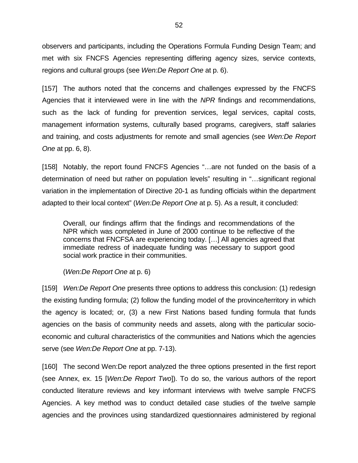observers and participants, including the Operations Formula Funding Design Team; and met with six FNCFS Agencies representing differing agency sizes, service contexts, regions and cultural groups (see *Wen:De Report One* at p. 6).

[157] The authors noted that the concerns and challenges expressed by the FNCFS Agencies that it interviewed were in line with the *NPR* findings and recommendations, such as the lack of funding for prevention services, legal services, capital costs, management information systems, culturally based programs, caregivers, staff salaries and training, and costs adjustments for remote and small agencies (see *Wen:De Report One* at pp. 6, 8).

[158] Notably, the report found FNCFS Agencies "...are not funded on the basis of a determination of need but rather on population levels" resulting in "…significant regional variation in the implementation of Directive 20-1 as funding officials within the department adapted to their local context" (*Wen:De Report One* at p. 5). As a result, it concluded:

Overall, our findings affirm that the findings and recommendations of the NPR which was completed in June of 2000 continue to be reflective of the concerns that FNCFSA are experiencing today. […] All agencies agreed that immediate redress of inadequate funding was necessary to support good social work practice in their communities.

(*Wen:De Report One* at p. 6)

[159] *Wen:De Report One* presents three options to address this conclusion: (1) redesign the existing funding formula; (2) follow the funding model of the province/territory in which the agency is located; or, (3) a new First Nations based funding formula that funds agencies on the basis of community needs and assets, along with the particular socioeconomic and cultural characteristics of the communities and Nations which the agencies serve (see *Wen:De Report One* at pp. 7-13).

[160] The second Wen:De report analyzed the three options presented in the first report (see Annex, ex. 15 [*Wen:De Report Two*]). To do so, the various authors of the report conducted literature reviews and key informant interviews with twelve sample FNCFS Agencies. A key method was to conduct detailed case studies of the twelve sample agencies and the provinces using standardized questionnaires administered by regional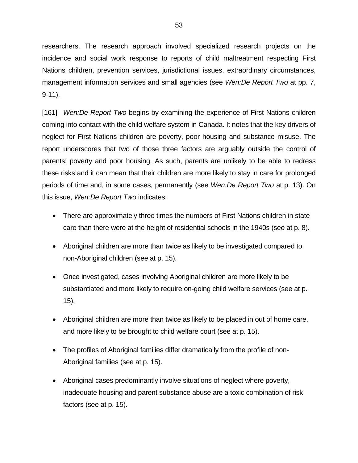researchers. The research approach involved specialized research projects on the incidence and social work response to reports of child maltreatment respecting First Nations children, prevention services, jurisdictional issues, extraordinary circumstances, management information services and small agencies (see *Wen:De Report Two* at pp. 7, 9-11).

[161] *Wen:De Report Two* begins by examining the experience of First Nations children coming into contact with the child welfare system in Canada. It notes that the key drivers of neglect for First Nations children are poverty, poor housing and substance misuse. The report underscores that two of those three factors are arguably outside the control of parents: poverty and poor housing. As such, parents are unlikely to be able to redress these risks and it can mean that their children are more likely to stay in care for prolonged periods of time and, in some cases, permanently (see *Wen:De Report Two* at p. 13). On this issue, *Wen:De Report Two* indicates:

- There are approximately three times the numbers of First Nations children in state care than there were at the height of residential schools in the 1940s (see at p. 8).
- Aboriginal children are more than twice as likely to be investigated compared to non-Aboriginal children (see at p. 15).
- Once investigated, cases involving Aboriginal children are more likely to be substantiated and more likely to require on-going child welfare services (see at p. 15).
- Aboriginal children are more than twice as likely to be placed in out of home care, and more likely to be brought to child welfare court (see at p. 15).
- The profiles of Aboriginal families differ dramatically from the profile of non-Aboriginal families (see at p. 15).
- Aboriginal cases predominantly involve situations of neglect where poverty, inadequate housing and parent substance abuse are a toxic combination of risk factors (see at p. 15).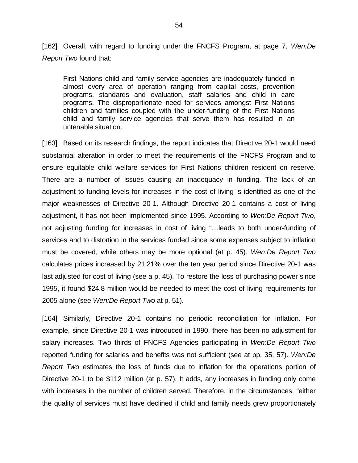[162] Overall, with regard to funding under the FNCFS Program, at page 7, *Wen:De Report Two* found that:

First Nations child and family service agencies are inadequately funded in almost every area of operation ranging from capital costs, prevention programs, standards and evaluation, staff salaries and child in care programs. The disproportionate need for services amongst First Nations children and families coupled with the under-funding of the First Nations child and family service agencies that serve them has resulted in an untenable situation.

[163] Based on its research findings, the report indicates that Directive 20-1 would need substantial alteration in order to meet the requirements of the FNCFS Program and to ensure equitable child welfare services for First Nations children resident on reserve. There are a number of issues causing an inadequacy in funding. The lack of an adjustment to funding levels for increases in the cost of living is identified as one of the major weaknesses of Directive 20-1. Although Directive 20-1 contains a cost of living adjustment, it has not been implemented since 1995. According to *Wen:De Report Two*, not adjusting funding for increases in cost of living "…leads to both under-funding of services and to distortion in the services funded since some expenses subject to inflation must be covered, while others may be more optional (at p. 45). *Wen:De Report Two* calculates prices increased by 21.21% over the ten year period since Directive 20-1 was last adjusted for cost of living (see a p. 45). To restore the loss of purchasing power since 1995, it found \$24.8 million would be needed to meet the cost of living requirements for 2005 alone (see *Wen:De Report Two* at p. 51).

[164] Similarly, Directive 20-1 contains no periodic reconciliation for inflation. For example, since Directive 20-1 was introduced in 1990, there has been no adjustment for salary increases. Two thirds of FNCFS Agencies participating in *Wen:De Report Two* reported funding for salaries and benefits was not sufficient (see at pp. 35, 57). *Wen:De Report Two* estimates the loss of funds due to inflation for the operations portion of Directive 20-1 to be \$112 million (at p. 57). It adds, any increases in funding only come with increases in the number of children served. Therefore, in the circumstances, "either the quality of services must have declined if child and family needs grew proportionately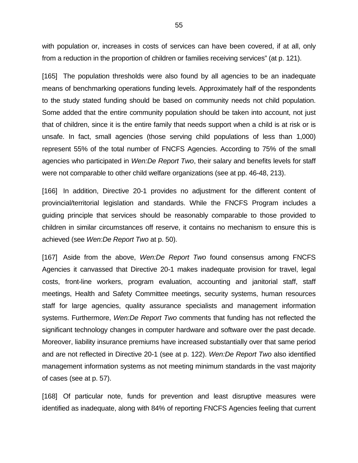with population or, increases in costs of services can have been covered, if at all, only from a reduction in the proportion of children or families receiving services" (at p. 121).

[165] The population thresholds were also found by all agencies to be an inadequate means of benchmarking operations funding levels. Approximately half of the respondents to the study stated funding should be based on community needs not child population. Some added that the entire community population should be taken into account, not just that of children, since it is the entire family that needs support when a child is at risk or is unsafe. In fact, small agencies (those serving child populations of less than 1,000) represent 55% of the total number of FNCFS Agencies. According to 75% of the small agencies who participated in *Wen:De Report Two*, their salary and benefits levels for staff were not comparable to other child welfare organizations (see at pp. 46-48, 213).

[166] In addition, Directive 20-1 provides no adjustment for the different content of provincial/territorial legislation and standards. While the FNCFS Program includes a guiding principle that services should be reasonably comparable to those provided to children in similar circumstances off reserve, it contains no mechanism to ensure this is achieved (see *Wen:De Report Two* at p. 50).

[167] Aside from the above, *Wen:De Report Two* found consensus among FNCFS Agencies it canvassed that Directive 20-1 makes inadequate provision for travel, legal costs, front-line workers, program evaluation, accounting and janitorial staff, staff meetings, Health and Safety Committee meetings, security systems, human resources staff for large agencies, quality assurance specialists and management information systems. Furthermore, *Wen:De Report Two* comments that funding has not reflected the significant technology changes in computer hardware and software over the past decade. Moreover, liability insurance premiums have increased substantially over that same period and are not reflected in Directive 20-1 (see at p. 122). *Wen:De Report Two* also identified management information systems as not meeting minimum standards in the vast majority of cases (see at p. 57).

[168] Of particular note, funds for prevention and least disruptive measures were identified as inadequate, along with 84% of reporting FNCFS Agencies feeling that current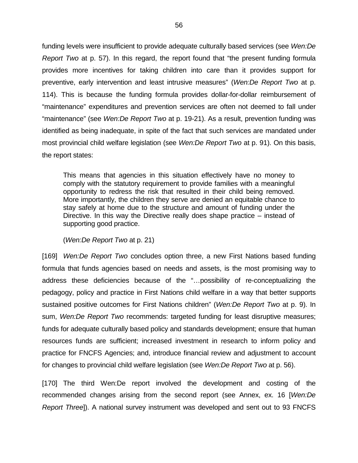funding levels were insufficient to provide adequate culturally based services (see *Wen:De Report Two* at p. 57). In this regard, the report found that "the present funding formula provides more incentives for taking children into care than it provides support for preventive, early intervention and least intrusive measures" (*Wen:De Report Two* at p. 114). This is because the funding formula provides dollar-for-dollar reimbursement of "maintenance" expenditures and prevention services are often not deemed to fall under "maintenance" (see *Wen:De Report Two* at p. 19-21). As a result, prevention funding was identified as being inadequate, in spite of the fact that such services are mandated under most provincial child welfare legislation (see *Wen:De Report Two* at p. 91). On this basis, the report states:

This means that agencies in this situation effectively have no money to comply with the statutory requirement to provide families with a meaningful opportunity to redress the risk that resulted in their child being removed. More importantly, the children they serve are denied an equitable chance to stay safely at home due to the structure and amount of funding under the Directive. In this way the Directive really does shape practice – instead of supporting good practice.

(*Wen:De Report Two* at p. 21)

[169] *Wen:De Report Two* concludes option three, a new First Nations based funding formula that funds agencies based on needs and assets, is the most promising way to address these deficiencies because of the "…possibility of re-conceptualizing the pedagogy, policy and practice in First Nations child welfare in a way that better supports sustained positive outcomes for First Nations children" (*Wen:De Report Two* at p. 9). In sum, *Wen:De Report Two* recommends: targeted funding for least disruptive measures; funds for adequate culturally based policy and standards development; ensure that human resources funds are sufficient; increased investment in research to inform policy and practice for FNCFS Agencies; and, introduce financial review and adjustment to account for changes to provincial child welfare legislation (see *Wen:De Report Two* at p. 56).

[170] The third Wen:De report involved the development and costing of the recommended changes arising from the second report (see Annex, ex. 16 [*Wen:De Report Three*]). A national survey instrument was developed and sent out to 93 FNCFS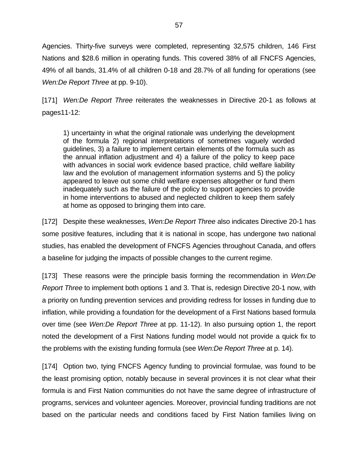Agencies. Thirty-five surveys were completed, representing 32,575 children, 146 First Nations and \$28.6 million in operating funds. This covered 38% of all FNCFS Agencies, 49% of all bands, 31.4% of all children 0-18 and 28.7% of all funding for operations (see *Wen:De Report Three* at pp. 9-10).

[171] *Wen:De Report Three* reiterates the weaknesses in Directive 20-1 as follows at pages11-12:

1) uncertainty in what the original rationale was underlying the development of the formula 2) regional interpretations of sometimes vaguely worded guidelines, 3) a failure to implement certain elements of the formula such as the annual inflation adjustment and 4) a failure of the policy to keep pace with advances in social work evidence based practice, child welfare liability law and the evolution of management information systems and 5) the policy appeared to leave out some child welfare expenses altogether or fund them inadequately such as the failure of the policy to support agencies to provide in home interventions to abused and neglected children to keep them safely at home as opposed to bringing them into care.

[172] Despite these weaknesses, *Wen:De Report Three* also indicates Directive 20-1 has some positive features, including that it is national in scope, has undergone two national studies, has enabled the development of FNCFS Agencies throughout Canada, and offers a baseline for judging the impacts of possible changes to the current regime.

[173] These reasons were the principle basis forming the recommendation in *Wen:De Report Three* to implement both options 1 and 3. That is, redesign Directive 20-1 now, with a priority on funding prevention services and providing redress for losses in funding due to inflation, while providing a foundation for the development of a First Nations based formula over time (see *Wen:De Report Three* at pp. 11-12). In also pursuing option 1, the report noted the development of a First Nations funding model would not provide a quick fix to the problems with the existing funding formula (see *Wen:De Report Three* at p. 14).

[174] Option two, tying FNCFS Agency funding to provincial formulae, was found to be the least promising option, notably because in several provinces it is not clear what their formula is and First Nation communities do not have the same degree of infrastructure of programs, services and volunteer agencies. Moreover, provincial funding traditions are not based on the particular needs and conditions faced by First Nation families living on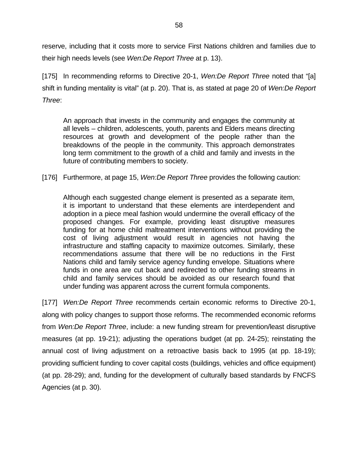reserve, including that it costs more to service First Nations children and families due to their high needs levels (see *Wen:De Report Three* at p. 13).

[175] In recommending reforms to Directive 20-1, *Wen:De Report Three* noted that "[a] shift in funding mentality is vital" (at p. 20). That is, as stated at page 20 of *Wen:De Report Three*:

An approach that invests in the community and engages the community at all levels – children, adolescents, youth, parents and Elders means directing resources at growth and development of the people rather than the breakdowns of the people in the community. This approach demonstrates long term commitment to the growth of a child and family and invests in the future of contributing members to society.

[176] Furthermore, at page 15, *Wen:De Report Three* provides the following caution:

Although each suggested change element is presented as a separate item, it is important to understand that these elements are interdependent and adoption in a piece meal fashion would undermine the overall efficacy of the proposed changes. For example, providing least disruptive measures funding for at home child maltreatment interventions without providing the cost of living adjustment would result in agencies not having the infrastructure and staffing capacity to maximize outcomes. Similarly, these recommendations assume that there will be no reductions in the First Nations child and family service agency funding envelope. Situations where funds in one area are cut back and redirected to other funding streams in child and family services should be avoided as our research found that under funding was apparent across the current formula components.

[177] *Wen:De Report Three* recommends certain economic reforms to Directive 20-1, along with policy changes to support those reforms. The recommended economic reforms from *Wen:De Report Three*, include: a new funding stream for prevention/least disruptive measures (at pp. 19-21); adjusting the operations budget (at pp. 24-25); reinstating the annual cost of living adjustment on a retroactive basis back to 1995 (at pp. 18-19); providing sufficient funding to cover capital costs (buildings, vehicles and office equipment) (at pp. 28-29); and, funding for the development of culturally based standards by FNCFS Agencies (at p. 30).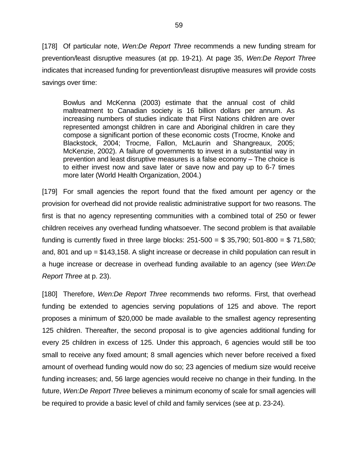[178] Of particular note, *Wen:De Report Three* recommends a new funding stream for prevention/least disruptive measures (at pp. 19-21). At page 35, *Wen:De Report Three* indicates that increased funding for prevention/least disruptive measures will provide costs savings over time:

Bowlus and McKenna (2003) estimate that the annual cost of child maltreatment to Canadian society is 16 billion dollars per annum. As increasing numbers of studies indicate that First Nations children are over represented amongst children in care and Aboriginal children in care they compose a significant portion of these economic costs (Trocme, Knoke and Blackstock, 2004; Trocme, Fallon, McLaurin and Shangreaux, 2005; McKenzie, 2002). A failure of governments to invest in a substantial way in prevention and least disruptive measures is a false economy – The choice is to either invest now and save later or save now and pay up to 6-7 times more later (World Health Organization, 2004.)

[179] For small agencies the report found that the fixed amount per agency or the provision for overhead did not provide realistic administrative support for two reasons. The first is that no agency representing communities with a combined total of 250 or fewer children receives any overhead funding whatsoever. The second problem is that available funding is currently fixed in three large blocks:  $251-500 = $35,790$ ;  $501-800 = $71,580$ ; and, 801 and up = \$143,158. A slight increase or decrease in child population can result in a huge increase or decrease in overhead funding available to an agency (see *Wen:De Report Three* at p. 23).

[180] Therefore, *Wen:De Report Three* recommends two reforms. First, that overhead funding be extended to agencies serving populations of 125 and above. The report proposes a minimum of \$20,000 be made available to the smallest agency representing 125 children. Thereafter, the second proposal is to give agencies additional funding for every 25 children in excess of 125. Under this approach, 6 agencies would still be too small to receive any fixed amount; 8 small agencies which never before received a fixed amount of overhead funding would now do so; 23 agencies of medium size would receive funding increases; and, 56 large agencies would receive no change in their funding. In the future, *Wen:De Report Three* believes a minimum economy of scale for small agencies will be required to provide a basic level of child and family services (see at p. 23-24).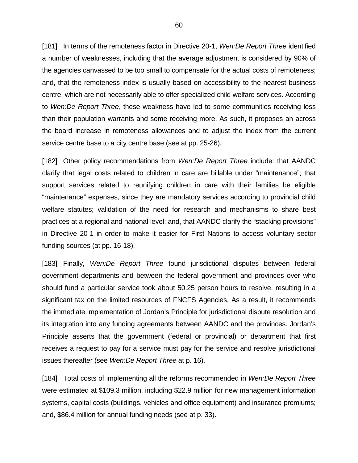[181] In terms of the remoteness factor in Directive 20-1, *Wen:De Report Three* identified a number of weaknesses, including that the average adjustment is considered by 90% of the agencies canvassed to be too small to compensate for the actual costs of remoteness; and, that the remoteness index is usually based on accessibility to the nearest business centre, which are not necessarily able to offer specialized child welfare services. According to *Wen:De Report Three*, these weakness have led to some communities receiving less than their population warrants and some receiving more. As such, it proposes an across the board increase in remoteness allowances and to adjust the index from the current service centre base to a city centre base (see at pp. 25-26).

[182] Other policy recommendations from *Wen:De Report Three* include: that AANDC clarify that legal costs related to children in care are billable under "maintenance"; that support services related to reunifying children in care with their families be eligible "maintenance" expenses, since they are mandatory services according to provincial child welfare statutes; validation of the need for research and mechanisms to share best practices at a regional and national level; and, that AANDC clarify the "stacking provisions" in Directive 20-1 in order to make it easier for First Nations to access voluntary sector funding sources (at pp. 16-18).

[183] Finally, *Wen:De Report Three* found jurisdictional disputes between federal government departments and between the federal government and provinces over who should fund a particular service took about 50.25 person hours to resolve, resulting in a significant tax on the limited resources of FNCFS Agencies. As a result, it recommends the immediate implementation of Jordan's Principle for jurisdictional dispute resolution and its integration into any funding agreements between AANDC and the provinces. Jordan's Principle asserts that the government (federal or provincial) or department that first receives a request to pay for a service must pay for the service and resolve jurisdictional issues thereafter (see *Wen:De Report Three* at p. 16).

[184] Total costs of implementing all the reforms recommended in *Wen:De Report Three* were estimated at \$109.3 million, including \$22.9 million for new management information systems, capital costs (buildings, vehicles and office equipment) and insurance premiums; and, \$86.4 million for annual funding needs (see at p. 33).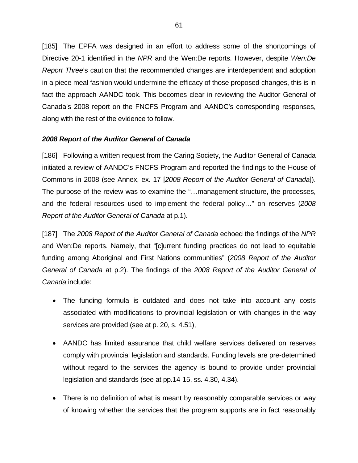[185] The EPFA was designed in an effort to address some of the shortcomings of Directive 20-1 identified in the *NPR* and the Wen:De reports. However, despite *Wen:De Report Three*'s caution that the recommended changes are interdependent and adoption in a piece meal fashion would undermine the efficacy of those proposed changes, this is in fact the approach AANDC took. This becomes clear in reviewing the Auditor General of Canada's 2008 report on the FNCFS Program and AANDC's corresponding responses, along with the rest of the evidence to follow.

## *2008 Report of the Auditor General of Canada*

[186] Following a written request from the Caring Society, the Auditor General of Canada initiated a review of AANDC's FNCFS Program and reported the findings to the House of Commons in 2008 (see Annex, ex. 17 [*2008 Report of the Auditor General of Canada*]). The purpose of the review was to examine the "…management structure, the processes, and the federal resources used to implement the federal policy…" on reserves (*2008 Report of the Auditor General of Canada* at p.1).

[187] The *2008 Report of the Auditor General of Canada* echoed the findings of the *NPR* and Wen:De reports. Namely, that "[c]urrent funding practices do not lead to equitable funding among Aboriginal and First Nations communities" (*2008 Report of the Auditor General of Canada* at p.2). The findings of the *2008 Report of the Auditor General of Canada* include:

- The funding formula is outdated and does not take into account any costs associated with modifications to provincial legislation or with changes in the way services are provided (see at p. 20, s. 4.51),
- AANDC has limited assurance that child welfare services delivered on reserves comply with provincial legislation and standards. Funding levels are pre-determined without regard to the services the agency is bound to provide under provincial legislation and standards (see at pp.14-15, ss. 4.30, 4.34).
- There is no definition of what is meant by reasonably comparable services or way of knowing whether the services that the program supports are in fact reasonably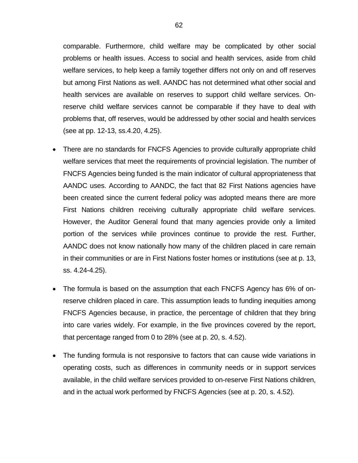comparable. Furthermore, child welfare may be complicated by other social problems or health issues. Access to social and health services, aside from child welfare services, to help keep a family together differs not only on and off reserves but among First Nations as well. AANDC has not determined what other social and health services are available on reserves to support child welfare services. Onreserve child welfare services cannot be comparable if they have to deal with problems that, off reserves, would be addressed by other social and health services (see at pp. 12-13, ss.4.20, 4.25).

- There are no standards for FNCFS Agencies to provide culturally appropriate child welfare services that meet the requirements of provincial legislation. The number of FNCFS Agencies being funded is the main indicator of cultural appropriateness that AANDC uses. According to AANDC, the fact that 82 First Nations agencies have been created since the current federal policy was adopted means there are more First Nations children receiving culturally appropriate child welfare services. However, the Auditor General found that many agencies provide only a limited portion of the services while provinces continue to provide the rest. Further, AANDC does not know nationally how many of the children placed in care remain in their communities or are in First Nations foster homes or institutions (see at p. 13, ss. 4.24-4.25).
- The formula is based on the assumption that each FNCFS Agency has 6% of onreserve children placed in care. This assumption leads to funding inequities among FNCFS Agencies because, in practice, the percentage of children that they bring into care varies widely. For example, in the five provinces covered by the report, that percentage ranged from 0 to 28% (see at p. 20, s. 4.52).
- The funding formula is not responsive to factors that can cause wide variations in operating costs, such as differences in community needs or in support services available, in the child welfare services provided to on-reserve First Nations children, and in the actual work performed by FNCFS Agencies (see at p. 20, s. 4.52).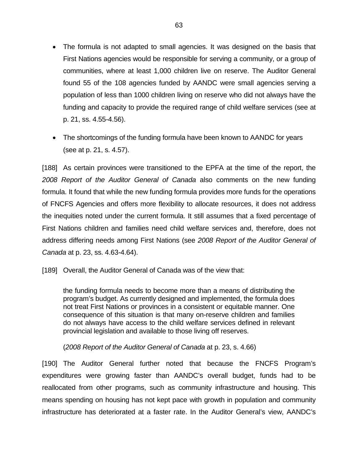- The formula is not adapted to small agencies. It was designed on the basis that First Nations agencies would be responsible for serving a community, or a group of communities, where at least 1,000 children live on reserve. The Auditor General found 55 of the 108 agencies funded by AANDC were small agencies serving a population of less than 1000 children living on reserve who did not always have the funding and capacity to provide the required range of child welfare services (see at p. 21, ss. 4.55-4.56).
- The shortcomings of the funding formula have been known to AANDC for years (see at p. 21, s. 4.57).

[188] As certain provinces were transitioned to the EPFA at the time of the report, the *2008 Report of the Auditor General of Canada* also comments on the new funding formula. It found that while the new funding formula provides more funds for the operations of FNCFS Agencies and offers more flexibility to allocate resources, it does not address the inequities noted under the current formula. It still assumes that a fixed percentage of First Nations children and families need child welfare services and, therefore, does not address differing needs among First Nations (see *2008 Report of the Auditor General of Canada* at p. 23, ss. 4.63-4.64).

[189] Overall, the Auditor General of Canada was of the view that:

the funding formula needs to become more than a means of distributing the program's budget. As currently designed and implemented, the formula does not treat First Nations or provinces in a consistent or equitable manner. One consequence of this situation is that many on-reserve children and families do not always have access to the child welfare services defined in relevant provincial legislation and available to those living off reserves.

(*2008 Report of the Auditor General of Canada* at p. 23, s. 4.66)

[190] The Auditor General further noted that because the FNCFS Program's expenditures were growing faster than AANDC's overall budget, funds had to be reallocated from other programs, such as community infrastructure and housing. This means spending on housing has not kept pace with growth in population and community infrastructure has deteriorated at a faster rate. In the Auditor General's view, AANDC's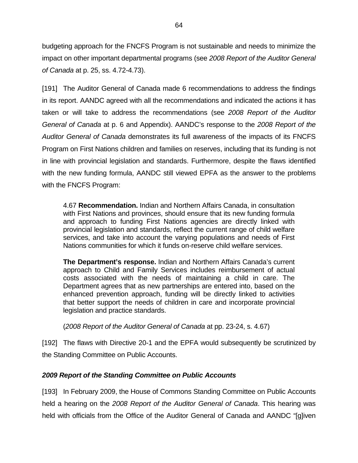budgeting approach for the FNCFS Program is not sustainable and needs to minimize the impact on other important departmental programs (see *2008 Report of the Auditor General of Canada* at p. 25, ss. 4.72-4.73).

[191] The Auditor General of Canada made 6 recommendations to address the findings in its report. AANDC agreed with all the recommendations and indicated the actions it has taken or will take to address the recommendations (see *2008 Report of the Auditor General of Canada* at p. 6 and Appendix). AANDC's response to the *2008 Report of the Auditor General of Canada* demonstrates its full awareness of the impacts of its FNCFS Program on First Nations children and families on reserves, including that its funding is not in line with provincial legislation and standards. Furthermore, despite the flaws identified with the new funding formula, AANDC still viewed EPFA as the answer to the problems with the FNCFS Program:

4.67 **Recommendation.** Indian and Northern Affairs Canada, in consultation with First Nations and provinces, should ensure that its new funding formula and approach to funding First Nations agencies are directly linked with provincial legislation and standards, reflect the current range of child welfare services, and take into account the varying populations and needs of First Nations communities for which it funds on-reserve child welfare services.

**The Department's response.** Indian and Northern Affairs Canada's current approach to Child and Family Services includes reimbursement of actual costs associated with the needs of maintaining a child in care. The Department agrees that as new partnerships are entered into, based on the enhanced prevention approach, funding will be directly linked to activities that better support the needs of children in care and incorporate provincial legislation and practice standards.

(*2008 Report of the Auditor General of Canada* at pp. 23-24, s. 4.67)

[192] The flaws with Directive 20-1 and the EPFA would subsequently be scrutinized by the Standing Committee on Public Accounts.

# *2009 Report of the Standing Committee on Public Accounts*

[193] In February 2009, the House of Commons Standing Committee on Public Accounts held a hearing on the *2008 Report of the Auditor General of Canada*. This hearing was held with officials from the Office of the Auditor General of Canada and AANDC "[g]iven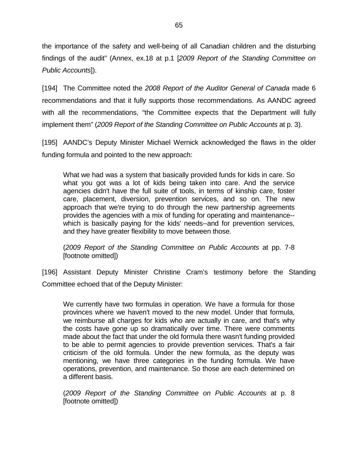the importance of the safety and well-being of all Canadian children and the disturbing findings of the audit" (Annex, ex.18 at p.1 [*2009 Report of the Standing Committee on Public Accounts*]).

[194] The Committee noted the *2008 Report of the Auditor General of Canada* made 6 recommendations and that it fully supports those recommendations. As AANDC agreed with all the recommendations, "the Committee expects that the Department will fully implement them" (*2009 Report of the Standing Committee on Public Accounts* at p. 3).

[195] AANDC's Deputy Minister Michael Wernick acknowledged the flaws in the older funding formula and pointed to the new approach:

What we had was a system that basically provided funds for kids in care. So what you got was a lot of kids being taken into care. And the service agencies didn't have the full suite of tools, in terms of kinship care, foster care, placement, diversion, prevention services, and so on. The new approach that we're trying to do through the new partnership agreements provides the agencies with a mix of funding for operating and maintenance- which is basically paying for the kids' needs--and for prevention services, and they have greater flexibility to move between those.

(*2009 Report of the Standing Committee on Public Accounts* at pp. 7-8 [footnote omitted])

[196] Assistant Deputy Minister Christine Cram's testimony before the Standing Committee echoed that of the Deputy Minister:

We currently have two formulas in operation. We have a formula for those provinces where we haven't moved to the new model. Under that formula, we reimburse all charges for kids who are actually in care, and that's why the costs have gone up so dramatically over time. There were comments made about the fact that under the old formula there wasn't funding provided to be able to permit agencies to provide prevention services. That's a fair criticism of the old formula. Under the new formula, as the deputy was mentioning, we have three categories in the funding formula. We have operations, prevention, and maintenance. So those are each determined on a different basis.

(*2009 Report of the Standing Committee on Public Accounts* at p. 8 [footnote omitted])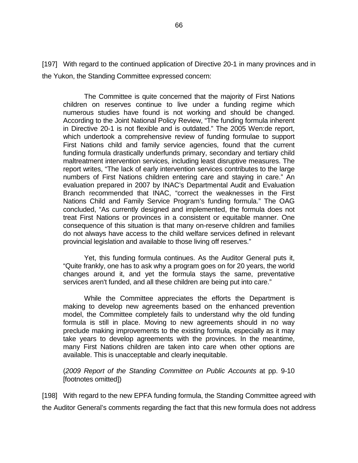[197] With regard to the continued application of Directive 20-1 in many provinces and in the Yukon, the Standing Committee expressed concern:

The Committee is quite concerned that the majority of First Nations children on reserves continue to live under a funding regime which numerous studies have found is not working and should be changed. According to the Joint National Policy Review, "The funding formula inherent in Directive 20-1 is not flexible and is outdated." The 2005 Wen:de report, which undertook a comprehensive review of funding formulae to support First Nations child and family service agencies, found that the current funding formula drastically underfunds primary, secondary and tertiary child maltreatment intervention services, including least disruptive measures. The report writes, "The lack of early intervention services contributes to the large numbers of First Nations children entering care and staying in care." An evaluation prepared in 2007 by INAC's Departmental Audit and Evaluation Branch recommended that INAC, "correct the weaknesses in the First Nations Child and Family Service Program's funding formula." The OAG concluded, "As currently designed and implemented, the formula does not treat First Nations or provinces in a consistent or equitable manner. One consequence of this situation is that many on-reserve children and families do not always have access to the child welfare services defined in relevant provincial legislation and available to those living off reserves."

Yet, this funding formula continues. As the Auditor General puts it, "Quite frankly, one has to ask why a program goes on for 20 years, the world changes around it, and yet the formula stays the same, preventative services aren't funded, and all these children are being put into care."

While the Committee appreciates the efforts the Department is making to develop new agreements based on the enhanced prevention model, the Committee completely fails to understand why the old funding formula is still in place. Moving to new agreements should in no way preclude making improvements to the existing formula, especially as it may take years to develop agreements with the provinces. In the meantime, many First Nations children are taken into care when other options are available. This is unacceptable and clearly inequitable.

(*2009 Report of the Standing Committee on Public Accounts* at pp. 9-10 [footnotes omitted])

[198] With regard to the new EPFA funding formula, the Standing Committee agreed with the Auditor General's comments regarding the fact that this new formula does not address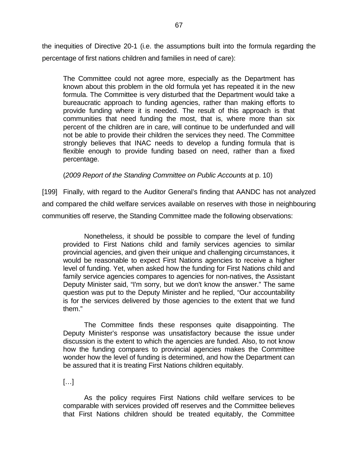the inequities of Directive 20-1 (i.e. the assumptions built into the formula regarding the percentage of first nations children and families in need of care):

The Committee could not agree more, especially as the Department has known about this problem in the old formula yet has repeated it in the new formula. The Committee is very disturbed that the Department would take a bureaucratic approach to funding agencies, rather than making efforts to provide funding where it is needed. The result of this approach is that communities that need funding the most, that is, where more than six percent of the children are in care, will continue to be underfunded and will not be able to provide their children the services they need. The Committee strongly believes that INAC needs to develop a funding formula that is flexible enough to provide funding based on need, rather than a fixed percentage.

(*2009 Report of the Standing Committee on Public Accounts* at p. 10)

[199] Finally, with regard to the Auditor General's finding that AANDC has not analyzed and compared the child welfare services available on reserves with those in neighbouring communities off reserve, the Standing Committee made the following observations:

Nonetheless, it should be possible to compare the level of funding provided to First Nations child and family services agencies to similar provincial agencies, and given their unique and challenging circumstances, it would be reasonable to expect First Nations agencies to receive a higher level of funding. Yet, when asked how the funding for First Nations child and family service agencies compares to agencies for non-natives, the Assistant Deputy Minister said, "I'm sorry, but we don't know the answer." The same question was put to the Deputy Minister and he replied, "Our accountability is for the services delivered by those agencies to the extent that we fund them."

The Committee finds these responses quite disappointing. The Deputy Minister's response was unsatisfactory because the issue under discussion is the extent to which the agencies are funded. Also, to not know how the funding compares to provincial agencies makes the Committee wonder how the level of funding is determined, and how the Department can be assured that it is treating First Nations children equitably.

[…]

As the policy requires First Nations child welfare services to be comparable with services provided off reserves and the Committee believes that First Nations children should be treated equitably, the Committee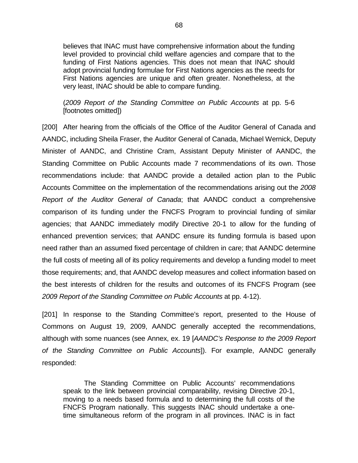believes that INAC must have comprehensive information about the funding level provided to provincial child welfare agencies and compare that to the funding of First Nations agencies. This does not mean that INAC should adopt provincial funding formulae for First Nations agencies as the needs for First Nations agencies are unique and often greater. Nonetheless, at the very least, INAC should be able to compare funding.

(*2009 Report of the Standing Committee on Public Accounts* at pp. 5-6 [footnotes omitted])

[200] After hearing from the officials of the Office of the Auditor General of Canada and AANDC, including Sheila Fraser, the Auditor General of Canada, Michael Wernick, Deputy Minister of AANDC, and Christine Cram, Assistant Deputy Minister of AANDC, the Standing Committee on Public Accounts made 7 recommendations of its own. Those recommendations include: that AANDC provide a detailed action plan to the Public Accounts Committee on the implementation of the recommendations arising out the *2008 Report of the Auditor General of Canada*; that AANDC conduct a comprehensive comparison of its funding under the FNCFS Program to provincial funding of similar agencies; that AANDC immediately modify Directive 20-1 to allow for the funding of enhanced prevention services; that AANDC ensure its funding formula is based upon need rather than an assumed fixed percentage of children in care; that AANDC determine the full costs of meeting all of its policy requirements and develop a funding model to meet those requirements; and, that AANDC develop measures and collect information based on the best interests of children for the results and outcomes of its FNCFS Program (see *2009 Report of the Standing Committee on Public Accounts* at pp. 4-12).

[201] In response to the Standing Committee's report, presented to the House of Commons on August 19, 2009, AANDC generally accepted the recommendations, although with some nuances (see Annex, ex. 19 [*AANDC's Response to the 2009 Report of the Standing Committee on Public Accounts*]). For example, AANDC generally responded:

The Standing Committee on Public Accounts' recommendations speak to the link between provincial comparability, revising Directive 20-1, moving to a needs based formula and to determining the full costs of the FNCFS Program nationally. This suggests INAC should undertake a onetime simultaneous reform of the program in all provinces. INAC is in fact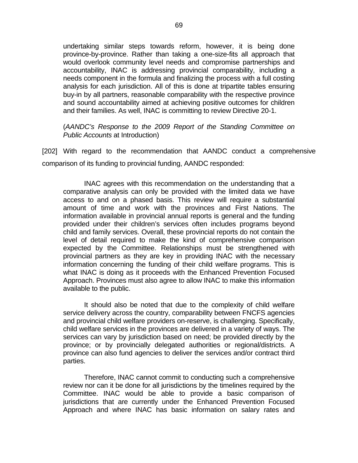undertaking similar steps towards reform, however, it is being done province-by-province. Rather than taking a one-size-fits all approach that would overlook community level needs and compromise partnerships and accountability, INAC is addressing provincial comparability, including a needs component in the formula and finalizing the process with a full costing analysis for each jurisdiction. All of this is done at tripartite tables ensuring buy-in by all partners, reasonable comparability with the respective province and sound accountability aimed at achieving positive outcomes for children and their families. As well, INAC is committing to review Directive 20-1.

(*AANDC's Response to the 2009 Report of the Standing Committee on Public Accounts* at Introduction)

[202] With regard to the recommendation that AANDC conduct a comprehensive comparison of its funding to provincial funding, AANDC responded:

INAC agrees with this recommendation on the understanding that a comparative analysis can only be provided with the limited data we have access to and on a phased basis. This review will require a substantial amount of time and work with the provinces and First Nations. The information available in provincial annual reports is general and the funding provided under their children's services often includes programs beyond child and family services. Overall, these provincial reports do not contain the level of detail required to make the kind of comprehensive comparison expected by the Committee. Relationships must be strengthened with provincial partners as they are key in providing INAC with the necessary information concerning the funding of their child welfare programs. This is what INAC is doing as it proceeds with the Enhanced Prevention Focused Approach. Provinces must also agree to allow INAC to make this information available to the public.

It should also be noted that due to the complexity of child welfare service delivery across the country, comparability between FNCFS agencies and provincial child welfare providers on-reserve, is challenging. Specifically, child welfare services in the provinces are delivered in a variety of ways. The services can vary by jurisdiction based on need; be provided directly by the province; or by provincially delegated authorities or regional/districts. A province can also fund agencies to deliver the services and/or contract third parties.

Therefore, INAC cannot commit to conducting such a comprehensive review nor can it be done for all jurisdictions by the timelines required by the Committee. INAC would be able to provide a basic comparison of jurisdictions that are currently under the Enhanced Prevention Focused Approach and where INAC has basic information on salary rates and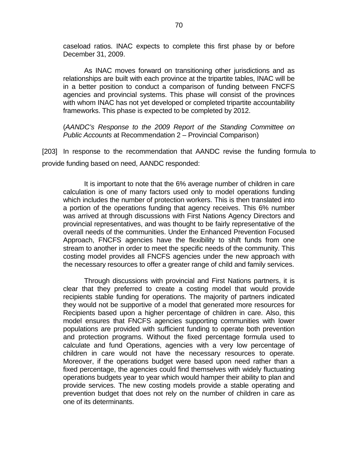caseload ratios. INAC expects to complete this first phase by or before December 31, 2009.

As INAC moves forward on transitioning other jurisdictions and as relationships are built with each province at the tripartite tables, INAC will be in a better position to conduct a comparison of funding between FNCFS agencies and provincial systems. This phase will consist of the provinces with whom INAC has not yet developed or completed tripartite accountability frameworks. This phase is expected to be completed by 2012.

(*AANDC's Response to the 2009 Report of the Standing Committee on Public Accounts* at Recommendation 2 – Provincial Comparison)

[203] In response to the recommendation that AANDC revise the funding formula to provide funding based on need, AANDC responded:

It is important to note that the 6% average number of children in care calculation is one of many factors used only to model operations funding which includes the number of protection workers. This is then translated into a portion of the operations funding that agency receives. This 6% number was arrived at through discussions with First Nations Agency Directors and provincial representatives, and was thought to be fairly representative of the overall needs of the communities. Under the Enhanced Prevention Focused Approach, FNCFS agencies have the flexibility to shift funds from one stream to another in order to meet the specific needs of the community. This costing model provides all FNCFS agencies under the new approach with the necessary resources to offer a greater range of child and family services.

Through discussions with provincial and First Nations partners, it is clear that they preferred to create a costing model that would provide recipients stable funding for operations. The majority of partners indicated they would not be supportive of a model that generated more resources for Recipients based upon a higher percentage of children in care. Also, this model ensures that FNCFS agencies supporting communities with lower populations are provided with sufficient funding to operate both prevention and protection programs. Without the fixed percentage formula used to calculate and fund Operations, agencies with a very low percentage of children in care would not have the necessary resources to operate. Moreover, if the operations budget were based upon need rather than a fixed percentage, the agencies could find themselves with widely fluctuating operations budgets year to year which would hamper their ability to plan and provide services. The new costing models provide a stable operating and prevention budget that does not rely on the number of children in care as one of its determinants.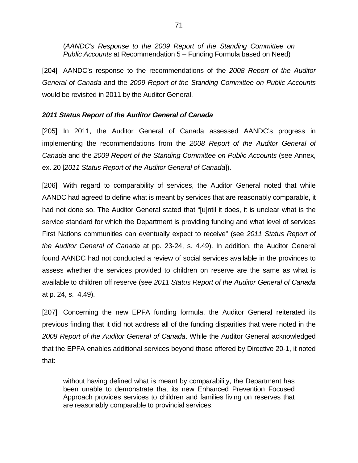(*AANDC's Response to the 2009 Report of the Standing Committee on Public Accounts* at Recommendation 5 – Funding Formula based on Need)

[204] AANDC's response to the recommendations of the *2008 Report of the Auditor General of Canada* and the *2009 Report of the Standing Committee on Public Accounts* would be revisited in 2011 by the Auditor General.

## *2011 Status Report of the Auditor General of Canada*

[205] In 2011, the Auditor General of Canada assessed AANDC's progress in implementing the recommendations from the *2008 Report of the Auditor General of Canada* and the *2009 Report of the Standing Committee on Public Accounts* (see Annex, ex. 20 [*2011 Status Report of the Auditor General of Canada*]).

[206] With regard to comparability of services, the Auditor General noted that while AANDC had agreed to define what is meant by services that are reasonably comparable, it had not done so. The Auditor General stated that "[u]ntil it does, it is unclear what is the service standard for which the Department is providing funding and what level of services First Nations communities can eventually expect to receive" (see *2011 Status Report of the Auditor General of Canada* at pp. 23-24, s. 4.49). In addition, the Auditor General found AANDC had not conducted a review of social services available in the provinces to assess whether the services provided to children on reserve are the same as what is available to children off reserve (see *2011 Status Report of the Auditor General of Canada* at p. 24, s. 4.49).

[207] Concerning the new EPFA funding formula, the Auditor General reiterated its previous finding that it did not address all of the funding disparities that were noted in the *2008 Report of the Auditor General of Canada*. While the Auditor General acknowledged that the EPFA enables additional services beyond those offered by Directive 20-1, it noted that:

without having defined what is meant by comparability, the Department has been unable to demonstrate that its new Enhanced Prevention Focused Approach provides services to children and families living on reserves that are reasonably comparable to provincial services.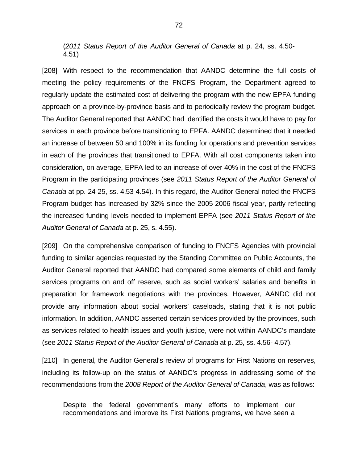(*2011 Status Report of the Auditor General of Canada* at p. 24, ss. 4.50- 4.51)

[208] With respect to the recommendation that AANDC determine the full costs of meeting the policy requirements of the FNCFS Program, the Department agreed to regularly update the estimated cost of delivering the program with the new EPFA funding approach on a province-by-province basis and to periodically review the program budget. The Auditor General reported that AANDC had identified the costs it would have to pay for services in each province before transitioning to EPFA. AANDC determined that it needed an increase of between 50 and 100% in its funding for operations and prevention services in each of the provinces that transitioned to EPFA. With all cost components taken into consideration, on average, EPFA led to an increase of over 40% in the cost of the FNCFS Program in the participating provinces (see *2011 Status Report of the Auditor General of Canada* at pp. 24-25, ss. 4.53-4.54). In this regard, the Auditor General noted the FNCFS Program budget has increased by 32% since the 2005-2006 fiscal year, partly reflecting the increased funding levels needed to implement EPFA (see *2011 Status Report of the Auditor General of Canada* at p. 25, s. 4.55).

[209] On the comprehensive comparison of funding to FNCFS Agencies with provincial funding to similar agencies requested by the Standing Committee on Public Accounts, the Auditor General reported that AANDC had compared some elements of child and family services programs on and off reserve, such as social workers' salaries and benefits in preparation for framework negotiations with the provinces. However, AANDC did not provide any information about social workers' caseloads, stating that it is not public information. In addition, AANDC asserted certain services provided by the provinces, such as services related to health issues and youth justice, were not within AANDC's mandate (see *2011 Status Report of the Auditor General of Canada* at p. 25, ss. 4.56- 4.57).

[210] In general, the Auditor General's review of programs for First Nations on reserves, including its follow-up on the status of AANDC's progress in addressing some of the recommendations from the *2008 Report of the Auditor General of Canada*, was as follows:

Despite the federal government's many efforts to implement our recommendations and improve its First Nations programs, we have seen a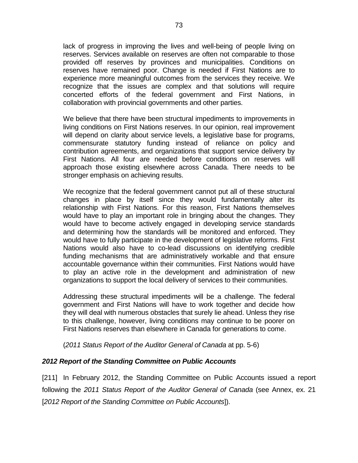lack of progress in improving the lives and well-being of people living on reserves. Services available on reserves are often not comparable to those provided off reserves by provinces and municipalities. Conditions on reserves have remained poor. Change is needed if First Nations are to experience more meaningful outcomes from the services they receive. We recognize that the issues are complex and that solutions will require concerted efforts of the federal government and First Nations, in collaboration with provincial governments and other parties.

We believe that there have been structural impediments to improvements in living conditions on First Nations reserves. In our opinion, real improvement will depend on clarity about service levels, a legislative base for programs, commensurate statutory funding instead of reliance on policy and contribution agreements, and organizations that support service delivery by First Nations. All four are needed before conditions on reserves will approach those existing elsewhere across Canada. There needs to be stronger emphasis on achieving results.

We recognize that the federal government cannot put all of these structural changes in place by itself since they would fundamentally alter its relationship with First Nations. For this reason, First Nations themselves would have to play an important role in bringing about the changes. They would have to become actively engaged in developing service standards and determining how the standards will be monitored and enforced. They would have to fully participate in the development of legislative reforms. First Nations would also have to co-lead discussions on identifying credible funding mechanisms that are administratively workable and that ensure accountable governance within their communities. First Nations would have to play an active role in the development and administration of new organizations to support the local delivery of services to their communities.

Addressing these structural impediments will be a challenge. The federal government and First Nations will have to work together and decide how they will deal with numerous obstacles that surely lie ahead. Unless they rise to this challenge, however, living conditions may continue to be poorer on First Nations reserves than elsewhere in Canada for generations to come.

(*2011 Status Report of the Auditor General of Canada* at pp. 5-6)

#### *2012 Report of the Standing Committee on Public Accounts*

[211] In February 2012, the Standing Committee on Public Accounts issued a report following the *2011 Status Report of the Auditor General of Canada* (see Annex, ex. 21 [*2012 Report of the Standing Committee on Public Accounts*]).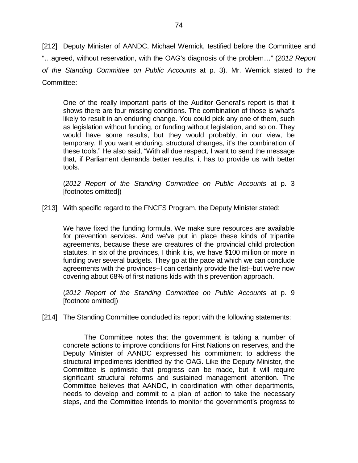[212] Deputy Minister of AANDC, Michael Wernick, testified before the Committee and "…agreed, without reservation, with the OAG's diagnosis of the problem…" (*2012 Report of the Standing Committee on Public Accounts* at p. 3). Mr. Wernick stated to the Committee:

One of the really important parts of the Auditor General's report is that it shows there are four missing conditions. The combination of those is what's likely to result in an enduring change. You could pick any one of them, such as legislation without funding, or funding without legislation, and so on. They would have some results, but they would probably, in our view, be temporary. If you want enduring, structural changes, it's the combination of these tools." He also said, "With all due respect, I want to send the message that, if Parliament demands better results, it has to provide us with better tools.

(*2012 Report of the Standing Committee on Public Accounts* at p. 3 [footnotes omitted])

[213] With specific regard to the FNCFS Program, the Deputy Minister stated:

We have fixed the funding formula. We make sure resources are available for prevention services. And we've put in place these kinds of tripartite agreements, because these are creatures of the provincial child protection statutes. In six of the provinces, I think it is, we have \$100 million or more in funding over several budgets. They go at the pace at which we can conclude agreements with the provinces--I can certainly provide the list--but we're now covering about 68% of first nations kids with this prevention approach.

(*2012 Report of the Standing Committee on Public Accounts* at p. 9 [footnote omitted])

[214] The Standing Committee concluded its report with the following statements:

The Committee notes that the government is taking a number of concrete actions to improve conditions for First Nations on reserves, and the Deputy Minister of AANDC expressed his commitment to address the structural impediments identified by the OAG. Like the Deputy Minister, the Committee is optimistic that progress can be made, but it will require significant structural reforms and sustained management attention. The Committee believes that AANDC, in coordination with other departments, needs to develop and commit to a plan of action to take the necessary steps, and the Committee intends to monitor the government's progress to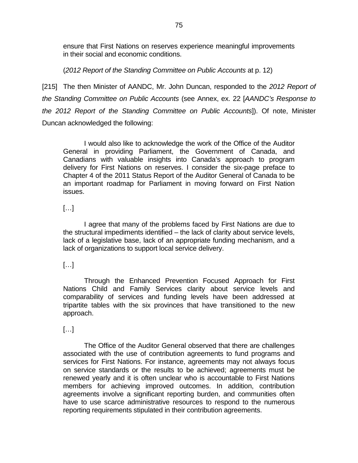ensure that First Nations on reserves experience meaningful improvements in their social and economic conditions.

(*2012 Report of the Standing Committee on Public Accounts* at p. 12)

[215] The then Minister of AANDC, Mr. John Duncan, responded to the *2012 Report of the Standing Committee on Public Accounts* (see Annex, ex. 22 [*AANDC's Response to the 2012 Report of the Standing Committee on Public Accounts*]). Of note, Minister Duncan acknowledged the following:

I would also like to acknowledge the work of the Office of the Auditor General in providing Parliament, the Government of Canada, and Canadians with valuable insights into Canada's approach to program delivery for First Nations on reserves. I consider the six-page preface to Chapter 4 of the 2011 Status Report of the Auditor General of Canada to be an important roadmap for Parliament in moving forward on First Nation issues.

## $[...]$

I agree that many of the problems faced by First Nations are due to the structural impediments identified – the lack of clarity about service levels, lack of a legislative base, lack of an appropriate funding mechanism, and a lack of organizations to support local service delivery.

# $[...]$

Through the Enhanced Prevention Focused Approach for First Nations Child and Family Services clarity about service levels and comparability of services and funding levels have been addressed at tripartite tables with the six provinces that have transitioned to the new approach.

#### $\left[\ldots\right]$

The Office of the Auditor General observed that there are challenges associated with the use of contribution agreements to fund programs and services for First Nations. For instance, agreements may not always focus on service standards or the results to be achieved; agreements must be renewed yearly and it is often unclear who is accountable to First Nations members for achieving improved outcomes. In addition, contribution agreements involve a significant reporting burden, and communities often have to use scarce administrative resources to respond to the numerous reporting requirements stipulated in their contribution agreements.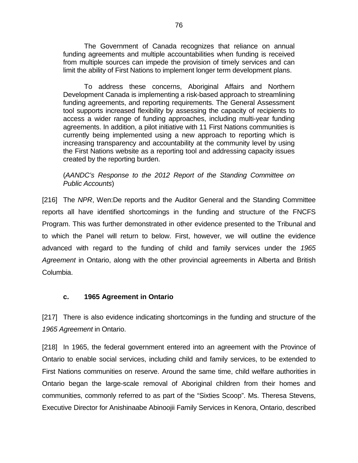The Government of Canada recognizes that reliance on annual funding agreements and multiple accountabilities when funding is received from multiple sources can impede the provision of timely services and can limit the ability of First Nations to implement longer term development plans.

To address these concerns, Aboriginal Affairs and Northern Development Canada is implementing a risk-based approach to streamlining funding agreements, and reporting requirements. The General Assessment tool supports increased flexibility by assessing the capacity of recipients to access a wider range of funding approaches, including multi-year funding agreements. In addition, a pilot initiative with 11 First Nations communities is currently being implemented using a new approach to reporting which is increasing transparency and accountability at the community level by using the First Nations website as a reporting tool and addressing capacity issues created by the reporting burden.

## (*AANDC's Response to the 2012 Report of the Standing Committee on Public Accounts*)

[216] The *NPR*, Wen:De reports and the Auditor General and the Standing Committee reports all have identified shortcomings in the funding and structure of the FNCFS Program. This was further demonstrated in other evidence presented to the Tribunal and to which the Panel will return to below. First, however, we will outline the evidence advanced with regard to the funding of child and family services under the *1965 Agreement* in Ontario, along with the other provincial agreements in Alberta and British Columbia.

# **c. 1965 Agreement in Ontario**

[217] There is also evidence indicating shortcomings in the funding and structure of the *1965 Agreement* in Ontario.

[218] In 1965, the federal government entered into an agreement with the Province of Ontario to enable social services, including child and family services, to be extended to First Nations communities on reserve. Around the same time, child welfare authorities in Ontario began the large-scale removal of Aboriginal children from their homes and communities, commonly referred to as part of the "Sixties Scoop". Ms. Theresa Stevens, Executive Director for Anishinaabe Abinoojii Family Services in Kenora, Ontario, described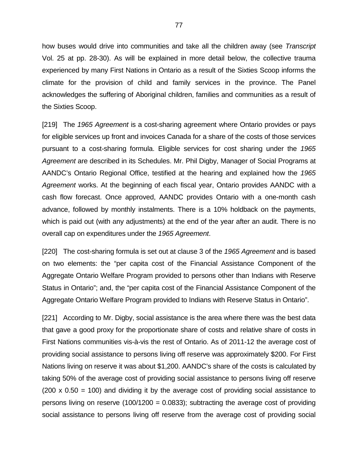how buses would drive into communities and take all the children away (see *Transcript*  Vol. 25 at pp. 28-30). As will be explained in more detail below, the collective trauma experienced by many First Nations in Ontario as a result of the Sixties Scoop informs the climate for the provision of child and family services in the province. The Panel acknowledges the suffering of Aboriginal children, families and communities as a result of the Sixties Scoop.

[219] The *1965 Agreement* is a cost-sharing agreement where Ontario provides or pays for eligible services up front and invoices Canada for a share of the costs of those services pursuant to a cost-sharing formula. Eligible services for cost sharing under the *1965 Agreement* are described in its Schedules. Mr. Phil Digby, Manager of Social Programs at AANDC's Ontario Regional Office, testified at the hearing and explained how the *1965 Agreement* works. At the beginning of each fiscal year, Ontario provides AANDC with a cash flow forecast. Once approved, AANDC provides Ontario with a one-month cash advance, followed by monthly instalments. There is a 10% holdback on the payments, which is paid out (with any adjustments) at the end of the year after an audit. There is no overall cap on expenditures under the *1965 Agreement*.

[220] The cost-sharing formula is set out at clause 3 of the *1965 Agreement* and is based on two elements: the "per capita cost of the Financial Assistance Component of the Aggregate Ontario Welfare Program provided to persons other than Indians with Reserve Status in Ontario"; and, the "per capita cost of the Financial Assistance Component of the Aggregate Ontario Welfare Program provided to Indians with Reserve Status in Ontario".

[221] According to Mr. Digby, social assistance is the area where there was the best data that gave a good proxy for the proportionate share of costs and relative share of costs in First Nations communities vis-à-vis the rest of Ontario. As of 2011-12 the average cost of providing social assistance to persons living off reserve was approximately \$200. For First Nations living on reserve it was about \$1,200. AANDC's share of the costs is calculated by taking 50% of the average cost of providing social assistance to persons living off reserve  $(200 \times 0.50 = 100)$  and dividing it by the average cost of providing social assistance to persons living on reserve  $(100/1200 = 0.0833)$ ; subtracting the average cost of providing social assistance to persons living off reserve from the average cost of providing social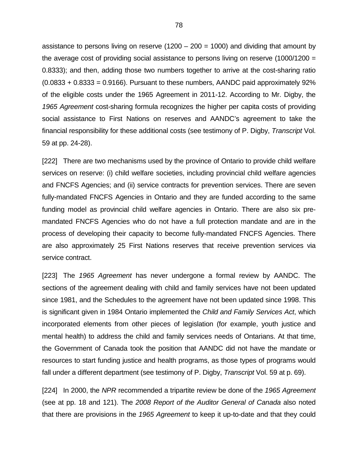assistance to persons living on reserve  $(1200 - 200 = 1000)$  and dividing that amount by the average cost of providing social assistance to persons living on reserve  $(1000/1200 =$ 0.8333); and then, adding those two numbers together to arrive at the cost-sharing ratio  $(0.0833 + 0.8333 = 0.9166)$ . Pursuant to these numbers, AANDC paid approximately 92% of the eligible costs under the 1965 Agreement in 2011-12. According to Mr. Digby, the *1965 Agreement* cost-sharing formula recognizes the higher per capita costs of providing social assistance to First Nations on reserves and AANDC's agreement to take the financial responsibility for these additional costs (see testimony of P. Digby, *Transcript* Vol. 59 at pp. 24-28).

[222] There are two mechanisms used by the province of Ontario to provide child welfare services on reserve: (i) child welfare societies, including provincial child welfare agencies and FNCFS Agencies; and (ii) service contracts for prevention services. There are seven fully-mandated FNCFS Agencies in Ontario and they are funded according to the same funding model as provincial child welfare agencies in Ontario. There are also six premandated FNCFS Agencies who do not have a full protection mandate and are in the process of developing their capacity to become fully-mandated FNCFS Agencies. There are also approximately 25 First Nations reserves that receive prevention services via service contract.

[223] The *1965 Agreement* has never undergone a formal review by AANDC. The sections of the agreement dealing with child and family services have not been updated since 1981, and the Schedules to the agreement have not been updated since 1998. This is significant given in 1984 Ontario implemented the *Child and Family Services Act*, which incorporated elements from other pieces of legislation (for example, youth justice and mental health) to address the child and family services needs of Ontarians. At that time, the Government of Canada took the position that AANDC did not have the mandate or resources to start funding justice and health programs, as those types of programs would fall under a different department (see testimony of P. Digby, *Transcript* Vol. 59 at p. 69).

[224] In 2000, the *NPR* recommended a tripartite review be done of the *1965 Agreement* (see at pp. 18 and 121). The *2008 Report of the Auditor General of Canada* also noted that there are provisions in the *1965 Agreement* to keep it up-to-date and that they could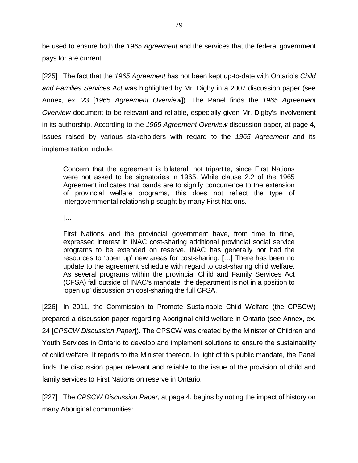be used to ensure both the *1965 Agreement* and the services that the federal government pays for are current.

[225] The fact that the *1965 Agreement* has not been kept up-to-date with Ontario's *Child and Families Services Act* was highlighted by Mr. Digby in a 2007 discussion paper (see Annex, ex. 23 [*1965 Agreement Overview*]). The Panel finds the *1965 Agreement Overview* document to be relevant and reliable, especially given Mr. Digby's involvement in its authorship. According to the *1965 Agreement Overview* discussion paper, at page 4, issues raised by various stakeholders with regard to the *1965 Agreement* and its implementation include:

Concern that the agreement is bilateral, not tripartite, since First Nations were not asked to be signatories in 1965. While clause 2.2 of the 1965 Agreement indicates that bands are to signify concurrence to the extension of provincial welfare programs, this does not reflect the type of intergovernmental relationship sought by many First Nations.

[…]

First Nations and the provincial government have, from time to time, expressed interest in INAC cost-sharing additional provincial social service programs to be extended on reserve. INAC has generally not had the resources to 'open up' new areas for cost-sharing. […] There has been no update to the agreement schedule with regard to cost-sharing child welfare. As several programs within the provincial Child and Family Services Act (CFSA) fall outside of INAC's mandate, the department is not in a position to 'open up' discussion on cost-sharing the full CFSA.

[226] In 2011, the Commission to Promote Sustainable Child Welfare (the CPSCW) prepared a discussion paper regarding Aboriginal child welfare in Ontario (see Annex, ex. 24 [*CPSCW Discussion Paper*]). The CPSCW was created by the Minister of Children and Youth Services in Ontario to develop and implement solutions to ensure the sustainability of child welfare. It reports to the Minister thereon. In light of this public mandate, the Panel finds the discussion paper relevant and reliable to the issue of the provision of child and family services to First Nations on reserve in Ontario.

[227] The *CPSCW Discussion Paper*, at page 4, begins by noting the impact of history on many Aboriginal communities: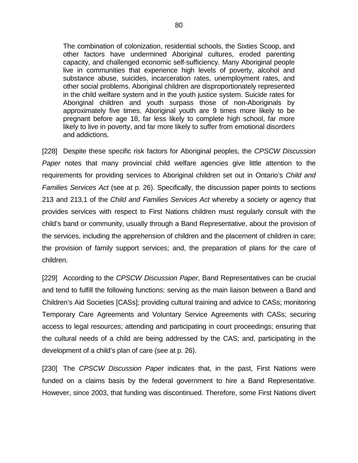The combination of colonization, residential schools, the Sixties Scoop, and other factors have undermined Aboriginal cultures, eroded parenting capacity, and challenged economic self-sufficiency. Many Aboriginal people live in communities that experience high levels of poverty, alcohol and substance abuse, suicides, incarceration rates, unemployment rates, and other social problems. Aboriginal children are disproportionately represented in the child welfare system and in the youth justice system. Suicide rates for Aboriginal children and youth surpass those of non-Aboriginals by approximately five times. Aboriginal youth are 9 times more likely to be pregnant before age 18, far less likely to complete high school, far more likely to live in poverty, and far more likely to suffer from emotional disorders and addictions.

[228] Despite these specific risk factors for Aboriginal peoples, the *CPSCW Discussion Paper* notes that many provincial child welfare agencies give little attention to the requirements for providing services to Aboriginal children set out in Ontario's *Child and Families Services Act* (see at p. 26). Specifically, the discussion paper points to sections 213 and 213.1 of the *Child and Families Services Act* whereby a society or agency that provides services with respect to First Nations children must regularly consult with the child's band or community, usually through a Band Representative, about the provision of the services, including the apprehension of children and the placement of children in care; the provision of family support services; and, the preparation of plans for the care of children.

[229] According to the *CPSCW Discussion Paper*, Band Representatives can be crucial and tend to fulfill the following functions: serving as the main liaison between a Band and Children's Aid Societies [CASs]; providing cultural training and advice to CASs; monitoring Temporary Care Agreements and Voluntary Service Agreements with CASs; securing access to legal resources; attending and participating in court proceedings; ensuring that the cultural needs of a child are being addressed by the CAS; and, participating in the development of a child's plan of care (see at p. 26).

[230] The *CPSCW Discussion Paper* indicates that, in the past, First Nations were funded on a claims basis by the federal government to hire a Band Representative. However, since 2003, that funding was discontinued. Therefore, some First Nations divert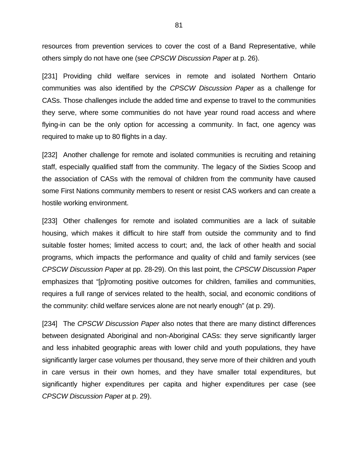resources from prevention services to cover the cost of a Band Representative, while others simply do not have one (see *CPSCW Discussion Paper* at p. 26).

[231] Providing child welfare services in remote and isolated Northern Ontario communities was also identified by the *CPSCW Discussion Paper* as a challenge for CASs. Those challenges include the added time and expense to travel to the communities they serve, where some communities do not have year round road access and where flying-in can be the only option for accessing a community. In fact, one agency was required to make up to 80 flights in a day.

[232] Another challenge for remote and isolated communities is recruiting and retaining staff, especially qualified staff from the community. The legacy of the Sixties Scoop and the association of CASs with the removal of children from the community have caused some First Nations community members to resent or resist CAS workers and can create a hostile working environment.

[233] Other challenges for remote and isolated communities are a lack of suitable housing, which makes it difficult to hire staff from outside the community and to find suitable foster homes; limited access to court; and, the lack of other health and social programs, which impacts the performance and quality of child and family services (see *CPSCW Discussion Paper* at pp. 28-29). On this last point, the *CPSCW Discussion Paper* emphasizes that "[p]romoting positive outcomes for children, families and communities, requires a full range of services related to the health, social, and economic conditions of the community: child welfare services alone are not nearly enough" (at p. 29).

[234] The *CPSCW Discussion Paper* also notes that there are many distinct differences between designated Aboriginal and non-Aboriginal CASs: they serve significantly larger and less inhabited geographic areas with lower child and youth populations, they have significantly larger case volumes per thousand, they serve more of their children and youth in care versus in their own homes, and they have smaller total expenditures, but significantly higher expenditures per capita and higher expenditures per case (see *CPSCW Discussion Paper* at p. 29).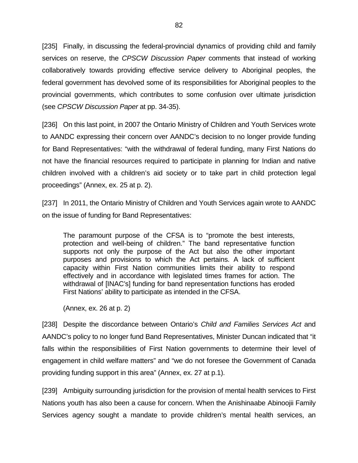[235] Finally, in discussing the federal-provincial dynamics of providing child and family services on reserve, the *CPSCW Discussion Paper* comments that instead of working collaboratively towards providing effective service delivery to Aboriginal peoples, the federal government has devolved some of its responsibilities for Aboriginal peoples to the provincial governments, which contributes to some confusion over ultimate jurisdiction (see *CPSCW Discussion Paper* at pp. 34-35).

[236] On this last point, in 2007 the Ontario Ministry of Children and Youth Services wrote to AANDC expressing their concern over AANDC's decision to no longer provide funding for Band Representatives: "with the withdrawal of federal funding, many First Nations do not have the financial resources required to participate in planning for Indian and native children involved with a children's aid society or to take part in child protection legal proceedings" (Annex, ex. 25 at p. 2).

[237] In 2011, the Ontario Ministry of Children and Youth Services again wrote to AANDC on the issue of funding for Band Representatives:

The paramount purpose of the CFSA is to "promote the best interests, protection and well-being of children." The band representative function supports not only the purpose of the Act but also the other important purposes and provisions to which the Act pertains. A lack of sufficient capacity within First Nation communities limits their ability to respond effectively and in accordance with legislated times frames for action. The withdrawal of [INAC's] funding for band representation functions has eroded First Nations' ability to participate as intended in the CFSA.

(Annex, ex. 26 at p. 2)

[238] Despite the discordance between Ontario's *Child and Families Services Act* and AANDC's policy to no longer fund Band Representatives, Minister Duncan indicated that "it falls within the responsibilities of First Nation governments to determine their level of engagement in child welfare matters" and "we do not foresee the Government of Canada providing funding support in this area" (Annex, ex. 27 at p.1).

[239] Ambiguity surrounding jurisdiction for the provision of mental health services to First Nations youth has also been a cause for concern. When the Anishinaabe Abinoojii Family Services agency sought a mandate to provide children's mental health services, an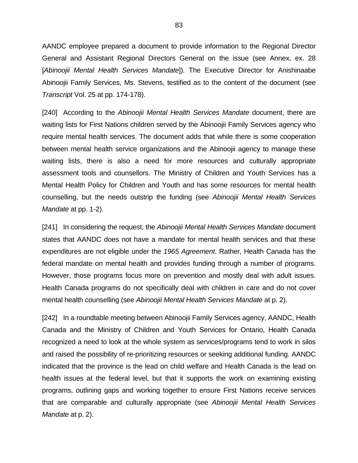AANDC employee prepared a document to provide information to the Regional Director General and Assistant Regional Directors General on the issue (see Annex, ex. 28 [*Abinoojii Mental Health Services Mandate*]). The Executive Director for Anishinaabe Abinoojii Family Services, Ms. Stevens, testified as to the content of the document (see *Transcript* Vol. 25 at pp. 174-178).

[240] According to the *Abinoojii Mental Health Services Mandate* document, there are waiting lists for First Nations children served by the Abinoojii Family Services agency who require mental health services. The document adds that while there is some cooperation between mental health service organizations and the Abinoojii agency to manage these waiting lists, there is also a need for more resources and culturally appropriate assessment tools and counsellors. The Ministry of Children and Youth Services has a Mental Health Policy for Children and Youth and has some resources for mental health counselling, but the needs outstrip the funding (see *Abinoojii Mental Health Services Mandate* at pp. 1-2).

[241] In considering the request, the *Abinoojii Mental Health Services Mandate* document states that AANDC does not have a mandate for mental health services and that these expenditures are not eligible under the *1965 Agreement*. Rather, Health Canada has the federal mandate on mental health and provides funding through a number of programs. However, those programs focus more on prevention and mostly deal with adult issues. Health Canada programs do not specifically deal with children in care and do not cover mental health counselling (see *Abinoojii Mental Health Services Mandate* at p. 2).

[242] In a roundtable meeting between Abinoojii Family Services agency, AANDC, Health Canada and the Ministry of Children and Youth Services for Ontario, Health Canada recognized a need to look at the whole system as services/programs tend to work in silos and raised the possibility of re-prioritizing resources or seeking additional funding. AANDC indicated that the province is the lead on child welfare and Health Canada is the lead on health issues at the federal level, but that it supports the work on examining existing programs, outlining gaps and working together to ensure First Nations receive services that are comparable and culturally appropriate (see *Abinoojii Mental Health Services Mandate* at p. 2).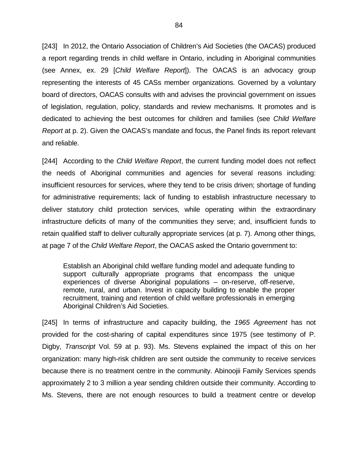[243] In 2012, the Ontario Association of Children's Aid Societies (the OACAS) produced a report regarding trends in child welfare in Ontario, including in Aboriginal communities (see Annex, ex. 29 [*Child Welfare Report*]). The OACAS is an advocacy group representing the interests of 45 CASs member organizations. Governed by a voluntary board of directors, OACAS consults with and advises the provincial government on issues of legislation, regulation, policy, standards and review mechanisms. It promotes and is dedicated to achieving the best outcomes for children and families (see *Child Welfare Report* at p. 2). Given the OACAS's mandate and focus, the Panel finds its report relevant and reliable.

[244] According to the *Child Welfare Report*, the current funding model does not reflect the needs of Aboriginal communities and agencies for several reasons including: insufficient resources for services, where they tend to be crisis driven; shortage of funding for administrative requirements; lack of funding to establish infrastructure necessary to deliver statutory child protection services, while operating within the extraordinary infrastructure deficits of many of the communities they serve; and, insufficient funds to retain qualified staff to deliver culturally appropriate services (at p. 7). Among other things, at page 7 of the *Child Welfare Report*, the OACAS asked the Ontario government to:

Establish an Aboriginal child welfare funding model and adequate funding to support culturally appropriate programs that encompass the unique experiences of diverse Aboriginal populations – on-reserve, off-reserve, remote, rural, and urban. Invest in capacity building to enable the proper recruitment, training and retention of child welfare professionals in emerging Aboriginal Children's Aid Societies.

[245] In terms of infrastructure and capacity building, the *1965 Agreement* has not provided for the cost-sharing of capital expenditures since 1975 (see testimony of P. Digby, *Transcript* Vol. 59 at p. 93). Ms. Stevens explained the impact of this on her organization: many high-risk children are sent outside the community to receive services because there is no treatment centre in the community. Abinoojii Family Services spends approximately 2 to 3 million a year sending children outside their community. According to Ms. Stevens, there are not enough resources to build a treatment centre or develop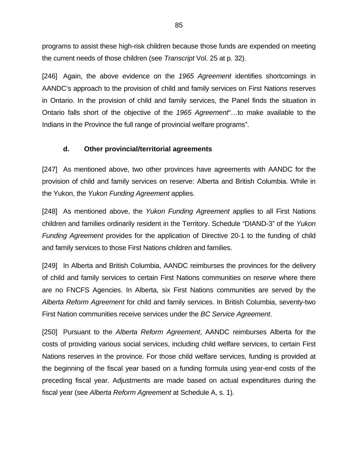programs to assist these high-risk children because those funds are expended on meeting the current needs of those children (see *Transcript* Vol. 25 at p. 32).

[246] Again, the above evidence on the *1965 Agreement* identifies shortcomings in AANDC's approach to the provision of child and family services on First Nations reserves in Ontario. In the provision of child and family services, the Panel finds the situation in Ontario falls short of the objective of the *1965 Agreement*"…to make available to the Indians in the Province the full range of provincial welfare programs".

#### **d. Other provincial/territorial agreements**

[247] As mentioned above, two other provinces have agreements with AANDC for the provision of child and family services on reserve: Alberta and British Columbia. While in the Yukon, the *Yukon Funding Agreement* applies.

[248] As mentioned above, the *Yukon Funding Agreement* applies to all First Nations children and families ordinarily resident in the Territory. Schedule "DIAND-3" of the *Yukon Funding Agreement* provides for the application of Directive 20-1 to the funding of child and family services to those First Nations children and families.

[249] In Alberta and British Columbia, AANDC reimburses the provinces for the delivery of child and family services to certain First Nations communities on reserve where there are no FNCFS Agencies. In Alberta, six First Nations communities are served by the *Alberta Reform Agreement* for child and family services. In British Columbia, seventy-two First Nation communities receive services under the *BC Service Agreement*.

[250] Pursuant to the *Alberta Reform Agreement*, AANDC reimburses Alberta for the costs of providing various social services, including child welfare services, to certain First Nations reserves in the province. For those child welfare services, funding is provided at the beginning of the fiscal year based on a funding formula using year-end costs of the preceding fiscal year. Adjustments are made based on actual expenditures during the fiscal year (see *Alberta Reform Agreement* at Schedule A, s. 1).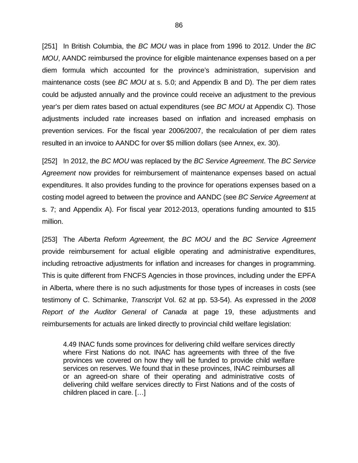[251] In British Columbia, the *BC MOU* was in place from 1996 to 2012. Under the *BC MOU*, AANDC reimbursed the province for eligible maintenance expenses based on a per diem formula which accounted for the province's administration, supervision and maintenance costs (see *BC MOU* at s. 5.0; and Appendix B and D). The per diem rates could be adjusted annually and the province could receive an adjustment to the previous year's per diem rates based on actual expenditures (see *BC MOU* at Appendix C). Those adjustments included rate increases based on inflation and increased emphasis on prevention services. For the fiscal year 2006/2007, the recalculation of per diem rates resulted in an invoice to AANDC for over \$5 million dollars (see Annex, ex. 30).

[252] In 2012, the *BC MOU* was replaced by the *BC Service Agreement*. The *BC Service Agreement* now provides for reimbursement of maintenance expenses based on actual expenditures. It also provides funding to the province for operations expenses based on a costing model agreed to between the province and AANDC (see *BC Service Agreement* at s. 7; and Appendix A). For fiscal year 2012-2013, operations funding amounted to \$15 million.

[253] The *Alberta Reform Agreement,* the *BC MOU* and the *BC Service Agreement* provide reimbursement for actual eligible operating and administrative expenditures, including retroactive adjustments for inflation and increases for changes in programming. This is quite different from FNCFS Agencies in those provinces, including under the EPFA in Alberta, where there is no such adjustments for those types of increases in costs (see testimony of C. Schimanke, *Transcript* Vol. 62 at pp. 53-54). As expressed in the *2008 Report of the Auditor General of Canada* at page 19, these adjustments and reimbursements for actuals are linked directly to provincial child welfare legislation:

4.49 INAC funds some provinces for delivering child welfare services directly where First Nations do not. INAC has agreements with three of the five provinces we covered on how they will be funded to provide child welfare services on reserves. We found that in these provinces, INAC reimburses all or an agreed-on share of their operating and administrative costs of delivering child welfare services directly to First Nations and of the costs of children placed in care. […]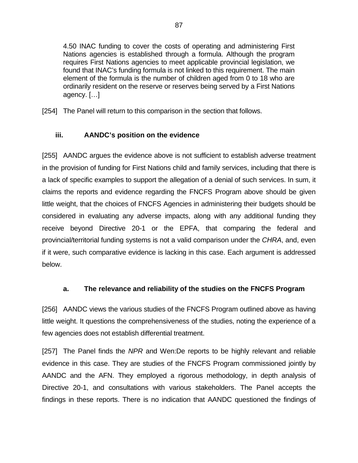4.50 INAC funding to cover the costs of operating and administering First Nations agencies is established through a formula. Although the program requires First Nations agencies to meet applicable provincial legislation, we found that INAC's funding formula is not linked to this requirement. The main element of the formula is the number of children aged from 0 to 18 who are ordinarily resident on the reserve or reserves being served by a First Nations agency. […]

[254] The Panel will return to this comparison in the section that follows.

# **iii. AANDC's position on the evidence**

[255] AANDC argues the evidence above is not sufficient to establish adverse treatment in the provision of funding for First Nations child and family services, including that there is a lack of specific examples to support the allegation of a denial of such services. In sum, it claims the reports and evidence regarding the FNCFS Program above should be given little weight, that the choices of FNCFS Agencies in administering their budgets should be considered in evaluating any adverse impacts, along with any additional funding they receive beyond Directive 20-1 or the EPFA, that comparing the federal and provincial/territorial funding systems is not a valid comparison under the *CHRA*, and, even if it were, such comparative evidence is lacking in this case. Each argument is addressed below.

# **a. The relevance and reliability of the studies on the FNCFS Program**

[256] AANDC views the various studies of the FNCFS Program outlined above as having little weight. It questions the comprehensiveness of the studies, noting the experience of a few agencies does not establish differential treatment.

[257] The Panel finds the *NPR* and Wen:De reports to be highly relevant and reliable evidence in this case. They are studies of the FNCFS Program commissioned jointly by AANDC and the AFN. They employed a rigorous methodology, in depth analysis of Directive 20-1, and consultations with various stakeholders. The Panel accepts the findings in these reports. There is no indication that AANDC questioned the findings of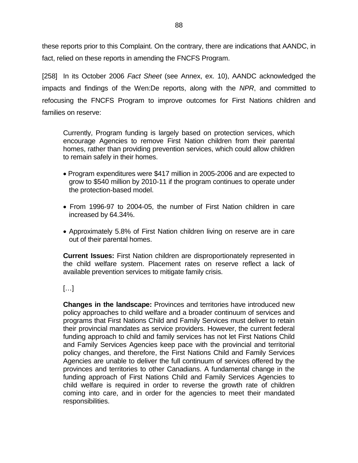these reports prior to this Complaint. On the contrary, there are indications that AANDC, in fact, relied on these reports in amending the FNCFS Program.

[258] In its October 2006 *Fact Sheet* (see Annex, ex. 10), AANDC acknowledged the impacts and findings of the Wen:De reports, along with the *NPR*, and committed to refocusing the FNCFS Program to improve outcomes for First Nations children and families on reserve:

Currently, Program funding is largely based on protection services, which encourage Agencies to remove First Nation children from their parental homes, rather than providing prevention services, which could allow children to remain safely in their homes.

- Program expenditures were \$417 million in 2005-2006 and are expected to grow to \$540 million by 2010-11 if the program continues to operate under the protection-based model.
- From 1996-97 to 2004-05, the number of First Nation children in care increased by 64.34%.
- Approximately 5.8% of First Nation children living on reserve are in care out of their parental homes.

**Current Issues:** First Nation children are disproportionately represented in the child welfare system. Placement rates on reserve reflect a lack of available prevention services to mitigate family crisis.

[…]

**Changes in the landscape:** Provinces and territories have introduced new policy approaches to child welfare and a broader continuum of services and programs that First Nations Child and Family Services must deliver to retain their provincial mandates as service providers. However, the current federal funding approach to child and family services has not let First Nations Child and Family Services Agencies keep pace with the provincial and territorial policy changes, and therefore, the First Nations Child and Family Services Agencies are unable to deliver the full continuum of services offered by the provinces and territories to other Canadians. A fundamental change in the funding approach of First Nations Child and Family Services Agencies to child welfare is required in order to reverse the growth rate of children coming into care, and in order for the agencies to meet their mandated responsibilities.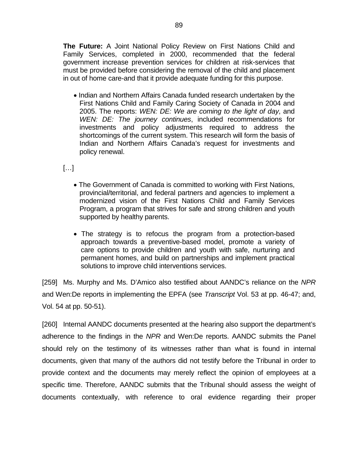**The Future:** A Joint National Policy Review on First Nations Child and Family Services, completed in 2000, recommended that the federal government increase prevention services for children at risk-services that must be provided before considering the removal of the child and placement in out of home care-and that it provide adequate funding for this purpose.

• Indian and Northern Affairs Canada funded research undertaken by the First Nations Child and Family Caring Society of Canada in 2004 and 2005. The reports: *WEN: DE: We are coming to the light of day*, and *WEN: DE: The journey continues*, included recommendations for investments and policy adjustments required to address the shortcomings of the current system. This research will form the basis of Indian and Northern Affairs Canada's request for investments and policy renewal.

# $[...]$

- The Government of Canada is committed to working with First Nations, provincial/territorial, and federal partners and agencies to implement a modernized vision of the First Nations Child and Family Services Program, a program that strives for safe and strong children and youth supported by healthy parents.
- The strategy is to refocus the program from a protection-based approach towards a preventive-based model, promote a variety of care options to provide children and youth with safe, nurturing and permanent homes, and build on partnerships and implement practical solutions to improve child interventions services.

[259] Ms. Murphy and Ms. D'Amico also testified about AANDC's reliance on the *NPR* and Wen:De reports in implementing the EPFA (see *Transcript* Vol. 53 at pp. 46-47; and, Vol. 54 at pp. 50-51).

[260] Internal AANDC documents presented at the hearing also support the department's adherence to the findings in the *NPR* and Wen:De reports. AANDC submits the Panel should rely on the testimony of its witnesses rather than what is found in internal documents, given that many of the authors did not testify before the Tribunal in order to provide context and the documents may merely reflect the opinion of employees at a specific time. Therefore, AANDC submits that the Tribunal should assess the weight of documents contextually, with reference to oral evidence regarding their proper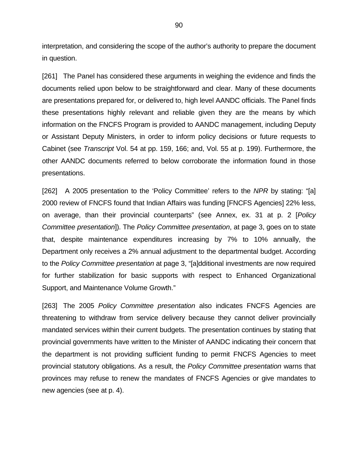interpretation, and considering the scope of the author's authority to prepare the document in question.

[261] The Panel has considered these arguments in weighing the evidence and finds the documents relied upon below to be straightforward and clear. Many of these documents are presentations prepared for, or delivered to, high level AANDC officials. The Panel finds these presentations highly relevant and reliable given they are the means by which information on the FNCFS Program is provided to AANDC management, including Deputy or Assistant Deputy Ministers, in order to inform policy decisions or future requests to Cabinet (see *Transcript* Vol. 54 at pp. 159, 166; and, Vol. 55 at p. 199). Furthermore, the other AANDC documents referred to below corroborate the information found in those presentations.

[262] A 2005 presentation to the 'Policy Committee' refers to the *NPR* by stating: "[a] 2000 review of FNCFS found that Indian Affairs was funding [FNCFS Agencies] 22% less, on average, than their provincial counterparts" (see Annex, ex. 31 at p. 2 [*Policy Committee presentation*]). The *Policy Committee presentation*, at page 3, goes on to state that, despite maintenance expenditures increasing by 7% to 10% annually, the Department only receives a 2% annual adjustment to the departmental budget. According to the *Policy Committee presentation* at page 3, "[a]dditional investments are now required for further stabilization for basic supports with respect to Enhanced Organizational Support, and Maintenance Volume Growth."

[263] The 2005 *Policy Committee presentation* also indicates FNCFS Agencies are threatening to withdraw from service delivery because they cannot deliver provincially mandated services within their current budgets. The presentation continues by stating that provincial governments have written to the Minister of AANDC indicating their concern that the department is not providing sufficient funding to permit FNCFS Agencies to meet provincial statutory obligations. As a result, the *Policy Committee presentation* warns that provinces may refuse to renew the mandates of FNCFS Agencies or give mandates to new agencies (see at p. 4).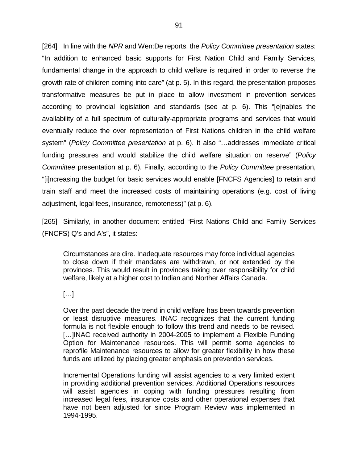[264] In line with the *NPR* and Wen:De reports, the *Policy Committee presentation* states: "In addition to enhanced basic supports for First Nation Child and Family Services, fundamental change in the approach to child welfare is required in order to reverse the growth rate of children coming into care" (at p. 5). In this regard, the presentation proposes transformative measures be put in place to allow investment in prevention services according to provincial legislation and standards (see at p. 6). This "[e]nables the availability of a full spectrum of culturally-appropriate programs and services that would eventually reduce the over representation of First Nations children in the child welfare system" (*Policy Committee presentation* at p. 6). It also "…addresses immediate critical funding pressures and would stabilize the child welfare situation on reserve" (*Policy Committee* presentation at p. 6). Finally, according to the *Policy Committee* presentation, "[i]ncreasing the budget for basic services would enable [FNCFS Agencies] to retain and train staff and meet the increased costs of maintaining operations (e.g. cost of living adjustment, legal fees, insurance, remoteness)" (at p. 6).

[265] Similarly, in another document entitled "First Nations Child and Family Services (FNCFS) Q's and A's", it states:

Circumstances are dire. Inadequate resources may force individual agencies to close down if their mandates are withdrawn, or not extended by the provinces. This would result in provinces taking over responsibility for child welfare, likely at a higher cost to Indian and Norther Affairs Canada.

 $[...]$ 

Over the past decade the trend in child welfare has been towards prevention or least disruptive measures. INAC recognizes that the current funding formula is not flexible enough to follow this trend and needs to be revised. [...]INAC received authority in 2004-2005 to implement a Flexible Funding Option for Maintenance resources. This will permit some agencies to reprofile Maintenance resources to allow for greater flexibility in how these funds are utilized by placing greater emphasis on prevention services.

Incremental Operations funding will assist agencies to a very limited extent in providing additional prevention services. Additional Operations resources will assist agencies in coping with funding pressures resulting from increased legal fees, insurance costs and other operational expenses that have not been adjusted for since Program Review was implemented in 1994-1995.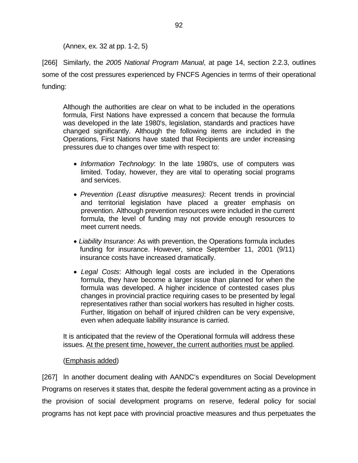(Annex, ex. 32 at pp. 1-2, 5)

[266] Similarly, the *2005 National Program Manual*, at page 14, section 2.2.3, outlines some of the cost pressures experienced by FNCFS Agencies in terms of their operational funding:

Although the authorities are clear on what to be included in the operations formula, First Nations have expressed a concern that because the formula was developed in the late 1980's, legislation, standards and practices have changed significantly. Although the following items are included in the Operations, First Nations have stated that Recipients are under increasing pressures due to changes over time with respect to:

- *Information Technology*: In the late 1980's, use of computers was limited. Today, however, they are vital to operating social programs and services.
- *Prevention (Least disruptive measures)*: Recent trends in provincial and territorial legislation have placed a greater emphasis on prevention. Although prevention resources were included in the current formula, the level of funding may not provide enough resources to meet current needs.
- *Liability Insurance*: As with prevention, the Operations formula includes funding for insurance. However, since September 11, 2001 (9/11) insurance costs have increased dramatically.
- *Legal Costs*: Although legal costs are included in the Operations formula, they have become a larger issue than planned for when the formula was developed. A higher incidence of contested cases plus changes in provincial practice requiring cases to be presented by legal representatives rather than social workers has resulted in higher costs. Further, litigation on behalf of injured children can be very expensive, even when adequate liability insurance is carried.

It is anticipated that the review of the Operational formula will address these issues. At the present time, however, the current authorities must be applied.

#### (Emphasis added)

[267] In another document dealing with AANDC's expenditures on Social Development Programs on reserves it states that, despite the federal government acting as a province in the provision of social development programs on reserve, federal policy for social programs has not kept pace with provincial proactive measures and thus perpetuates the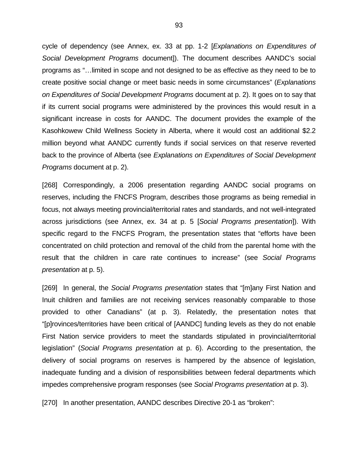cycle of dependency (see Annex, ex. 33 at pp. 1-2 [*Explanations on Expenditures of Social Development Programs* document]). The document describes AANDC's social programs as "…limited in scope and not designed to be as effective as they need to be to create positive social change or meet basic needs in some circumstances" (*Explanations on Expenditures of Social Development Programs* document at p. 2). It goes on to say that if its current social programs were administered by the provinces this would result in a significant increase in costs for AANDC. The document provides the example of the Kasohkowew Child Wellness Society in Alberta, where it would cost an additional \$2.2 million beyond what AANDC currently funds if social services on that reserve reverted back to the province of Alberta (see *Explanations on Expenditures of Social Development Programs* document at p. 2).

[268] Correspondingly, a 2006 presentation regarding AANDC social programs on reserves, including the FNCFS Program, describes those programs as being remedial in focus, not always meeting provincial/territorial rates and standards, and not well-integrated across jurisdictions (see Annex, ex. 34 at p. 5 [*Social Programs presentation*]). With specific regard to the FNCFS Program, the presentation states that "efforts have been concentrated on child protection and removal of the child from the parental home with the result that the children in care rate continues to increase" (see *Social Programs presentation* at p. 5).

[269] In general, the *Social Programs presentation* states that "[m]any First Nation and Inuit children and families are not receiving services reasonably comparable to those provided to other Canadians" (at p. 3). Relatedly, the presentation notes that "[p]rovinces/territories have been critical of [AANDC] funding levels as they do not enable First Nation service providers to meet the standards stipulated in provincial/territorial legislation" (*Social Programs presentation* at p. 6). According to the presentation, the delivery of social programs on reserves is hampered by the absence of legislation, inadequate funding and a division of responsibilities between federal departments which impedes comprehensive program responses (see *Social Programs presentation* at p. 3).

[270] In another presentation, AANDC describes Directive 20-1 as "broken":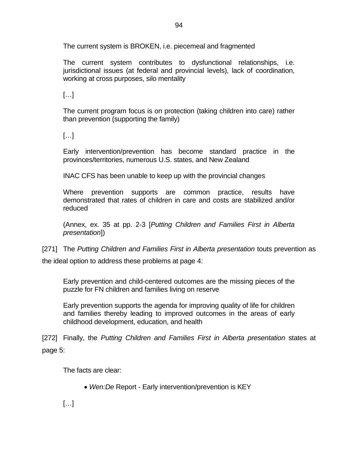The current system is BROKEN, i.e. piecemeal and fragmented

The current system contributes to dysfunctional relationships, i.e. jurisdictional issues (at federal and provincial levels), lack of coordination, working at cross purposes, silo mentality

[…]

The current program focus is on protection (taking children into care) rather than prevention (supporting the family)

 $[...]$ 

Early intervention/prevention has become standard practice in the provinces/territories, numerous U.S. states, and New Zealand

INAC CFS has been unable to keep up with the provincial changes

Where prevention supports are common practice, results have demonstrated that rates of children in care and costs are stabilized and/or reduced

(Annex, ex. 35 at pp. 2-3 [*Putting Children and Families First in Alberta presentation*])

[271] The *Putting Children and Families First in Alberta presentation* touts prevention as

the ideal option to address these problems at page 4:

Early prevention and child-centered outcomes are the missing pieces of the puzzle for FN children and families living on reserve

Early prevention supports the agenda for improving quality of life for children and families thereby leading to improved outcomes in the areas of early childhood development, education, and health

[272] Finally, the *Putting Children and Families First in Alberta presentation* states at page 5:

The facts are clear:

• *Wen:De* Report - Early intervention/prevention is KEY

[…]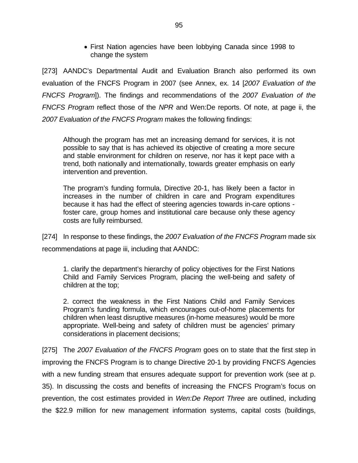• First Nation agencies have been lobbying Canada since 1998 to change the system

[273] AANDC's Departmental Audit and Evaluation Branch also performed its own evaluation of the FNCFS Program in 2007 (see Annex, ex. 14 [*2007 Evaluation of the FNCFS Program*]). The findings and recommendations of the *2007 Evaluation of the FNCFS Program* reflect those of the *NPR* and Wen:De reports. Of note, at page ii, the *2007 Evaluation of the FNCFS Program* makes the following findings:

Although the program has met an increasing demand for services, it is not possible to say that is has achieved its objective of creating a more secure and stable environment for children on reserve, nor has it kept pace with a trend, both nationally and internationally, towards greater emphasis on early intervention and prevention.

The program's funding formula, Directive 20-1, has likely been a factor in increases in the number of children in care and Program expenditures because it has had the effect of steering agencies towards in-care options foster care, group homes and institutional care because only these agency costs are fully reimbursed.

[274] In response to these findings, the *2007 Evaluation of the FNCFS Program* made six recommendations at page iii, including that AANDC:

1. clarify the department's hierarchy of policy objectives for the First Nations Child and Family Services Program, placing the well-being and safety of children at the top;

2. correct the weakness in the First Nations Child and Family Services Program's funding formula, which encourages out-of-home placements for children when least disruptive measures (in-home measures) would be more appropriate. Well-being and safety of children must be agencies' primary considerations in placement decisions;

[275] The *2007 Evaluation of the FNCFS Program* goes on to state that the first step in improving the FNCFS Program is to change Directive 20-1 by providing FNCFS Agencies with a new funding stream that ensures adequate support for prevention work (see at p. 35). In discussing the costs and benefits of increasing the FNCFS Program's focus on prevention, the cost estimates provided in *Wen:De Report Three* are outlined, including the \$22.9 million for new management information systems, capital costs (buildings,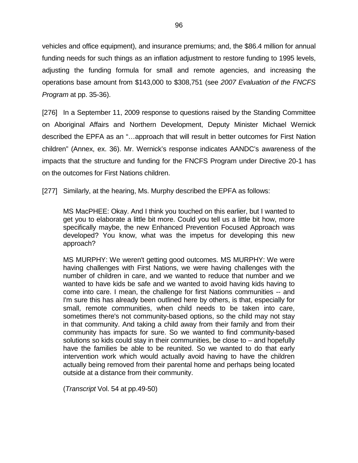vehicles and office equipment), and insurance premiums; and, the \$86.4 million for annual funding needs for such things as an inflation adjustment to restore funding to 1995 levels, adjusting the funding formula for small and remote agencies, and increasing the operations base amount from \$143,000 to \$308,751 (see *2007 Evaluation of the FNCFS Program* at pp. 35-36).

[276] In a September 11, 2009 response to questions raised by the Standing Committee on Aboriginal Affairs and Northern Development, Deputy Minister Michael Wernick described the EPFA as an "…approach that will result in better outcomes for First Nation children" (Annex, ex. 36). Mr. Wernick's response indicates AANDC's awareness of the impacts that the structure and funding for the FNCFS Program under Directive 20-1 has on the outcomes for First Nations children.

[277] Similarly, at the hearing, Ms. Murphy described the EPFA as follows:

MS MacPHEE: Okay. And I think you touched on this earlier, but I wanted to get you to elaborate a little bit more. Could you tell us a little bit how, more specifically maybe, the new Enhanced Prevention Focused Approach was developed? You know, what was the impetus for developing this new approach?

MS MURPHY: We weren't getting good outcomes. MS MURPHY: We were having challenges with First Nations, we were having challenges with the number of children in care, and we wanted to reduce that number and we wanted to have kids be safe and we wanted to avoid having kids having to come into care. I mean, the challenge for first Nations communities -- and I'm sure this has already been outlined here by others, is that, especially for small, remote communities, when child needs to be taken into care, sometimes there's not community-based options, so the child may not stay in that community. And taking a child away from their family and from their community has impacts for sure. So we wanted to find community-based solutions so kids could stay in their communities, be close to – and hopefully have the families be able to be reunited. So we wanted to do that early intervention work which would actually avoid having to have the children actually being removed from their parental home and perhaps being located outside at a distance from their community.

(*Transcript* Vol. 54 at pp.49-50)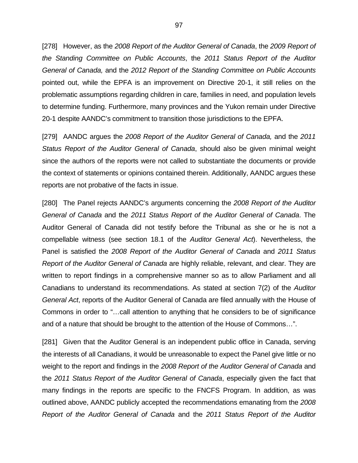[278] However, as the *2008 Report of the Auditor General of Canada*, the *2009 Report of the Standing Committee on Public Accounts*, the *2011 Status Report of the Auditor General of Canada,* and the *2012 Report of the Standing Committee on Public Accounts* pointed out, while the EPFA is an improvement on Directive 20-1, it still relies on the problematic assumptions regarding children in care, families in need, and population levels to determine funding. Furthermore, many provinces and the Yukon remain under Directive 20-1 despite AANDC's commitment to transition those jurisdictions to the EPFA.

[279] AANDC argues the *2008 Report of the Auditor General of Canada,* and the *2011 Status Report of the Auditor General of Canada*, should also be given minimal weight since the authors of the reports were not called to substantiate the documents or provide the context of statements or opinions contained therein. Additionally, AANDC argues these reports are not probative of the facts in issue.

[280] The Panel rejects AANDC's arguments concerning the *2008 Report of the Auditor General of Canada* and the *2011 Status Report of the Auditor General of Canada*. The Auditor General of Canada did not testify before the Tribunal as she or he is not a compellable witness (see section 18.1 of the *Auditor General Act*). Nevertheless, the Panel is satisfied the *2008 Report of the Auditor General of Canada* and *2011 Status Report of the Auditor General of Canada* are highly reliable, relevant, and clear. They are written to report findings in a comprehensive manner so as to allow Parliament and all Canadians to understand its recommendations. As stated at section 7(2) of the *Auditor General Act*, reports of the Auditor General of Canada are filed annually with the House of Commons in order to "…call attention to anything that he considers to be of significance and of a nature that should be brought to the attention of the House of Commons…".

[281] Given that the Auditor General is an independent public office in Canada, serving the interests of all Canadians, it would be unreasonable to expect the Panel give little or no weight to the report and findings in the *2008 Report of the Auditor General of Canada* and the *2011 Status Report of the Auditor General of Canada*, especially given the fact that many findings in the reports are specific to the FNCFS Program. In addition, as was outlined above, AANDC publicly accepted the recommendations emanating from the *2008 Report of the Auditor General of Canada* and the *2011 Status Report of the Auditor*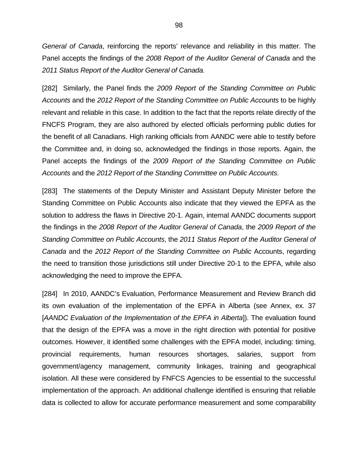*General of Canada*, reinforcing the reports' relevance and reliability in this matter. The Panel accepts the findings of the *2008 Report of the Auditor General of Canada* and the *2011 Status Report of the Auditor General of Canada.*

[282] Similarly, the Panel finds the *2009 Report of the Standing Committee on Public Accounts* and the *2012 Report of the Standing Committee on Public Accounts* to be highly relevant and reliable in this case. In addition to the fact that the reports relate directly of the FNCFS Program, they are also authored by elected officials performing public duties for the benefit of all Canadians. High ranking officials from AANDC were able to testify before the Committee and, in doing so, acknowledged the findings in those reports. Again, the Panel accepts the findings of the *2009 Report of the Standing Committee on Public Accounts* and the *2012 Report of the Standing Committee on Public Accounts*.

[283] The statements of the Deputy Minister and Assistant Deputy Minister before the Standing Committee on Public Accounts also indicate that they viewed the EPFA as the solution to address the flaws in Directive 20-1. Again, internal AANDC documents support the findings in the *2008 Report of the Auditor General of Canada*, the *2009 Report of the Standing Committee on Public Accounts*, the *2011 Status Report of the Auditor General of Canada* and the *2012 Report of the Standing Committee on Public* Accounts, regarding the need to transition those jurisdictions still under Directive 20-1 to the EPFA, while also acknowledging the need to improve the EPFA.

[284] In 2010, AANDC's Evaluation, Performance Measurement and Review Branch did its own evaluation of the implementation of the EPFA in Alberta (see Annex, ex. 37 [*AANDC Evaluation of the Implementation of the EPFA in Alberta*]). The evaluation found that the design of the EPFA was a move in the right direction with potential for positive outcomes. However, it identified some challenges with the EPFA model, including: timing, provincial requirements, human resources shortages, salaries, support from government/agency management, community linkages, training and geographical isolation. All these were considered by FNFCS Agencies to be essential to the successful implementation of the approach. An additional challenge identified is ensuring that reliable data is collected to allow for accurate performance measurement and some comparability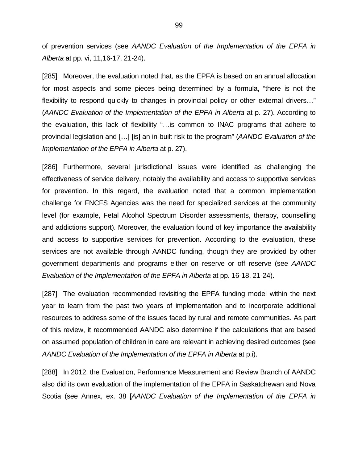of prevention services (see *AANDC Evaluation of the Implementation of the EPFA in Alberta* at pp. vi, 11,16-17, 21-24).

[285] Moreover, the evaluation noted that, as the EPFA is based on an annual allocation for most aspects and some pieces being determined by a formula, "there is not the flexibility to respond quickly to changes in provincial policy or other external drivers…" (*AANDC Evaluation of the Implementation of the EPFA in Alberta* at p. 27). According to the evaluation, this lack of flexibility "…is common to INAC programs that adhere to provincial legislation and […] [is] an in-built risk to the program" (*AANDC Evaluation of the Implementation of the EPFA in Alberta* at p. 27).

[286] Furthermore, several jurisdictional issues were identified as challenging the effectiveness of service delivery, notably the availability and access to supportive services for prevention. In this regard, the evaluation noted that a common implementation challenge for FNCFS Agencies was the need for specialized services at the community level (for example, Fetal Alcohol Spectrum Disorder assessments, therapy, counselling and addictions support). Moreover, the evaluation found of key importance the availability and access to supportive services for prevention. According to the evaluation, these services are not available through AANDC funding, though they are provided by other government departments and programs either on reserve or off reserve (see *AANDC Evaluation of the Implementation of the EPFA in Alberta* at pp. 16-18, 21-24).

[287] The evaluation recommended revisiting the EPFA funding model within the next year to learn from the past two years of implementation and to incorporate additional resources to address some of the issues faced by rural and remote communities. As part of this review, it recommended AANDC also determine if the calculations that are based on assumed population of children in care are relevant in achieving desired outcomes (see *AANDC Evaluation of the Implementation of the EPFA in Alberta* at p.i).

[288] In 2012, the Evaluation, Performance Measurement and Review Branch of AANDC also did its own evaluation of the implementation of the EPFA in Saskatchewan and Nova Scotia (see Annex, ex. 38 [*AANDC Evaluation of the Implementation of the EPFA in*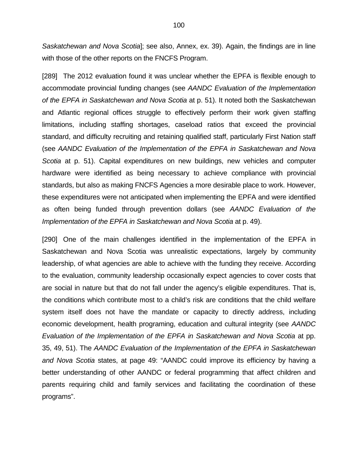*Saskatchewan and Nova Scotia*]; see also, Annex, ex. 39). Again, the findings are in line with those of the other reports on the FNCFS Program.

[289] The 2012 evaluation found it was unclear whether the EPFA is flexible enough to accommodate provincial funding changes (see *AANDC Evaluation of the Implementation of the EPFA in Saskatchewan and Nova Scotia* at p. 51). It noted both the Saskatchewan and Atlantic regional offices struggle to effectively perform their work given staffing limitations, including staffing shortages, caseload ratios that exceed the provincial standard, and difficulty recruiting and retaining qualified staff, particularly First Nation staff (see *AANDC Evaluation of the Implementation of the EPFA in Saskatchewan and Nova Scotia* at p. 51). Capital expenditures on new buildings, new vehicles and computer hardware were identified as being necessary to achieve compliance with provincial standards, but also as making FNCFS Agencies a more desirable place to work. However, these expenditures were not anticipated when implementing the EPFA and were identified as often being funded through prevention dollars (see *AANDC Evaluation of the Implementation of the EPFA in Saskatchewan and Nova Scotia* at p. 49).

[290] One of the main challenges identified in the implementation of the EPFA in Saskatchewan and Nova Scotia was unrealistic expectations, largely by community leadership, of what agencies are able to achieve with the funding they receive. According to the evaluation, community leadership occasionally expect agencies to cover costs that are social in nature but that do not fall under the agency's eligible expenditures. That is, the conditions which contribute most to a child's risk are conditions that the child welfare system itself does not have the mandate or capacity to directly address, including economic development, health programing, education and cultural integrity (see *AANDC Evaluation of the Implementation of the EPFA in Saskatchewan and Nova Scotia* at pp. 35, 49, 51). The *AANDC Evaluation of the Implementation of the EPFA in Saskatchewan and Nova Scotia* states, at page 49: "AANDC could improve its efficiency by having a better understanding of other AANDC or federal programming that affect children and parents requiring child and family services and facilitating the coordination of these programs".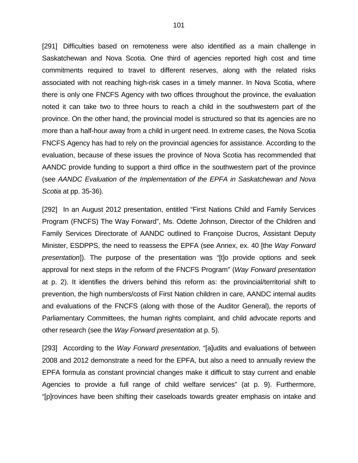[291] Difficulties based on remoteness were also identified as a main challenge in Saskatchewan and Nova Scotia. One third of agencies reported high cost and time commitments required to travel to different reserves, along with the related risks associated with not reaching high-risk cases in a timely manner. In Nova Scotia, where there is only one FNCFS Agency with two offices throughout the province, the evaluation noted it can take two to three hours to reach a child in the southwestern part of the province. On the other hand, the provincial model is structured so that its agencies are no more than a half-hour away from a child in urgent need. In extreme cases, the Nova Scotia FNCFS Agency has had to rely on the provincial agencies for assistance. According to the evaluation, because of these issues the province of Nova Scotia has recommended that AANDC provide funding to support a third office in the southwestern part of the province (see *AANDC Evaluation of the Implementation of the EPFA in Saskatchewan and Nova Scotia* at pp. 35-36).

[292] In an August 2012 presentation, entitled "First Nations Child and Family Services Program (FNCFS) The Way Forward", Ms. Odette Johnson, Director of the Children and Family Services Directorate of AANDC outlined to Françoise Ducros, Assistant Deputy Minister, ESDPPS, the need to reassess the EPFA (see Annex, ex. 40 [the *Way Forward presentation*]). The purpose of the presentation was "[t]o provide options and seek approval for next steps in the reform of the FNCFS Program" (*Way Forward presentation* at p. 2). It identifies the drivers behind this reform as: the provincial/territorial shift to prevention, the high numbers/costs of First Nation children in care, AANDC internal audits and evaluations of the FNCFS (along with those of the Auditor General), the reports of Parliamentary Committees, the human rights complaint, and child advocate reports and other research (see the *Way Forward presentation* at p. 5).

[293] According to the *Way Forward presentation*, "[a]udits and evaluations of between 2008 and 2012 demonstrate a need for the EPFA, but also a need to annually review the EPFA formula as constant provincial changes make it difficult to stay current and enable Agencies to provide a full range of child welfare services" (at p. 9). Furthermore, "[p]rovinces have been shifting their caseloads towards greater emphasis on intake and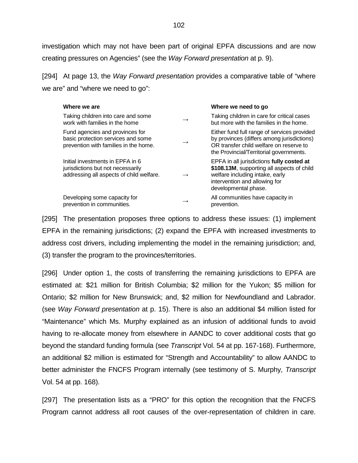investigation which may not have been part of original EPFA discussions and are now creating pressures on Agencies" (see the *Way Forward presentation* at p. 9).

[294] At page 13, the *Way Forward presentation* provides a comparative table of "where we are" and "where we need to go":

| Where we are                                                                                                      |                   | Where we need to go                                                                                                                                                                 |
|-------------------------------------------------------------------------------------------------------------------|-------------------|-------------------------------------------------------------------------------------------------------------------------------------------------------------------------------------|
| Taking children into care and some<br>work with families in the home                                              | $\longrightarrow$ | Taking children in care for critical cases<br>but more with the families in the home.                                                                                               |
| Fund agencies and provinces for<br>basic protection services and some<br>prevention with families in the home.    | $\rightarrow$     | Either fund full range of services provided<br>by provinces (differs among jurisdictions)<br>OR transfer child welfare on reserve to<br>the Provincial/Territorial governments.     |
| Initial investments in EPFA in 6<br>jurisdictions but not necessarily<br>addressing all aspects of child welfare. | $\rightarrow$     | EPFA in all jurisdictions fully costed at<br>\$108.13M, supporting all aspects of child<br>welfare including intake, early<br>intervention and allowing for<br>developmental phase. |
| Developing some capacity for<br>prevention in communities.                                                        | $\rightarrow$     | All communities have capacity in<br>prevention.                                                                                                                                     |

[295] The presentation proposes three options to address these issues: (1) implement EPFA in the remaining jurisdictions; (2) expand the EPFA with increased investments to address cost drivers, including implementing the model in the remaining jurisdiction; and, (3) transfer the program to the provinces/territories.

[296] Under option 1, the costs of transferring the remaining jurisdictions to EPFA are estimated at: \$21 million for British Columbia; \$2 million for the Yukon; \$5 million for Ontario; \$2 million for New Brunswick; and, \$2 million for Newfoundland and Labrador. (see *Way Forward presentation* at p. 15). There is also an additional \$4 million listed for "Maintenance" which Ms. Murphy explained as an infusion of additional funds to avoid having to re-allocate money from elsewhere in AANDC to cover additional costs that go beyond the standard funding formula (see *Transcript* Vol. 54 at pp. 167-168). Furthermore, an additional \$2 million is estimated for "Strength and Accountability" to allow AANDC to better administer the FNCFS Program internally (see testimony of S. Murphy, *Transcript* Vol. 54 at pp. 168).

[297] The presentation lists as a "PRO" for this option the recognition that the FNCFS Program cannot address all root causes of the over-representation of children in care.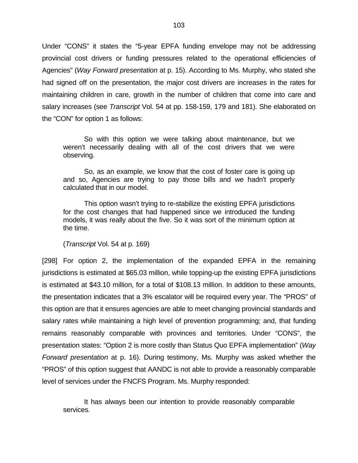Under "CONS" it states the "5-year EPFA funding envelope may not be addressing provincial cost drivers or funding pressures related to the operational efficiencies of Agencies" (*Way Forward presentation* at p. 15). According to Ms. Murphy, who stated she had signed off on the presentation, the major cost drivers are increases in the rates for maintaining children in care, growth in the number of children that come into care and salary increases (see *Transcript* Vol. 54 at pp. 158-159, 179 and 181). She elaborated on the "CON" for option 1 as follows:

So with this option we were talking about maintenance, but we weren't necessarily dealing with all of the cost drivers that we were observing.

So, as an example, we know that the cost of foster care is going up and so, Agencies are trying to pay those bills and we hadn't properly calculated that in our model.

This option wasn't trying to re-stabilize the existing EPFA jurisdictions for the cost changes that had happened since we introduced the funding models, it was really about the five. So it was sort of the minimum option at the time.

(*Transcript* Vol. 54 at p. 169)

[298] For option 2, the implementation of the expanded EPFA in the remaining jurisdictions is estimated at \$65.03 million, while topping-up the existing EPFA jurisdictions is estimated at \$43.10 million, for a total of \$108.13 million. In addition to these amounts, the presentation indicates that a 3% escalator will be required every year. The "PROS" of this option are that it ensures agencies are able to meet changing provincial standards and salary rates while maintaining a high level of prevention programming; and, that funding remains reasonably comparable with provinces and territories. Under "CONS", the presentation states: "Option 2 is more costly than Status Quo EPFA implementation" (*Way Forward presentation* at p. 16). During testimony, Ms. Murphy was asked whether the "PROS" of this option suggest that AANDC is not able to provide a reasonably comparable level of services under the FNCFS Program. Ms. Murphy responded:

It has always been our intention to provide reasonably comparable services.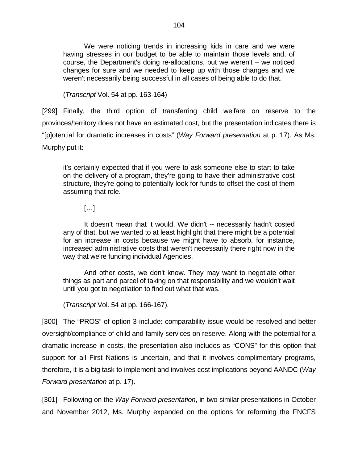We were noticing trends in increasing kids in care and we were having stresses in our budget to be able to maintain those levels and, of course, the Department's doing re-allocations, but we weren't – we noticed changes for sure and we needed to keep up with those changes and we weren't necessarily being successful in all cases of being able to do that.

(*Transcript* Vol. 54 at pp. 163-164)

[299] Finally, the third option of transferring child welfare on reserve to the provinces/territory does not have an estimated cost, but the presentation indicates there is "[p]otential for dramatic increases in costs" (*Way Forward presentation* at p. 17). As Ms. Murphy put it:

it's certainly expected that if you were to ask someone else to start to take on the delivery of a program, they're going to have their administrative cost structure, they're going to potentially look for funds to offset the cost of them assuming that role.

### […]

It doesn't mean that it would. We didn't -- necessarily hadn't costed any of that, but we wanted to at least highlight that there might be a potential for an increase in costs because we might have to absorb, for instance, increased administrative costs that weren't necessarily there right now in the way that we're funding individual Agencies.

And other costs, we don't know. They may want to negotiate other things as part and parcel of taking on that responsibility and we wouldn't wait until you got to negotiation to find out what that was.

(*Transcript* Vol. 54 at pp. 166-167).

[300] The "PROS" of option 3 include: comparability issue would be resolved and better oversight/compliance of child and family services on reserve. Along with the potential for a dramatic increase in costs, the presentation also includes as "CONS" for this option that support for all First Nations is uncertain, and that it involves complimentary programs, therefore, it is a big task to implement and involves cost implications beyond AANDC (*Way Forward presentation* at p. 17).

[301] Following on the *Way Forward presentation*, in two similar presentations in October and November 2012, Ms. Murphy expanded on the options for reforming the FNCFS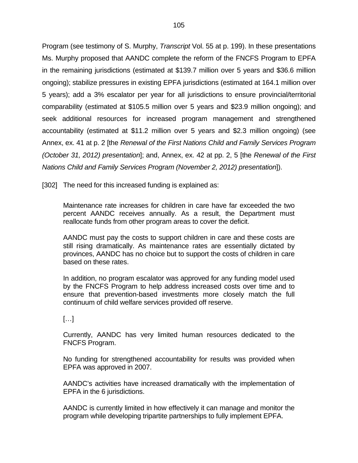Program (see testimony of S. Murphy, *Transcript* Vol. 55 at p. 199). In these presentations Ms. Murphy proposed that AANDC complete the reform of the FNCFS Program to EPFA in the remaining jurisdictions (estimated at \$139.7 million over 5 years and \$36.6 million ongoing); stabilize pressures in existing EPFA jurisdictions (estimated at 164.1 million over 5 years); add a 3% escalator per year for all jurisdictions to ensure provincial/territorial comparability (estimated at \$105.5 million over 5 years and \$23.9 million ongoing); and seek additional resources for increased program management and strengthened accountability (estimated at \$11.2 million over 5 years and \$2.3 million ongoing) (see Annex, ex. 41 at p. 2 [the *Renewal of the First Nations Child and Family Services Program (October 31, 2012) presentation*]; and, Annex, ex. 42 at pp. 2, 5 [the *Renewal of the First Nations Child and Family Services Program (November 2, 2012) presentation*]).

[302] The need for this increased funding is explained as:

Maintenance rate increases for children in care have far exceeded the two percent AANDC receives annually. As a result, the Department must reallocate funds from other program areas to cover the deficit.

AANDC must pay the costs to support children in care and these costs are still rising dramatically. As maintenance rates are essentially dictated by provinces, AANDC has no choice but to support the costs of children in care based on these rates.

In addition, no program escalator was approved for any funding model used by the FNCFS Program to help address increased costs over time and to ensure that prevention-based investments more closely match the full continuum of child welfare services provided off reserve.

## $[...]$

Currently, AANDC has very limited human resources dedicated to the FNCFS Program.

No funding for strengthened accountability for results was provided when EPFA was approved in 2007.

AANDC's activities have increased dramatically with the implementation of EPFA in the 6 jurisdictions.

AANDC is currently limited in how effectively it can manage and monitor the program while developing tripartite partnerships to fully implement EPFA.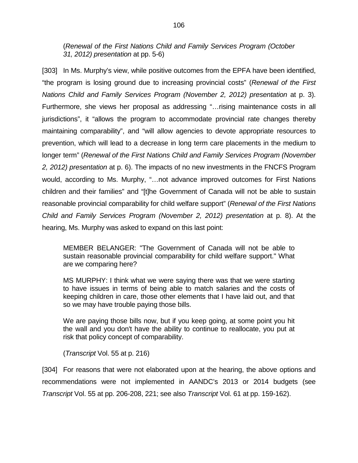(*Renewal of the First Nations Child and Family Services Program (October 31, 2012) presentation* at pp. 5-6)

[303] In Ms. Murphy's view, while positive outcomes from the EPFA have been identified, "the program is losing ground due to increasing provincial costs" (*Renewal of the First Nations Child and Family Services Program (November 2, 2012) presentation* at p. 3). Furthermore, she views her proposal as addressing "…rising maintenance costs in all jurisdictions", it "allows the program to accommodate provincial rate changes thereby maintaining comparability", and "will allow agencies to devote appropriate resources to prevention, which will lead to a decrease in long term care placements in the medium to longer term" (*Renewal of the First Nations Child and Family Services Program (November 2, 2012) presentation* at p. 6). The impacts of no new investments in the FNCFS Program would, according to Ms. Murphy, "…not advance improved outcomes for First Nations children and their families" and "[t]he Government of Canada will not be able to sustain reasonable provincial comparability for child welfare support" (*Renewal of the First Nations Child and Family Services Program (November 2, 2012) presentation* at p. 8). At the hearing, Ms. Murphy was asked to expand on this last point:

MEMBER BELANGER: "The Government of Canada will not be able to sustain reasonable provincial comparability for child welfare support." What are we comparing here?

MS MURPHY: I think what we were saying there was that we were starting to have issues in terms of being able to match salaries and the costs of keeping children in care, those other elements that I have laid out, and that so we may have trouble paying those bills.

We are paying those bills now, but if you keep going, at some point you hit the wall and you don't have the ability to continue to reallocate, you put at risk that policy concept of comparability.

(*Transcript* Vol. 55 at p. 216)

[304] For reasons that were not elaborated upon at the hearing, the above options and recommendations were not implemented in AANDC's 2013 or 2014 budgets (see *Transcript* Vol. 55 at pp. 206-208, 221; see also *Transcript* Vol. 61 at pp. 159-162).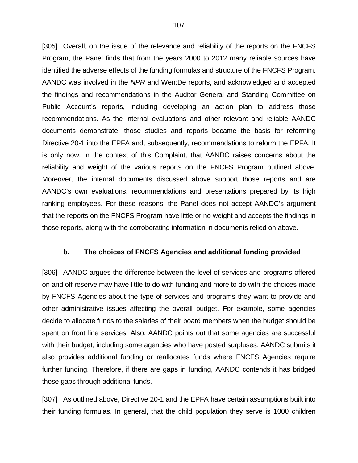[305] Overall, on the issue of the relevance and reliability of the reports on the FNCFS Program, the Panel finds that from the years 2000 to 2012 many reliable sources have identified the adverse effects of the funding formulas and structure of the FNCFS Program. AANDC was involved in the *NPR* and Wen:De reports, and acknowledged and accepted the findings and recommendations in the Auditor General and Standing Committee on Public Account's reports, including developing an action plan to address those recommendations. As the internal evaluations and other relevant and reliable AANDC documents demonstrate, those studies and reports became the basis for reforming Directive 20-1 into the EPFA and, subsequently, recommendations to reform the EPFA. It is only now, in the context of this Complaint, that AANDC raises concerns about the reliability and weight of the various reports on the FNCFS Program outlined above. Moreover, the internal documents discussed above support those reports and are AANDC's own evaluations, recommendations and presentations prepared by its high ranking employees. For these reasons, the Panel does not accept AANDC's argument that the reports on the FNCFS Program have little or no weight and accepts the findings in those reports, along with the corroborating information in documents relied on above.

## **b. The choices of FNCFS Agencies and additional funding provided**

[306] AANDC argues the difference between the level of services and programs offered on and off reserve may have little to do with funding and more to do with the choices made by FNCFS Agencies about the type of services and programs they want to provide and other administrative issues affecting the overall budget. For example, some agencies decide to allocate funds to the salaries of their board members when the budget should be spent on front line services. Also, AANDC points out that some agencies are successful with their budget, including some agencies who have posted surpluses. AANDC submits it also provides additional funding or reallocates funds where FNCFS Agencies require further funding. Therefore, if there are gaps in funding, AANDC contends it has bridged those gaps through additional funds.

[307] As outlined above, Directive 20-1 and the EPFA have certain assumptions built into their funding formulas. In general, that the child population they serve is 1000 children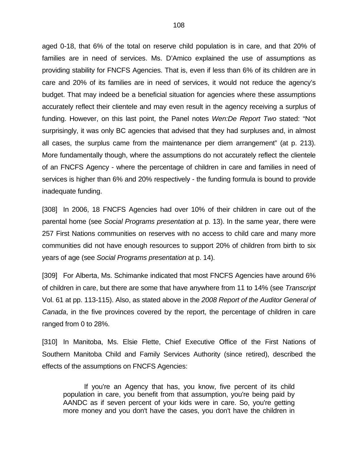aged 0-18, that 6% of the total on reserve child population is in care, and that 20% of families are in need of services. Ms. D'Amico explained the use of assumptions as providing stability for FNCFS Agencies. That is, even if less than 6% of its children are in care and 20% of its families are in need of services, it would not reduce the agency's budget. That may indeed be a beneficial situation for agencies where these assumptions accurately reflect their clientele and may even result in the agency receiving a surplus of funding. However, on this last point, the Panel notes *Wen:De Report Two* stated: "Not surprisingly, it was only BC agencies that advised that they had surpluses and, in almost all cases, the surplus came from the maintenance per diem arrangement" (at p. 213). More fundamentally though, where the assumptions do not accurately reflect the clientele of an FNCFS Agency - where the percentage of children in care and families in need of services is higher than 6% and 20% respectively - the funding formula is bound to provide inadequate funding.

[308] In 2006, 18 FNCFS Agencies had over 10% of their children in care out of the parental home (see *Social Programs presentation* at p. 13). In the same year, there were 257 First Nations communities on reserves with no access to child care and many more communities did not have enough resources to support 20% of children from birth to six years of age (see *Social Programs presentation* at p. 14).

[309] For Alberta, Ms. Schimanke indicated that most FNCFS Agencies have around 6% of children in care, but there are some that have anywhere from 11 to 14% (see *Transcript* Vol. 61 at pp. 113-115). Also, as stated above in the *2008 Report of the Auditor General of Canada*, in the five provinces covered by the report, the percentage of children in care ranged from 0 to 28%.

[310] In Manitoba, Ms. Elsie Flette, Chief Executive Office of the First Nations of Southern Manitoba Child and Family Services Authority (since retired), described the effects of the assumptions on FNCFS Agencies:

If you're an Agency that has, you know, five percent of its child population in care, you benefit from that assumption, you're being paid by AANDC as if seven percent of your kids were in care. So, you're getting more money and you don't have the cases, you don't have the children in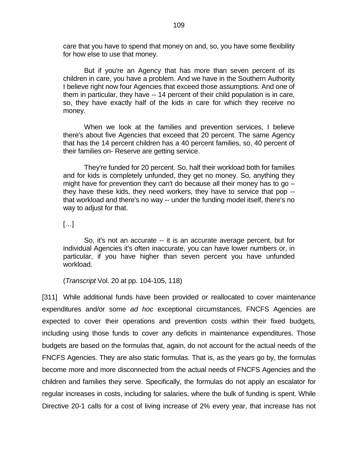care that you have to spend that money on and, so, you have some flexibility for how else to use that money.

But if you're an Agency that has more than seven percent of its children in care, you have a problem. And we have in the Southern Authority I believe right now four Agencies that exceed those assumptions. And one of them in particular, they have -- 14 percent of their child population is in care, so, they have exactly half of the kids in care for which they receive no money.

When we look at the families and prevention services, I believe there's about five Agencies that exceed that 20 percent. The same Agency that has the 14 percent children has a 40 percent families, so, 40 percent of their families on- Reserve are getting service.

They're funded for 20 percent. So, half their workload both for families and for kids is completely unfunded, they get no money. So, anything they might have for prevention they can't do because all their money has to go – they have these kids, they need workers, they have to service that pop - that workload and there's no way -- under the funding model itself, there's no way to adjust for that.

### […]

So, it's not an accurate -- it is an accurate average percent, but for individual Agencies it's often inaccurate, you can have lower numbers or, in particular, if you have higher than seven percent you have unfunded workload.

(*Transcript* Vol. 20 at pp. 104-105, 118)

[311] While additional funds have been provided or reallocated to cover maintenance expenditures and/or some *ad hoc* exceptional circumstances, FNCFS Agencies are expected to cover their operations and prevention costs within their fixed budgets, including using those funds to cover any deficits in maintenance expenditures. Those budgets are based on the formulas that, again, do not account for the actual needs of the FNCFS Agencies. They are also static formulas. That is, as the years go by, the formulas become more and more disconnected from the actual needs of FNCFS Agencies and the children and families they serve. Specifically, the formulas do not apply an escalator for regular increases in costs, including for salaries, where the bulk of funding is spent. While Directive 20-1 calls for a cost of living increase of 2% every year, that increase has not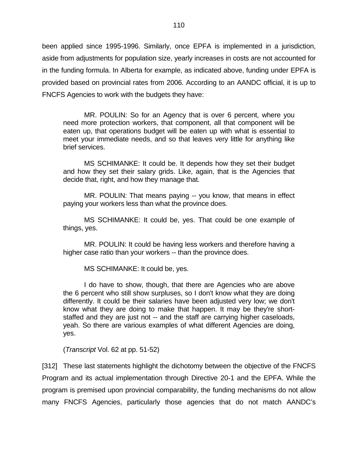been applied since 1995-1996. Similarly, once EPFA is implemented in a jurisdiction, aside from adjustments for population size, yearly increases in costs are not accounted for in the funding formula. In Alberta for example, as indicated above, funding under EPFA is provided based on provincial rates from 2006. According to an AANDC official, it is up to FNCFS Agencies to work with the budgets they have:

MR. POULIN: So for an Agency that is over 6 percent, where you need more protection workers, that component, all that component will be eaten up, that operations budget will be eaten up with what is essential to meet your immediate needs, and so that leaves very little for anything like brief services.

MS SCHIMANKE: It could be. It depends how they set their budget and how they set their salary grids. Like, again, that is the Agencies that decide that, right, and how they manage that.

MR. POULIN: That means paying -- you know, that means in effect paying your workers less than what the province does.

MS SCHIMANKE: It could be, yes. That could be one example of things, yes.

MR. POULIN: It could be having less workers and therefore having a higher case ratio than your workers -- than the province does.

MS SCHIMANKE: It could be, yes.

I do have to show, though, that there are Agencies who are above the 6 percent who still show surpluses, so I don't know what they are doing differently. It could be their salaries have been adjusted very low; we don't know what they are doing to make that happen. It may be they're shortstaffed and they are just not -- and the staff are carrying higher caseloads, yeah. So there are various examples of what different Agencies are doing, yes.

(*Transcript* Vol. 62 at pp. 51-52)

[312] These last statements highlight the dichotomy between the objective of the FNCFS Program and its actual implementation through Directive 20-1 and the EPFA. While the program is premised upon provincial comparability, the funding mechanisms do not allow many FNCFS Agencies, particularly those agencies that do not match AANDC's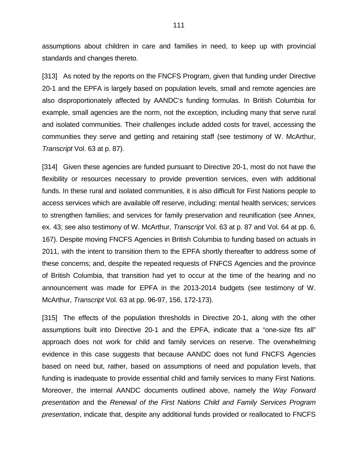assumptions about children in care and families in need, to keep up with provincial standards and changes thereto.

[313] As noted by the reports on the FNCFS Program, given that funding under Directive 20-1 and the EPFA is largely based on population levels, small and remote agencies are also disproportionately affected by AANDC's funding formulas. In British Columbia for example, small agencies are the norm, not the exception, including many that serve rural and isolated communities. Their challenges include added costs for travel, accessing the communities they serve and getting and retaining staff (see testimony of W. McArthur, *Transcript* Vol. 63 at p. 87).

[314] Given these agencies are funded pursuant to Directive 20-1, most do not have the flexibility or resources necessary to provide prevention services, even with additional funds. In these rural and isolated communities, it is also difficult for First Nations people to access services which are available off reserve, including: mental health services; services to strengthen families; and services for family preservation and reunification (see Annex, ex. 43; see also testimony of W. McArthur, *Transcript* Vol. 63 at p. 87 and Vol. 64 at pp. 6, 167). Despite moving FNCFS Agencies in British Columbia to funding based on actuals in 2011, with the intent to transition them to the EPFA shortly thereafter to address some of these concerns; and, despite the repeated requests of FNFCS Agencies and the province of British Columbia, that transition had yet to occur at the time of the hearing and no announcement was made for EPFA in the 2013-2014 budgets (see testimony of W. McArthur, *Transcript* Vol. 63 at pp. 96-97, 156, 172-173).

[315] The effects of the population thresholds in Directive 20-1, along with the other assumptions built into Directive 20-1 and the EPFA, indicate that a "one-size fits all" approach does not work for child and family services on reserve. The overwhelming evidence in this case suggests that because AANDC does not fund FNCFS Agencies based on need but, rather, based on assumptions of need and population levels, that funding is inadequate to provide essential child and family services to many First Nations. Moreover, the internal AANDC documents outlined above, namely the *Way Forward presentation* and the *Renewal of the First Nations Child and Family Services Program presentation*, indicate that, despite any additional funds provided or reallocated to FNCFS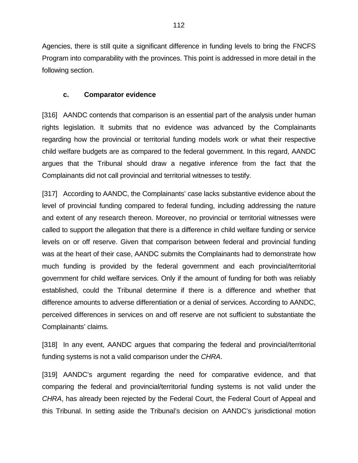Agencies, there is still quite a significant difference in funding levels to bring the FNCFS Program into comparability with the provinces. This point is addressed in more detail in the following section.

## **c. Comparator evidence**

[316] AANDC contends that comparison is an essential part of the analysis under human rights legislation. It submits that no evidence was advanced by the Complainants regarding how the provincial or territorial funding models work or what their respective child welfare budgets are as compared to the federal government. In this regard, AANDC argues that the Tribunal should draw a negative inference from the fact that the Complainants did not call provincial and territorial witnesses to testify.

[317] According to AANDC, the Complainants' case lacks substantive evidence about the level of provincial funding compared to federal funding, including addressing the nature and extent of any research thereon. Moreover, no provincial or territorial witnesses were called to support the allegation that there is a difference in child welfare funding or service levels on or off reserve. Given that comparison between federal and provincial funding was at the heart of their case, AANDC submits the Complainants had to demonstrate how much funding is provided by the federal government and each provincial/territorial government for child welfare services. Only if the amount of funding for both was reliably established, could the Tribunal determine if there is a difference and whether that difference amounts to adverse differentiation or a denial of services. According to AANDC, perceived differences in services on and off reserve are not sufficient to substantiate the Complainants' claims.

[318] In any event, AANDC argues that comparing the federal and provincial/territorial funding systems is not a valid comparison under the *CHRA*.

[319] AANDC's argument regarding the need for comparative evidence, and that comparing the federal and provincial/territorial funding systems is not valid under the *CHRA*, has already been rejected by the Federal Court, the Federal Court of Appeal and this Tribunal. In setting aside the Tribunal's decision on AANDC's jurisdictional motion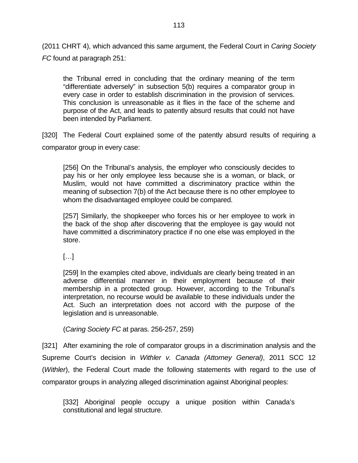(2011 CHRT 4), which advanced this same argument, the Federal Court in *Caring Society FC* found at paragraph 251:

the Tribunal erred in concluding that the ordinary meaning of the term "differentiate adversely" in subsection 5(b) requires a comparator group in every case in order to establish discrimination in the provision of services. This conclusion is unreasonable as it flies in the face of the scheme and purpose of the Act, and leads to patently absurd results that could not have been intended by Parliament.

[320] The Federal Court explained some of the patently absurd results of requiring a comparator group in every case:

[256] On the Tribunal's analysis, the employer who consciously decides to pay his or her only employee less because she is a woman, or black, or Muslim, would not have committed a discriminatory practice within the meaning of subsection 7(b) of the Act because there is no other employee to whom the disadvantaged employee could be compared.

[257] Similarly, the shopkeeper who forces his or her employee to work in the back of the shop after discovering that the employee is gay would not have committed a discriminatory practice if no one else was employed in the store.

 $[\ldots]$ 

[259] In the examples cited above, individuals are clearly being treated in an adverse differential manner in their employment because of their membership in a protected group. However, according to the Tribunal's interpretation, no recourse would be available to these individuals under the Act. Such an interpretation does not accord with the purpose of the legislation and is unreasonable.

(*Caring Society FC* at paras. 256-257, 259)

[321] After examining the role of comparator groups in a discrimination analysis and the Supreme Court's decision in *Withler v. Canada (Attorney General)*, 2011 SCC 12 (*Withler*), the Federal Court made the following statements with regard to the use of comparator groups in analyzing alleged discrimination against Aboriginal peoples:

[332] Aboriginal people occupy a unique position within Canada's constitutional and legal structure.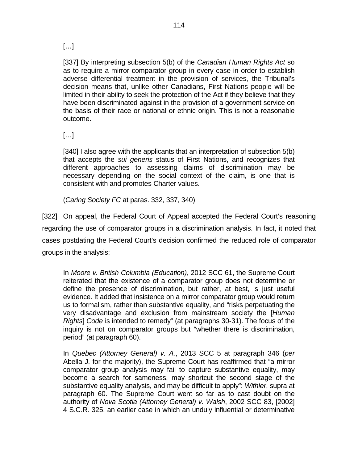[…]

[337] By interpreting subsection 5(b) of the *Canadian Human Rights Act* so as to require a mirror comparator group in every case in order to establish adverse differential treatment in the provision of services, the Tribunal's decision means that, unlike other Canadians, First Nations people will be limited in their ability to seek the protection of the Act if they believe that they have been discriminated against in the provision of a government service on the basis of their race or national or ethnic origin. This is not a reasonable outcome.

 $[\ldots]$ 

[340] I also agree with the applicants that an interpretation of subsection 5(b) that accepts the *sui generis* status of First Nations, and recognizes that different approaches to assessing claims of discrimination may be necessary depending on the social context of the claim, is one that is consistent with and promotes Charter values.

(*Caring Society FC* at paras. 332, 337, 340)

[322] On appeal, the Federal Court of Appeal accepted the Federal Court's reasoning regarding the use of comparator groups in a discrimination analysis. In fact, it noted that cases postdating the Federal Court's decision confirmed the reduced role of comparator groups in the analysis:

In *Moore v. British Columbia (Education)*, 2012 SCC 61, the Supreme Court reiterated that the existence of a comparator group does not determine or define the presence of discrimination, but rather, at best, is just useful evidence. It added that insistence on a mirror comparator group would return us to formalism, rather than substantive equality, and "risks perpetuating the very disadvantage and exclusion from mainstream society the [*Human Rights*] *Code* is intended to remedy" (at paragraphs 30-31). The focus of the inquiry is not on comparator groups but "whether there is discrimination, period" (at paragraph 60).

In *Quebec (Attorney General) v. A.*, 2013 SCC 5 at paragraph 346 (*per* Abella J. for the majority), the Supreme Court has reaffirmed that "a mirror comparator group analysis may fail to capture substantive equality, may become a search for sameness, may shortcut the second stage of the substantive equality analysis, and may be difficult to apply": *Withler*, supra at paragraph 60. The Supreme Court went so far as to cast doubt on the authority of *Nova Scotia (Attorney General) v. Walsh*, 2002 SCC 83, [2002] 4 S.C.R. 325, an earlier case in which an unduly influential or determinative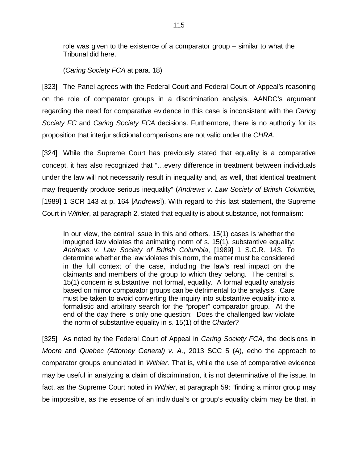role was given to the existence of a comparator group – similar to what the Tribunal did here.

(*Caring Society FCA* at para. 18)

[323] The Panel agrees with the Federal Court and Federal Court of Appeal's reasoning on the role of comparator groups in a discrimination analysis. AANDC's argument regarding the need for comparative evidence in this case is inconsistent with the *Caring Society FC* and *Caring Society FCA* decisions. Furthermore, there is no authority for its proposition that interjurisdictional comparisons are not valid under the *CHRA*.

[324] While the Supreme Court has previously stated that equality is a comparative concept, it has also recognized that "…every difference in treatment between individuals under the law will not necessarily result in inequality and, as well, that identical treatment may frequently produce serious inequality" (*Andrews v. Law Society of British Columbia*, [1989] 1 SCR 143 at p. 164 [*Andrews*]). With regard to this last statement, the Supreme Court in *Withler*, at paragraph 2, stated that equality is about substance, not formalism:

In our view, the central issue in this and others. 15(1) cases is whether the impugned law violates the animating norm of s. 15(1), substantive equality: *Andrews v. Law Society of British Columbia*, [1989] 1 S.C.R. 143. To determine whether the law violates this norm, the matter must be considered in the full context of the case, including the law's real impact on the claimants and members of the group to which they belong. The central s. 15(1) concern is substantive, not formal, equality. A formal equality analysis based on mirror comparator groups can be detrimental to the analysis. Care must be taken to avoid converting the inquiry into substantive equality into a formalistic and arbitrary search for the "proper" comparator group. At the end of the day there is only one question: Does the challenged law violate the norm of substantive equality in s. 15(1) of the *Charter*?

[325] As noted by the Federal Court of Appeal in *Caring Society FCA*, the decisions in *Moore* and *Quebec (Attorney General) v. A.*, 2013 SCC 5 (*A*), echo the approach to comparator groups enunciated in *Withler*. That is, while the use of comparative evidence may be useful in analyzing a claim of discrimination, it is not determinative of the issue. In fact, as the Supreme Court noted in *Withler*, at paragraph 59: "finding a mirror group may be impossible, as the essence of an individual's or group's equality claim may be that, in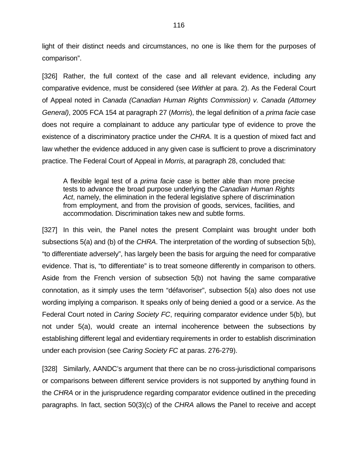light of their distinct needs and circumstances, no one is like them for the purposes of comparison".

[326] Rather, the full context of the case and all relevant evidence, including any comparative evidence, must be considered (see *Withler* at para. 2). As the Federal Court of Appeal noted in *Canada (Canadian Human Rights Commission) v. Canada (Attorney General)*, 2005 FCA 154 at paragraph 27 (*Morris*), the legal definition of a *prima facie* case does not require a complainant to adduce any particular type of evidence to prove the existence of a discriminatory practice under the *CHRA*. It is a question of mixed fact and law whether the evidence adduced in any given case is sufficient to prove a discriminatory practice. The Federal Court of Appeal in *Morris*, at paragraph 28, concluded that:

A flexible legal test of a *prima facie* case is better able than more precise tests to advance the broad purpose underlying the *Canadian Human Rights Act*, namely, the elimination in the federal legislative sphere of discrimination from employment, and from the provision of goods, services, facilities, and accommodation. Discrimination takes new and subtle forms.

[327] In this vein, the Panel notes the present Complaint was brought under both subsections 5(a) and (b) of the *CHRA*. The interpretation of the wording of subsection 5(b), "to differentiate adversely", has largely been the basis for arguing the need for comparative evidence. That is, "to differentiate" is to treat someone differently in comparison to others. Aside from the French version of subsection 5(b) not having the same comparative connotation, as it simply uses the term "défavoriser", subsection 5(a) also does not use wording implying a comparison. It speaks only of being denied a good or a service. As the Federal Court noted in *Caring Society FC*, requiring comparator evidence under 5(b), but not under 5(a), would create an internal incoherence between the subsections by establishing different legal and evidentiary requirements in order to establish discrimination under each provision (see *Caring Society FC* at paras. 276-279).

[328] Similarly, AANDC's argument that there can be no cross-jurisdictional comparisons or comparisons between different service providers is not supported by anything found in the *CHRA* or in the jurisprudence regarding comparator evidence outlined in the preceding paragraphs. In fact, section 50(3)(c) of the *CHRA* allows the Panel to receive and accept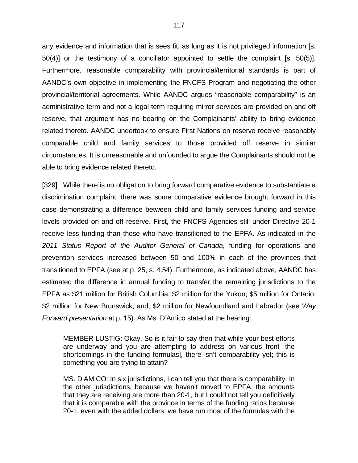any evidence and information that is sees fit, as long as it is not privileged information [s. 50(4)] or the testimony of a conciliator appointed to settle the complaint [s. 50(5)]. Furthermore, reasonable comparability with provincial/territorial standards is part of AANDC's own objective in implementing the FNCFS Program and negotiating the other provincial/territorial agreements. While AANDC argues "reasonable comparability" is an administrative term and not a legal term requiring mirror services are provided on and off reserve, that argument has no bearing on the Complainants' ability to bring evidence related thereto. AANDC undertook to ensure First Nations on reserve receive reasonably comparable child and family services to those provided off reserve in similar circumstances. It is unreasonable and unfounded to argue the Complainants should not be able to bring evidence related thereto.

[329] While there is no obligation to bring forward comparative evidence to substantiate a discrimination complaint, there was some comparative evidence brought forward in this case demonstrating a difference between child and family services funding and service levels provided on and off reserve. First, the FNCFS Agencies still under Directive 20-1 receive less funding than those who have transitioned to the EPFA. As indicated in the *2011 Status Report of the Auditor General of Canada*, funding for operations and prevention services increased between 50 and 100% in each of the provinces that transitioned to EPFA (see at p. 25, s. 4.54). Furthermore, as indicated above, AANDC has estimated the difference in annual funding to transfer the remaining jurisdictions to the EPFA as \$21 million for British Columbia; \$2 million for the Yukon; \$5 million for Ontario; \$2 million for New Brunswick; and, \$2 million for Newfoundland and Labrador (see *Way Forward presentation* at p. 15). As Ms. D'Amico stated at the hearing:

MEMBER LUSTIG: Okay. So is it fair to say then that while your best efforts are underway and you are attempting to address on various front [the shortcomings in the funding formulas], there isn't comparability yet; this is something you are trying to attain?

MS. D'AMICO: In six jurisdictions, I can tell you that there is comparability. In the other jurisdictions, because we haven't moved to EPFA, the amounts that they are receiving are more than 20-1, but I could not tell you definitively that it is comparable with the province in terms of the funding ratios because 20-1, even with the added dollars, we have run most of the formulas with the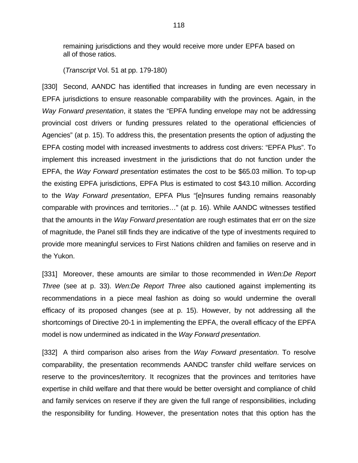remaining jurisdictions and they would receive more under EPFA based on all of those ratios.

(*Transcript* Vol. 51 at pp. 179-180)

[330] Second, AANDC has identified that increases in funding are even necessary in EPFA jurisdictions to ensure reasonable comparability with the provinces. Again, in the *Way Forward presentation*, it states the "EPFA funding envelope may not be addressing provincial cost drivers or funding pressures related to the operational efficiencies of Agencies" (at p. 15). To address this, the presentation presents the option of adjusting the EPFA costing model with increased investments to address cost drivers: "EPFA Plus". To implement this increased investment in the jurisdictions that do not function under the EPFA, the *Way Forward presentation* estimates the cost to be \$65.03 million. To top-up the existing EPFA jurisdictions, EPFA Plus is estimated to cost \$43.10 million. According to the *Way Forward presentation*, EPFA Plus "[e]nsures funding remains reasonably comparable with provinces and territories…" (at p. 16). While AANDC witnesses testified that the amounts in the *Way Forward presentation* are rough estimates that err on the size of magnitude, the Panel still finds they are indicative of the type of investments required to provide more meaningful services to First Nations children and families on reserve and in the Yukon.

[331] Moreover, these amounts are similar to those recommended in *Wen:De Report Three* (see at p. 33). *Wen:De Report Three* also cautioned against implementing its recommendations in a piece meal fashion as doing so would undermine the overall efficacy of its proposed changes (see at p. 15). However, by not addressing all the shortcomings of Directive 20-1 in implementing the EPFA, the overall efficacy of the EPFA model is now undermined as indicated in the *Way Forward presentation*.

[332] A third comparison also arises from the *Way Forward presentation*. To resolve comparability, the presentation recommends AANDC transfer child welfare services on reserve to the provinces/territory. It recognizes that the provinces and territories have expertise in child welfare and that there would be better oversight and compliance of child and family services on reserve if they are given the full range of responsibilities, including the responsibility for funding. However, the presentation notes that this option has the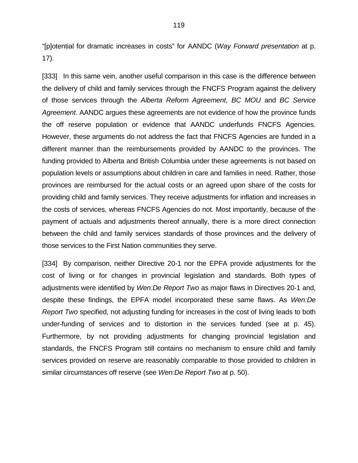"[p]otential for dramatic increases in costs" for AANDC (*Way Forward presentation* at p. 17).

[333] In this same vein, another useful comparison in this case is the difference between the delivery of child and family services through the FNCFS Program against the delivery of those services through the *Alberta Reform Agreement*, *BC MOU* and *BC Service Agreement*. AANDC argues these agreements are not evidence of how the province funds the off reserve population or evidence that AANDC underfunds FNCFS Agencies. However, these arguments do not address the fact that FNCFS Agencies are funded in a different manner than the reimbursements provided by AANDC to the provinces. The funding provided to Alberta and British Columbia under these agreements is not based on population levels or assumptions about children in care and families in need. Rather, those provinces are reimbursed for the actual costs or an agreed upon share of the costs for providing child and family services. They receive adjustments for inflation and increases in the costs of services, whereas FNCFS Agencies do not. Most importantly, because of the payment of actuals and adjustments thereof annually, there is a more direct connection between the child and family services standards of those provinces and the delivery of those services to the First Nation communities they serve.

[334] By comparison, neither Directive 20-1 nor the EPFA provide adjustments for the cost of living or for changes in provincial legislation and standards. Both types of adjustments were identified by *Wen:De Report Two* as major flaws in Directives 20-1 and, despite these findings, the EPFA model incorporated these same flaws. As *Wen:De Report Two* specified, not adjusting funding for increases in the cost of living leads to both under-funding of services and to distortion in the services funded (see at p. 45). Furthermore, by not providing adjustments for changing provincial legislation and standards, the FNCFS Program still contains no mechanism to ensure child and family services provided on reserve are reasonably comparable to those provided to children in similar circumstances off reserve (see *Wen:De Report Two* at p. 50).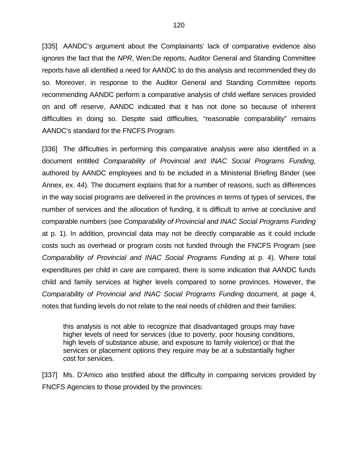[335] AANDC's argument about the Complainants' lack of comparative evidence also ignores the fact that the *NPR*, Wen:De reports, Auditor General and Standing Committee reports have all identified a need for AANDC to do this analysis and recommended they do so. Moreover, in response to the Auditor General and Standing Committee reports recommending AANDC perform a comparative analysis of child welfare services provided on and off reserve, AANDC indicated that it has not done so because of inherent difficulties in doing so. Despite said difficulties, "reasonable comparability" remains AANDC's standard for the FNCFS Program.

[336] The difficulties in performing this comparative analysis were also identified in a document entitled *Comparability of Provincial and INAC Social Programs Funding*, authored by AANDC employees and to be included in a Ministerial Briefing Binder (see Annex, ex. 44). The document explains that for a number of reasons, such as differences in the way social programs are delivered in the provinces in terms of types of services, the number of services and the allocation of funding, it is difficult to arrive at conclusive and comparable numbers (see *Comparability of Provincial and INAC Social Programs Funding* at p. 1). In addition, provincial data may not be directly comparable as it could include costs such as overhead or program costs not funded through the FNCFS Program (see *Comparability of Provincial and INAC Social Programs Funding* at p. 4). Where total expenditures per child in care are compared, there is some indication that AANDC funds child and family services at higher levels compared to some provinces. However, the *Comparability of Provincial and INAC Social Programs Funding* document, at page 4, notes that funding levels do not relate to the real needs of children and their families:

this analysis is not able to recognize that disadvantaged groups may have higher levels of need for services (due to poverty, poor housing conditions, high levels of substance abuse, and exposure to family violence) or that the services or placement options they require may be at a substantially higher cost for services.

[337] Ms. D'Amico also testified about the difficulty in comparing services provided by FNCFS Agencies to those provided by the provinces: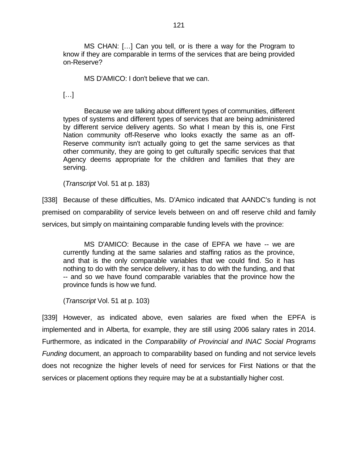MS CHAN: […] Can you tell, or is there a way for the Program to know if they are comparable in terms of the services that are being provided on-Reserve?

MS D'AMICO: I don't believe that we can.

## […]

Because we are talking about different types of communities, different types of systems and different types of services that are being administered by different service delivery agents. So what I mean by this is, one First Nation community off-Reserve who looks exactly the same as an off-Reserve community isn't actually going to get the same services as that other community, they are going to get culturally specific services that that Agency deems appropriate for the children and families that they are serving.

(*Transcript* Vol. 51 at p. 183)

[338] Because of these difficulties, Ms. D'Amico indicated that AANDC's funding is not premised on comparability of service levels between on and off reserve child and family services, but simply on maintaining comparable funding levels with the province:

MS D'AMICO: Because in the case of EPFA we have -- we are currently funding at the same salaries and staffing ratios as the province, and that is the only comparable variables that we could find. So it has nothing to do with the service delivery, it has to do with the funding, and that -- and so we have found comparable variables that the province how the province funds is how we fund.

(*Transcript* Vol. 51 at p. 103)

[339] However, as indicated above, even salaries are fixed when the EPFA is implemented and in Alberta, for example, they are still using 2006 salary rates in 2014. Furthermore, as indicated in the *Comparability of Provincial and INAC Social Programs Funding* document, an approach to comparability based on funding and not service levels does not recognize the higher levels of need for services for First Nations or that the services or placement options they require may be at a substantially higher cost.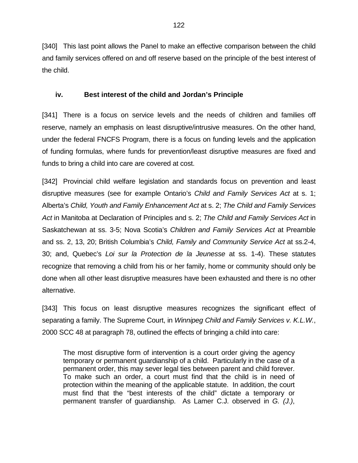[340] This last point allows the Panel to make an effective comparison between the child and family services offered on and off reserve based on the principle of the best interest of the child.

# **iv. Best interest of the child and Jordan's Principle**

[341] There is a focus on service levels and the needs of children and families off reserve, namely an emphasis on least disruptive/intrusive measures. On the other hand, under the federal FNCFS Program, there is a focus on funding levels and the application of funding formulas, where funds for prevention/least disruptive measures are fixed and funds to bring a child into care are covered at cost.

[342] Provincial child welfare legislation and standards focus on prevention and least disruptive measures (see for example Ontario's *Child and Family Services Act* at s. 1; Alberta's *Child, Youth and Family Enhancement Act* at s. 2; *The Child and Family Services Act* in Manitoba at Declaration of Principles and s. 2; *The Child and Family Services Act* in Saskatchewan at ss. 3-5; Nova Scotia's *Children and Family Services Act* at Preamble and ss. 2, 13, 20; British Columbia's *Child, Family and Community Service Act* at ss.2-4, 30; and, Quebec's *Loi sur la Protection de la Jeunesse* at ss. 1-4). These statutes recognize that removing a child from his or her family, home or community should only be done when all other least disruptive measures have been exhausted and there is no other alternative.

[343] This focus on least disruptive measures recognizes the significant effect of separating a family. The Supreme Court, in *Winnipeg Child and Family Services v. K.L.W.*, 2000 SCC 48 at paragraph 78, outlined the effects of bringing a child into care:

The most disruptive form of intervention is a court order giving the agency temporary or permanent guardianship of a child. Particularly in the case of a permanent order, this may sever legal ties between parent and child forever. To make such an order, a court must find that the child is in need of protection within the meaning of the applicable statute. In addition, the court must find that the "best interests of the child" dictate a temporary or permanent transfer of guardianship. As Lamer C.J. observed in *G. (J.)*,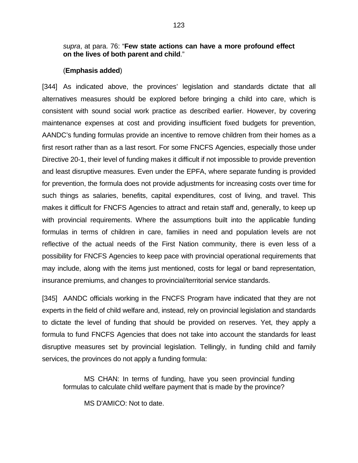### *supra*, at para. 76: "**Few state actions can have a more profound effect on the lives of both parent and child**."

#### (**Emphasis added**)

[344] As indicated above, the provinces' legislation and standards dictate that all alternatives measures should be explored before bringing a child into care, which is consistent with sound social work practice as described earlier. However, by covering maintenance expenses at cost and providing insufficient fixed budgets for prevention, AANDC's funding formulas provide an incentive to remove children from their homes as a first resort rather than as a last resort. For some FNCFS Agencies, especially those under Directive 20-1, their level of funding makes it difficult if not impossible to provide prevention and least disruptive measures. Even under the EPFA, where separate funding is provided for prevention, the formula does not provide adjustments for increasing costs over time for such things as salaries, benefits, capital expenditures, cost of living, and travel. This makes it difficult for FNCFS Agencies to attract and retain staff and, generally, to keep up with provincial requirements. Where the assumptions built into the applicable funding formulas in terms of children in care, families in need and population levels are not reflective of the actual needs of the First Nation community, there is even less of a possibility for FNCFS Agencies to keep pace with provincial operational requirements that may include, along with the items just mentioned, costs for legal or band representation, insurance premiums, and changes to provincial/territorial service standards.

[345] AANDC officials working in the FNCFS Program have indicated that they are not experts in the field of child welfare and, instead, rely on provincial legislation and standards to dictate the level of funding that should be provided on reserves. Yet, they apply a formula to fund FNCFS Agencies that does not take into account the standards for least disruptive measures set by provincial legislation. Tellingly, in funding child and family services, the provinces do not apply a funding formula:

MS CHAN: In terms of funding, have you seen provincial funding formulas to calculate child welfare payment that is made by the province?

MS D'AMICO: Not to date.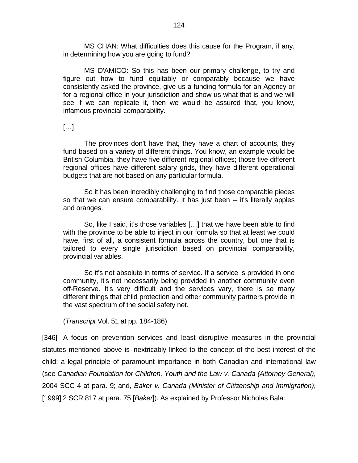MS CHAN: What difficulties does this cause for the Program, if any, in determining how you are going to fund?

MS D'AMICO: So this has been our primary challenge, to try and figure out how to fund equitably or comparably because we have consistently asked the province, give us a funding formula for an Agency or for a regional office in your jurisdiction and show us what that is and we will see if we can replicate it, then we would be assured that, you know, infamous provincial comparability.

## $\left[\ldots\right]$

The provinces don't have that, they have a chart of accounts, they fund based on a variety of different things. You know, an example would be British Columbia, they have five different regional offices; those five different regional offices have different salary grids, they have different operational budgets that are not based on any particular formula.

So it has been incredibly challenging to find those comparable pieces so that we can ensure comparability. It has just been -- it's literally apples and oranges.

So, like I said, it's those variables […] that we have been able to find with the province to be able to inject in our formula so that at least we could have, first of all, a consistent formula across the country, but one that is tailored to every single jurisdiction based on provincial comparability, provincial variables.

So it's not absolute in terms of service. If a service is provided in one community, it's not necessarily being provided in another community even off-Reserve. It's very difficult and the services vary, there is so many different things that child protection and other community partners provide in the vast spectrum of the social safety net.

(*Transcript* Vol. 51 at pp. 184-186)

[346] A focus on prevention services and least disruptive measures in the provincial statutes mentioned above is inextricably linked to the concept of the best interest of the child: a legal principle of paramount importance in both Canadian and international law (see *Canadian Foundation for Children, Youth and the Law v. Canada (Attorney General)*, 2004 SCC 4 at para. 9; and, *Baker v. Canada (Minister of Citizenship and Immigration)*, [1999] 2 SCR 817 at para. 75 [*Baker*]). As explained by Professor Nicholas Bala: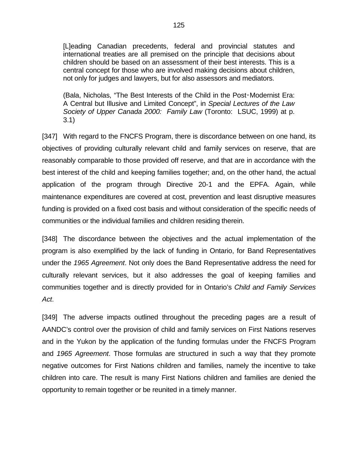[L]eading Canadian precedents, federal and provincial statutes and international treaties are all premised on the principle that decisions about children should be based on an assessment of their best interests. This is a central concept for those who are involved making decisions about children, not only for judges and lawyers, but for also assessors and mediators.

(Bala, Nicholas, "The Best Interests of the Child in the Post-Modernist Era: A Central but Illusive and Limited Concept", in *Special Lectures of the Law Society of Upper Canada 2000: Family Law* (Toronto: LSUC, 1999) at p. 3.1)

[347] With regard to the FNCFS Program, there is discordance between on one hand, its objectives of providing culturally relevant child and family services on reserve, that are reasonably comparable to those provided off reserve, and that are in accordance with the best interest of the child and keeping families together; and, on the other hand, the actual application of the program through Directive 20-1 and the EPFA. Again, while maintenance expenditures are covered at cost, prevention and least disruptive measures funding is provided on a fixed cost basis and without consideration of the specific needs of communities or the individual families and children residing therein.

[348] The discordance between the objectives and the actual implementation of the program is also exemplified by the lack of funding in Ontario, for Band Representatives under the *1965 Agreement*. Not only does the Band Representative address the need for culturally relevant services, but it also addresses the goal of keeping families and communities together and is directly provided for in Ontario's *Child and Family Services Act*.

[349] The adverse impacts outlined throughout the preceding pages are a result of AANDC's control over the provision of child and family services on First Nations reserves and in the Yukon by the application of the funding formulas under the FNCFS Program and *1965 Agreement*. Those formulas are structured in such a way that they promote negative outcomes for First Nations children and families, namely the incentive to take children into care. The result is many First Nations children and families are denied the opportunity to remain together or be reunited in a timely manner.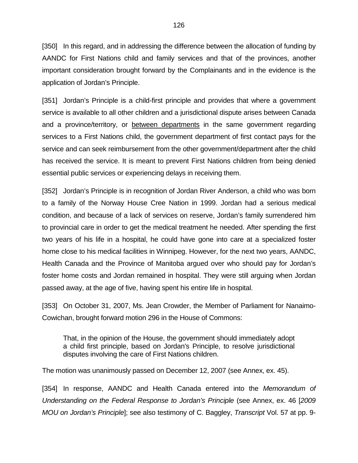[350] In this regard, and in addressing the difference between the allocation of funding by AANDC for First Nations child and family services and that of the provinces, another important consideration brought forward by the Complainants and in the evidence is the application of Jordan's Principle.

[351] Jordan's Principle is a child-first principle and provides that where a government service is available to all other children and a jurisdictional dispute arises between Canada and a province/territory, or between departments in the same government regarding services to a First Nations child, the government department of first contact pays for the service and can seek reimbursement from the other government/department after the child has received the service. It is meant to prevent First Nations children from being denied essential public services or experiencing delays in receiving them.

[352] Jordan's Principle is in recognition of Jordan River Anderson, a child who was born to a family of the Norway House Cree Nation in 1999. Jordan had a serious medical condition, and because of a lack of services on reserve, Jordan's family surrendered him to provincial care in order to get the medical treatment he needed. After spending the first two years of his life in a hospital, he could have gone into care at a specialized foster home close to his medical facilities in Winnipeg. However, for the next two years, AANDC, Health Canada and the Province of Manitoba argued over who should pay for Jordan's foster home costs and Jordan remained in hospital. They were still arguing when Jordan passed away, at the age of five, having spent his entire life in hospital.

[353] On October 31, 2007, Ms. Jean Crowder, the Member of Parliament for Nanaimo-Cowichan, brought forward motion 296 in the House of Commons:

That, in the opinion of the House, the government should immediately adopt a child first principle, based on Jordan's Principle, to resolve jurisdictional disputes involving the care of First Nations children.

The motion was unanimously passed on December 12, 2007 (see Annex, ex. 45).

[354] In response, AANDC and Health Canada entered into the *Memorandum of Understanding on the Federal Response to Jordan's Principle* (see Annex, ex. 46 [*2009 MOU on Jordan's Principle*]; see also testimony of C. Baggley, *Transcript* Vol. 57 at pp. 9-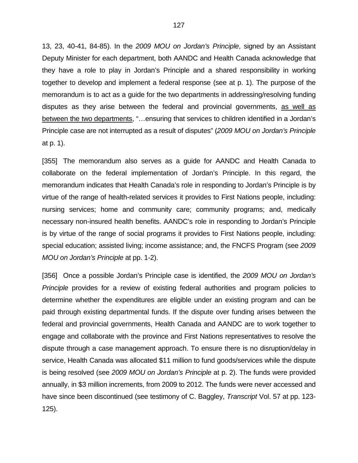13, 23, 40-41, 84-85). In the *2009 MOU on Jordan's Principle*, signed by an Assistant Deputy Minister for each department, both AANDC and Health Canada acknowledge that they have a role to play in Jordan's Principle and a shared responsibility in working together to develop and implement a federal response (see at p. 1). The purpose of the memorandum is to act as a guide for the two departments in addressing/resolving funding disputes as they arise between the federal and provincial governments, as well as between the two departments, "…ensuring that services to children identified in a Jordan's Principle case are not interrupted as a result of disputes" (*2009 MOU on Jordan's Principle* at p. 1).

[355] The memorandum also serves as a guide for AANDC and Health Canada to collaborate on the federal implementation of Jordan's Principle. In this regard, the memorandum indicates that Health Canada's role in responding to Jordan's Principle is by virtue of the range of health-related services it provides to First Nations people, including: nursing services; home and community care; community programs; and, medically necessary non-insured health benefits. AANDC's role in responding to Jordan's Principle is by virtue of the range of social programs it provides to First Nations people, including: special education; assisted living; income assistance; and, the FNCFS Program (see *2009 MOU on Jordan's Principle* at pp. 1-2).

[356] Once a possible Jordan's Principle case is identified, the *2009 MOU on Jordan's Principle* provides for a review of existing federal authorities and program policies to determine whether the expenditures are eligible under an existing program and can be paid through existing departmental funds. If the dispute over funding arises between the federal and provincial governments, Health Canada and AANDC are to work together to engage and collaborate with the province and First Nations representatives to resolve the dispute through a case management approach. To ensure there is no disruption/delay in service, Health Canada was allocated \$11 million to fund goods/services while the dispute is being resolved (see *2009 MOU on Jordan's Principle* at p. 2). The funds were provided annually, in \$3 million increments, from 2009 to 2012. The funds were never accessed and have since been discontinued (see testimony of C. Baggley, *Transcript* Vol. 57 at pp. 123- 125).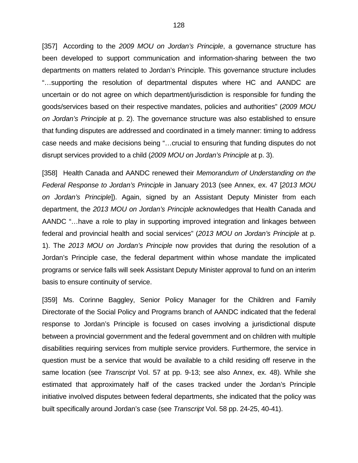[357] According to the *2009 MOU on Jordan's Principle*, a governance structure has been developed to support communication and information-sharing between the two departments on matters related to Jordan's Principle. This governance structure includes "…supporting the resolution of departmental disputes where HC and AANDC are uncertain or do not agree on which department/jurisdiction is responsible for funding the goods/services based on their respective mandates, policies and authorities" (*2009 MOU on Jordan's Principle* at p. 2). The governance structure was also established to ensure that funding disputes are addressed and coordinated in a timely manner: timing to address case needs and make decisions being "…crucial to ensuring that funding disputes do not disrupt services provided to a child (*2009 MOU on Jordan's Principle* at p. 3).

[358] Health Canada and AANDC renewed their *Memorandum of Understanding on the Federal Response to Jordan's Principle* in January 2013 (see Annex, ex. 47 [*2013 MOU on Jordan's Principle*]). Again, signed by an Assistant Deputy Minister from each department, the *2013 MOU on Jordan's Principle* acknowledges that Health Canada and AANDC "…have a role to play in supporting improved integration and linkages between federal and provincial health and social services" (*2013 MOU on Jordan's Principle* at p. 1). The *2013 MOU on Jordan's Principle* now provides that during the resolution of a Jordan's Principle case, the federal department within whose mandate the implicated programs or service falls will seek Assistant Deputy Minister approval to fund on an interim basis to ensure continuity of service.

[359] Ms. Corinne Baggley, Senior Policy Manager for the Children and Family Directorate of the Social Policy and Programs branch of AANDC indicated that the federal response to Jordan's Principle is focused on cases involving a jurisdictional dispute between a provincial government and the federal government and on children with multiple disabilities requiring services from multiple service providers. Furthermore, the service in question must be a service that would be available to a child residing off reserve in the same location (see *Transcript* Vol. 57 at pp. 9-13; see also Annex, ex. 48). While she estimated that approximately half of the cases tracked under the Jordan's Principle initiative involved disputes between federal departments, she indicated that the policy was built specifically around Jordan's case (see *Transcript* Vol. 58 pp. 24-25, 40-41).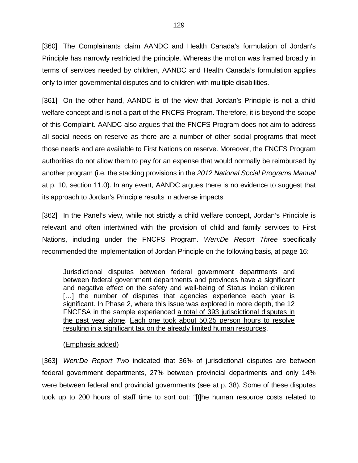[360] The Complainants claim AANDC and Health Canada's formulation of Jordan's Principle has narrowly restricted the principle. Whereas the motion was framed broadly in terms of services needed by children, AANDC and Health Canada's formulation applies only to inter-governmental disputes and to children with multiple disabilities.

[361] On the other hand, AANDC is of the view that Jordan's Principle is not a child welfare concept and is not a part of the FNCFS Program. Therefore, it is beyond the scope of this Complaint. AANDC also argues that the FNCFS Program does not aim to address all social needs on reserve as there are a number of other social programs that meet those needs and are available to First Nations on reserve. Moreover, the FNCFS Program authorities do not allow them to pay for an expense that would normally be reimbursed by another program (i.e. the stacking provisions in the *2012 National Social Programs Manual* at p. 10, section 11.0). In any event, AANDC argues there is no evidence to suggest that its approach to Jordan's Principle results in adverse impacts.

[362] In the Panel's view, while not strictly a child welfare concept, Jordan's Principle is relevant and often intertwined with the provision of child and family services to First Nations, including under the FNCFS Program. *Wen:De Report Three* specifically recommended the implementation of Jordan Principle on the following basis, at page 16:

Jurisdictional disputes between federal government departments and between federal government departments and provinces have a significant and negative effect on the safety and well-being of Status Indian children [...] the number of disputes that agencies experience each year is significant. In Phase 2, where this issue was explored in more depth, the 12 FNCFSA in the sample experienced a total of 393 jurisdictional disputes in the past year alone. Each one took about 50.25 person hours to resolve resulting in a significant tax on the already limited human resources.

## (Emphasis added)

[363] *Wen:De Report Two* indicated that 36% of jurisdictional disputes are between federal government departments, 27% between provincial departments and only 14% were between federal and provincial governments (see at p. 38). Some of these disputes took up to 200 hours of staff time to sort out: "[t]he human resource costs related to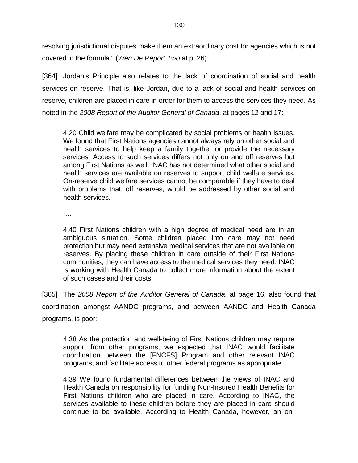resolving jurisdictional disputes make them an extraordinary cost for agencies which is not covered in the formula" (*Wen:De Report Two* at p. 26).

[364] Jordan's Principle also relates to the lack of coordination of social and health services on reserve. That is, like Jordan, due to a lack of social and health services on reserve, children are placed in care in order for them to access the services they need. As noted in the *2008 Report of the Auditor General of Canada*, at pages 12 and 17:

4.20 Child welfare may be complicated by social problems or health issues. We found that First Nations agencies cannot always rely on other social and health services to help keep a family together or provide the necessary services. Access to such services differs not only on and off reserves but among First Nations as well. INAC has not determined what other social and health services are available on reserves to support child welfare services. On-reserve child welfare services cannot be comparable if they have to deal with problems that, off reserves, would be addressed by other social and health services.

# […]

4.40 First Nations children with a high degree of medical need are in an ambiguous situation. Some children placed into care may not need protection but may need extensive medical services that are not available on reserves. By placing these children in care outside of their First Nations communities, they can have access to the medical services they need. INAC is working with Health Canada to collect more information about the extent of such cases and their costs.

[365] The *2008 Report of the Auditor General of Canada*, at page 16, also found that coordination amongst AANDC programs, and between AANDC and Health Canada programs, is poor:

4.38 As the protection and well-being of First Nations children may require support from other programs, we expected that INAC would facilitate coordination between the [FNCFS] Program and other relevant INAC programs, and facilitate access to other federal programs as appropriate.

4.39 We found fundamental differences between the views of INAC and Health Canada on responsibility for funding Non-Insured Health Benefits for First Nations children who are placed in care. According to INAC, the services available to these children before they are placed in care should continue to be available. According to Health Canada, however, an on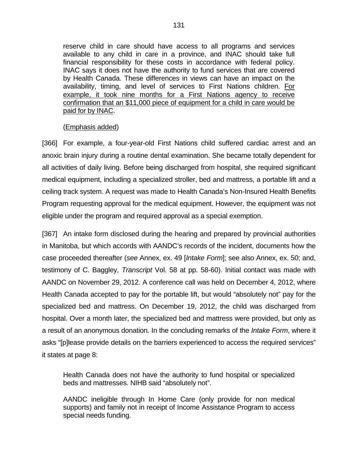reserve child in care should have access to all programs and services available to any child in care in a province, and INAC should take full financial responsibility for these costs in accordance with federal policy. INAC says it does not have the authority to fund services that are covered by Health Canada. These differences in views can have an impact on the availability, timing, and level of services to First Nations children. For example, it took nine months for a First Nations agency to receive confirmation that an \$11,000 piece of equipment for a child in care would be paid for by INAC.

## (Emphasis added)

[366] For example, a four-year-old First Nations child suffered cardiac arrest and an anoxic brain injury during a routine dental examination. She became totally dependent for all activities of daily living. Before being discharged from hospital, she required significant medical equipment, including a specialized stroller, bed and mattress, a portable lift and a ceiling track system. A request was made to Health Canada's Non-Insured Health Benefits Program requesting approval for the medical equipment. However, the equipment was not eligible under the program and required approval as a special exemption.

[367] An intake form disclosed during the hearing and prepared by provincial authorities in Manitoba, but which accords with AANDC's records of the incident, documents how the case proceeded thereafter (*see* Annex, ex. 49 [*Intake Form*]; see also Annex, ex. 50; and, testimony of C. Baggley, *Transcript* Vol. 58 at pp. 58-60). Initial contact was made with AANDC on November 29, 2012. A conference call was held on December 4, 2012, where Health Canada accepted to pay for the portable lift, but would "absolutely not" pay for the specialized bed and mattress. On December 19, 2012, the child was discharged from hospital. Over a month later, the specialized bed and mattress were provided, but only as a result of an anonymous donation. In the concluding remarks of the *Intake Form*, where it asks "[p]lease provide details on the barriers experienced to access the required services" it states at page 8:

Health Canada does not have the authority to fund hospital or specialized beds and mattresses. NIHB said "absolutely not".

AANDC ineligible through In Home Care (only provide for non medical supports) and family not in receipt of Income Assistance Program to access special needs funding.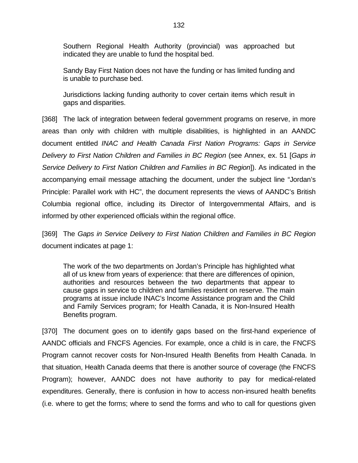Southern Regional Health Authority (provincial) was approached but indicated they are unable to fund the hospital bed.

Sandy Bay First Nation does not have the funding or has limited funding and is unable to purchase bed.

Jurisdictions lacking funding authority to cover certain items which result in gaps and disparities.

[368] The lack of integration between federal government programs on reserve, in more areas than only with children with multiple disabilities, is highlighted in an AANDC document entitled *INAC and Health Canada First Nation Programs: Gaps in Service Delivery to First Nation Children and Families in BC Region* (see Annex, ex. 51 [*Gaps in Service Delivery to First Nation Children and Families in BC Region*]). As indicated in the accompanying email message attaching the document, under the subject line "Jordan's Principle: Parallel work with HC", the document represents the views of AANDC's British Columbia regional office, including its Director of Intergovernmental Affairs, and is informed by other experienced officials within the regional office.

[369] The *Gaps in Service Delivery to First Nation Children and Families in BC Region* document indicates at page 1:

The work of the two departments on Jordan's Principle has highlighted what all of us knew from years of experience: that there are differences of opinion, authorities and resources between the two departments that appear to cause gaps in service to children and families resident on reserve. The main programs at issue include INAC's Income Assistance program and the Child and Family Services program; for Health Canada, it is Non-Insured Health Benefits program.

[370] The document goes on to identify gaps based on the first-hand experience of AANDC officials and FNCFS Agencies. For example, once a child is in care, the FNCFS Program cannot recover costs for Non-Insured Health Benefits from Health Canada. In that situation, Health Canada deems that there is another source of coverage (the FNCFS Program); however, AANDC does not have authority to pay for medical-related expenditures. Generally, there is confusion in how to access non-insured health benefits (i.e. where to get the forms; where to send the forms and who to call for questions given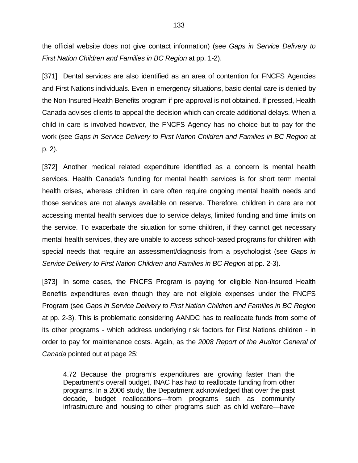the official website does not give contact information) (see *Gaps in Service Delivery to First Nation Children and Families in BC Region* at pp. 1-2).

[371] Dental services are also identified as an area of contention for FNCFS Agencies and First Nations individuals. Even in emergency situations, basic dental care is denied by the Non-Insured Health Benefits program if pre-approval is not obtained. If pressed, Health Canada advises clients to appeal the decision which can create additional delays. When a child in care is involved however, the FNCFS Agency has no choice but to pay for the work (see *Gaps in Service Delivery to First Nation Children and Families in BC Region* at p. 2).

[372] Another medical related expenditure identified as a concern is mental health services. Health Canada's funding for mental health services is for short term mental health crises, whereas children in care often require ongoing mental health needs and those services are not always available on reserve. Therefore, children in care are not accessing mental health services due to service delays, limited funding and time limits on the service. To exacerbate the situation for some children, if they cannot get necessary mental health services, they are unable to access school-based programs for children with special needs that require an assessment/diagnosis from a psychologist (see *Gaps in Service Delivery to First Nation Children and Families in BC Region* at pp. 2-3).

[373] In some cases, the FNCFS Program is paying for eligible Non-Insured Health Benefits expenditures even though they are not eligible expenses under the FNCFS Program (see *Gaps in Service Delivery to First Nation Children and Families in BC Region* at pp. 2-3). This is problematic considering AANDC has to reallocate funds from some of its other programs - which address underlying risk factors for First Nations children - in order to pay for maintenance costs. Again, as the *2008 Report of the Auditor General of Canada* pointed out at page 25:

4.72 Because the program's expenditures are growing faster than the Department's overall budget, INAC has had to reallocate funding from other programs. In a 2006 study, the Department acknowledged that over the past decade, budget reallocations—from programs such as community infrastructure and housing to other programs such as child welfare—have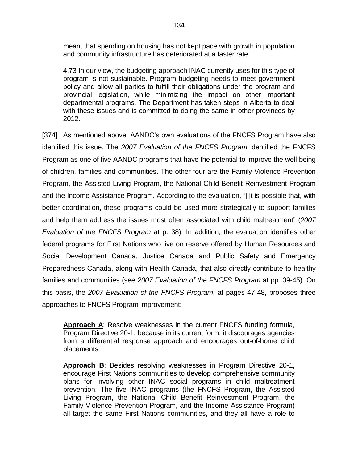meant that spending on housing has not kept pace with growth in population and community infrastructure has deteriorated at a faster rate.

4.73 In our view, the budgeting approach INAC currently uses for this type of program is not sustainable. Program budgeting needs to meet government policy and allow all parties to fulfill their obligations under the program and provincial legislation, while minimizing the impact on other important departmental programs. The Department has taken steps in Alberta to deal with these issues and is committed to doing the same in other provinces by 2012.

[374] As mentioned above, AANDC's own evaluations of the FNCFS Program have also identified this issue. The *2007 Evaluation of the FNCFS Program* identified the FNCFS Program as one of five AANDC programs that have the potential to improve the well-being of children, families and communities. The other four are the Family Violence Prevention Program, the Assisted Living Program, the National Child Benefit Reinvestment Program and the Income Assistance Program. According to the evaluation, "[i]t is possible that, with better coordination, these programs could be used more strategically to support families and help them address the issues most often associated with child maltreatment" (*2007 Evaluation of the FNCFS Program* at p. 38). In addition, the evaluation identifies other federal programs for First Nations who live on reserve offered by Human Resources and Social Development Canada, Justice Canada and Public Safety and Emergency Preparedness Canada, along with Health Canada, that also directly contribute to healthy families and communities (see *2007 Evaluation of the FNCFS Program* at pp. 39-45). On this basis, the *2007 Evaluation of the FNCFS Program*, at pages 47-48, proposes three approaches to FNCFS Program improvement:

**Approach A**: Resolve weaknesses in the current FNCFS funding formula, Program Directive 20-1, because in its current form, it discourages agencies from a differential response approach and encourages out-of-home child placements.

**Approach B**: Besides resolving weaknesses in Program Directive 20-1, encourage First Nations communities to develop comprehensive community plans for involving other INAC social programs in child maltreatment prevention. The five INAC programs (the FNCFS Program, the Assisted Living Program, the National Child Benefit Reinvestment Program, the Family Violence Prevention Program, and the Income Assistance Program) all target the same First Nations communities, and they all have a role to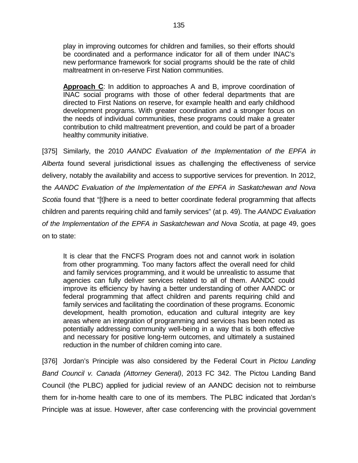play in improving outcomes for children and families, so their efforts should be coordinated and a performance indicator for all of them under INAC's new performance framework for social programs should be the rate of child maltreatment in on-reserve First Nation communities.

Approach C: In addition to approaches A and B, improve coordination of INAC social programs with those of other federal departments that are directed to First Nations on reserve, for example health and early childhood development programs. With greater coordination and a stronger focus on the needs of individual communities, these programs could make a greater contribution to child maltreatment prevention, and could be part of a broader healthy community initiative.

[375] Similarly, the 2010 *AANDC Evaluation of the Implementation of the EPFA in Alberta* found several jurisdictional issues as challenging the effectiveness of service delivery, notably the availability and access to supportive services for prevention. In 2012, the *AANDC Evaluation of the Implementation of the EPFA in Saskatchewan and Nova Scotia* found that "[t]here is a need to better coordinate federal programming that affects children and parents requiring child and family services" (at p. 49). The *AANDC Evaluation of the Implementation of the EPFA in Saskatchewan and Nova Scotia*, at page 49, goes on to state:

It is clear that the FNCFS Program does not and cannot work in isolation from other programming. Too many factors affect the overall need for child and family services programming, and it would be unrealistic to assume that agencies can fully deliver services related to all of them. AANDC could improve its efficiency by having a better understanding of other AANDC or federal programming that affect children and parents requiring child and family services and facilitating the coordination of these programs. Economic development, health promotion, education and cultural integrity are key areas where an integration of programming and services has been noted as potentially addressing community well-being in a way that is both effective and necessary for positive long-term outcomes, and ultimately a sustained reduction in the number of children coming into care.

[376] Jordan's Principle was also considered by the Federal Court in *Pictou Landing Band Council v. Canada (Attorney General)*, 2013 FC 342. The Pictou Landing Band Council (the PLBC) applied for judicial review of an AANDC decision not to reimburse them for in-home health care to one of its members. The PLBC indicated that Jordan's Principle was at issue. However, after case conferencing with the provincial government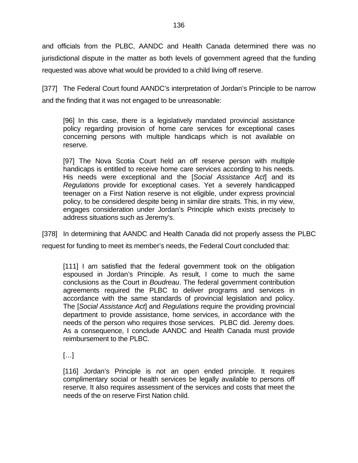and officials from the PLBC, AANDC and Health Canada determined there was no jurisdictional dispute in the matter as both levels of government agreed that the funding requested was above what would be provided to a child living off reserve.

[377] The Federal Court found AANDC's interpretation of Jordan's Principle to be narrow and the finding that it was not engaged to be unreasonable:

[96] In this case, there is a legislatively mandated provincial assistance policy regarding provision of home care services for exceptional cases concerning persons with multiple handicaps which is not available on reserve.

[97] The Nova Scotia Court held an off reserve person with multiple handicaps is entitled to receive home care services according to his needs. His needs were exceptional and the [*Social Assistance Act*] and its *Regulations* provide for exceptional cases. Yet a severely handicapped teenager on a First Nation reserve is not eligible, under express provincial policy, to be considered despite being in similar dire straits. This, in my view, engages consideration under Jordan's Principle which exists precisely to address situations such as Jeremy's.

[378] In determining that AANDC and Health Canada did not properly assess the PLBC

request for funding to meet its member's needs, the Federal Court concluded that:

[111] I am satisfied that the federal government took on the obligation espoused in Jordan's Principle. As result, I come to much the same conclusions as the Court in *Boudreau*. The federal government contribution agreements required the PLBC to deliver programs and services in accordance with the same standards of provincial legislation and policy. The [*Social Assistance Act*] and *Regulations* require the providing provincial department to provide assistance, home services, in accordance with the needs of the person who requires those services. PLBC did. Jeremy does. As a consequence, I conclude AANDC and Health Canada must provide reimbursement to the PLBC.

 $\left[\ldots\right]$ 

[116] Jordan's Principle is not an open ended principle. It requires complimentary social or health services be legally available to persons off reserve. It also requires assessment of the services and costs that meet the needs of the on reserve First Nation child.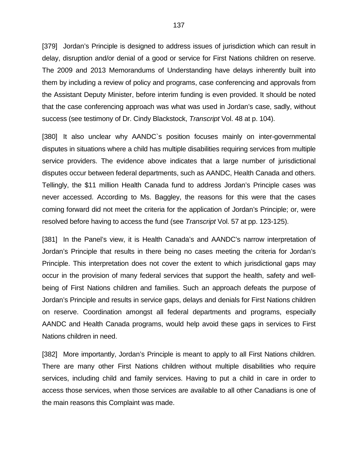[379] Jordan's Principle is designed to address issues of jurisdiction which can result in delay, disruption and/or denial of a good or service for First Nations children on reserve. The 2009 and 2013 Memorandums of Understanding have delays inherently built into them by including a review of policy and programs, case conferencing and approvals from the Assistant Deputy Minister, before interim funding is even provided. It should be noted that the case conferencing approach was what was used in Jordan's case, sadly, without success (see testimony of Dr. Cindy Blackstock, *Transcript* Vol. 48 at p. 104).

[380] It also unclear why AANDC's position focuses mainly on inter-governmental disputes in situations where a child has multiple disabilities requiring services from multiple service providers. The evidence above indicates that a large number of jurisdictional disputes occur between federal departments, such as AANDC, Health Canada and others. Tellingly, the \$11 million Health Canada fund to address Jordan's Principle cases was never accessed. According to Ms. Baggley, the reasons for this were that the cases coming forward did not meet the criteria for the application of Jordan's Principle; or, were resolved before having to access the fund (see *Transcript* Vol. 57 at pp. 123-125).

[381] In the Panel's view, it is Health Canada's and AANDC's narrow interpretation of Jordan's Principle that results in there being no cases meeting the criteria for Jordan's Principle. This interpretation does not cover the extent to which jurisdictional gaps may occur in the provision of many federal services that support the health, safety and wellbeing of First Nations children and families. Such an approach defeats the purpose of Jordan's Principle and results in service gaps, delays and denials for First Nations children on reserve. Coordination amongst all federal departments and programs, especially AANDC and Health Canada programs, would help avoid these gaps in services to First Nations children in need.

[382] More importantly, Jordan's Principle is meant to apply to all First Nations children. There are many other First Nations children without multiple disabilities who require services, including child and family services. Having to put a child in care in order to access those services, when those services are available to all other Canadians is one of the main reasons this Complaint was made.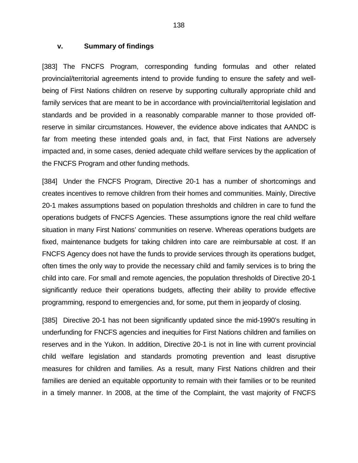#### **v. Summary of findings**

[383] The FNCFS Program, corresponding funding formulas and other related provincial/territorial agreements intend to provide funding to ensure the safety and wellbeing of First Nations children on reserve by supporting culturally appropriate child and family services that are meant to be in accordance with provincial/territorial legislation and standards and be provided in a reasonably comparable manner to those provided offreserve in similar circumstances. However, the evidence above indicates that AANDC is far from meeting these intended goals and, in fact, that First Nations are adversely impacted and, in some cases, denied adequate child welfare services by the application of the FNCFS Program and other funding methods.

[384] Under the FNCFS Program, Directive 20-1 has a number of shortcomings and creates incentives to remove children from their homes and communities. Mainly, Directive 20-1 makes assumptions based on population thresholds and children in care to fund the operations budgets of FNCFS Agencies. These assumptions ignore the real child welfare situation in many First Nations' communities on reserve. Whereas operations budgets are fixed, maintenance budgets for taking children into care are reimbursable at cost. If an FNCFS Agency does not have the funds to provide services through its operations budget, often times the only way to provide the necessary child and family services is to bring the child into care. For small and remote agencies, the population thresholds of Directive 20-1 significantly reduce their operations budgets, affecting their ability to provide effective programming, respond to emergencies and, for some, put them in jeopardy of closing.

[385] Directive 20-1 has not been significantly updated since the mid-1990's resulting in underfunding for FNCFS agencies and inequities for First Nations children and families on reserves and in the Yukon. In addition, Directive 20-1 is not in line with current provincial child welfare legislation and standards promoting prevention and least disruptive measures for children and families. As a result, many First Nations children and their families are denied an equitable opportunity to remain with their families or to be reunited in a timely manner. In 2008, at the time of the Complaint, the vast majority of FNCFS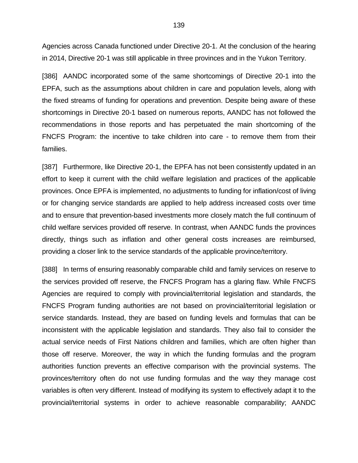Agencies across Canada functioned under Directive 20-1. At the conclusion of the hearing in 2014, Directive 20-1 was still applicable in three provinces and in the Yukon Territory.

[386] AANDC incorporated some of the same shortcomings of Directive 20-1 into the EPFA, such as the assumptions about children in care and population levels, along with the fixed streams of funding for operations and prevention. Despite being aware of these shortcomings in Directive 20-1 based on numerous reports, AANDC has not followed the recommendations in those reports and has perpetuated the main shortcoming of the FNCFS Program: the incentive to take children into care - to remove them from their families.

[387] Furthermore, like Directive 20-1, the EPFA has not been consistently updated in an effort to keep it current with the child welfare legislation and practices of the applicable provinces. Once EPFA is implemented, no adjustments to funding for inflation/cost of living or for changing service standards are applied to help address increased costs over time and to ensure that prevention-based investments more closely match the full continuum of child welfare services provided off reserve. In contrast, when AANDC funds the provinces directly, things such as inflation and other general costs increases are reimbursed, providing a closer link to the service standards of the applicable province/territory.

[388] In terms of ensuring reasonably comparable child and family services on reserve to the services provided off reserve, the FNCFS Program has a glaring flaw. While FNCFS Agencies are required to comply with provincial/territorial legislation and standards, the FNCFS Program funding authorities are not based on provincial/territorial legislation or service standards. Instead, they are based on funding levels and formulas that can be inconsistent with the applicable legislation and standards. They also fail to consider the actual service needs of First Nations children and families, which are often higher than those off reserve. Moreover, the way in which the funding formulas and the program authorities function prevents an effective comparison with the provincial systems. The provinces/territory often do not use funding formulas and the way they manage cost variables is often very different. Instead of modifying its system to effectively adapt it to the provincial/territorial systems in order to achieve reasonable comparability; AANDC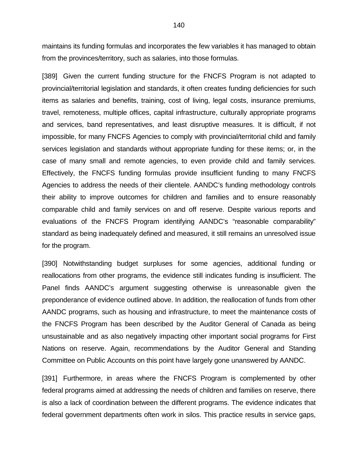maintains its funding formulas and incorporates the few variables it has managed to obtain from the provinces/territory, such as salaries, into those formulas.

[389] Given the current funding structure for the FNCFS Program is not adapted to provincial/territorial legislation and standards, it often creates funding deficiencies for such items as salaries and benefits, training, cost of living, legal costs, insurance premiums, travel, remoteness, multiple offices, capital infrastructure, culturally appropriate programs and services, band representatives, and least disruptive measures. It is difficult, if not impossible, for many FNCFS Agencies to comply with provincial/territorial child and family services legislation and standards without appropriate funding for these items; or, in the case of many small and remote agencies, to even provide child and family services. Effectively, the FNCFS funding formulas provide insufficient funding to many FNCFS Agencies to address the needs of their clientele. AANDC's funding methodology controls their ability to improve outcomes for children and families and to ensure reasonably comparable child and family services on and off reserve. Despite various reports and evaluations of the FNCFS Program identifying AANDC's "reasonable comparability" standard as being inadequately defined and measured, it still remains an unresolved issue for the program.

[390] Notwithstanding budget surpluses for some agencies, additional funding or reallocations from other programs, the evidence still indicates funding is insufficient. The Panel finds AANDC's argument suggesting otherwise is unreasonable given the preponderance of evidence outlined above. In addition, the reallocation of funds from other AANDC programs, such as housing and infrastructure, to meet the maintenance costs of the FNCFS Program has been described by the Auditor General of Canada as being unsustainable and as also negatively impacting other important social programs for First Nations on reserve. Again, recommendations by the Auditor General and Standing Committee on Public Accounts on this point have largely gone unanswered by AANDC.

[391] Furthermore, in areas where the FNCFS Program is complemented by other federal programs aimed at addressing the needs of children and families on reserve, there is also a lack of coordination between the different programs. The evidence indicates that federal government departments often work in silos. This practice results in service gaps,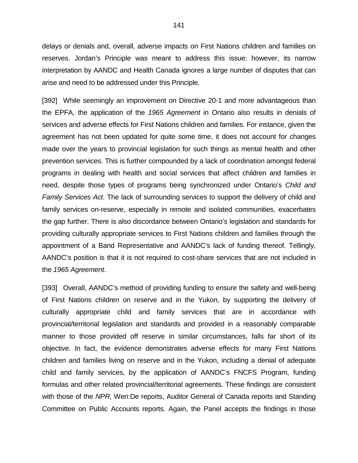delays or denials and, overall, adverse impacts on First Nations children and families on reserves. Jordan's Principle was meant to address this issue; however, its narrow interpretation by AANDC and Health Canada ignores a large number of disputes that can arise and need to be addressed under this Principle.

[392] While seemingly an improvement on Directive 20-1 and more advantageous than the EPFA, the application of the *1965 Agreement* in Ontario also results in denials of services and adverse effects for First Nations children and families. For instance, given the agreement has not been updated for quite some time, it does not account for changes made over the years to provincial legislation for such things as mental health and other prevention services. This is further compounded by a lack of coordination amongst federal programs in dealing with health and social services that affect children and families in need, despite those types of programs being synchronized under Ontario's *Child and Family Services Act*. The lack of surrounding services to support the delivery of child and family services on-reserve, especially in remote and isolated communities, exacerbates the gap further. There is also discordance between Ontario's legislation and standards for providing culturally appropriate services to First Nations children and families through the appointment of a Band Representative and AANDC's lack of funding thereof. Tellingly, AANDC's position is that it is not required to cost-share services that are not included in the *1965 Agreement*.

[393] Overall, AANDC's method of providing funding to ensure the safety and well-being of First Nations children on reserve and in the Yukon, by supporting the delivery of culturally appropriate child and family services that are in accordance with provincial/territorial legislation and standards and provided in a reasonably comparable manner to those provided off reserve in similar circumstances, falls far short of its objective. In fact, the evidence demonstrates adverse effects for many First Nations children and families living on reserve and in the Yukon, including a denial of adequate child and family services, by the application of AANDC's FNCFS Program, funding formulas and other related provincial/territorial agreements. These findings are consistent with those of the *NPR,* Wen:De reports, Auditor General of Canada reports and Standing Committee on Public Accounts reports. Again, the Panel accepts the findings in those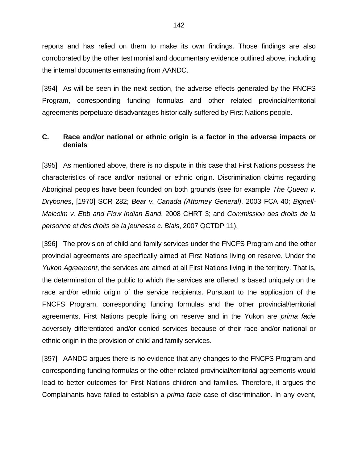reports and has relied on them to make its own findings. Those findings are also corroborated by the other testimonial and documentary evidence outlined above, including the internal documents emanating from AANDC.

[394] As will be seen in the next section, the adverse effects generated by the FNCFS Program, corresponding funding formulas and other related provincial/territorial agreements perpetuate disadvantages historically suffered by First Nations people.

## **C. Race and/or national or ethnic origin is a factor in the adverse impacts or denials**

[395] As mentioned above, there is no dispute in this case that First Nations possess the characteristics of race and/or national or ethnic origin. Discrimination claims regarding Aboriginal peoples have been founded on both grounds (see for example *The Queen v. Drybones*, [1970] SCR 282; *Bear v. Canada (Attorney General)*, 2003 FCA 40; *Bignell-Malcolm v. Ebb and Flow Indian Band*, 2008 CHRT 3; and *Commission des droits de la personne et des droits de la jeunesse c. Blais*, 2007 QCTDP 11).

[396] The provision of child and family services under the FNCFS Program and the other provincial agreements are specifically aimed at First Nations living on reserve. Under the *Yukon Agreement*, the services are aimed at all First Nations living in the territory. That is, the determination of the public to which the services are offered is based uniquely on the race and/or ethnic origin of the service recipients. Pursuant to the application of the FNCFS Program, corresponding funding formulas and the other provincial/territorial agreements, First Nations people living on reserve and in the Yukon are *prima facie* adversely differentiated and/or denied services because of their race and/or national or ethnic origin in the provision of child and family services.

[397] AANDC argues there is no evidence that any changes to the FNCFS Program and corresponding funding formulas or the other related provincial/territorial agreements would lead to better outcomes for First Nations children and families. Therefore, it argues the Complainants have failed to establish a *prima facie* case of discrimination. In any event,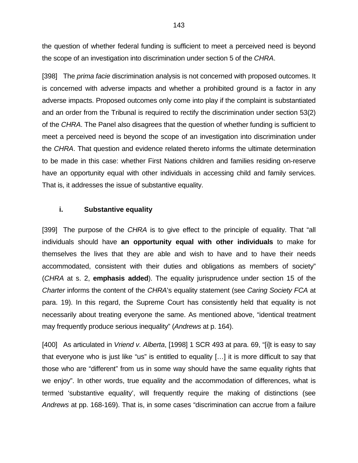the question of whether federal funding is sufficient to meet a perceived need is beyond the scope of an investigation into discrimination under section 5 of the *CHRA*.

[398] The *prima facie* discrimination analysis is not concerned with proposed outcomes. It is concerned with adverse impacts and whether a prohibited ground is a factor in any adverse impacts. Proposed outcomes only come into play if the complaint is substantiated and an order from the Tribunal is required to rectify the discrimination under section 53(2) of the *CHRA*. The Panel also disagrees that the question of whether funding is sufficient to meet a perceived need is beyond the scope of an investigation into discrimination under the *CHRA*. That question and evidence related thereto informs the ultimate determination to be made in this case: whether First Nations children and families residing on-reserve have an opportunity equal with other individuals in accessing child and family services. That is, it addresses the issue of substantive equality.

#### **i. Substantive equality**

[399] The purpose of the *CHRA* is to give effect to the principle of equality. That "all individuals should have **an opportunity equal with other individuals** to make for themselves the lives that they are able and wish to have and to have their needs accommodated, consistent with their duties and obligations as members of society" (*CHRA* at s. 2, **emphasis added**). The equality jurisprudence under section 15 of the *Charter* informs the content of the *CHRA*'s equality statement (see *Caring Society FCA* at para. 19). In this regard, the Supreme Court has consistently held that equality is not necessarily about treating everyone the same. As mentioned above, "identical treatment may frequently produce serious inequality" (*Andrews* at p. 164).

[400] As articulated in *Vriend v. Alberta*, [1998] 1 SCR 493 at para. 69, "[i]t is easy to say that everyone who is just like "us" is entitled to equality […] it is more difficult to say that those who are "different" from us in some way should have the same equality rights that we enjoy". In other words, true equality and the accommodation of differences, what is termed 'substantive equality', will frequently require the making of distinctions (see *Andrews* at pp. 168-169). That is, in some cases "discrimination can accrue from a failure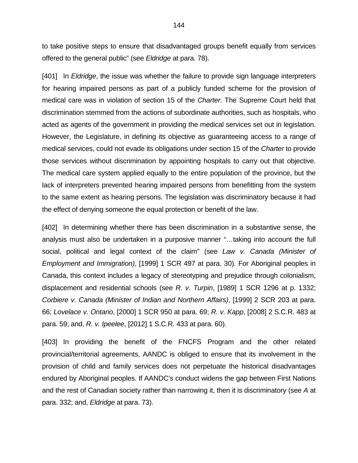to take positive steps to ensure that disadvantaged groups benefit equally from services offered to the general public" (see *Eldridge* at para. 78).

[401] In *Eldridge*, the issue was whether the failure to provide sign language interpreters for hearing impaired persons as part of a publicly funded scheme for the provision of medical care was in violation of section 15 of the *Charter*. The Supreme Court held that discrimination stemmed from the actions of subordinate authorities, such as hospitals, who acted as agents of the government in providing the medical services set out in legislation. However, the Legislature, in defining its objective as guaranteeing access to a range of medical services, could not evade its obligations under section 15 of the *Charter* to provide those services without discrimination by appointing hospitals to carry out that objective. The medical care system applied equally to the entire population of the province, but the lack of interpreters prevented hearing impaired persons from benefitting from the system to the same extent as hearing persons. The legislation was discriminatory because it had the effect of denying someone the equal protection or benefit of the law.

[402] In determining whether there has been discrimination in a substantive sense, the analysis must also be undertaken in a purposive manner "…taking into account the full social, political and legal context of the claim" (see *Law v. Canada (Minister of Employment and Immigration)*, [1999] 1 SCR 497 at para. 30). For Aboriginal peoples in Canada, this context includes a legacy of stereotyping and prejudice through colonialism, displacement and residential schools (see *R. v. Turpin*, [1989] 1 SCR 1296 at p. 1332; *Corbiere v. Canada (Minister of Indian and Northern Affairs)*, [1999] 2 SCR 203 at para. 66; *Lovelace v. Ontario*, [2000] 1 SCR 950 at para. 69; *R. v. Kapp*, [2008] 2 S.C.R. 483 at para. 59; and, *R. v. Ipeelee*, [2012] 1 S.C.R. 433 at para. 60).

[403] In providing the benefit of the FNCFS Program and the other related provincial/territorial agreements, AANDC is obliged to ensure that its involvement in the provision of child and family services does not perpetuate the historical disadvantages endured by Aboriginal peoples. If AANDC's conduct widens the gap between First Nations and the rest of Canadian society rather than narrowing it, then it is discriminatory (see *A* at para. 332; and, *Eldridge* at para. 73).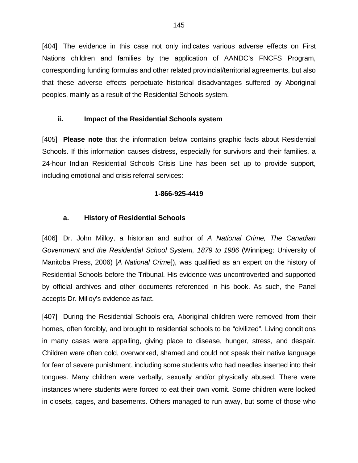[404] The evidence in this case not only indicates various adverse effects on First Nations children and families by the application of AANDC's FNCFS Program, corresponding funding formulas and other related provincial/territorial agreements, but also that these adverse effects perpetuate historical disadvantages suffered by Aboriginal peoples, mainly as a result of the Residential Schools system.

#### **ii. Impact of the Residential Schools system**

[405] **Please note** that the information below contains graphic facts about Residential Schools. If this information causes distress, especially for survivors and their families, a 24-hour Indian Residential Schools Crisis Line has been set up to provide support, including emotional and crisis referral services:

#### **1-866-925-4419**

#### **a. History of Residential Schools**

[406] Dr. John Milloy, a historian and author of *A National Crime, The Canadian Government and the Residential School System, 1879 to 1986* (Winnipeg: University of Manitoba Press, 2006) [*A National Crime*]), was qualified as an expert on the history of Residential Schools before the Tribunal. His evidence was uncontroverted and supported by official archives and other documents referenced in his book. As such, the Panel accepts Dr. Milloy's evidence as fact.

[407] During the Residential Schools era, Aboriginal children were removed from their homes, often forcibly, and brought to residential schools to be "civilized". Living conditions in many cases were appalling, giving place to disease, hunger, stress, and despair. Children were often cold, overworked, shamed and could not speak their native language for fear of severe punishment, including some students who had needles inserted into their tongues. Many children were verbally, sexually and/or physically abused. There were instances where students were forced to eat their own vomit. Some children were locked in closets, cages, and basements. Others managed to run away, but some of those who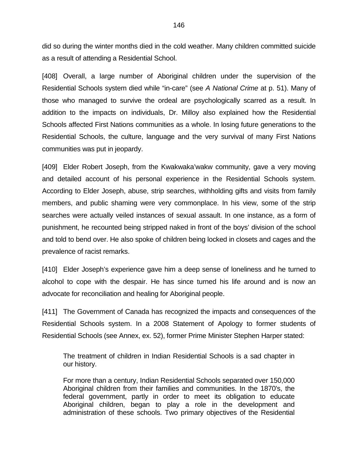did so during the winter months died in the cold weather. Many children committed suicide as a result of attending a Residential School.

[408] Overall, a large number of Aboriginal children under the supervision of the Residential Schools system died while "in-care" (see *A National Crime* at p. 51). Many of those who managed to survive the ordeal are psychologically scarred as a result. In addition to the impacts on individuals, Dr. Milloy also explained how the Residential Schools affected First Nations communities as a whole. In losing future generations to the Residential Schools, the culture, language and the very survival of many First Nations communities was put in jeopardy.

[409] Elder Robert Joseph, from the Kwakwaka'wakw community, gave a very moving and detailed account of his personal experience in the Residential Schools system. According to Elder Joseph, abuse, strip searches, withholding gifts and visits from family members, and public shaming were very commonplace. In his view, some of the strip searches were actually veiled instances of sexual assault. In one instance, as a form of punishment, he recounted being stripped naked in front of the boys' division of the school and told to bend over. He also spoke of children being locked in closets and cages and the prevalence of racist remarks.

[410] Elder Joseph's experience gave him a deep sense of loneliness and he turned to alcohol to cope with the despair. He has since turned his life around and is now an advocate for reconciliation and healing for Aboriginal people.

[411] The Government of Canada has recognized the impacts and consequences of the Residential Schools system. In a 2008 Statement of Apology to former students of Residential Schools (see Annex, ex. 52), former Prime Minister Stephen Harper stated:

The treatment of children in Indian Residential Schools is a sad chapter in our history.

For more than a century, Indian Residential Schools separated over 150,000 Aboriginal children from their families and communities. In the 1870's, the federal government, partly in order to meet its obligation to educate Aboriginal children, began to play a role in the development and administration of these schools. Two primary objectives of the Residential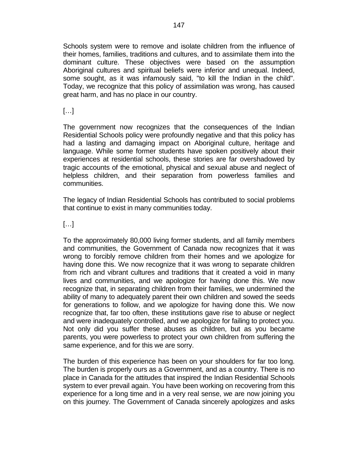Schools system were to remove and isolate children from the influence of their homes, families, traditions and cultures, and to assimilate them into the dominant culture. These objectives were based on the assumption Aboriginal cultures and spiritual beliefs were inferior and unequal. Indeed, some sought, as it was infamously said, "to kill the Indian in the child". Today, we recognize that this policy of assimilation was wrong, has caused great harm, and has no place in our country.

## $[\ldots]$

The government now recognizes that the consequences of the Indian Residential Schools policy were profoundly negative and that this policy has had a lasting and damaging impact on Aboriginal culture, heritage and language. While some former students have spoken positively about their experiences at residential schools, these stories are far overshadowed by tragic accounts of the emotional, physical and sexual abuse and neglect of helpless children, and their separation from powerless families and communities.

The legacy of Indian Residential Schools has contributed to social problems that continue to exist in many communities today.

## […]

To the approximately 80,000 living former students, and all family members and communities, the Government of Canada now recognizes that it was wrong to forcibly remove children from their homes and we apologize for having done this. We now recognize that it was wrong to separate children from rich and vibrant cultures and traditions that it created a void in many lives and communities, and we apologize for having done this. We now recognize that, in separating children from their families, we undermined the ability of many to adequately parent their own children and sowed the seeds for generations to follow, and we apologize for having done this. We now recognize that, far too often, these institutions gave rise to abuse or neglect and were inadequately controlled, and we apologize for failing to protect you. Not only did you suffer these abuses as children, but as you became parents, you were powerless to protect your own children from suffering the same experience, and for this we are sorry.

The burden of this experience has been on your shoulders for far too long. The burden is properly ours as a Government, and as a country. There is no place in Canada for the attitudes that inspired the Indian Residential Schools system to ever prevail again. You have been working on recovering from this experience for a long time and in a very real sense, we are now joining you on this journey. The Government of Canada sincerely apologizes and asks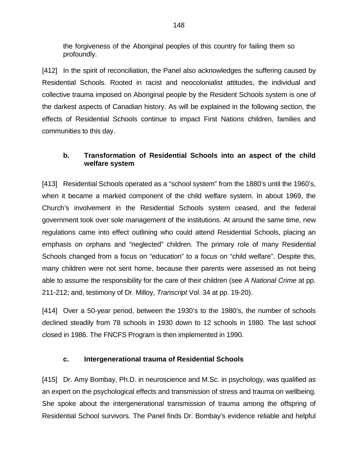the forgiveness of the Aboriginal peoples of this country for failing them so profoundly.

[412] In the spirit of reconciliation, the Panel also acknowledges the suffering caused by Residential Schools. Rooted in racist and neocolonialist attitudes, the individual and collective trauma imposed on Aboriginal people by the Resident Schools system is one of the darkest aspects of Canadian history. As will be explained in the following section, the effects of Residential Schools continue to impact First Nations children, families and communities to this day.

## **b. Transformation of Residential Schools into an aspect of the child welfare system**

[413] Residential Schools operated as a "school system" from the 1880's until the 1960's, when it became a marked component of the child welfare system. In about 1969, the Church's involvement in the Residential Schools system ceased, and the federal government took over sole management of the institutions. At around the same time, new regulations came into effect outlining who could attend Residential Schools, placing an emphasis on orphans and "neglected" children. The primary role of many Residential Schools changed from a focus on "education" to a focus on "child welfare". Despite this, many children were not sent home, because their parents were assessed as not being able to assume the responsibility for the care of their children (see *A National Crime* at pp. 211-212; and, testimony of Dr. Milloy, *Transcript* Vol. 34 at pp. 19-20).

[414] Over a 50-year period, between the 1930's to the 1980's, the number of schools declined steadily from 78 schools in 1930 down to 12 schools in 1980. The last school closed in 1986. The FNCFS Program is then implemented in 1990.

## **c. Intergenerational trauma of Residential Schools**

[415] Dr. Amy Bombay, Ph.D. in neuroscience and M.Sc. in psychology, was qualified as an expert on the psychological effects and transmission of stress and trauma on wellbeing. She spoke about the intergenerational transmission of trauma among the offspring of Residential School survivors. The Panel finds Dr. Bombay's evidence reliable and helpful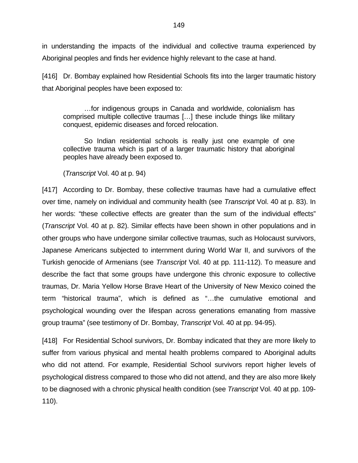in understanding the impacts of the individual and collective trauma experienced by Aboriginal peoples and finds her evidence highly relevant to the case at hand.

[416] Dr. Bombay explained how Residential Schools fits into the larger traumatic history that Aboriginal peoples have been exposed to:

…for indigenous groups in Canada and worldwide, colonialism has comprised multiple collective traumas […] these include things like military conquest, epidemic diseases and forced relocation.

So Indian residential schools is really just one example of one collective trauma which is part of a larger traumatic history that aboriginal peoples have already been exposed to.

(*Transcript* Vol. 40 at p. 94)

[417] According to Dr. Bombay, these collective traumas have had a cumulative effect over time, namely on individual and community health (see *Transcript* Vol. 40 at p. 83). In her words: "these collective effects are greater than the sum of the individual effects" (*Transcript* Vol. 40 at p. 82). Similar effects have been shown in other populations and in other groups who have undergone similar collective traumas, such as Holocaust survivors, Japanese Americans subjected to internment during World War II, and survivors of the Turkish genocide of Armenians (see *Transcript* Vol. 40 at pp. 111-112). To measure and describe the fact that some groups have undergone this chronic exposure to collective traumas, Dr. Maria Yellow Horse Brave Heart of the University of New Mexico coined the term "historical trauma", which is defined as "…the cumulative emotional and psychological wounding over the lifespan across generations emanating from massive group trauma" (see testimony of Dr. Bombay, *Transcript* Vol. 40 at pp. 94-95).

[418] For Residential School survivors, Dr. Bombay indicated that they are more likely to suffer from various physical and mental health problems compared to Aboriginal adults who did not attend. For example, Residential School survivors report higher levels of psychological distress compared to those who did not attend, and they are also more likely to be diagnosed with a chronic physical health condition (see *Transcript* Vol. 40 at pp. 109- 110).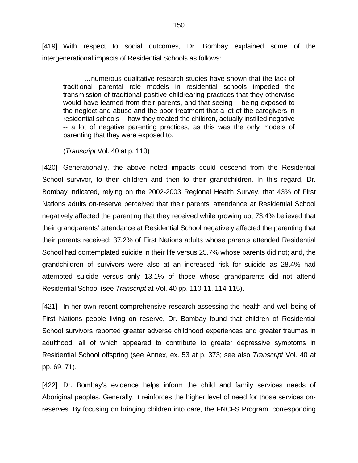[419] With respect to social outcomes, Dr. Bombay explained some of the intergenerational impacts of Residential Schools as follows:

…numerous qualitative research studies have shown that the lack of traditional parental role models in residential schools impeded the transmission of traditional positive childrearing practices that they otherwise would have learned from their parents, and that seeing -- being exposed to the neglect and abuse and the poor treatment that a lot of the caregivers in residential schools -- how they treated the children, actually instilled negative -- a lot of negative parenting practices, as this was the only models of parenting that they were exposed to.

(*Transcript* Vol. 40 at p. 110)

[420] Generationally, the above noted impacts could descend from the Residential School survivor, to their children and then to their grandchildren. In this regard, Dr. Bombay indicated, relying on the 2002-2003 Regional Health Survey, that 43% of First Nations adults on-reserve perceived that their parents' attendance at Residential School negatively affected the parenting that they received while growing up; 73.4% believed that their grandparents' attendance at Residential School negatively affected the parenting that their parents received; 37.2% of First Nations adults whose parents attended Residential School had contemplated suicide in their life versus 25.7% whose parents did not; and, the grandchildren of survivors were also at an increased risk for suicide as 28.4% had attempted suicide versus only 13.1% of those whose grandparents did not attend Residential School (see *Transcript* at Vol. 40 pp. 110-11, 114-115).

[421] In her own recent comprehensive research assessing the health and well-being of First Nations people living on reserve, Dr. Bombay found that children of Residential School survivors reported greater adverse childhood experiences and greater traumas in adulthood, all of which appeared to contribute to greater depressive symptoms in Residential School offspring (see Annex, ex. 53 at p. 373; see also *Transcript* Vol. 40 at pp. 69, 71).

[422] Dr. Bombay's evidence helps inform the child and family services needs of Aboriginal peoples. Generally, it reinforces the higher level of need for those services onreserves. By focusing on bringing children into care, the FNCFS Program, corresponding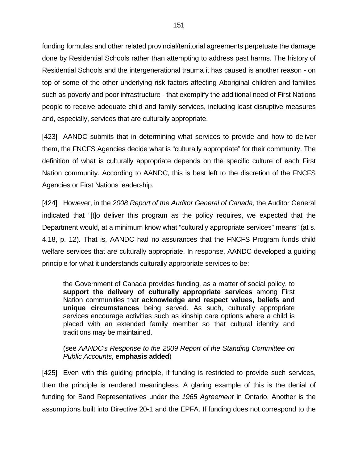funding formulas and other related provincial/territorial agreements perpetuate the damage done by Residential Schools rather than attempting to address past harms. The history of Residential Schools and the intergenerational trauma it has caused is another reason - on top of some of the other underlying risk factors affecting Aboriginal children and families such as poverty and poor infrastructure - that exemplify the additional need of First Nations people to receive adequate child and family services, including least disruptive measures and, especially, services that are culturally appropriate.

[423] AANDC submits that in determining what services to provide and how to deliver them, the FNCFS Agencies decide what is "culturally appropriate" for their community. The definition of what is culturally appropriate depends on the specific culture of each First Nation community. According to AANDC, this is best left to the discretion of the FNCFS Agencies or First Nations leadership.

[424] However, in the *2008 Report of the Auditor General of Canada*, the Auditor General indicated that "[t]o deliver this program as the policy requires, we expected that the Department would, at a minimum know what "culturally appropriate services" means" (at s. 4.18, p. 12). That is, AANDC had no assurances that the FNCFS Program funds child welfare services that are culturally appropriate. In response, AANDC developed a guiding principle for what it understands culturally appropriate services to be:

the Government of Canada provides funding, as a matter of social policy, to **support the delivery of culturally appropriate services** among First Nation communities that **acknowledge and respect values, beliefs and unique circumstances** being served. As such, culturally appropriate services encourage activities such as kinship care options where a child is placed with an extended family member so that cultural identity and traditions may be maintained.

## (see *AANDC's Response to the 2009 Report of the Standing Committee on Public Accounts*, **emphasis added**)

[425] Even with this guiding principle, if funding is restricted to provide such services, then the principle is rendered meaningless. A glaring example of this is the denial of funding for Band Representatives under the *1965 Agreement* in Ontario. Another is the assumptions built into Directive 20-1 and the EPFA. If funding does not correspond to the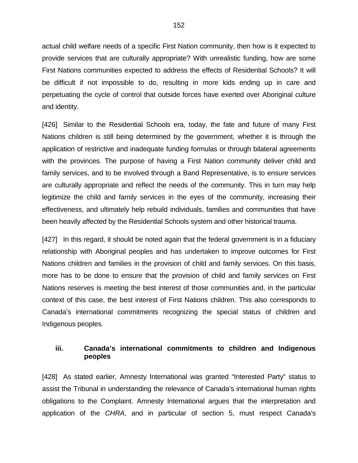actual child welfare needs of a specific First Nation community, then how is it expected to provide services that are culturally appropriate? With unrealistic funding, how are some First Nations communities expected to address the effects of Residential Schools? It will be difficult if not impossible to do, resulting in more kids ending up in care and perpetuating the cycle of control that outside forces have exerted over Aboriginal culture and identity.

[426] Similar to the Residential Schools era, today, the fate and future of many First Nations children is still being determined by the government, whether it is through the application of restrictive and inadequate funding formulas or through bilateral agreements with the provinces. The purpose of having a First Nation community deliver child and family services, and to be involved through a Band Representative, is to ensure services are culturally appropriate and reflect the needs of the community. This in turn may help legitimize the child and family services in the eyes of the community, increasing their effectiveness, and ultimately help rebuild individuals, families and communities that have been heavily affected by the Residential Schools system and other historical trauma.

[427] In this regard, it should be noted again that the federal government is in a fiduciary relationship with Aboriginal peoples and has undertaken to improve outcomes for First Nations children and families in the provision of child and family services. On this basis, more has to be done to ensure that the provision of child and family services on First Nations reserves is meeting the best interest of those communities and, in the particular context of this case, the best interest of First Nations children. This also corresponds to Canada's international commitments recognizing the special status of children and Indigenous peoples.

## **iii. Canada's international commitments to children and Indigenous peoples**

[428] As stated earlier, Amnesty International was granted "Interested Party" status to assist the Tribunal in understanding the relevance of Canada's international human rights obligations to the Complaint. Amnesty International argues that the interpretation and application of the *CHRA*, and in particular of section 5, must respect Canada's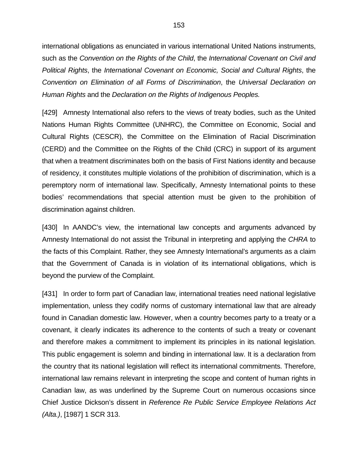international obligations as enunciated in various international United Nations instruments, such as the *Convention on the Rights of the Child*, the *International Covenant on Civil and Political Rights*, the *International Covenant on Economic, Social and Cultural Rights*, the *Convention on Elimination of all Forms of Discrimination*, the *Universal Declaration on Human Rights* and the *Declaration on the Rights of Indigenous Peoples.*

[429] Amnesty International also refers to the views of treaty bodies, such as the United Nations Human Rights Committee (UNHRC), the Committee on Economic, Social and Cultural Rights (CESCR), the Committee on the Elimination of Racial Discrimination (CERD) and the Committee on the Rights of the Child (CRC) in support of its argument that when a treatment discriminates both on the basis of First Nations identity and because of residency, it constitutes multiple violations of the prohibition of discrimination, which is a peremptory norm of international law. Specifically, Amnesty International points to these bodies' recommendations that special attention must be given to the prohibition of discrimination against children.

[430] In AANDC's view, the international law concepts and arguments advanced by Amnesty International do not assist the Tribunal in interpreting and applying the *CHRA* to the facts of this Complaint. Rather, they see Amnesty International's arguments as a claim that the Government of Canada is in violation of its international obligations, which is beyond the purview of the Complaint.

[431] In order to form part of Canadian law, international treaties need national legislative implementation, unless they codify norms of customary international law that are already found in Canadian domestic law. However, when a country becomes party to a treaty or a covenant, it clearly indicates its adherence to the contents of such a treaty or covenant and therefore makes a commitment to implement its principles in its national legislation. This public engagement is solemn and binding in international law. It is a declaration from the country that its national legislation will reflect its international commitments. Therefore, international law remains relevant in interpreting the scope and content of human rights in Canadian law, as was underlined by the Supreme Court on numerous occasions since Chief Justice Dickson's dissent in *Reference Re Public Service Employee Relations Act (Alta.)*, [1987] 1 SCR 313.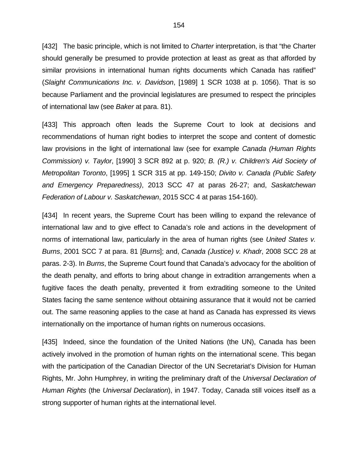[432] The basic principle, which is not limited to *Charter* interpretation, is that "the Charter should generally be presumed to provide protection at least as great as that afforded by similar provisions in international human rights documents which Canada has ratified" (*Slaight Communications Inc. v. Davidson*, [1989] 1 SCR 1038 at p. 1056). That is so because Parliament and the provincial legislatures are presumed to respect the principles of international law (see *Baker* at para. 81).

[433] This approach often leads the Supreme Court to look at decisions and recommendations of human right bodies to interpret the scope and content of domestic law provisions in the light of international law (see for example *Canada (Human Rights Commission) v. Taylor*, [1990] 3 SCR 892 at p. 920; *B. (R.) v. Children's Aid Society of Metropolitan Toronto*, [1995] 1 SCR 315 at pp. 149-150; *Divito v. Canada (Public Safety and Emergency Preparedness)*, 2013 SCC 47 at paras 26-27; and, *Saskatchewan Federation of Labour v. Saskatchewan*, 2015 SCC 4 at paras 154-160).

[434] In recent years, the Supreme Court has been willing to expand the relevance of international law and to give effect to Canada's role and actions in the development of norms of international law, particularly in the area of human rights (see *United States v. Burns*, 2001 SCC 7 at para. 81 [*Burns*]; and, *Canada (Justice) v. Khadr*, 2008 SCC 28 at paras. 2-3). In *Burns*, the Supreme Court found that Canada's advocacy for the abolition of the death penalty, and efforts to bring about change in extradition arrangements when a fugitive faces the death penalty, prevented it from extraditing someone to the United States facing the same sentence without obtaining assurance that it would not be carried out. The same reasoning applies to the case at hand as Canada has expressed its views internationally on the importance of human rights on numerous occasions.

[435] Indeed, since the foundation of the United Nations (the UN), Canada has been actively involved in the promotion of human rights on the international scene. This began with the participation of the Canadian Director of the UN Secretariat's Division for Human Rights, Mr. John Humphrey, in writing the preliminary draft of the *Universal Declaration of Human Rights* (the *Universal Declaration*), in 1947. Today, Canada still voices itself as a strong supporter of human rights at the international level.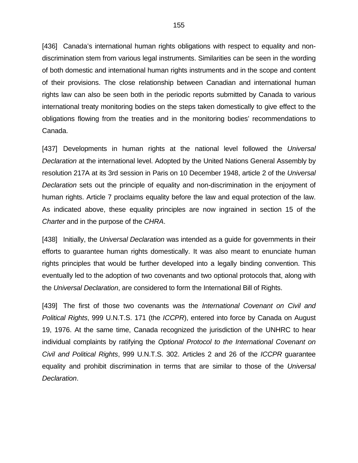[436] Canada's international human rights obligations with respect to equality and nondiscrimination stem from various legal instruments. Similarities can be seen in the wording of both domestic and international human rights instruments and in the scope and content of their provisions. The close relationship between Canadian and international human rights law can also be seen both in the periodic reports submitted by Canada to various international treaty monitoring bodies on the steps taken domestically to give effect to the obligations flowing from the treaties and in the monitoring bodies' recommendations to Canada.

[437] Developments in human rights at the national level followed the *Universal Declaration* at the international level. Adopted by the United Nations General Assembly by resolution 217A at its 3rd session in Paris on 10 December 1948, article 2 of the *Universal Declaration* sets out the principle of equality and non-discrimination in the enjoyment of human rights. Article 7 proclaims equality before the law and equal protection of the law. As indicated above, these equality principles are now ingrained in section 15 of the *Charter* and in the purpose of the *CHRA*.

[438] Initially, the *Universal Declaration* was intended as a guide for governments in their efforts to guarantee human rights domestically. It was also meant to enunciate human rights principles that would be further developed into a legally binding convention. This eventually led to the adoption of two covenants and two optional protocols that, along with the *Universal Declaration*, are considered to form the International Bill of Rights.

[439] The first of those two covenants was the *International Covenant on Civil and Political Rights*, 999 U.N.T.S. 171 (the *ICCPR*), entered into force by Canada on August 19, 1976. At the same time, Canada recognized the jurisdiction of the UNHRC to hear individual complaints by ratifying the *Optional Protocol to the International Covenant on Civil and Political Rights*, 999 U.N.T.S. 302. Articles 2 and 26 of the *ICCPR* guarantee equality and prohibit discrimination in terms that are similar to those of the *Universal Declaration*.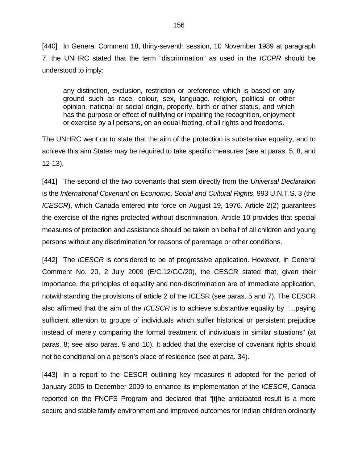[440] In General Comment 18, thirty-seventh session, 10 November 1989 at paragraph 7, the UNHRC stated that the term "discrimination" as used in the *ICCPR* should be understood to imply:

any distinction, exclusion, restriction or preference which is based on any ground such as race, colour, sex, language, religion, political or other opinion, national or social origin, property, birth or other status, and which has the purpose or effect of nullifying or impairing the recognition, enjoyment or exercise by all persons, on an equal footing, of all rights and freedoms.

The UNHRC went on to state that the aim of the protection is substantive equality, and to achieve this aim States may be required to take specific measures (see at paras. 5, 8, and 12-13).

[441] The second of the two covenants that stem directly from the *Universal Declaration* is the *International Covenant on Economic, Social and Cultural Rights*, 993 U.N.T.S. 3 (the *ICESCR*), which Canada entered into force on August 19, 1976. Article 2(2) guarantees the exercise of the rights protected without discrimination. Article 10 provides that special measures of protection and assistance should be taken on behalf of all children and young persons without any discrimination for reasons of parentage or other conditions.

[442] The *ICESCR* is considered to be of progressive application. However, in General Comment No. 20, 2 July 2009 (E/C.12/GC/20), the CESCR stated that, given their importance, the principles of equality and non-discrimination are of immediate application, notwithstanding the provisions of article 2 of the ICESR (see paras. 5 and 7). The CESCR also affirmed that the aim of the *ICESCR* is to achieve substantive equality by "…paying sufficient attention to groups of individuals which suffer historical or persistent prejudice instead of merely comparing the formal treatment of individuals in similar situations" (at paras. 8; see also paras. 9 and 10). It added that the exercise of covenant rights should not be conditional on a person's place of residence (see at para. 34).

[443] In a report to the CESCR outlining key measures it adopted for the period of January 2005 to December 2009 to enhance its implementation of the *ICESCR*, Canada reported on the FNCFS Program and declared that "[t]he anticipated result is a more secure and stable family environment and improved outcomes for Indian children ordinarily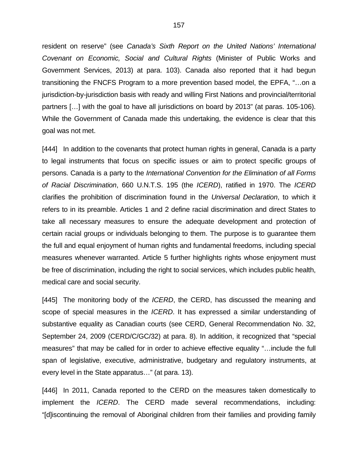resident on reserve" (see *Canada's Sixth Report on the United Nations' International Covenant on Economic, Social and Cultural Rights* (Minister of Public Works and Government Services, 2013) at para. 103). Canada also reported that it had begun transitioning the FNCFS Program to a more prevention based model, the EPFA, "…on a jurisdiction-by-jurisdiction basis with ready and willing First Nations and provincial/territorial partners […] with the goal to have all jurisdictions on board by 2013" (at paras. 105-106). While the Government of Canada made this undertaking, the evidence is clear that this goal was not met.

[444] In addition to the covenants that protect human rights in general, Canada is a party to legal instruments that focus on specific issues or aim to protect specific groups of persons. Canada is a party to the *International Convention for the Elimination of all Forms of Racial Discrimination*, 660 U.N.T.S. 195 (the *ICERD*), ratified in 1970. The *ICERD* clarifies the prohibition of discrimination found in the *Universal Declaration*, to which it refers to in its preamble. Articles 1 and 2 define racial discrimination and direct States to take all necessary measures to ensure the adequate development and protection of certain racial groups or individuals belonging to them. The purpose is to guarantee them the full and equal enjoyment of human rights and fundamental freedoms, including special measures whenever warranted. Article 5 further highlights rights whose enjoyment must be free of discrimination, including the right to social services, which includes public health, medical care and social security.

[445] The monitoring body of the *ICERD*, the CERD, has discussed the meaning and scope of special measures in the *ICERD*. It has expressed a similar understanding of substantive equality as Canadian courts (see CERD, General Recommendation No. 32, September 24, 2009 (CERD/C/GC/32) at para. 8). In addition, it recognized that "special measures" that may be called for in order to achieve effective equality "…include the full span of legislative, executive, administrative, budgetary and regulatory instruments, at every level in the State apparatus…" (at para. 13).

[446] In 2011, Canada reported to the CERD on the measures taken domestically to implement the *ICERD*. The CERD made several recommendations, including: "[d]iscontinuing the removal of Aboriginal children from their families and providing family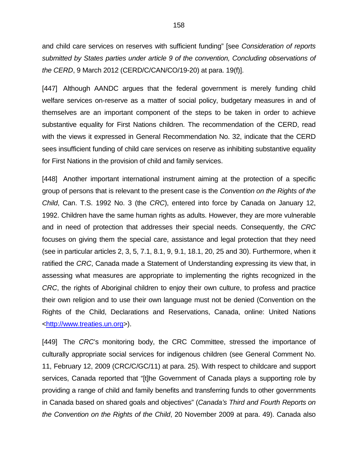and child care services on reserves with sufficient funding" [see *Consideration of reports submitted by States parties under article 9 of the convention, Concluding observations of the CERD*, 9 March 2012 (CERD/C/CAN/CO/19-20) at para. 19(f)].

[447] Although AANDC argues that the federal government is merely funding child welfare services on-reserve as a matter of social policy, budgetary measures in and of themselves are an important component of the steps to be taken in order to achieve substantive equality for First Nations children. The recommendation of the CERD, read with the views it expressed in General Recommendation No. 32, indicate that the CERD sees insufficient funding of child care services on reserve as inhibiting substantive equality for First Nations in the provision of child and family services.

[448] Another important international instrument aiming at the protection of a specific group of persons that is relevant to the present case is the *Convention on the Rights of the Child*, Can. T.S. 1992 No. 3 (the *CRC*), entered into force by Canada on January 12, 1992. Children have the same human rights as adults. However, they are more vulnerable and in need of protection that addresses their special needs. Consequently, the *CRC* focuses on giving them the special care, assistance and legal protection that they need (see in particular articles 2, 3, 5, 7.1, 8.1, 9, 9.1, 18.1, 20, 25 and 30). Furthermore, when it ratified the *CRC*, Canada made a Statement of Understanding expressing its view that, in assessing what measures are appropriate to implementing the rights recognized in the *CRC*, the rights of Aboriginal children to enjoy their own culture, to profess and practice their own religion and to use their own language must not be denied (Convention on the Rights of the Child, Declarations and Reservations, Canada, online: United Nations [<http://www.treaties.un.org>](http://www.treaties.un.org/)).

[449] The *CRC*'s monitoring body, the CRC Committee, stressed the importance of culturally appropriate social services for indigenous children (see General Comment No. 11, February 12, 2009 (CRC/C/GC/11) at para. 25). With respect to childcare and support services, Canada reported that "[t]he Government of Canada plays a supporting role by providing a range of child and family benefits and transferring funds to other governments in Canada based on shared goals and objectives" (*Canada's Third and Fourth Reports on the Convention on the Rights of the Child*, 20 November 2009 at para. 49). Canada also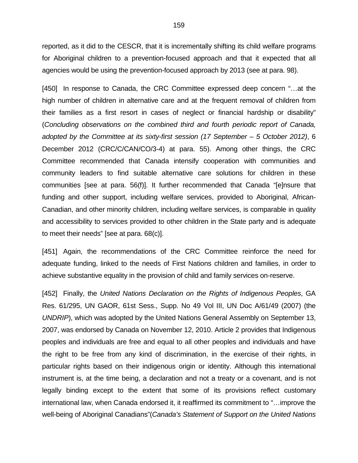reported, as it did to the CESCR, that it is incrementally shifting its child welfare programs for Aboriginal children to a prevention-focused approach and that it expected that all agencies would be using the prevention-focused approach by 2013 (see at para. 98).

[450] In response to Canada, the CRC Committee expressed deep concern "…at the high number of children in alternative care and at the frequent removal of children from their families as a first resort in cases of neglect or financial hardship or disability" (*Concluding observations on the combined third and fourth periodic report of Canada, adopted by the Committee at its sixty-first session (17 September – 5 October 2012)*, 6 December 2012 (CRC/C/CAN/CO/3-4) at para. 55). Among other things, the CRC Committee recommended that Canada intensify cooperation with communities and community leaders to find suitable alternative care solutions for children in these communities [see at para. 56(f)]. It further recommended that Canada "[e]nsure that funding and other support, including welfare services, provided to Aboriginal, African-Canadian, and other minority children, including welfare services, is comparable in quality and accessibility to services provided to other children in the State party and is adequate to meet their needs" [see at para. 68(c)].

[451] Again, the recommendations of the CRC Committee reinforce the need for adequate funding, linked to the needs of First Nations children and families, in order to achieve substantive equality in the provision of child and family services on-reserve.

[452] Finally, the *United Nations Declaration on the Rights of Indigenous Peoples*, GA Res. 61/295, UN GAOR, 61st Sess., Supp. No 49 Vol III, UN Doc A/61/49 (2007) (the *UNDRIP*), which was adopted by the United Nations General Assembly on September 13, 2007, was endorsed by Canada on November 12, 2010. Article 2 provides that Indigenous peoples and individuals are free and equal to all other peoples and individuals and have the right to be free from any kind of discrimination, in the exercise of their rights, in particular rights based on their indigenous origin or identity. Although this international instrument is, at the time being, a declaration and not a treaty or a covenant, and is not legally binding except to the extent that some of its provisions reflect customary international law, when Canada endorsed it, it reaffirmed its commitment to "…improve the well-being of Aboriginal Canadians"(*Canada's Statement of Support on the United Nations*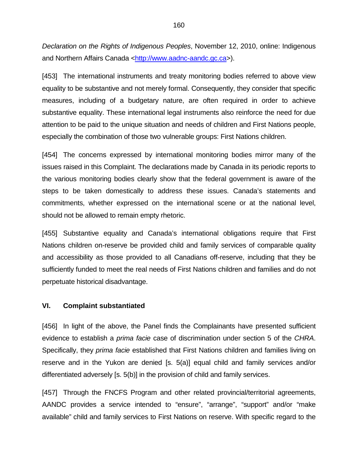*Declaration on the Rights of Indigenous Peoples*, November 12, 2010, online: Indigenous and Northern Affairs Canada [<http://www.aadnc-aandc.gc.ca>](http://www.aadnc-aandc.gc.ca/)).

[453] The international instruments and treaty monitoring bodies referred to above view equality to be substantive and not merely formal. Consequently, they consider that specific measures, including of a budgetary nature, are often required in order to achieve substantive equality. These international legal instruments also reinforce the need for due attention to be paid to the unique situation and needs of children and First Nations people, especially the combination of those two vulnerable groups: First Nations children.

[454] The concerns expressed by international monitoring bodies mirror many of the issues raised in this Complaint. The declarations made by Canada in its periodic reports to the various monitoring bodies clearly show that the federal government is aware of the steps to be taken domestically to address these issues. Canada's statements and commitments, whether expressed on the international scene or at the national level, should not be allowed to remain empty rhetoric.

[455] Substantive equality and Canada's international obligations require that First Nations children on-reserve be provided child and family services of comparable quality and accessibility as those provided to all Canadians off-reserve, including that they be sufficiently funded to meet the real needs of First Nations children and families and do not perpetuate historical disadvantage.

#### **VI. Complaint substantiated**

[456] In light of the above, the Panel finds the Complainants have presented sufficient evidence to establish a *prima facie* case of discrimination under section 5 of the *CHRA*. Specifically, they *prima facie* established that First Nations children and families living on reserve and in the Yukon are denied [s. 5(a)] equal child and family services and/or differentiated adversely [s. 5(b)] in the provision of child and family services.

[457] Through the FNCFS Program and other related provincial/territorial agreements, AANDC provides a service intended to "ensure", "arrange", "support" and/or "make available" child and family services to First Nations on reserve. With specific regard to the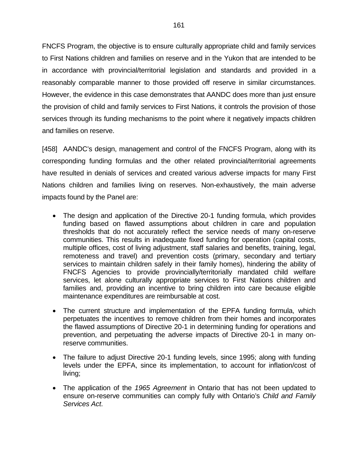FNCFS Program, the objective is to ensure culturally appropriate child and family services to First Nations children and families on reserve and in the Yukon that are intended to be in accordance with provincial/territorial legislation and standards and provided in a reasonably comparable manner to those provided off reserve in similar circumstances. However, the evidence in this case demonstrates that AANDC does more than just ensure the provision of child and family services to First Nations, it controls the provision of those services through its funding mechanisms to the point where it negatively impacts children and families on reserve.

[458] AANDC's design, management and control of the FNCFS Program, along with its corresponding funding formulas and the other related provincial/territorial agreements have resulted in denials of services and created various adverse impacts for many First Nations children and families living on reserves. Non-exhaustively, the main adverse impacts found by the Panel are:

- The design and application of the Directive 20-1 funding formula, which provides funding based on flawed assumptions about children in care and population thresholds that do not accurately reflect the service needs of many on-reserve communities. This results in inadequate fixed funding for operation (capital costs, multiple offices, cost of living adjustment, staff salaries and benefits, training, legal, remoteness and travel) and prevention costs (primary, secondary and tertiary services to maintain children safely in their family homes), hindering the ability of FNCFS Agencies to provide provincially/territorially mandated child welfare services, let alone culturally appropriate services to First Nations children and families and, providing an incentive to bring children into care because eligible maintenance expenditures are reimbursable at cost.
- The current structure and implementation of the EPFA funding formula, which perpetuates the incentives to remove children from their homes and incorporates the flawed assumptions of Directive 20-1 in determining funding for operations and prevention, and perpetuating the adverse impacts of Directive 20-1 in many onreserve communities.
- The failure to adjust Directive 20-1 funding levels, since 1995; along with funding levels under the EPFA, since its implementation, to account for inflation/cost of living;
- The application of the *1965 Agreement* in Ontario that has not been updated to ensure on-reserve communities can comply fully with Ontario's *Child and Family Services Act*.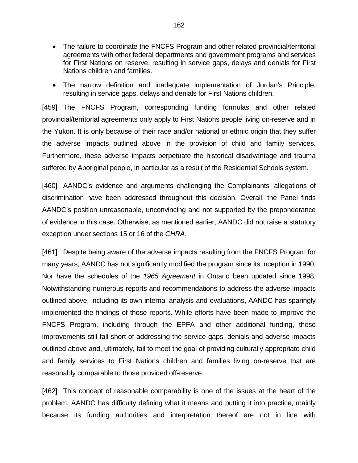- The failure to coordinate the FNCFS Program and other related provincial/territorial agreements with other federal departments and government programs and services for First Nations on reserve, resulting in service gaps, delays and denials for First Nations children and families.
- The narrow definition and inadequate implementation of Jordan's Principle, resulting in service gaps, delays and denials for First Nations children.

[459] The FNCFS Program, corresponding funding formulas and other related provincial/territorial agreements only apply to First Nations people living on-reserve and in the Yukon. It is only because of their race and/or national or ethnic origin that they suffer the adverse impacts outlined above in the provision of child and family services. Furthermore, these adverse impacts perpetuate the historical disadvantage and trauma suffered by Aboriginal people, in particular as a result of the Residential Schools system.

[460] AANDC's evidence and arguments challenging the Complainants' allegations of discrimination have been addressed throughout this decision. Overall, the Panel finds AANDC's position unreasonable, unconvincing and not supported by the preponderance of evidence in this case. Otherwise, as mentioned earlier, AANDC did not raise a statutory exception under sections 15 or 16 of the *CHRA*.

[461] Despite being aware of the adverse impacts resulting from the FNCFS Program for many years, AANDC has not significantly modified the program since its inception in 1990. Nor have the schedules of the *1965 Agreement* in Ontario been updated since 1998. Notwithstanding numerous reports and recommendations to address the adverse impacts outlined above, including its own internal analysis and evaluations, AANDC has sparingly implemented the findings of those reports. While efforts have been made to improve the FNCFS Program, including through the EPFA and other additional funding, those improvements still fall short of addressing the service gaps, denials and adverse impacts outlined above and, ultimately, fail to meet the goal of providing culturally appropriate child and family services to First Nations children and families living on-reserve that are reasonably comparable to those provided off-reserve.

[462] This concept of reasonable comparability is one of the issues at the heart of the problem. AANDC has difficulty defining what it means and putting it into practice, mainly because its funding authorities and interpretation thereof are not in line with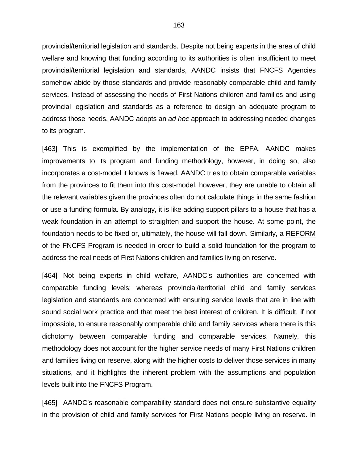provincial/territorial legislation and standards. Despite not being experts in the area of child welfare and knowing that funding according to its authorities is often insufficient to meet provincial/territorial legislation and standards, AANDC insists that FNCFS Agencies somehow abide by those standards and provide reasonably comparable child and family services. Instead of assessing the needs of First Nations children and families and using provincial legislation and standards as a reference to design an adequate program to address those needs, AANDC adopts an *ad hoc* approach to addressing needed changes to its program.

[463] This is exemplified by the implementation of the EPFA. AANDC makes improvements to its program and funding methodology, however, in doing so, also incorporates a cost-model it knows is flawed. AANDC tries to obtain comparable variables from the provinces to fit them into this cost-model, however, they are unable to obtain all the relevant variables given the provinces often do not calculate things in the same fashion or use a funding formula. By analogy, it is like adding support pillars to a house that has a weak foundation in an attempt to straighten and support the house. At some point, the foundation needs to be fixed or, ultimately, the house will fall down. Similarly, a REFORM of the FNCFS Program is needed in order to build a solid foundation for the program to address the real needs of First Nations children and families living on reserve.

[464] Not being experts in child welfare, AANDC's authorities are concerned with comparable funding levels; whereas provincial/territorial child and family services legislation and standards are concerned with ensuring service levels that are in line with sound social work practice and that meet the best interest of children. It is difficult, if not impossible, to ensure reasonably comparable child and family services where there is this dichotomy between comparable funding and comparable services. Namely, this methodology does not account for the higher service needs of many First Nations children and families living on reserve, along with the higher costs to deliver those services in many situations, and it highlights the inherent problem with the assumptions and population levels built into the FNCFS Program.

[465] AANDC's reasonable comparability standard does not ensure substantive equality in the provision of child and family services for First Nations people living on reserve. In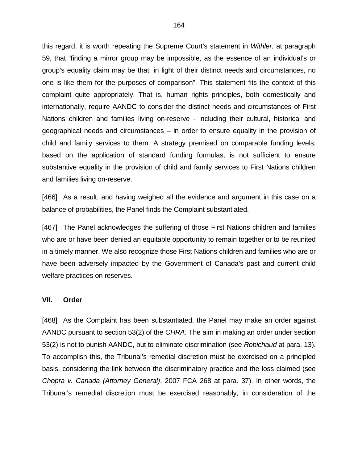this regard, it is worth repeating the Supreme Court's statement in *Withler*, at paragraph 59, that "finding a mirror group may be impossible, as the essence of an individual's or group's equality claim may be that, in light of their distinct needs and circumstances, no one is like them for the purposes of comparison". This statement fits the context of this complaint quite appropriately. That is, human rights principles, both domestically and internationally, require AANDC to consider the distinct needs and circumstances of First Nations children and families living on-reserve - including their cultural, historical and geographical needs and circumstances – in order to ensure equality in the provision of child and family services to them. A strategy premised on comparable funding levels, based on the application of standard funding formulas, is not sufficient to ensure substantive equality in the provision of child and family services to First Nations children and families living on-reserve.

[466] As a result, and having weighed all the evidence and argument in this case on a balance of probabilities, the Panel finds the Complaint substantiated.

[467] The Panel acknowledges the suffering of those First Nations children and families who are or have been denied an equitable opportunity to remain together or to be reunited in a timely manner. We also recognize those First Nations children and families who are or have been adversely impacted by the Government of Canada's past and current child welfare practices on reserves.

#### **VII. Order**

[468] As the Complaint has been substantiated, the Panel may make an order against AANDC pursuant to section 53(2) of the *CHRA*. The aim in making an order under section 53(2) is not to punish AANDC, but to eliminate discrimination (see *Robichaud* at para. 13). To accomplish this, the Tribunal's remedial discretion must be exercised on a principled basis, considering the link between the discriminatory practice and the loss claimed (see *Chopra v. Canada (Attorney General)*, 2007 FCA 268 at para. 37). In other words, the Tribunal's remedial discretion must be exercised reasonably, in consideration of the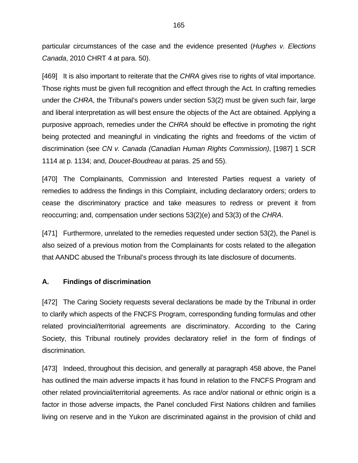particular circumstances of the case and the evidence presented (*Hughes v. Elections Canada*, 2010 CHRT 4 at para. 50).

[469] It is also important to reiterate that the *CHRA* gives rise to rights of vital importance. Those rights must be given full recognition and effect through the Act. In crafting remedies under the *CHRA*, the Tribunal's powers under section 53(2) must be given such fair, large and liberal interpretation as will best ensure the objects of the Act are obtained. Applying a purposive approach, remedies under the *CHRA* should be effective in promoting the right being protected and meaningful in vindicating the rights and freedoms of the victim of discrimination (see *CN v. Canada (Canadian Human Rights Commission)*, [1987] 1 SCR 1114 at p. 1134; and, *Doucet-Boudreau* at paras. 25 and 55).

[470] The Complainants, Commission and Interested Parties request a variety of remedies to address the findings in this Complaint, including declaratory orders; orders to cease the discriminatory practice and take measures to redress or prevent it from reoccurring; and, compensation under sections 53(2)(e) and 53(3) of the *CHRA*.

[471] Furthermore, unrelated to the remedies requested under section 53(2), the Panel is also seized of a previous motion from the Complainants for costs related to the allegation that AANDC abused the Tribunal's process through its late disclosure of documents.

## **A. Findings of discrimination**

[472] The Caring Society requests several declarations be made by the Tribunal in order to clarify which aspects of the FNCFS Program, corresponding funding formulas and other related provincial/territorial agreements are discriminatory. According to the Caring Society, this Tribunal routinely provides declaratory relief in the form of findings of discrimination.

[473] Indeed, throughout this decision, and generally at paragraph 458 above, the Panel has outlined the main adverse impacts it has found in relation to the FNCFS Program and other related provincial/territorial agreements. As race and/or national or ethnic origin is a factor in those adverse impacts, the Panel concluded First Nations children and families living on reserve and in the Yukon are discriminated against in the provision of child and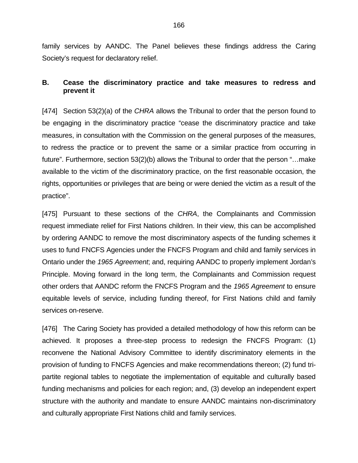family services by AANDC. The Panel believes these findings address the Caring Society's request for declaratory relief.

## **B. Cease the discriminatory practice and take measures to redress and prevent it**

[474] Section 53(2)(a) of the *CHRA* allows the Tribunal to order that the person found to be engaging in the discriminatory practice "cease the discriminatory practice and take measures, in consultation with the Commission on the general purposes of the measures, to redress the practice or to prevent the same or a similar practice from occurring in future". Furthermore, section 53(2)(b) allows the Tribunal to order that the person "…make available to the victim of the discriminatory practice, on the first reasonable occasion, the rights, opportunities or privileges that are being or were denied the victim as a result of the practice".

[475] Pursuant to these sections of the *CHRA*, the Complainants and Commission request immediate relief for First Nations children. In their view, this can be accomplished by ordering AANDC to remove the most discriminatory aspects of the funding schemes it uses to fund FNCFS Agencies under the FNCFS Program and child and family services in Ontario under the *1965 Agreement*; and, requiring AANDC to properly implement Jordan's Principle. Moving forward in the long term, the Complainants and Commission request other orders that AANDC reform the FNCFS Program and the *1965 Agreement* to ensure equitable levels of service, including funding thereof, for First Nations child and family services on-reserve.

[476] The Caring Society has provided a detailed methodology of how this reform can be achieved. It proposes a three-step process to redesign the FNCFS Program: (1) reconvene the National Advisory Committee to identify discriminatory elements in the provision of funding to FNCFS Agencies and make recommendations thereon; (2) fund tripartite regional tables to negotiate the implementation of equitable and culturally based funding mechanisms and policies for each region; and, (3) develop an independent expert structure with the authority and mandate to ensure AANDC maintains non-discriminatory and culturally appropriate First Nations child and family services.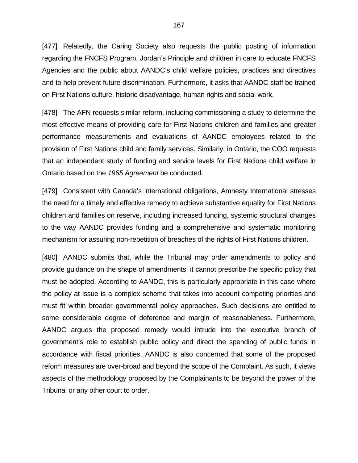[477] Relatedly, the Caring Society also requests the public posting of information regarding the FNCFS Program, Jordan's Principle and children in care to educate FNCFS Agencies and the public about AANDC's child welfare policies, practices and directives and to help prevent future discrimination. Furthermore, it asks that AANDC staff be trained on First Nations culture, historic disadvantage, human rights and social work.

[478] The AFN requests similar reform, including commissioning a study to determine the most effective means of providing care for First Nations children and families and greater performance measurements and evaluations of AANDC employees related to the provision of First Nations child and family services. Similarly, in Ontario, the COO requests that an independent study of funding and service levels for First Nations child welfare in Ontario based on the *1965 Agreement* be conducted.

[479] Consistent with Canada's international obligations, Amnesty International stresses the need for a timely and effective remedy to achieve substantive equality for First Nations children and families on reserve, including increased funding, systemic structural changes to the way AANDC provides funding and a comprehensive and systematic monitoring mechanism for assuring non-repetition of breaches of the rights of First Nations children.

[480] AANDC submits that, while the Tribunal may order amendments to policy and provide guidance on the shape of amendments, it cannot prescribe the specific policy that must be adopted. According to AANDC, this is particularly appropriate in this case where the policy at issue is a complex scheme that takes into account competing priorities and must fit within broader governmental policy approaches. Such decisions are entitled to some considerable degree of deference and margin of reasonableness. Furthermore, AANDC argues the proposed remedy would intrude into the executive branch of government's role to establish public policy and direct the spending of public funds in accordance with fiscal priorities. AANDC is also concerned that some of the proposed reform measures are over-broad and beyond the scope of the Complaint. As such, it views aspects of the methodology proposed by the Complainants to be beyond the power of the Tribunal or any other court to order.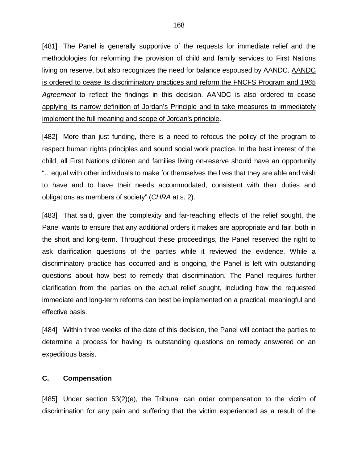[481] The Panel is generally supportive of the requests for immediate relief and the methodologies for reforming the provision of child and family services to First Nations living on reserve, but also recognizes the need for balance espoused by AANDC. AANDC is ordered to cease its discriminatory practices and reform the FNCFS Program and *1965 Agreement* to reflect the findings in this decision. AANDC is also ordered to cease applying its narrow definition of Jordan's Principle and to take measures to immediately implement the full meaning and scope of Jordan's principle.

[482] More than just funding, there is a need to refocus the policy of the program to respect human rights principles and sound social work practice. In the best interest of the child, all First Nations children and families living on-reserve should have an opportunity "…equal with other individuals to make for themselves the lives that they are able and wish to have and to have their needs accommodated, consistent with their duties and obligations as members of society" (*CHRA* at s. 2).

[483] That said, given the complexity and far-reaching effects of the relief sought, the Panel wants to ensure that any additional orders it makes are appropriate and fair, both in the short and long-term. Throughout these proceedings, the Panel reserved the right to ask clarification questions of the parties while it reviewed the evidence. While a discriminatory practice has occurred and is ongoing, the Panel is left with outstanding questions about how best to remedy that discrimination. The Panel requires further clarification from the parties on the actual relief sought, including how the requested immediate and long-term reforms can best be implemented on a practical, meaningful and effective basis.

[484] Within three weeks of the date of this decision, the Panel will contact the parties to determine a process for having its outstanding questions on remedy answered on an expeditious basis.

## **C. Compensation**

[485] Under section 53(2)(e), the Tribunal can order compensation to the victim of discrimination for any pain and suffering that the victim experienced as a result of the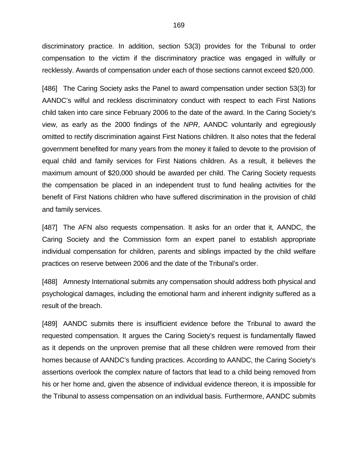discriminatory practice. In addition, section 53(3) provides for the Tribunal to order compensation to the victim if the discriminatory practice was engaged in wilfully or recklessly. Awards of compensation under each of those sections cannot exceed \$20,000.

[486] The Caring Society asks the Panel to award compensation under section 53(3) for AANDC's wilful and reckless discriminatory conduct with respect to each First Nations child taken into care since February 2006 to the date of the award. In the Caring Society's view, as early as the 2000 findings of the *NPR*, AANDC voluntarily and egregiously omitted to rectify discrimination against First Nations children. It also notes that the federal government benefited for many years from the money it failed to devote to the provision of equal child and family services for First Nations children. As a result, it believes the maximum amount of \$20,000 should be awarded per child. The Caring Society requests the compensation be placed in an independent trust to fund healing activities for the benefit of First Nations children who have suffered discrimination in the provision of child and family services.

[487] The AFN also requests compensation. It asks for an order that it, AANDC, the Caring Society and the Commission form an expert panel to establish appropriate individual compensation for children, parents and siblings impacted by the child welfare practices on reserve between 2006 and the date of the Tribunal's order.

[488] Amnesty International submits any compensation should address both physical and psychological damages, including the emotional harm and inherent indignity suffered as a result of the breach.

[489] AANDC submits there is insufficient evidence before the Tribunal to award the requested compensation. It argues the Caring Society's request is fundamentally flawed as it depends on the unproven premise that all these children were removed from their homes because of AANDC's funding practices. According to AANDC, the Caring Society's assertions overlook the complex nature of factors that lead to a child being removed from his or her home and, given the absence of individual evidence thereon, it is impossible for the Tribunal to assess compensation on an individual basis. Furthermore, AANDC submits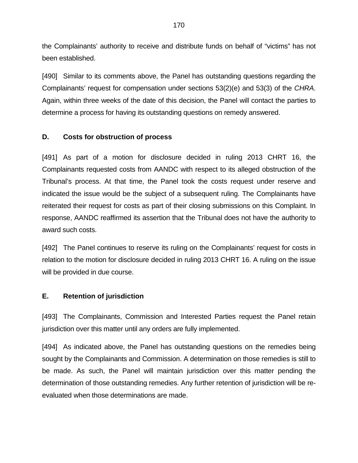the Complainants' authority to receive and distribute funds on behalf of "victims" has not been established.

[490] Similar to its comments above, the Panel has outstanding questions regarding the Complainants' request for compensation under sections 53(2)(e) and 53(3) of the *CHRA*. Again, within three weeks of the date of this decision, the Panel will contact the parties to determine a process for having its outstanding questions on remedy answered.

## **D. Costs for obstruction of process**

[491] As part of a motion for disclosure decided in ruling 2013 CHRT 16, the Complainants requested costs from AANDC with respect to its alleged obstruction of the Tribunal's process. At that time, the Panel took the costs request under reserve and indicated the issue would be the subject of a subsequent ruling. The Complainants have reiterated their request for costs as part of their closing submissions on this Complaint. In response, AANDC reaffirmed its assertion that the Tribunal does not have the authority to award such costs.

[492] The Panel continues to reserve its ruling on the Complainants' request for costs in relation to the motion for disclosure decided in ruling 2013 CHRT 16. A ruling on the issue will be provided in due course.

## **E. Retention of jurisdiction**

[493] The Complainants, Commission and Interested Parties request the Panel retain jurisdiction over this matter until any orders are fully implemented.

[494] As indicated above, the Panel has outstanding questions on the remedies being sought by the Complainants and Commission. A determination on those remedies is still to be made. As such, the Panel will maintain jurisdiction over this matter pending the determination of those outstanding remedies. Any further retention of jurisdiction will be reevaluated when those determinations are made.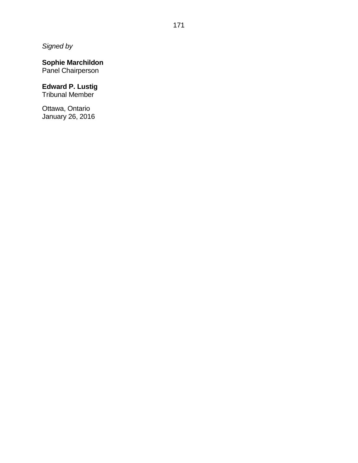*Signed by*

# **Sophie Marchildon**

Panel Chairperson

## **Edward P. Lustig**

Tribunal Member

Ottawa, Ontario January 26, 2016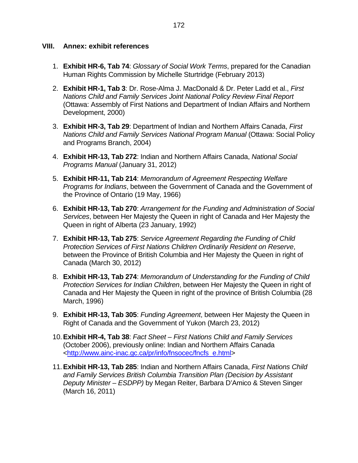## **VIII. Annex: exhibit references**

- 1. **Exhibit HR-6, Tab 74**: *Glossary of Social Work Terms*, prepared for the Canadian Human Rights Commission by Michelle Sturtridge (February 2013)
- 2. **Exhibit HR-1, Tab 3**: Dr. Rose-Alma J. MacDonald & Dr. Peter Ladd et al., *First Nations Child and Family Services Joint National Policy Review Final Report* (Ottawa: Assembly of First Nations and Department of Indian Affairs and Northern Development, 2000)
- 3. **Exhibit HR-3, Tab 29**: Department of Indian and Northern Affairs Canada, *First Nations Child and Family Services National Program Manual* (Ottawa: Social Policy and Programs Branch, 2004)
- 4. **Exhibit HR-13, Tab 272**: Indian and Northern Affairs Canada, *National Social Programs Manual* (January 31, 2012)
- 5. **Exhibit HR-11, Tab 214**: *Memorandum of Agreement Respecting Welfare Programs for Indians*, between the Government of Canada and the Government of the Province of Ontario (19 May, 1966)
- 6. **Exhibit HR-13, Tab 270**: *Arrangement for the Funding and Administration of Social Services*, between Her Majesty the Queen in right of Canada and Her Majesty the Queen in right of Alberta (23 January, 1992)
- 7. **Exhibit HR-13, Tab 275**: *Service Agreement Regarding the Funding of Child Protection Services of First Nations Children Ordinarily Resident on Reserve*, between the Province of British Columbia and Her Majesty the Queen in right of Canada (March 30, 2012)
- 8. **Exhibit HR-13, Tab 274**: *Memorandum of Understanding for the Funding of Child Protection Services for Indian Children*, between Her Majesty the Queen in right of Canada and Her Majesty the Queen in right of the province of British Columbia (28 March, 1996)
- 9. **Exhibit HR-13, Tab 305**: *Funding Agreement*, between Her Majesty the Queen in Right of Canada and the Government of Yukon (March 23, 2012)
- 10.**Exhibit HR-4, Tab 38**: *Fact Sheet – First Nations Child and Family Services* (October 2006), previously online: Indian and Northern Affairs Canada [<http://www.ainc-inac.gc.ca/pr/info/fnsocec/fncfs\\_e.html>](http://www.ainc-inac.gc.ca/pr/info/fnsocec/fncfs_e.html)
- 11.**Exhibit HR-13, Tab 285**: Indian and Northern Affairs Canada, *First Nations Child and Family Services British Columbia Transition Plan (Decision by Assistant Deputy Minister – ESDPP)* by Megan Reiter, Barbara D'Amico & Steven Singer (March 16, 2011)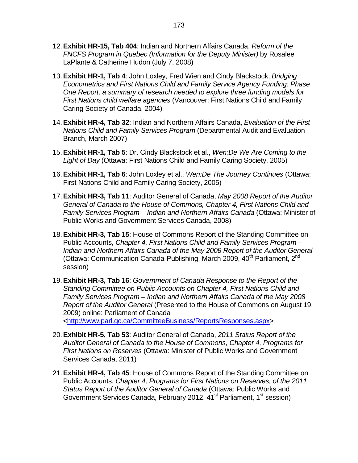- 12.**Exhibit HR-15, Tab 404**: Indian and Northern Affairs Canada, *Reform of the FNCFS Program in Quebec (Information for the Deputy Minister)* by Rosalee LaPlante & Catherine Hudon (July 7, 2008)
- 13.**Exhibit HR-1, Tab 4**: John Loxley, Fred Wien and Cindy Blackstock, *Bridging Econometrics and First Nations Child and Family Service Agency Funding: Phase One Report, a summary of research needed to explore three funding models for First Nations child welfare agencies* (Vancouver: First Nations Child and Family Caring Society of Canada, 2004)
- 14.**Exhibit HR-4, Tab 32**: Indian and Northern Affairs Canada, *Evaluation of the First Nations Child and Family Services Program* (Departmental Audit and Evaluation Branch, March 2007)
- 15.**Exhibit HR-1, Tab 5**: Dr. Cindy Blackstock et al., *Wen:De We Are Coming to the Light of Day* (Ottawa: First Nations Child and Family Caring Society, 2005)
- 16.**Exhibit HR-1, Tab 6**: John Loxley et al., *Wen:De The Journey Continues* (Ottawa: First Nations Child and Family Caring Society, 2005)
- 17.**Exhibit HR-3, Tab 11**: Auditor General of Canada, *May 2008 Report of the Auditor General of Canada to the House of Commons, Chapter 4, First Nations Child and Family Services Program – Indian and Northern Affairs Canada* (Ottawa: Minister of Public Works and Government Services Canada, 2008)
- 18.**Exhibit HR-3, Tab 15**: House of Commons Report of the Standing Committee on Public Accounts, *Chapter 4, First Nations Child and Family Services Program – Indian and Northern Affairs Canada of the May 2008 Report of the Auditor General* (Ottawa: Communication Canada-Publishing, March 2009,  $40<sup>th</sup>$  Parliament,  $2<sup>nd</sup>$ session)
- 19.**Exhibit HR-3, Tab 16**: *Government of Canada Response to the Report of the Standing Committee on Public Accounts on Chapter 4, First Nations Child and Family Services Program – Indian and Northern Affairs Canada of the May 2008 Report of the Auditor General* (Presented to the House of Commons on August 19, 2009) online: Parliament of Canada [<http://www.parl.gc.ca/CommitteeBusiness/ReportsResponses.aspx>](http://www.parl.gc.ca/CommitteeBusiness/ReportsResponses.aspx)

- 20.**Exhibit HR-5, Tab 53**: Auditor General of Canada, *2011 Status Report of the Auditor General of Canada to the House of Commons, Chapter 4, Programs for First Nations on Reserves* (Ottawa: Minister of Public Works and Government Services Canada, 2011)
- 21.**Exhibit HR-4, Tab 45**: House of Commons Report of the Standing Committee on Public Accounts, *Chapter 4, Programs for First Nations on Reserves, of the 2011 Status Report of the Auditor General of Canada* (Ottawa: Public Works and Government Services Canada, February 2012, 41<sup>st</sup> Parliament, 1<sup>st</sup> session)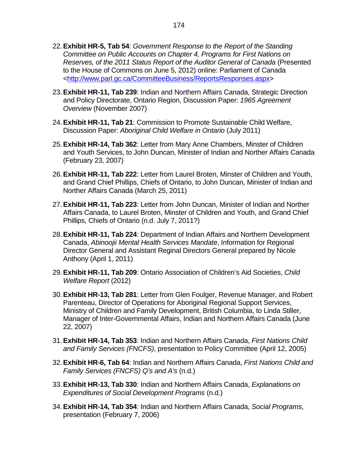- 22.**Exhibit HR-5, Tab 54**: *Government Response to the Report of the Standing Committee on Public Accounts on Chapter 4, Programs for First Nations on Reserves, of the 2011 Status Report of the Auditor General of Canada* (Presented to the House of Commons on June 5, 2012) online: Parliament of Canada [<http://www.parl.gc.ca/CommitteeBusiness/ReportsResponses.aspx>](http://www.parl.gc.ca/CommitteeBusiness/ReportsResponses.aspx)
- 23.**Exhibit HR-11, Tab 239**: Indian and Northern Affairs Canada, Strategic Direction and Policy Directorate, Ontario Region, Discussion Paper: *1965 Agreement Overview* (November 2007)
- 24.**Exhibit HR-11, Tab 21**: Commission to Promote Sustainable Child Welfare, Discussion Paper: *Aboriginal Child Welfare in Ontario* (July 2011)
- 25.**Exhibit HR-14, Tab 362**: Letter from Mary Anne Chambers, Minster of Children and Youth Services, to John Duncan, Minister of Indian and Norther Affairs Canada (February 23, 2007)
- 26.**Exhibit HR-11, Tab 222**: Letter from Laurel Broten, Minster of Children and Youth, and Grand Chief Phillips, Chiefs of Ontario, to John Duncan, Minister of Indian and Norther Affairs Canada (March 25, 2011)
- 27.**Exhibit HR-11, Tab 223**: Letter from John Duncan, Minister of Indian and Norther Affairs Canada, to Laurel Broten, Minster of Children and Youth, and Grand Chief Phillips, Chiefs of Ontario (n.d. July 7, 2011?)
- 28.**Exhibit HR-11, Tab 224**: Department of Indian Affairs and Northern Development Canada, *Abinoojii Mental Health Services Mandate*, Information for Regional Director General and Assistant Reginal Directors General prepared by Nicole Anthony (April 1, 2011)
- 29.**Exhibit HR-11, Tab 209**: Ontario Association of Children's Aid Societies, *Child Welfare Report* (2012)
- 30.**Exhibit HR-13, Tab 281**: Letter from Glen Foulger, Revenue Manager, and Robert Parenteau, Director of Operations for Aboriginal Regional Support Services, Ministry of Children and Family Development, British Columbia, to Linda Stiller, Manager of Inter-Governmental Affairs, Indian and Northern Affairs Canada (June 22, 2007)
- 31.**Exhibit HR-14, Tab 353**: Indian and Northern Affairs Canada, *First Nations Child and Family Services (FNCFS)*, presentation to Policy Committee (April 12, 2005)
- 32.**Exhibit HR-6, Tab 64**: Indian and Northern Affairs Canada, *First Nations Child and Family Services (FNCFS) Q's and A's* (n.d.)
- 33.**Exhibit HR-13, Tab 330**: Indian and Northern Affairs Canada, *Explanations on Expenditures of Social Development Programs* (n.d.)
- 34.**Exhibit HR-14, Tab 354**: Indian and Northern Affairs Canada, *Social Programs*, presentation (February 7, 2006)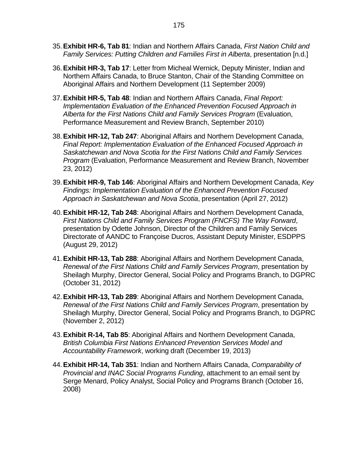- 35.**Exhibit HR-6, Tab 81**: Indian and Northern Affairs Canada, *First Nation Child and Family Services: Putting Children and Families First in Alberta*, presentation [n.d.]
- 36.**Exhibit HR-3, Tab 17**: Letter from Micheal Wernick, Deputy Minister, Indian and Northern Affairs Canada, to Bruce Stanton, Chair of the Standing Committee on Aboriginal Affairs and Northern Development (11 September 2009)
- 37.**Exhibit HR-5, Tab 48**: Indian and Northern Affairs Canada, *Final Report:*  **Implementation Evaluation of the Enhanced Prevention Focused Approach in** *Alberta for the First Nations Child and Family Services Program* (Evaluation, Performance Measurement and Review Branch, September 2010)
- 38.**Exhibit HR-12, Tab 247**: Aboriginal Affairs and Northern Development Canada, *Final Report: Implementation Evaluation of the Enhanced Focused Approach in Saskatchewan and Nova Scotia for the First Nations Child and Family Services Program* (Evaluation, Performance Measurement and Review Branch, November 23, 2012)
- 39.**Exhibit HR-9, Tab 146**: Aboriginal Affairs and Northern Development Canada, *Key Findings: Implementation Evaluation of the Enhanced Prevention Focused Approach in Saskatchewan and Nova Scotia*, presentation (April 27, 2012)
- 40.**Exhibit HR-12, Tab 248**: Aboriginal Affairs and Northern Development Canada, *First Nations Child and Family Services Program (FNCFS) The Way Forward*, presentation by Odette Johnson, Director of the Children and Family Services Directorate of AANDC to Françoise Ducros, Assistant Deputy Minister, ESDPPS (August 29, 2012)
- 41.**Exhibit HR-13, Tab 288**: Aboriginal Affairs and Northern Development Canada, *Renewal of the First Nations Child and Family Services Program*, presentation by Sheilagh Murphy, Director General, Social Policy and Programs Branch, to DGPRC (October 31, 2012)
- 42.**Exhibit HR-13, Tab 289**: Aboriginal Affairs and Northern Development Canada, *Renewal of the First Nations Child and Family Services Program*, presentation by Sheilagh Murphy, Director General, Social Policy and Programs Branch, to DGPRC (November 2, 2012)
- 43.**Exhibit R-14, Tab 85**: Aboriginal Affairs and Northern Development Canada, *British Columbia First Nations Enhanced Prevention Services Model and Accountability Framework*, working draft (December 19, 2013)
- 44.**Exhibit HR-14, Tab 351**: Indian and Northern Affairs Canada, *Comparability of Provincial and INAC Social Programs Funding*, attachment to an email sent by Serge Menard, Policy Analyst, Social Policy and Programs Branch (October 16, 2008)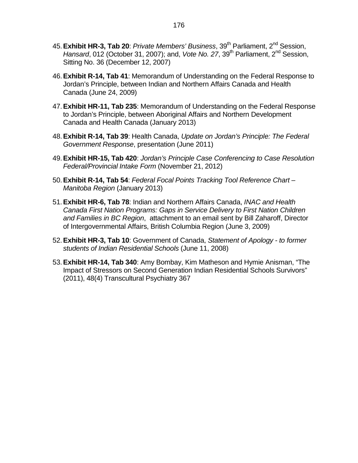- 45.**Exhibit HR-3, Tab 20**: *Private Members' Business*, 39th Parliament, 2nd Session, *Hansard*, 012 (October 31, 2007); and, *Vote No. 27*, 39<sup>th</sup> Parliament, 2<sup>nd</sup> Session, Sitting No. 36 (December 12, 2007)
- 46.**Exhibit R-14, Tab 41**: Memorandum of Understanding on the Federal Response to Jordan's Principle, between Indian and Northern Affairs Canada and Health Canada (June 24, 2009)
- 47.**Exhibit HR-11, Tab 235**: Memorandum of Understanding on the Federal Response to Jordan's Principle, between Aboriginal Affairs and Northern Development Canada and Health Canada (January 2013)
- 48.**Exhibit R-14, Tab 39**: Health Canada, *Update on Jordan's Principle: The Federal Government Response*, presentation (June 2011)
- 49.**Exhibit HR-15, Tab 420**: *Jordan's Principle Case Conferencing to Case Resolution Federal/Provincial Intake Form* (November 21, 2012)
- 50.**Exhibit R-14, Tab 54**: *Federal Focal Points Tracking Tool Reference Chart – Manitoba Region* (January 2013)
- 51.**Exhibit HR-6, Tab 78**: Indian and Northern Affairs Canada, *INAC and Health Canada First Nation Programs: Gaps in Service Delivery to First Nation Children and Families in BC Region*, attachment to an email sent by Bill Zaharoff, Director of Intergovernmental Affairs, British Columbia Region (June 3, 2009)
- 52.**Exhibit HR-3, Tab 10**: Government of Canada, *Statement of Apology - to former students of Indian Residential Schools* (June 11, 2008)
- 53.**Exhibit HR-14, Tab 340**: Amy Bombay, Kim Matheson and Hymie Anisman, "The Impact of Stressors on Second Generation Indian Residential Schools Survivors" (2011), 48(4) Transcultural Psychiatry 367